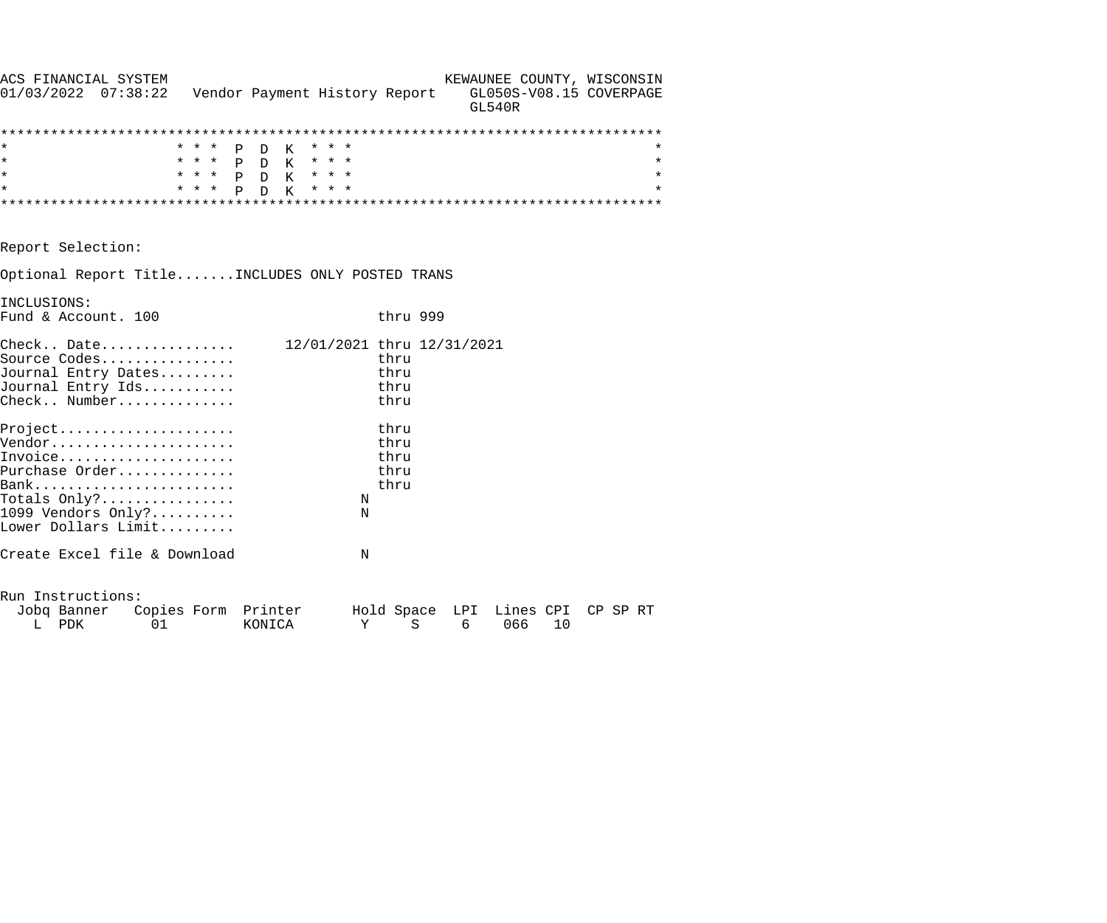| ACS FINANCIAL SYSTEM                                                  |       |                               |                            |          |   | KEWAUNEE COUNTY, WISCONSIN               |    |          |
|-----------------------------------------------------------------------|-------|-------------------------------|----------------------------|----------|---|------------------------------------------|----|----------|
| $01/03/2022$ $07:38:22$                                               |       | Vendor Payment History Report |                            |          |   | GL050S-V08.15 COVERPAGE<br><b>GL540R</b> |    |          |
|                                                                       |       |                               |                            |          |   |                                          |    |          |
| $^\star$                                                              | * * * | P D K                         | * * *                      |          |   |                                          |    |          |
| $\star$                                                               |       | * * * P D K                   | $\star$ $\star$ $\star$    |          |   |                                          |    | $^\star$ |
| $\star$                                                               | * * * | P D K                         | * * *                      |          |   |                                          |    | $\star$  |
| $\star$                                                               | * * * | K<br>P<br>$\mathcal{D}$       | * * *                      |          |   |                                          |    | $\star$  |
|                                                                       |       |                               |                            |          |   |                                          |    |          |
| Report Selection:                                                     |       |                               |                            |          |   |                                          |    |          |
| Optional Report TitleINCLUDES ONLY POSTED TRANS                       |       |                               |                            |          |   |                                          |    |          |
| INCLUSIONS:                                                           |       |                               |                            |          |   |                                          |    |          |
| Fund & Account. 100                                                   |       |                               |                            | thru 999 |   |                                          |    |          |
| $\texttt{Check.}. \quad \texttt{Date.} \dots \dots \dots \dots \dots$ |       |                               | 12/01/2021 thru 12/31/2021 |          |   |                                          |    |          |
| Source Codes                                                          |       |                               |                            | thru     |   |                                          |    |          |
| Journal Entry Dates                                                   |       |                               |                            | thru     |   |                                          |    |          |
| Journal Entry Ids                                                     |       |                               |                            | thru     |   |                                          |    |          |
| Check Number                                                          |       |                               |                            | thru     |   |                                          |    |          |
| $Project.$                                                            |       |                               |                            | thru     |   |                                          |    |          |
| Vendor                                                                |       |                               |                            | thru     |   |                                          |    |          |
| Invoice                                                               |       |                               |                            | thru     |   |                                          |    |          |
| Purchase Order                                                        |       |                               |                            | thru     |   |                                          |    |          |
|                                                                       |       |                               |                            | thru     |   |                                          |    |          |
| Totals $Only?$                                                        |       |                               | ${\rm N}$                  |          |   |                                          |    |          |
| 1099 Vendors Only?                                                    |       |                               | N                          |          |   |                                          |    |          |
| Lower Dollars Limit                                                   |       |                               |                            |          |   |                                          |    |          |
| Create Excel file & Download                                          |       |                               | N                          |          |   |                                          |    |          |
| Run Instructions:                                                     |       |                               |                            |          |   |                                          |    |          |
| Jobq Banner Copies Form Printer                                       |       |                               |                            |          |   | Hold Space LPI Lines CPI                 |    | CP SP RT |
| L PDK<br>01                                                           |       | KONICA                        | Υ                          | S        | 6 | 066                                      | 10 |          |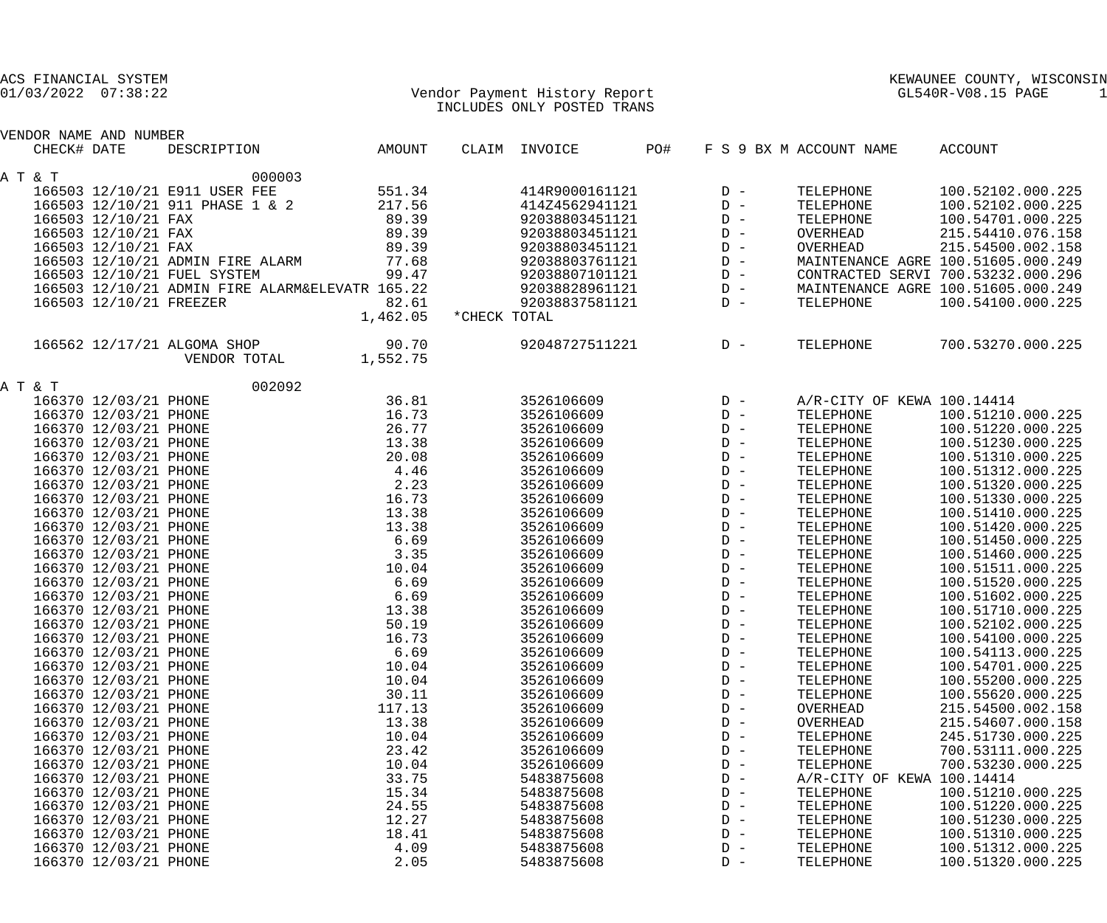|             | ACS FINANCIAL SYSTEM<br>$01/03/2022$ $07:38:22$ |                                                 |                |              | Vendor Payment History Report<br>INCLUDES ONLY POSTED TRANS |     |                |                            | KEWAUNEE COUNTY, WISCONSIN<br>GL540R-V08.15 PAGE<br>-1                   |  |
|-------------|-------------------------------------------------|-------------------------------------------------|----------------|--------------|-------------------------------------------------------------|-----|----------------|----------------------------|--------------------------------------------------------------------------|--|
|             | VENDOR NAME AND NUMBER                          |                                                 |                |              |                                                             |     |                |                            |                                                                          |  |
| CHECK# DATE |                                                 | DESCRIPTION                                     | AMOUNT         |              | CLAIM INVOICE                                               | PO# |                | F S 9 BX M ACCOUNT NAME    | ACCOUNT                                                                  |  |
|             |                                                 |                                                 |                |              |                                                             |     |                |                            |                                                                          |  |
| A T & T     |                                                 | 000003                                          |                |              |                                                             |     |                |                            |                                                                          |  |
|             |                                                 | 166503 12/10/21 E911 USER FEE                   | 551.34         |              | 414R9000161121                                              |     | $D -$          | TELEPHONE                  | 100.52102.000.225                                                        |  |
|             |                                                 | 166503 12/10/21 911 PHASE 1 & 2                 | 217.56         |              | 414Z4562941121                                              |     | $D -$          | TELEPHONE                  | 100.52102.000.225                                                        |  |
|             | 166503 12/10/21 FAX                             |                                                 | 89.39          |              | 92038803451121                                              |     | $D -$          | TELEPHONE                  | 100.54701.000.225                                                        |  |
|             | 166503 12/10/21 FAX                             |                                                 | 89.39          |              | 92038803451121                                              |     | $D -$          | OVERHEAD                   | 215.54410.076.158                                                        |  |
|             | 166503 12/10/21 FAX                             |                                                 | 89.39          |              | 92038803451121                                              |     | $D -$          | OVERHEAD                   | 215.54500.002.158                                                        |  |
|             |                                                 | 166503 12/10/21 ADMIN FIRE ALARM                | 77.68<br>99.47 |              | 92038803761121                                              |     | $D -$<br>$D -$ |                            | MAINTENANCE AGRE 100.51605.000.249<br>CONTRACTED SERVI 700.53232.000.296 |  |
|             |                                                 | 166503 12/10/21 FUEL SYSTEM                     |                |              | 92038807101121                                              |     |                |                            | MAINTENANCE AGRE 100.51605.000.249                                       |  |
|             |                                                 | 166503 12/10/21 ADMIN FIRE ALARM&ELEVATR 165.22 | 82.61          |              | 92038828961121<br>92038837581121                            |     | $D -$<br>$D -$ | TELEPHONE                  | 100.54100.000.225                                                        |  |
|             | 166503 12/10/21 FREEZER                         |                                                 | 1,462.05       | *CHECK TOTAL |                                                             |     |                |                            |                                                                          |  |
|             |                                                 |                                                 |                |              |                                                             |     |                |                            |                                                                          |  |
|             |                                                 | 166562 12/17/21 ALGOMA SHOP                     | 90.70          |              | 92048727511221                                              |     | $D -$          | TELEPHONE                  | 700.53270.000.225                                                        |  |
|             |                                                 | VENDOR TOTAL                                    | 1,552.75       |              |                                                             |     |                |                            |                                                                          |  |
| A T & T     |                                                 | 002092                                          |                |              |                                                             |     |                |                            |                                                                          |  |
|             | 166370 12/03/21 PHONE                           |                                                 | 36.81          |              | 3526106609                                                  |     | $D -$          | A/R-CITY OF KEWA 100.14414 |                                                                          |  |
|             | 166370 12/03/21 PHONE                           |                                                 | 16.73          |              | 3526106609                                                  |     | $D -$          | TELEPHONE                  | 100.51210.000.225                                                        |  |
|             | 166370 12/03/21 PHONE                           |                                                 | 26.77          |              | 3526106609                                                  |     | $D -$          | TELEPHONE                  | 100.51220.000.225                                                        |  |
|             | 166370 12/03/21 PHONE                           |                                                 | 13.38          |              | 3526106609                                                  |     | $D -$          | TELEPHONE                  | 100.51230.000.225                                                        |  |
|             | 166370 12/03/21 PHONE                           |                                                 | 20.08          |              | 3526106609                                                  |     | $D -$          | TELEPHONE                  | 100.51310.000.225                                                        |  |
|             | 166370 12/03/21 PHONE                           |                                                 | 4.46           |              | 3526106609                                                  |     | $D -$          | TELEPHONE                  | 100.51312.000.225                                                        |  |
|             | 166370 12/03/21 PHONE                           |                                                 | 2.23           |              | 3526106609                                                  |     | $D -$          | TELEPHONE                  | 100.51320.000.225                                                        |  |
|             | 166370 12/03/21 PHONE                           |                                                 | 16.73          |              | 3526106609                                                  |     | $D -$          | TELEPHONE                  | 100.51330.000.225                                                        |  |
|             | 166370 12/03/21 PHONE                           |                                                 | 13.38          |              | 3526106609                                                  |     | $D -$          | TELEPHONE                  | 100.51410.000.225                                                        |  |
|             | 166370 12/03/21 PHONE                           |                                                 | 13.38          |              | 3526106609                                                  |     | $D -$          | TELEPHONE                  | 100.51420.000.225                                                        |  |
|             | 166370 12/03/21 PHONE                           |                                                 | 6.69           |              | 3526106609                                                  |     | $D -$          | TELEPHONE                  | 100.51450.000.225                                                        |  |
|             | 166370 12/03/21 PHONE                           |                                                 | 3.35           |              | 3526106609                                                  |     | $D -$          | TELEPHONE                  | 100.51460.000.225                                                        |  |
|             | 166370 12/03/21 PHONE                           |                                                 | 10.04          |              | 3526106609                                                  |     | $D -$          | TELEPHONE                  | 100.51511.000.225                                                        |  |
|             | 166370 12/03/21 PHONE                           |                                                 | 6.69           |              | 3526106609                                                  |     | $D -$          | TELEPHONE                  | 100.51520.000.225                                                        |  |
|             | 166370 12/03/21 PHONE                           |                                                 | 6.69           |              | 3526106609                                                  |     | $D -$          | TELEPHONE                  | 100.51602.000.225                                                        |  |
|             | 166370 12/03/21 PHONE                           |                                                 | 13.38          |              | 3526106609                                                  |     | $D -$          | TELEPHONE                  | 100.51710.000.225                                                        |  |
|             | 166370 12/03/21 PHONE                           |                                                 | 50.19          |              | 3526106609                                                  |     | $D -$          | TELEPHONE                  | 100.52102.000.225                                                        |  |
|             | 166370 12/03/21 PHONE                           |                                                 | 16.73          |              | 3526106609                                                  |     | $D -$          | TELEPHONE                  | 100.54100.000.225                                                        |  |
|             | 166370 12/03/21 PHONE                           |                                                 | 6.69           |              | 3526106609                                                  |     | $D -$          | TELEPHONE                  | 100.54113.000.225                                                        |  |
|             | 166370 12/03/21 PHONE                           |                                                 | 10.04          |              | 3526106609                                                  |     | $D -$          | TELEPHONE                  | 100.54701.000.225                                                        |  |
|             | 166370 12/03/21 PHONE                           |                                                 | 10.04          |              | 3526106609                                                  |     | $D -$          | TELEPHONE                  | 100.55200.000.225                                                        |  |
|             | 166370 12/03/21 PHONE                           |                                                 | 30.11          |              | 3526106609                                                  |     | $D -$          | TELEPHONE                  | 100.55620.000.225                                                        |  |
|             | 166370 12/03/21 PHONE                           |                                                 | 117.13         |              | 3526106609                                                  |     | $D -$          | OVERHEAD                   | 215.54500.002.158                                                        |  |
|             | 166370 12/03/21 PHONE                           |                                                 | 13.38          |              | 3526106609                                                  |     | $D -$          | OVERHEAD                   | 215.54607.000.158                                                        |  |
|             | 166370 12/03/21 PHONE                           |                                                 | 10.04          |              | 3526106609                                                  |     | $D -$          | TELEPHONE                  | 245.51730.000.225                                                        |  |
|             | 166370 12/03/21 PHONE                           |                                                 | 23.42          |              | 3526106609                                                  |     | $D -$          | TELEPHONE                  | 700.53111.000.225                                                        |  |
|             | 166370 12/03/21 PHONE                           |                                                 | 10.04          |              | 3526106609                                                  |     | $D -$          | TELEPHONE                  | 700.53230.000.225                                                        |  |
|             | 166370 12/03/21 PHONE                           |                                                 | 33.75          |              | 5483875608                                                  |     | $D -$          | A/R-CITY OF KEWA 100.14414 |                                                                          |  |
|             | 166370 12/03/21 PHONE                           |                                                 | 15.34          |              | 5483875608                                                  |     | $D -$          | TELEPHONE                  | 100.51210.000.225                                                        |  |
|             | 166370 12/03/21 PHONE                           |                                                 | 24.55          |              | 5483875608                                                  |     | $D -$          | TELEPHONE                  | 100.51220.000.225                                                        |  |
|             | 166370 12/03/21 PHONE                           |                                                 | 12.27          |              | 5483875608                                                  |     | $D -$          | TELEPHONE                  | 100.51230.000.225                                                        |  |
|             | 166370 12/03/21 PHONE                           |                                                 | 18.41          |              | 5483875608                                                  |     | $D -$          | TELEPHONE                  | 100.51310.000.225                                                        |  |
|             | 166370 12/03/21 PHONE                           |                                                 | 4.09           |              | 5483875608                                                  |     | $D -$          | TELEPHONE                  | 100.51312.000.225                                                        |  |
|             | 166370 12/03/21 PHONE                           |                                                 | 2.05           |              | 5483875608                                                  |     | $D -$          | TELEPHONE                  | 100.51320.000.225                                                        |  |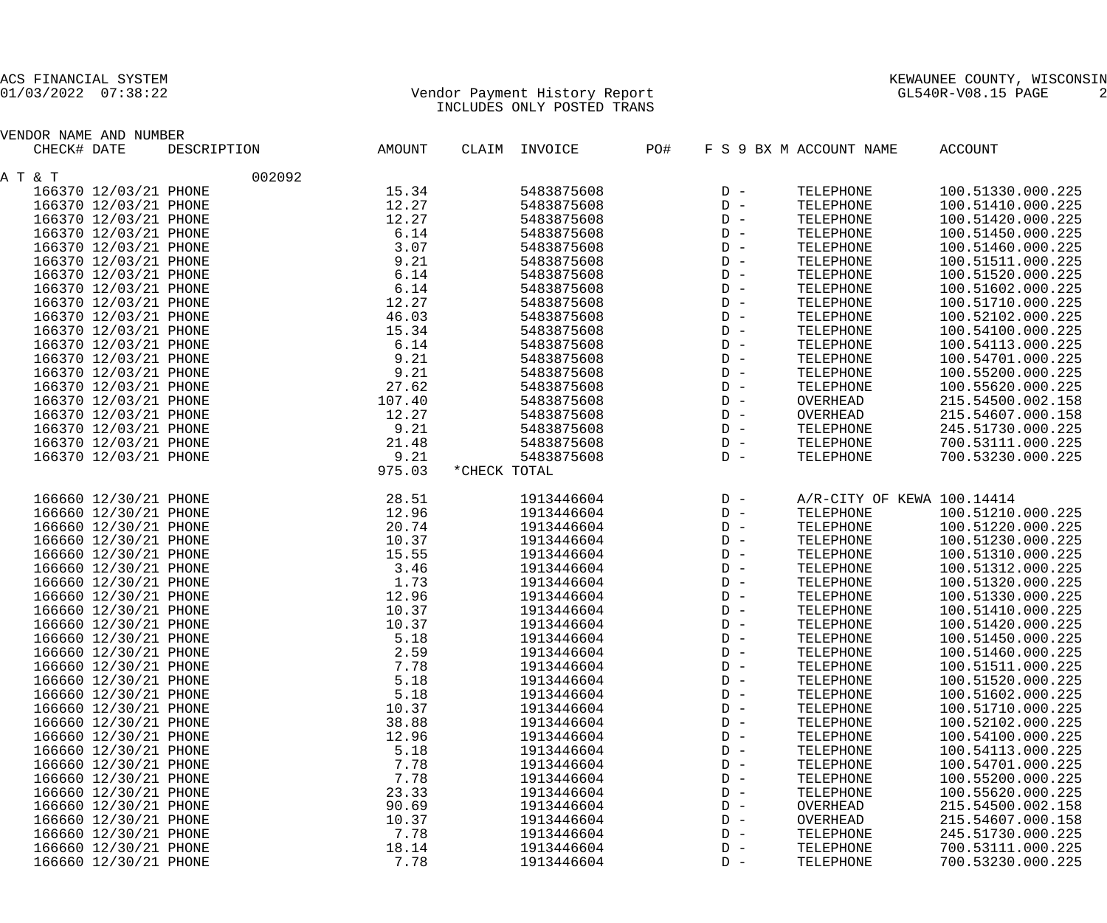## 01/03/2022 07:38:22 Vendor Payment History Report GL540R-V08.15 PAGE 2 INCLUDES ONLY POSTED TRANS

| VENDOR NAME AND NUMBER |             |        |               |     |       |                         |                            |
|------------------------|-------------|--------|---------------|-----|-------|-------------------------|----------------------------|
| CHECK# DATE            | DESCRIPTION | AMOUNT | CLAIM INVOICE | PO# |       | F S 9 BX M ACCOUNT NAME | ACCOUNT                    |
| A T & T                | 002092      |        |               |     |       |                         |                            |
| 166370 12/03/21 PHONE  |             | 15.34  | 5483875608    |     | $D -$ | TELEPHONE               | 100.51330.000.225          |
| 166370 12/03/21 PHONE  |             | 12.27  | 5483875608    |     | $D -$ | TELEPHONE               | 100.51410.000.225          |
| 166370 12/03/21 PHONE  |             | 12.27  | 5483875608    |     | $D -$ | TELEPHONE               | 100.51420.000.225          |
| 166370 12/03/21 PHONE  |             | 6.14   | 5483875608    |     | $D -$ | TELEPHONE               | 100.51450.000.225          |
| 166370 12/03/21 PHONE  |             | 3.07   | 5483875608    |     | $D -$ | TELEPHONE               | 100.51460.000.225          |
| 166370 12/03/21 PHONE  |             | 9.21   | 5483875608    |     | $D -$ | TELEPHONE               | 100.51511.000.225          |
| 166370 12/03/21 PHONE  |             | 6.14   | 5483875608    |     | $D -$ | TELEPHONE               | 100.51520.000.225          |
|                        |             | 6.14   | 5483875608    |     | $D -$ |                         | 100.51602.000.225          |
| 166370 12/03/21 PHONE  |             |        |               |     | $D -$ | TELEPHONE               |                            |
| 166370 12/03/21 PHONE  |             | 12.27  | 5483875608    |     |       | TELEPHONE               | 100.51710.000.225          |
| 166370 12/03/21 PHONE  |             | 46.03  | 5483875608    |     | $D -$ | TELEPHONE               | 100.52102.000.225          |
| 166370 12/03/21 PHONE  |             | 15.34  | 5483875608    |     | $D -$ | TELEPHONE               | 100.54100.000.225          |
| 166370 12/03/21 PHONE  |             | 6.14   | 5483875608    |     | $D -$ | TELEPHONE               | 100.54113.000.225          |
| 166370 12/03/21 PHONE  |             | 9.21   | 5483875608    |     | $D -$ | TELEPHONE               | 100.54701.000.225          |
| 166370 12/03/21 PHONE  |             | 9.21   | 5483875608    |     | $D -$ | TELEPHONE               | 100.55200.000.225          |
| 166370 12/03/21 PHONE  |             | 27.62  | 5483875608    |     | $D -$ | TELEPHONE               | 100.55620.000.225          |
| 166370 12/03/21 PHONE  |             | 107.40 | 5483875608    |     | $D -$ | OVERHEAD                | 215.54500.002.158          |
| 166370 12/03/21 PHONE  |             | 12.27  | 5483875608    |     | $D -$ | OVERHEAD                | 215.54607.000.158          |
| 166370 12/03/21 PHONE  |             | 9.21   | 5483875608    |     | $D -$ | TELEPHONE               | 245.51730.000.225          |
| 166370 12/03/21 PHONE  |             | 21.48  | 5483875608    |     | $D -$ | TELEPHONE               | 700.53111.000.225          |
| 166370 12/03/21 PHONE  |             | 9.21   | 5483875608    |     | $D -$ | TELEPHONE               | 700.53230.000.225          |
|                        |             | 975.03 | *CHECK TOTAL  |     |       |                         |                            |
| 166660 12/30/21 PHONE  |             | 28.51  | 1913446604    |     | $D -$ |                         | A/R-CITY OF KEWA 100.14414 |
| 166660 12/30/21 PHONE  |             | 12.96  | 1913446604    |     | $D -$ | TELEPHONE               | 100.51210.000.225          |
| 166660 12/30/21 PHONE  |             | 20.74  | 1913446604    |     | $D -$ | TELEPHONE               | 100.51220.000.225          |
| 166660 12/30/21 PHONE  |             | 10.37  | 1913446604    |     | $D -$ | TELEPHONE               | 100.51230.000.225          |
| 166660 12/30/21 PHONE  |             | 15.55  | 1913446604    |     | $D -$ | TELEPHONE               | 100.51310.000.225          |
| 166660 12/30/21 PHONE  |             | 3.46   | 1913446604    |     | $D -$ | TELEPHONE               | 100.51312.000.225          |
| 166660 12/30/21 PHONE  |             | 1.73   | 1913446604    |     | $D -$ | TELEPHONE               | 100.51320.000.225          |
| 166660 12/30/21 PHONE  |             | 12.96  | 1913446604    |     | $D -$ | TELEPHONE               | 100.51330.000.225          |
| 166660 12/30/21 PHONE  |             | 10.37  | 1913446604    |     | $D -$ | TELEPHONE               | 100.51410.000.225          |
| 166660 12/30/21 PHONE  |             | 10.37  | 1913446604    |     | $D -$ | TELEPHONE               | 100.51420.000.225          |
| 166660 12/30/21 PHONE  |             | 5.18   | 1913446604    |     | $D -$ | TELEPHONE               | 100.51450.000.225          |
| 166660 12/30/21 PHONE  |             | 2.59   | 1913446604    |     | $D -$ | TELEPHONE               | 100.51460.000.225          |
|                        |             | 7.78   | 1913446604    |     | $D -$ |                         | 100.51511.000.225          |
| 166660 12/30/21 PHONE  |             |        |               |     |       | TELEPHONE               |                            |
| 166660 12/30/21 PHONE  |             | 5.18   | 1913446604    |     | $D -$ | TELEPHONE               | 100.51520.000.225          |
| 166660 12/30/21 PHONE  |             | 5.18   | 1913446604    |     | $D -$ | TELEPHONE               | 100.51602.000.225          |
| 166660 12/30/21 PHONE  |             | 10.37  | 1913446604    |     | $D -$ | TELEPHONE               | 100.51710.000.225          |
| 166660 12/30/21 PHONE  |             | 38.88  | 1913446604    |     | $D -$ | TELEPHONE               | 100.52102.000.225          |
| 166660 12/30/21 PHONE  |             | 12.96  | 1913446604    |     | $D -$ | TELEPHONE               | 100.54100.000.225          |
| 166660 12/30/21 PHONE  |             | 5.18   | 1913446604    |     | $D -$ | TELEPHONE               | 100.54113.000.225          |
| 166660 12/30/21 PHONE  |             | 7.78   | 1913446604    |     | $D -$ | TELEPHONE               | 100.54701.000.225          |
| 166660 12/30/21 PHONE  |             | 7.78   | 1913446604    |     | $D -$ | TELEPHONE               | 100.55200.000.225          |
| 166660 12/30/21 PHONE  |             | 23.33  | 1913446604    |     | $D -$ | TELEPHONE               | 100.55620.000.225          |
| 166660 12/30/21 PHONE  |             | 90.69  | 1913446604    |     | $D -$ | OVERHEAD                | 215.54500.002.158          |
| 166660 12/30/21 PHONE  |             | 10.37  | 1913446604    |     | $D -$ | OVERHEAD                | 215.54607.000.158          |
| 166660 12/30/21 PHONE  |             | 7.78   | 1913446604    |     | $D -$ | TELEPHONE               | 245.51730.000.225          |
| 166660 12/30/21 PHONE  |             | 18.14  | 1913446604    |     | $D -$ | TELEPHONE               | 700.53111.000.225          |
| 166660 12/30/21 PHONE  |             | 7.78   | 1913446604    |     | $D -$ | TELEPHONE               | 700.53230.000.225          |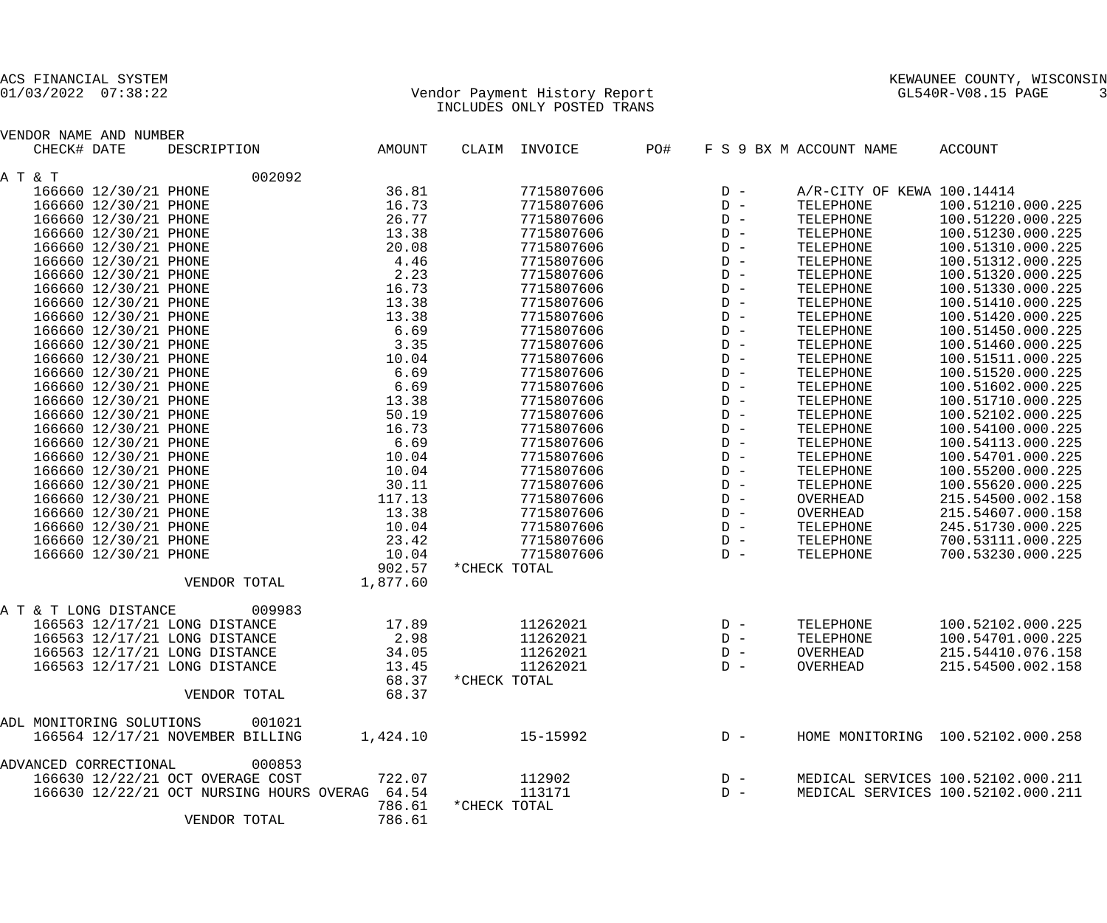## 01/03/2022 07:38:22 Vendor Payment History Report GL540R-V08.15 PAGE 3 INCLUDES ONLY POSTED TRANS

| CHECK# DATE<br>DESCRIPTION<br>CLAIM<br>INVOICE<br>PO#<br>F S 9 BX M ACCOUNT NAME<br><b>ACCOUNT</b><br>AMOUNT<br>002092<br>36.81<br>166660 12/30/21 PHONE<br>7715807606<br>A/R-CITY OF KEWA 100.14414<br>$D -$<br>166660 12/30/21 PHONE<br>16.73<br>7715807606<br>100.51210.000.225<br>TELEPHONE<br>$D -$<br>166660 12/30/21 PHONE<br>26.77<br>100.51220.000.225<br>7715807606<br>$D -$<br>TELEPHONE<br>166660 12/30/21 PHONE<br>13.38<br>7715807606<br>100.51230.000.225<br>TELEPHONE<br>$D -$<br>166660 12/30/21 PHONE<br>20.08<br>100.51310.000.225<br>7715807606<br>$D -$<br>TELEPHONE<br>4.46<br>166660 12/30/21 PHONE<br>100.51312.000.225<br>7715807606<br>$D -$<br>TELEPHONE<br>2.23<br>166660 12/30/21 PHONE<br>7715807606<br>100.51320.000.225<br>TELEPHONE<br>$D -$<br>166660 12/30/21 PHONE<br>16.73<br>100.51330.000.225<br>7715807606<br>$D -$<br>TELEPHONE<br>166660 12/30/21 PHONE<br>13.38<br>100.51410.000.225<br>7715807606<br>TELEPHONE<br>$D -$<br>166660 12/30/21 PHONE<br>13.38<br>7715807606<br>100.51420.000.225<br>$D -$<br>TELEPHONE<br>166660 12/30/21 PHONE<br>6.69<br>100.51450.000.225<br>7715807606<br>$D -$<br>TELEPHONE<br>166660 12/30/21 PHONE<br>3.35<br>100.51460.000.225<br>7715807606<br>TELEPHONE<br>$D -$<br>166660 12/30/21 PHONE<br>10.04<br>100.51511.000.225<br>7715807606<br>$D -$<br>TELEPHONE<br>166660 12/30/21 PHONE<br>6.69<br>100.51520.000.225<br>7715807606<br>$D -$<br>TELEPHONE<br>166660 12/30/21 PHONE<br>6.69<br>7715807606<br>100.51602.000.225<br>TELEPHONE<br>$D -$<br>166660 12/30/21 PHONE<br>13.38<br>100.51710.000.225<br>7715807606<br>$D -$<br>TELEPHONE<br>166660 12/30/21 PHONE<br>50.19<br>100.52102.000.225<br>7715807606<br>$D -$<br>TELEPHONE<br>166660 12/30/21 PHONE<br>16.73<br>7715807606<br>100.54100.000.225<br>TELEPHONE<br>$D -$<br>6.69<br>166660 12/30/21 PHONE<br>100.54113.000.225<br>7715807606<br>$D -$<br>TELEPHONE<br>166660 12/30/21 PHONE<br>10.04<br>100.54701.000.225<br>7715807606<br>$D -$<br>TELEPHONE<br>166660 12/30/21 PHONE<br>10.04<br>7715807606<br>100.55200.000.225<br>$D -$<br>TELEPHONE<br>166660 12/30/21 PHONE<br>30.11<br>100.55620.000.225<br>7715807606<br>$D -$<br>TELEPHONE<br>166660 12/30/21 PHONE<br>117.13<br>215.54500.002.158<br>7715807606<br>OVERHEAD<br>$D -$<br>166660 12/30/21 PHONE<br>13.38<br>215.54607.000.158<br>7715807606<br>$D -$<br>OVERHEAD<br>166660 12/30/21 PHONE<br>10.04<br>245.51730.000.225<br>7715807606<br>$D -$<br>TELEPHONE<br>166660 12/30/21 PHONE<br>23.42<br>700.53111.000.225<br>7715807606<br>TELEPHONE<br>$D -$<br>10.04<br>700.53230.000.225<br>166660 12/30/21 PHONE<br>7715807606<br>TELEPHONE<br>$D -$<br>902.57<br>*CHECK TOTAL<br>1,877.60<br>VENDOR TOTAL<br>009983<br>A T & T LONG DISTANCE<br>166563 12/17/21 LONG DISTANCE<br>11262021<br>100.52102.000.225<br>17.89<br>TELEPHONE<br>$D -$<br>166563 12/17/21 LONG DISTANCE<br>2.98<br>11262021<br>100.54701.000.225<br>TELEPHONE<br>$D -$<br>166563 12/17/21 LONG DISTANCE<br>34.05<br>11262021<br>215.54410.076.158<br>$D -$<br>OVERHEAD<br>11262021<br>13.45<br>OVERHEAD<br>215.54500.002.158<br>166563 12/17/21 LONG DISTANCE<br>$D -$<br>68.37<br>*CHECK TOTAL<br>68.37<br>VENDOR TOTAL<br>ADL MONITORING SOLUTIONS<br>001021<br>166564 12/17/21 NOVEMBER BILLING<br>1,424.10<br>15-15992<br>HOME MONITORING 100.52102.000.258<br>$D -$<br>000853<br>ADVANCED CORRECTIONAL<br>166630 12/22/21 OCT OVERAGE COST<br>722.07<br>112902<br>MEDICAL SERVICES 100.52102.000.211<br>$D -$<br>166630 12/22/21 OCT NURSING HOURS OVERAG 64.54<br>113171<br>MEDICAL SERVICES 100.52102.000.211<br>$D -$<br>786.61<br>*CHECK TOTAL<br>786.61<br>VENDOR TOTAL | VENDOR NAME AND NUMBER |  |  |  |
|--------------------------------------------------------------------------------------------------------------------------------------------------------------------------------------------------------------------------------------------------------------------------------------------------------------------------------------------------------------------------------------------------------------------------------------------------------------------------------------------------------------------------------------------------------------------------------------------------------------------------------------------------------------------------------------------------------------------------------------------------------------------------------------------------------------------------------------------------------------------------------------------------------------------------------------------------------------------------------------------------------------------------------------------------------------------------------------------------------------------------------------------------------------------------------------------------------------------------------------------------------------------------------------------------------------------------------------------------------------------------------------------------------------------------------------------------------------------------------------------------------------------------------------------------------------------------------------------------------------------------------------------------------------------------------------------------------------------------------------------------------------------------------------------------------------------------------------------------------------------------------------------------------------------------------------------------------------------------------------------------------------------------------------------------------------------------------------------------------------------------------------------------------------------------------------------------------------------------------------------------------------------------------------------------------------------------------------------------------------------------------------------------------------------------------------------------------------------------------------------------------------------------------------------------------------------------------------------------------------------------------------------------------------------------------------------------------------------------------------------------------------------------------------------------------------------------------------------------------------------------------------------------------------------------------------------------------------------------------------------------------------------------------------------------------------------------------------------------------------------------------------------------------------------------------------------------------------------------------------------------------------------------------------------------------------------------------------------------------------------------------------------------------------------------------------------------------------------------------------------------------------------------------------------------------------------------------------------------------------------------------------------------------------------------|------------------------|--|--|--|
|                                                                                                                                                                                                                                                                                                                                                                                                                                                                                                                                                                                                                                                                                                                                                                                                                                                                                                                                                                                                                                                                                                                                                                                                                                                                                                                                                                                                                                                                                                                                                                                                                                                                                                                                                                                                                                                                                                                                                                                                                                                                                                                                                                                                                                                                                                                                                                                                                                                                                                                                                                                                                                                                                                                                                                                                                                                                                                                                                                                                                                                                                                                                                                                                                                                                                                                                                                                                                                                                                                                                                                                                                                                                          |                        |  |  |  |
|                                                                                                                                                                                                                                                                                                                                                                                                                                                                                                                                                                                                                                                                                                                                                                                                                                                                                                                                                                                                                                                                                                                                                                                                                                                                                                                                                                                                                                                                                                                                                                                                                                                                                                                                                                                                                                                                                                                                                                                                                                                                                                                                                                                                                                                                                                                                                                                                                                                                                                                                                                                                                                                                                                                                                                                                                                                                                                                                                                                                                                                                                                                                                                                                                                                                                                                                                                                                                                                                                                                                                                                                                                                                          | A T & T                |  |  |  |
|                                                                                                                                                                                                                                                                                                                                                                                                                                                                                                                                                                                                                                                                                                                                                                                                                                                                                                                                                                                                                                                                                                                                                                                                                                                                                                                                                                                                                                                                                                                                                                                                                                                                                                                                                                                                                                                                                                                                                                                                                                                                                                                                                                                                                                                                                                                                                                                                                                                                                                                                                                                                                                                                                                                                                                                                                                                                                                                                                                                                                                                                                                                                                                                                                                                                                                                                                                                                                                                                                                                                                                                                                                                                          |                        |  |  |  |
|                                                                                                                                                                                                                                                                                                                                                                                                                                                                                                                                                                                                                                                                                                                                                                                                                                                                                                                                                                                                                                                                                                                                                                                                                                                                                                                                                                                                                                                                                                                                                                                                                                                                                                                                                                                                                                                                                                                                                                                                                                                                                                                                                                                                                                                                                                                                                                                                                                                                                                                                                                                                                                                                                                                                                                                                                                                                                                                                                                                                                                                                                                                                                                                                                                                                                                                                                                                                                                                                                                                                                                                                                                                                          |                        |  |  |  |
|                                                                                                                                                                                                                                                                                                                                                                                                                                                                                                                                                                                                                                                                                                                                                                                                                                                                                                                                                                                                                                                                                                                                                                                                                                                                                                                                                                                                                                                                                                                                                                                                                                                                                                                                                                                                                                                                                                                                                                                                                                                                                                                                                                                                                                                                                                                                                                                                                                                                                                                                                                                                                                                                                                                                                                                                                                                                                                                                                                                                                                                                                                                                                                                                                                                                                                                                                                                                                                                                                                                                                                                                                                                                          |                        |  |  |  |
|                                                                                                                                                                                                                                                                                                                                                                                                                                                                                                                                                                                                                                                                                                                                                                                                                                                                                                                                                                                                                                                                                                                                                                                                                                                                                                                                                                                                                                                                                                                                                                                                                                                                                                                                                                                                                                                                                                                                                                                                                                                                                                                                                                                                                                                                                                                                                                                                                                                                                                                                                                                                                                                                                                                                                                                                                                                                                                                                                                                                                                                                                                                                                                                                                                                                                                                                                                                                                                                                                                                                                                                                                                                                          |                        |  |  |  |
|                                                                                                                                                                                                                                                                                                                                                                                                                                                                                                                                                                                                                                                                                                                                                                                                                                                                                                                                                                                                                                                                                                                                                                                                                                                                                                                                                                                                                                                                                                                                                                                                                                                                                                                                                                                                                                                                                                                                                                                                                                                                                                                                                                                                                                                                                                                                                                                                                                                                                                                                                                                                                                                                                                                                                                                                                                                                                                                                                                                                                                                                                                                                                                                                                                                                                                                                                                                                                                                                                                                                                                                                                                                                          |                        |  |  |  |
|                                                                                                                                                                                                                                                                                                                                                                                                                                                                                                                                                                                                                                                                                                                                                                                                                                                                                                                                                                                                                                                                                                                                                                                                                                                                                                                                                                                                                                                                                                                                                                                                                                                                                                                                                                                                                                                                                                                                                                                                                                                                                                                                                                                                                                                                                                                                                                                                                                                                                                                                                                                                                                                                                                                                                                                                                                                                                                                                                                                                                                                                                                                                                                                                                                                                                                                                                                                                                                                                                                                                                                                                                                                                          |                        |  |  |  |
|                                                                                                                                                                                                                                                                                                                                                                                                                                                                                                                                                                                                                                                                                                                                                                                                                                                                                                                                                                                                                                                                                                                                                                                                                                                                                                                                                                                                                                                                                                                                                                                                                                                                                                                                                                                                                                                                                                                                                                                                                                                                                                                                                                                                                                                                                                                                                                                                                                                                                                                                                                                                                                                                                                                                                                                                                                                                                                                                                                                                                                                                                                                                                                                                                                                                                                                                                                                                                                                                                                                                                                                                                                                                          |                        |  |  |  |
|                                                                                                                                                                                                                                                                                                                                                                                                                                                                                                                                                                                                                                                                                                                                                                                                                                                                                                                                                                                                                                                                                                                                                                                                                                                                                                                                                                                                                                                                                                                                                                                                                                                                                                                                                                                                                                                                                                                                                                                                                                                                                                                                                                                                                                                                                                                                                                                                                                                                                                                                                                                                                                                                                                                                                                                                                                                                                                                                                                                                                                                                                                                                                                                                                                                                                                                                                                                                                                                                                                                                                                                                                                                                          |                        |  |  |  |
|                                                                                                                                                                                                                                                                                                                                                                                                                                                                                                                                                                                                                                                                                                                                                                                                                                                                                                                                                                                                                                                                                                                                                                                                                                                                                                                                                                                                                                                                                                                                                                                                                                                                                                                                                                                                                                                                                                                                                                                                                                                                                                                                                                                                                                                                                                                                                                                                                                                                                                                                                                                                                                                                                                                                                                                                                                                                                                                                                                                                                                                                                                                                                                                                                                                                                                                                                                                                                                                                                                                                                                                                                                                                          |                        |  |  |  |
|                                                                                                                                                                                                                                                                                                                                                                                                                                                                                                                                                                                                                                                                                                                                                                                                                                                                                                                                                                                                                                                                                                                                                                                                                                                                                                                                                                                                                                                                                                                                                                                                                                                                                                                                                                                                                                                                                                                                                                                                                                                                                                                                                                                                                                                                                                                                                                                                                                                                                                                                                                                                                                                                                                                                                                                                                                                                                                                                                                                                                                                                                                                                                                                                                                                                                                                                                                                                                                                                                                                                                                                                                                                                          |                        |  |  |  |
|                                                                                                                                                                                                                                                                                                                                                                                                                                                                                                                                                                                                                                                                                                                                                                                                                                                                                                                                                                                                                                                                                                                                                                                                                                                                                                                                                                                                                                                                                                                                                                                                                                                                                                                                                                                                                                                                                                                                                                                                                                                                                                                                                                                                                                                                                                                                                                                                                                                                                                                                                                                                                                                                                                                                                                                                                                                                                                                                                                                                                                                                                                                                                                                                                                                                                                                                                                                                                                                                                                                                                                                                                                                                          |                        |  |  |  |
|                                                                                                                                                                                                                                                                                                                                                                                                                                                                                                                                                                                                                                                                                                                                                                                                                                                                                                                                                                                                                                                                                                                                                                                                                                                                                                                                                                                                                                                                                                                                                                                                                                                                                                                                                                                                                                                                                                                                                                                                                                                                                                                                                                                                                                                                                                                                                                                                                                                                                                                                                                                                                                                                                                                                                                                                                                                                                                                                                                                                                                                                                                                                                                                                                                                                                                                                                                                                                                                                                                                                                                                                                                                                          |                        |  |  |  |
|                                                                                                                                                                                                                                                                                                                                                                                                                                                                                                                                                                                                                                                                                                                                                                                                                                                                                                                                                                                                                                                                                                                                                                                                                                                                                                                                                                                                                                                                                                                                                                                                                                                                                                                                                                                                                                                                                                                                                                                                                                                                                                                                                                                                                                                                                                                                                                                                                                                                                                                                                                                                                                                                                                                                                                                                                                                                                                                                                                                                                                                                                                                                                                                                                                                                                                                                                                                                                                                                                                                                                                                                                                                                          |                        |  |  |  |
|                                                                                                                                                                                                                                                                                                                                                                                                                                                                                                                                                                                                                                                                                                                                                                                                                                                                                                                                                                                                                                                                                                                                                                                                                                                                                                                                                                                                                                                                                                                                                                                                                                                                                                                                                                                                                                                                                                                                                                                                                                                                                                                                                                                                                                                                                                                                                                                                                                                                                                                                                                                                                                                                                                                                                                                                                                                                                                                                                                                                                                                                                                                                                                                                                                                                                                                                                                                                                                                                                                                                                                                                                                                                          |                        |  |  |  |
|                                                                                                                                                                                                                                                                                                                                                                                                                                                                                                                                                                                                                                                                                                                                                                                                                                                                                                                                                                                                                                                                                                                                                                                                                                                                                                                                                                                                                                                                                                                                                                                                                                                                                                                                                                                                                                                                                                                                                                                                                                                                                                                                                                                                                                                                                                                                                                                                                                                                                                                                                                                                                                                                                                                                                                                                                                                                                                                                                                                                                                                                                                                                                                                                                                                                                                                                                                                                                                                                                                                                                                                                                                                                          |                        |  |  |  |
|                                                                                                                                                                                                                                                                                                                                                                                                                                                                                                                                                                                                                                                                                                                                                                                                                                                                                                                                                                                                                                                                                                                                                                                                                                                                                                                                                                                                                                                                                                                                                                                                                                                                                                                                                                                                                                                                                                                                                                                                                                                                                                                                                                                                                                                                                                                                                                                                                                                                                                                                                                                                                                                                                                                                                                                                                                                                                                                                                                                                                                                                                                                                                                                                                                                                                                                                                                                                                                                                                                                                                                                                                                                                          |                        |  |  |  |
|                                                                                                                                                                                                                                                                                                                                                                                                                                                                                                                                                                                                                                                                                                                                                                                                                                                                                                                                                                                                                                                                                                                                                                                                                                                                                                                                                                                                                                                                                                                                                                                                                                                                                                                                                                                                                                                                                                                                                                                                                                                                                                                                                                                                                                                                                                                                                                                                                                                                                                                                                                                                                                                                                                                                                                                                                                                                                                                                                                                                                                                                                                                                                                                                                                                                                                                                                                                                                                                                                                                                                                                                                                                                          |                        |  |  |  |
|                                                                                                                                                                                                                                                                                                                                                                                                                                                                                                                                                                                                                                                                                                                                                                                                                                                                                                                                                                                                                                                                                                                                                                                                                                                                                                                                                                                                                                                                                                                                                                                                                                                                                                                                                                                                                                                                                                                                                                                                                                                                                                                                                                                                                                                                                                                                                                                                                                                                                                                                                                                                                                                                                                                                                                                                                                                                                                                                                                                                                                                                                                                                                                                                                                                                                                                                                                                                                                                                                                                                                                                                                                                                          |                        |  |  |  |
|                                                                                                                                                                                                                                                                                                                                                                                                                                                                                                                                                                                                                                                                                                                                                                                                                                                                                                                                                                                                                                                                                                                                                                                                                                                                                                                                                                                                                                                                                                                                                                                                                                                                                                                                                                                                                                                                                                                                                                                                                                                                                                                                                                                                                                                                                                                                                                                                                                                                                                                                                                                                                                                                                                                                                                                                                                                                                                                                                                                                                                                                                                                                                                                                                                                                                                                                                                                                                                                                                                                                                                                                                                                                          |                        |  |  |  |
|                                                                                                                                                                                                                                                                                                                                                                                                                                                                                                                                                                                                                                                                                                                                                                                                                                                                                                                                                                                                                                                                                                                                                                                                                                                                                                                                                                                                                                                                                                                                                                                                                                                                                                                                                                                                                                                                                                                                                                                                                                                                                                                                                                                                                                                                                                                                                                                                                                                                                                                                                                                                                                                                                                                                                                                                                                                                                                                                                                                                                                                                                                                                                                                                                                                                                                                                                                                                                                                                                                                                                                                                                                                                          |                        |  |  |  |
|                                                                                                                                                                                                                                                                                                                                                                                                                                                                                                                                                                                                                                                                                                                                                                                                                                                                                                                                                                                                                                                                                                                                                                                                                                                                                                                                                                                                                                                                                                                                                                                                                                                                                                                                                                                                                                                                                                                                                                                                                                                                                                                                                                                                                                                                                                                                                                                                                                                                                                                                                                                                                                                                                                                                                                                                                                                                                                                                                                                                                                                                                                                                                                                                                                                                                                                                                                                                                                                                                                                                                                                                                                                                          |                        |  |  |  |
|                                                                                                                                                                                                                                                                                                                                                                                                                                                                                                                                                                                                                                                                                                                                                                                                                                                                                                                                                                                                                                                                                                                                                                                                                                                                                                                                                                                                                                                                                                                                                                                                                                                                                                                                                                                                                                                                                                                                                                                                                                                                                                                                                                                                                                                                                                                                                                                                                                                                                                                                                                                                                                                                                                                                                                                                                                                                                                                                                                                                                                                                                                                                                                                                                                                                                                                                                                                                                                                                                                                                                                                                                                                                          |                        |  |  |  |
|                                                                                                                                                                                                                                                                                                                                                                                                                                                                                                                                                                                                                                                                                                                                                                                                                                                                                                                                                                                                                                                                                                                                                                                                                                                                                                                                                                                                                                                                                                                                                                                                                                                                                                                                                                                                                                                                                                                                                                                                                                                                                                                                                                                                                                                                                                                                                                                                                                                                                                                                                                                                                                                                                                                                                                                                                                                                                                                                                                                                                                                                                                                                                                                                                                                                                                                                                                                                                                                                                                                                                                                                                                                                          |                        |  |  |  |
|                                                                                                                                                                                                                                                                                                                                                                                                                                                                                                                                                                                                                                                                                                                                                                                                                                                                                                                                                                                                                                                                                                                                                                                                                                                                                                                                                                                                                                                                                                                                                                                                                                                                                                                                                                                                                                                                                                                                                                                                                                                                                                                                                                                                                                                                                                                                                                                                                                                                                                                                                                                                                                                                                                                                                                                                                                                                                                                                                                                                                                                                                                                                                                                                                                                                                                                                                                                                                                                                                                                                                                                                                                                                          |                        |  |  |  |
|                                                                                                                                                                                                                                                                                                                                                                                                                                                                                                                                                                                                                                                                                                                                                                                                                                                                                                                                                                                                                                                                                                                                                                                                                                                                                                                                                                                                                                                                                                                                                                                                                                                                                                                                                                                                                                                                                                                                                                                                                                                                                                                                                                                                                                                                                                                                                                                                                                                                                                                                                                                                                                                                                                                                                                                                                                                                                                                                                                                                                                                                                                                                                                                                                                                                                                                                                                                                                                                                                                                                                                                                                                                                          |                        |  |  |  |
|                                                                                                                                                                                                                                                                                                                                                                                                                                                                                                                                                                                                                                                                                                                                                                                                                                                                                                                                                                                                                                                                                                                                                                                                                                                                                                                                                                                                                                                                                                                                                                                                                                                                                                                                                                                                                                                                                                                                                                                                                                                                                                                                                                                                                                                                                                                                                                                                                                                                                                                                                                                                                                                                                                                                                                                                                                                                                                                                                                                                                                                                                                                                                                                                                                                                                                                                                                                                                                                                                                                                                                                                                                                                          |                        |  |  |  |
|                                                                                                                                                                                                                                                                                                                                                                                                                                                                                                                                                                                                                                                                                                                                                                                                                                                                                                                                                                                                                                                                                                                                                                                                                                                                                                                                                                                                                                                                                                                                                                                                                                                                                                                                                                                                                                                                                                                                                                                                                                                                                                                                                                                                                                                                                                                                                                                                                                                                                                                                                                                                                                                                                                                                                                                                                                                                                                                                                                                                                                                                                                                                                                                                                                                                                                                                                                                                                                                                                                                                                                                                                                                                          |                        |  |  |  |
|                                                                                                                                                                                                                                                                                                                                                                                                                                                                                                                                                                                                                                                                                                                                                                                                                                                                                                                                                                                                                                                                                                                                                                                                                                                                                                                                                                                                                                                                                                                                                                                                                                                                                                                                                                                                                                                                                                                                                                                                                                                                                                                                                                                                                                                                                                                                                                                                                                                                                                                                                                                                                                                                                                                                                                                                                                                                                                                                                                                                                                                                                                                                                                                                                                                                                                                                                                                                                                                                                                                                                                                                                                                                          |                        |  |  |  |
|                                                                                                                                                                                                                                                                                                                                                                                                                                                                                                                                                                                                                                                                                                                                                                                                                                                                                                                                                                                                                                                                                                                                                                                                                                                                                                                                                                                                                                                                                                                                                                                                                                                                                                                                                                                                                                                                                                                                                                                                                                                                                                                                                                                                                                                                                                                                                                                                                                                                                                                                                                                                                                                                                                                                                                                                                                                                                                                                                                                                                                                                                                                                                                                                                                                                                                                                                                                                                                                                                                                                                                                                                                                                          |                        |  |  |  |
|                                                                                                                                                                                                                                                                                                                                                                                                                                                                                                                                                                                                                                                                                                                                                                                                                                                                                                                                                                                                                                                                                                                                                                                                                                                                                                                                                                                                                                                                                                                                                                                                                                                                                                                                                                                                                                                                                                                                                                                                                                                                                                                                                                                                                                                                                                                                                                                                                                                                                                                                                                                                                                                                                                                                                                                                                                                                                                                                                                                                                                                                                                                                                                                                                                                                                                                                                                                                                                                                                                                                                                                                                                                                          |                        |  |  |  |
|                                                                                                                                                                                                                                                                                                                                                                                                                                                                                                                                                                                                                                                                                                                                                                                                                                                                                                                                                                                                                                                                                                                                                                                                                                                                                                                                                                                                                                                                                                                                                                                                                                                                                                                                                                                                                                                                                                                                                                                                                                                                                                                                                                                                                                                                                                                                                                                                                                                                                                                                                                                                                                                                                                                                                                                                                                                                                                                                                                                                                                                                                                                                                                                                                                                                                                                                                                                                                                                                                                                                                                                                                                                                          |                        |  |  |  |
|                                                                                                                                                                                                                                                                                                                                                                                                                                                                                                                                                                                                                                                                                                                                                                                                                                                                                                                                                                                                                                                                                                                                                                                                                                                                                                                                                                                                                                                                                                                                                                                                                                                                                                                                                                                                                                                                                                                                                                                                                                                                                                                                                                                                                                                                                                                                                                                                                                                                                                                                                                                                                                                                                                                                                                                                                                                                                                                                                                                                                                                                                                                                                                                                                                                                                                                                                                                                                                                                                                                                                                                                                                                                          |                        |  |  |  |
|                                                                                                                                                                                                                                                                                                                                                                                                                                                                                                                                                                                                                                                                                                                                                                                                                                                                                                                                                                                                                                                                                                                                                                                                                                                                                                                                                                                                                                                                                                                                                                                                                                                                                                                                                                                                                                                                                                                                                                                                                                                                                                                                                                                                                                                                                                                                                                                                                                                                                                                                                                                                                                                                                                                                                                                                                                                                                                                                                                                                                                                                                                                                                                                                                                                                                                                                                                                                                                                                                                                                                                                                                                                                          |                        |  |  |  |
|                                                                                                                                                                                                                                                                                                                                                                                                                                                                                                                                                                                                                                                                                                                                                                                                                                                                                                                                                                                                                                                                                                                                                                                                                                                                                                                                                                                                                                                                                                                                                                                                                                                                                                                                                                                                                                                                                                                                                                                                                                                                                                                                                                                                                                                                                                                                                                                                                                                                                                                                                                                                                                                                                                                                                                                                                                                                                                                                                                                                                                                                                                                                                                                                                                                                                                                                                                                                                                                                                                                                                                                                                                                                          |                        |  |  |  |
|                                                                                                                                                                                                                                                                                                                                                                                                                                                                                                                                                                                                                                                                                                                                                                                                                                                                                                                                                                                                                                                                                                                                                                                                                                                                                                                                                                                                                                                                                                                                                                                                                                                                                                                                                                                                                                                                                                                                                                                                                                                                                                                                                                                                                                                                                                                                                                                                                                                                                                                                                                                                                                                                                                                                                                                                                                                                                                                                                                                                                                                                                                                                                                                                                                                                                                                                                                                                                                                                                                                                                                                                                                                                          |                        |  |  |  |
|                                                                                                                                                                                                                                                                                                                                                                                                                                                                                                                                                                                                                                                                                                                                                                                                                                                                                                                                                                                                                                                                                                                                                                                                                                                                                                                                                                                                                                                                                                                                                                                                                                                                                                                                                                                                                                                                                                                                                                                                                                                                                                                                                                                                                                                                                                                                                                                                                                                                                                                                                                                                                                                                                                                                                                                                                                                                                                                                                                                                                                                                                                                                                                                                                                                                                                                                                                                                                                                                                                                                                                                                                                                                          |                        |  |  |  |
|                                                                                                                                                                                                                                                                                                                                                                                                                                                                                                                                                                                                                                                                                                                                                                                                                                                                                                                                                                                                                                                                                                                                                                                                                                                                                                                                                                                                                                                                                                                                                                                                                                                                                                                                                                                                                                                                                                                                                                                                                                                                                                                                                                                                                                                                                                                                                                                                                                                                                                                                                                                                                                                                                                                                                                                                                                                                                                                                                                                                                                                                                                                                                                                                                                                                                                                                                                                                                                                                                                                                                                                                                                                                          |                        |  |  |  |
|                                                                                                                                                                                                                                                                                                                                                                                                                                                                                                                                                                                                                                                                                                                                                                                                                                                                                                                                                                                                                                                                                                                                                                                                                                                                                                                                                                                                                                                                                                                                                                                                                                                                                                                                                                                                                                                                                                                                                                                                                                                                                                                                                                                                                                                                                                                                                                                                                                                                                                                                                                                                                                                                                                                                                                                                                                                                                                                                                                                                                                                                                                                                                                                                                                                                                                                                                                                                                                                                                                                                                                                                                                                                          |                        |  |  |  |
|                                                                                                                                                                                                                                                                                                                                                                                                                                                                                                                                                                                                                                                                                                                                                                                                                                                                                                                                                                                                                                                                                                                                                                                                                                                                                                                                                                                                                                                                                                                                                                                                                                                                                                                                                                                                                                                                                                                                                                                                                                                                                                                                                                                                                                                                                                                                                                                                                                                                                                                                                                                                                                                                                                                                                                                                                                                                                                                                                                                                                                                                                                                                                                                                                                                                                                                                                                                                                                                                                                                                                                                                                                                                          |                        |  |  |  |
|                                                                                                                                                                                                                                                                                                                                                                                                                                                                                                                                                                                                                                                                                                                                                                                                                                                                                                                                                                                                                                                                                                                                                                                                                                                                                                                                                                                                                                                                                                                                                                                                                                                                                                                                                                                                                                                                                                                                                                                                                                                                                                                                                                                                                                                                                                                                                                                                                                                                                                                                                                                                                                                                                                                                                                                                                                                                                                                                                                                                                                                                                                                                                                                                                                                                                                                                                                                                                                                                                                                                                                                                                                                                          |                        |  |  |  |
|                                                                                                                                                                                                                                                                                                                                                                                                                                                                                                                                                                                                                                                                                                                                                                                                                                                                                                                                                                                                                                                                                                                                                                                                                                                                                                                                                                                                                                                                                                                                                                                                                                                                                                                                                                                                                                                                                                                                                                                                                                                                                                                                                                                                                                                                                                                                                                                                                                                                                                                                                                                                                                                                                                                                                                                                                                                                                                                                                                                                                                                                                                                                                                                                                                                                                                                                                                                                                                                                                                                                                                                                                                                                          |                        |  |  |  |
|                                                                                                                                                                                                                                                                                                                                                                                                                                                                                                                                                                                                                                                                                                                                                                                                                                                                                                                                                                                                                                                                                                                                                                                                                                                                                                                                                                                                                                                                                                                                                                                                                                                                                                                                                                                                                                                                                                                                                                                                                                                                                                                                                                                                                                                                                                                                                                                                                                                                                                                                                                                                                                                                                                                                                                                                                                                                                                                                                                                                                                                                                                                                                                                                                                                                                                                                                                                                                                                                                                                                                                                                                                                                          |                        |  |  |  |
|                                                                                                                                                                                                                                                                                                                                                                                                                                                                                                                                                                                                                                                                                                                                                                                                                                                                                                                                                                                                                                                                                                                                                                                                                                                                                                                                                                                                                                                                                                                                                                                                                                                                                                                                                                                                                                                                                                                                                                                                                                                                                                                                                                                                                                                                                                                                                                                                                                                                                                                                                                                                                                                                                                                                                                                                                                                                                                                                                                                                                                                                                                                                                                                                                                                                                                                                                                                                                                                                                                                                                                                                                                                                          |                        |  |  |  |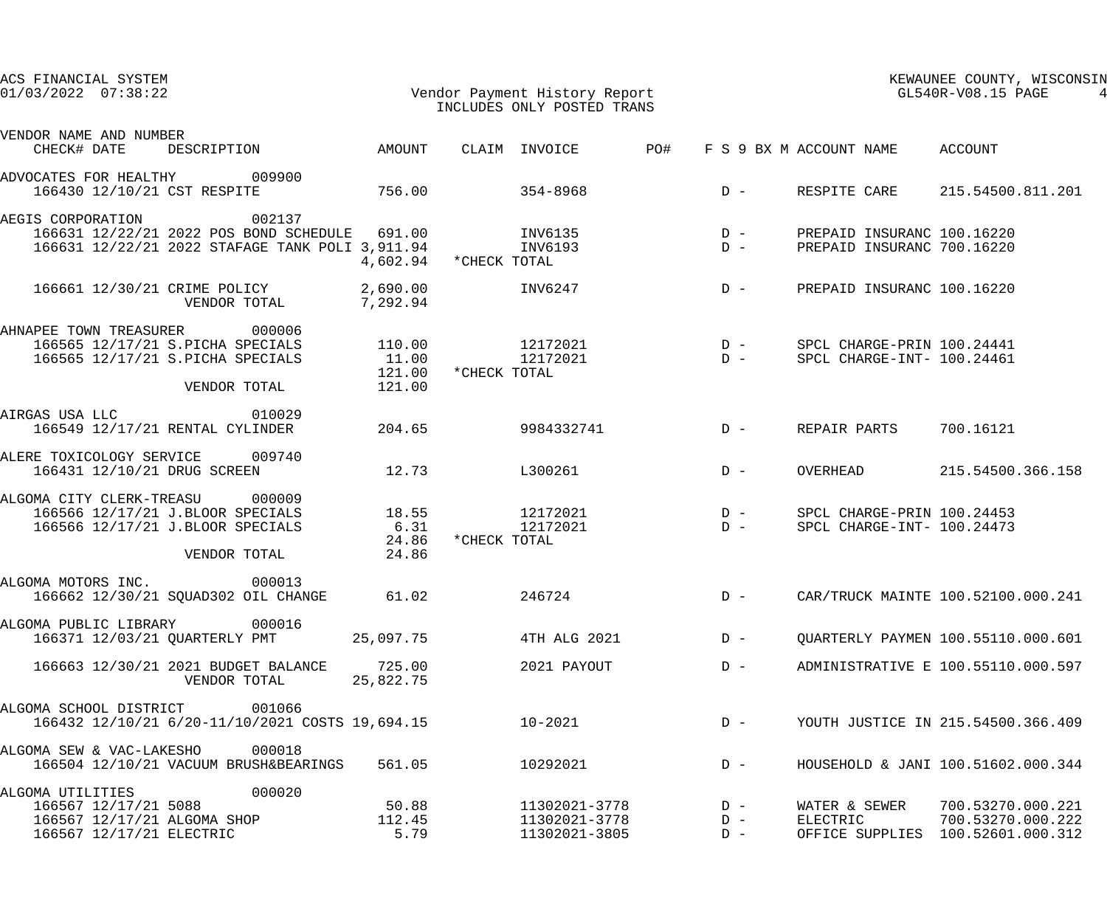| ACS FINANCIAL SYSTEM<br>$01/03/2022$ $07:38:22$                               |                     | Vendor Payment History Report<br>INCLUDES ONLY POSTED TRANS |                | GL540R-V08.15 PAGE              | KEWAUNEE COUNTY, WISCONSIN             |
|-------------------------------------------------------------------------------|---------------------|-------------------------------------------------------------|----------------|---------------------------------|----------------------------------------|
| VENDOR NAME AND NUMBER<br>DESCRIPTION AMOUNT CLAIM INVOICE PO#<br>CHECK# DATE |                     |                                                             |                | F S 9 BX M ACCOUNT NAME ACCOUNT |                                        |
| ADVOCATES FOR HEALTHY 009900                                                  |                     |                                                             |                |                                 |                                        |
| 166430 12/10/21 CST RESPITE                                                   | 756.00              | 354-8968                                                    |                |                                 | D - RESPITE CARE 215.54500.811.201     |
| 002137<br>AEGIS CORPORATION                                                   |                     |                                                             |                |                                 |                                        |
| 166631 12/22/21 2022 POS BOND SCHEDULE 691.00 INV6135 D -                     |                     |                                                             |                | PREPAID INSURANC 100.16220      |                                        |
| 166631 12/22/21 2022 STAFAGE TANK POLI 3,911.94                               |                     | INV6193<br>4,602.94 * CHECK TOTAL                           | $D -$          | PREPAID INSURANC 700.16220      |                                        |
| 166661 12/30/21 CRIME POLICY 2,690.00<br>VENDOR TOTAL 7,292.94                |                     |                                                             | $INV6247$ D –  | PREPAID INSURANC 100.16220      |                                        |
| AHNAPEE TOWN TREASURER 000006                                                 |                     |                                                             |                |                                 |                                        |
| 166565 12/17/21 S.PICHA SPECIALS                                              |                     |                                                             |                |                                 |                                        |
| 166565 12/17/21 S.PICHA SPECIALS                                              | 11.00<br>121.00     | *CHECK TOTAL                                                | $12172021$ D – | SPCL CHARGE-INT- 100.24461      |                                        |
| VENDOR TOTAL 121.00                                                           |                     |                                                             |                |                                 |                                        |
| AIRGAS USA LLC 010029                                                         |                     |                                                             |                |                                 |                                        |
| 166549 12/17/21 RENTAL CYLINDER                                               | 204.65              | 9984332741                                                  | $D -$          | REPAIR PARTS                    | 700.16121                              |
| ALERE TOXICOLOGY SERVICE 009740                                               |                     |                                                             |                |                                 |                                        |
| 166431 12/10/21 DRUG SCREEN                                                   | 12.73               | L300261                                                     | $D -$          | OVERHEAD                        | 215.54500.366.158                      |
| ALGOMA CITY CLERK-TREASU 000009                                               |                     |                                                             |                |                                 |                                        |
| 166566 12/17/21 J.BLOOR SPECIALS                                              | 18.55               | $12172021$ D -                                              |                | SPCL CHARGE-PRIN 100.24453      |                                        |
| 166566 12/17/21 J.BLOOR SPECIALS                                              | 6.31                | 12172021                                                    | $D -$          | SPCL CHARGE-INT- 100.24473      |                                        |
| VENDOR TOTAL                                                                  | 24.86               | 24.86 *CHECK TOTAL                                          |                |                                 |                                        |
| 000013<br>ALGOMA MOTORS INC.                                                  |                     |                                                             |                |                                 |                                        |
| 166662 12/30/21 SQUAD302 OIL CHANGE                                           | 61.02               | 246724                                                      |                |                                 | D - CAR/TRUCK MAINTE 100.52100.000.241 |
| 000016<br>ALGOMA PUBLIC LIBRARY                                               |                     |                                                             |                |                                 |                                        |
| 166371 12/03/21 QUARTERLY PMT                                                 | 25,097.75           | 4TH ALG 2021                                                | $D -$          |                                 | OUARTERLY PAYMEN 100.55110.000.601     |
| 166663 12/30/21 2021 BUDGET BALANCE<br>VENDOR TOTAL                           | 725.00<br>25,822.75 | 2021 PAYOUT                                                 | $D -$          |                                 | ADMINISTRATIVE E 100.55110.000.597     |
| 001066<br>ALGOMA SCHOOL DISTRICT                                              |                     |                                                             |                |                                 |                                        |
| 166432 12/10/21 6/20-11/10/2021 COSTS 19,694.15                               |                     | $10 - 2021$                                                 | $D -$          |                                 | YOUTH JUSTICE IN 215.54500.366.409     |
| 000018<br>ALGOMA SEW & VAC-LAKESHO                                            |                     |                                                             |                |                                 |                                        |
| 166504 12/10/21 VACUUM BRUSH&BEARINGS                                         | 561.05              | 10292021                                                    | $D -$          |                                 | HOUSEHOLD & JANI 100.51602.000.344     |
| 000020<br>ALGOMA UTILITIES                                                    |                     |                                                             |                |                                 |                                        |
| 166567 12/17/21 5088                                                          | 50.88               | 11302021-3778                                               | $D -$          | WATER & SEWER                   | 700.53270.000.221                      |
| 166567 12/17/21 ALGOMA SHOP                                                   | 112.45              | 11302021-3778                                               | $D -$          | ELECTRIC                        | 700.53270.000.222                      |
| 166567 12/17/21 ELECTRIC                                                      | 5.79                | 11302021-3805                                               | $D -$          | OFFICE SUPPLIES                 | 100.52601.000.312                      |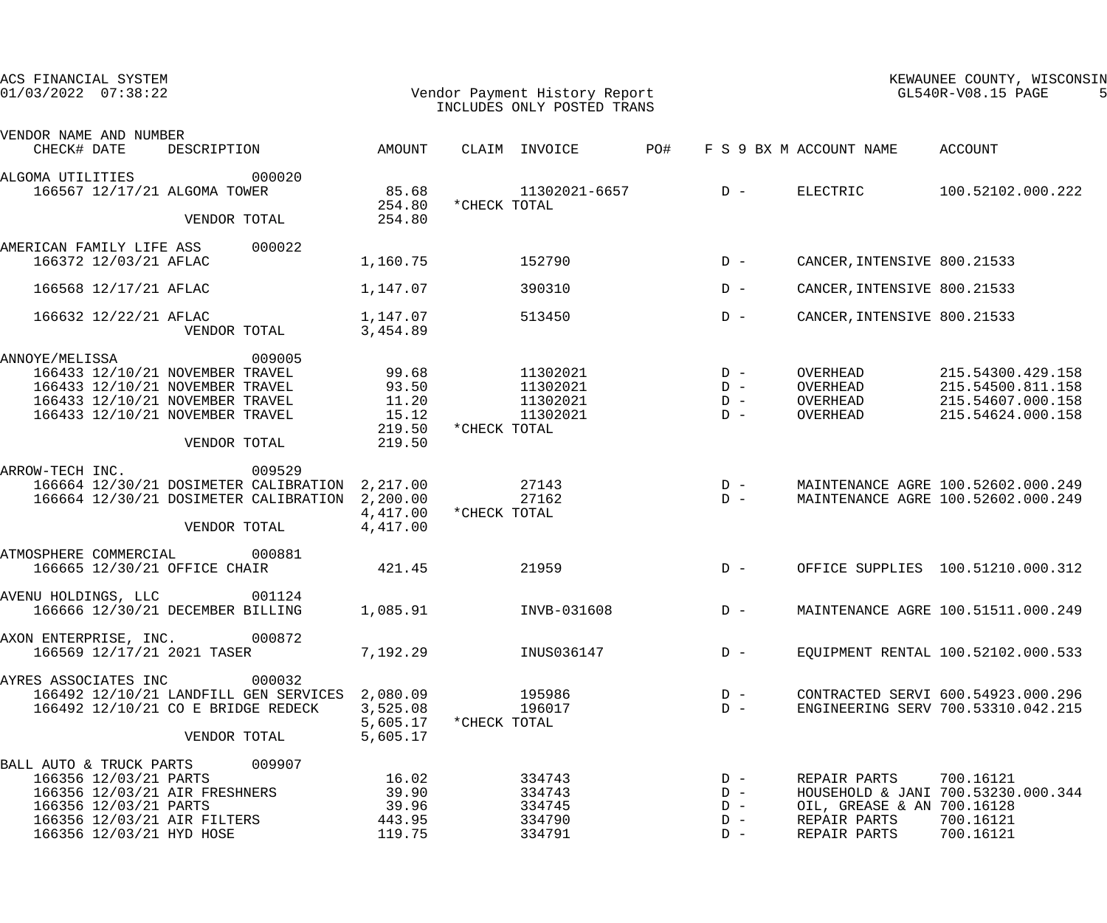| ACS FINANCIAL SYSTEM<br>$01/03/2022$ $07:38:22$ |                                                |                                                                                                                                                          |                                                                                                            |                                                      |              | Vendor Payment History Report<br>INCLUDES ONLY POSTED TRANS |       |                                           |                                                                            | KEWAUNEE COUNTY, WISCONSIN<br>GL540R-V08.15 PAGE                                 |
|-------------------------------------------------|------------------------------------------------|----------------------------------------------------------------------------------------------------------------------------------------------------------|------------------------------------------------------------------------------------------------------------|------------------------------------------------------|--------------|-------------------------------------------------------------|-------|-------------------------------------------|----------------------------------------------------------------------------|----------------------------------------------------------------------------------|
| VENDOR NAME AND NUMBER<br>CHECK# DATE           |                                                | DESCRIPTION                                                                                                                                              |                                                                                                            | AMOUNT                                               |              | CLAIM INVOICE                                               | PO#   |                                           | F S 9 BX M ACCOUNT NAME                                                    | ACCOUNT                                                                          |
| ALGOMA UTILITIES                                |                                                | 166567 12/17/21 ALGOMA TOWER                                                                                                                             | 000020                                                                                                     | 85.68<br>254.80                                      | *CHECK TOTAL | 11302021-6657                                               | $D -$ |                                           | ELECTRIC                                                                   | 100.52102.000.222                                                                |
|                                                 |                                                | VENDOR TOTAL                                                                                                                                             |                                                                                                            | 254.80                                               |              |                                                             |       |                                           |                                                                            |                                                                                  |
| AMERICAN FAMILY LIFE ASS                        | 166372 12/03/21 AFLAC                          |                                                                                                                                                          | 000022                                                                                                     | 1,160.75                                             |              | 152790                                                      |       | $D -$                                     | CANCER, INTENSIVE 800.21533                                                |                                                                                  |
|                                                 | 166568 12/17/21 AFLAC                          |                                                                                                                                                          |                                                                                                            | 1,147.07                                             |              | 390310                                                      |       | $D -$                                     | CANCER, INTENSIVE 800.21533                                                |                                                                                  |
|                                                 | 166632 12/22/21 AFLAC                          | VENDOR TOTAL                                                                                                                                             |                                                                                                            | 1,147.07<br>3,454.89                                 |              | 513450                                                      |       | $D -$                                     | CANCER, INTENSIVE 800.21533                                                |                                                                                  |
| ANNOYE/MELISSA                                  |                                                | 166433 12/10/21 NOVEMBER TRAVEL<br>166433 12/10/21 NOVEMBER TRAVEL<br>166433 12/10/21 NOVEMBER TRAVEL<br>166433 12/10/21 NOVEMBER TRAVEL<br>VENDOR TOTAL | 009005                                                                                                     | 99.68<br>93.50<br>11.20<br>15.12<br>219.50<br>219.50 | *CHECK TOTAL | 11302021<br>11302021<br>11302021<br>11302021                |       | $D -$<br>$D -$<br>$D -$<br>$D -$          | OVERHEAD<br>OVERHEAD<br>OVERHEAD<br>OVERHEAD                               | 215.54300.429.158<br>215.54500.811.158<br>215.54607.000.158<br>215.54624.000.158 |
| ARROW-TECH INC.                                 |                                                | VENDOR TOTAL                                                                                                                                             | 009529<br>166664 12/30/21 DOSIMETER CALIBRATION 2,217.00<br>166664 12/30/21 DOSIMETER CALIBRATION 2,200.00 | 4,417.00<br>4,417.00                                 | *CHECK TOTAL | 27143<br>27162                                              |       | $D -$<br>$D -$                            |                                                                            | MAINTENANCE AGRE 100.52602.000.249<br>MAINTENANCE AGRE 100.52602.000.249         |
| ATMOSPHERE COMMERCIAL                           |                                                | 166665 12/30/21 OFFICE CHAIR                                                                                                                             | 000881                                                                                                     | 421.45                                               |              | 21959                                                       |       | $D -$                                     |                                                                            | OFFICE SUPPLIES 100.51210.000.312                                                |
| AVENU HOLDINGS, LLC                             |                                                | 166666 12/30/21 DECEMBER BILLING                                                                                                                         | 001124                                                                                                     | 1,085.91                                             |              | INVB-031608                                                 |       | $D -$                                     |                                                                            | MAINTENANCE AGRE 100.51511.000.249                                               |
| AXON ENTERPRISE, INC. 000872                    |                                                | 166569 12/17/21 2021 TASER                                                                                                                               |                                                                                                            | 7,192.29                                             |              | INUS036147                                                  |       | $D -$                                     |                                                                            | EQUIPMENT RENTAL 100.52102.000.533                                               |
| AYRES ASSOCIATES INC                            |                                                | VENDOR TOTAL                                                                                                                                             | 000032<br>166492 12/10/21 LANDFILL GEN SERVICES 2,080.09<br>166492 12/10/21 CO E BRIDGE REDECK             | 3,525.08<br>5,605.17<br>5,605.17                     | *CHECK TOTAL | 195986<br>196017                                            |       | $D -$<br>$D -$                            |                                                                            | CONTRACTED SERVI 600.54923.000.296<br>ENGINEERING SERV 700.53310.042.215         |
| BALL AUTO & TRUCK PARTS 009907                  | 166356 12/03/21 PARTS<br>166356 12/03/21 PARTS | 166356 12/03/21 AIR FRESHNERS<br>166356 12/03/21 AIR FILTERS<br>166356 12/03/21 HYD HOSE                                                                 |                                                                                                            | 16.02<br>39.90<br>39.96<br>443.95<br>119.75          |              | 334743<br>334743<br>334745<br>334790<br>334791              |       | $D -$<br>$D -$<br>$D -$<br>$D -$<br>$D -$ | REPAIR PARTS<br>OIL, GREASE & AN 700.16128<br>REPAIR PARTS<br>REPAIR PARTS | 700.16121<br>HOUSEHOLD & JANI 700.53230.000.344<br>700.16121<br>700.16121        |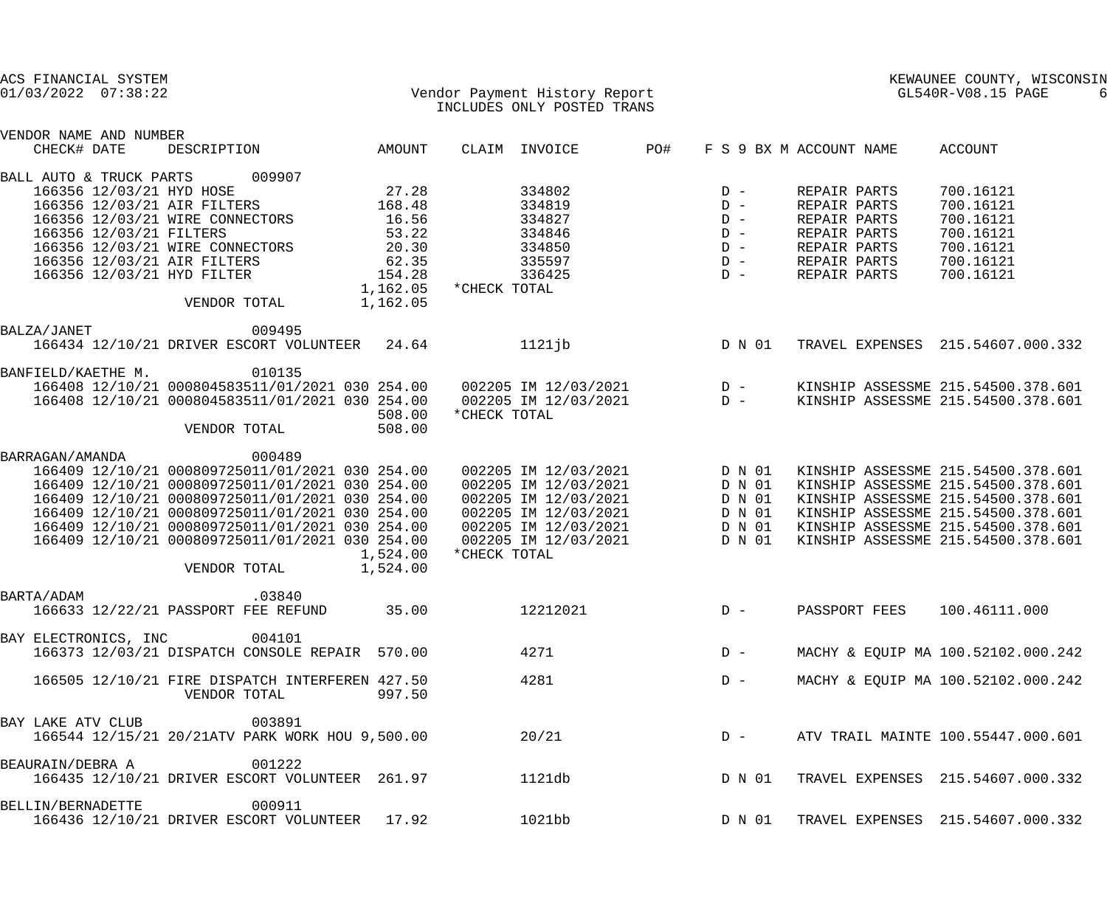| ACS FINANCIAL SYSTEM                                                                                                                                                                                                                                                                                                                                                                |                                                                                                                                                              |                                                          |                                                                                              | KEWAUNEE COUNTY, WISCONSIN                                                                                                                                                                                                       |
|-------------------------------------------------------------------------------------------------------------------------------------------------------------------------------------------------------------------------------------------------------------------------------------------------------------------------------------------------------------------------------------|--------------------------------------------------------------------------------------------------------------------------------------------------------------|----------------------------------------------------------|----------------------------------------------------------------------------------------------|----------------------------------------------------------------------------------------------------------------------------------------------------------------------------------------------------------------------------------|
| $01/03/2022$ $07:38:22$                                                                                                                                                                                                                                                                                                                                                             | Vendor Payment History Report<br>INCLUDES ONLY POSTED TRANS                                                                                                  |                                                          |                                                                                              | GL540R-V08.15 PAGE<br>6                                                                                                                                                                                                          |
| VENDOR NAME AND NUMBER<br>CHECK# DATE<br>DESCRIPTION<br>AMOUNT                                                                                                                                                                                                                                                                                                                      | CLAIM INVOICE                                                                                                                                                | PO#<br>F S 9 BX M ACCOUNT NAME                           |                                                                                              | ACCOUNT                                                                                                                                                                                                                          |
| 009907<br>BALL AUTO & TRUCK PARTS<br>27.28<br>166356 12/03/21 HYD HOSE<br>166356 12/03/21 AIR FILTERS<br>168.48<br>166356 12/03/21 WIRE CONNECTORS<br>16.56<br>166356 12/03/21 FILTERS<br>53.22<br>166356 12/03/21 WIRE CONNECTORS<br>20.30<br>62.35<br>166356 12/03/21 AIR FILTERS                                                                                                 | 334802<br>334819<br>334827<br>334846<br>334850<br>335597                                                                                                     | $D -$<br>$D -$<br>$D -$<br>$D -$<br>$D -$<br>$D -$       | REPAIR PARTS<br>REPAIR PARTS<br>REPAIR PARTS<br>REPAIR PARTS<br>REPAIR PARTS<br>REPAIR PARTS | 700.16121<br>700.16121<br>700.16121<br>700.16121<br>700.16121<br>700.16121                                                                                                                                                       |
| 166356 12/03/21 HYD FILTER<br>154.28<br>1,162.05<br>1,162.05<br>VENDOR TOTAL                                                                                                                                                                                                                                                                                                        | 336425<br>*CHECK TOTAL                                                                                                                                       | $D -$                                                    | REPAIR PARTS                                                                                 | 700.16121                                                                                                                                                                                                                        |
| BALZA/JANET<br>009495<br>166434 12/10/21 DRIVER ESCORT VOLUNTEER 24.64                                                                                                                                                                                                                                                                                                              | $1121$ jb                                                                                                                                                    | D N 01                                                   |                                                                                              | TRAVEL EXPENSES 215.54607.000.332                                                                                                                                                                                                |
| 010135<br>BANFIELD/KAETHE M.<br>166408 12/10/21 000804583511/01/2021 030 254.00<br>166408 12/10/21 000804583511/01/2021 030 254.00<br>508.00<br>VENDOR TOTAL<br>508.00                                                                                                                                                                                                              | 002205 IM 12/03/2021 D -<br>002205 IM 12/03/2021 D -<br>*CHECK TOTAL                                                                                         |                                                          |                                                                                              | KINSHIP ASSESSME 215.54500.378.601<br>KINSHIP ASSESSME 215.54500.378.601                                                                                                                                                         |
| BARRAGAN/AMANDA<br>000489<br>166409 12/10/21 000809725011/01/2021 030 254.00<br>166409 12/10/21 000809725011/01/2021 030 254.00<br>166409 12/10/21 000809725011/01/2021 030 254.00<br>166409 12/10/21 000809725011/01/2021 030 254.00<br>166409 12/10/21 000809725011/01/2021 030 254.00<br>166409 12/10/21 000809725011/01/2021 030 254.00<br>1,524.00<br>1,524.00<br>VENDOR TOTAL | 002205 IM 12/03/2021<br>002205 IM 12/03/2021<br>002205 IM 12/03/2021<br>002205 IM 12/03/2021<br>002205 IM 12/03/2021<br>002205 IM 12/03/2021<br>*CHECK TOTAL | D N 01<br>D N 01<br>D N 01<br>D N 01<br>D N 01<br>D N 01 |                                                                                              | KINSHIP ASSESSME 215.54500.378.601<br>KINSHIP ASSESSME 215.54500.378.601<br>KINSHIP ASSESSME 215.54500.378.601<br>KINSHIP ASSESSME 215.54500.378.601<br>KINSHIP ASSESSME 215.54500.378.601<br>KINSHIP ASSESSME 215.54500.378.601 |
| BARTA/ADAM<br>.03840<br>35.00<br>166633 12/22/21 PASSPORT FEE REFUND                                                                                                                                                                                                                                                                                                                | 12212021                                                                                                                                                     | $D -$                                                    | PASSPORT FEES                                                                                | 100.46111.000                                                                                                                                                                                                                    |
| 004101<br>BAY ELECTRONICS, INC<br>166373 12/03/21 DISPATCH CONSOLE REPAIR 570.00                                                                                                                                                                                                                                                                                                    | 4271                                                                                                                                                         | $D -$                                                    |                                                                                              | MACHY & EQUIP MA 100.52102.000.242                                                                                                                                                                                               |
| 166505 12/10/21 FIRE DISPATCH INTERFEREN 427.50<br>VENDOR TOTAL<br>997.50                                                                                                                                                                                                                                                                                                           | 4281                                                                                                                                                         | $D -$                                                    |                                                                                              | MACHY & EQUIP MA 100.52102.000.242                                                                                                                                                                                               |
| 003891<br>BAY LAKE ATV CLUB<br>166544 12/15/21 20/21ATV PARK WORK HOU 9,500.00                                                                                                                                                                                                                                                                                                      | 20/21                                                                                                                                                        | $D -$                                                    |                                                                                              | ATV TRAIL MAINTE 100.55447.000.601                                                                                                                                                                                               |
| 001222<br>BEAURAIN/DEBRA A<br>166435 12/10/21 DRIVER ESCORT VOLUNTEER 261.97                                                                                                                                                                                                                                                                                                        | 1121db                                                                                                                                                       | D N 01                                                   |                                                                                              | TRAVEL EXPENSES 215.54607.000.332                                                                                                                                                                                                |
| 000911<br>BELLIN/BERNADETTE<br>166436 12/10/21 DRIVER ESCORT VOLUNTEER 17.92                                                                                                                                                                                                                                                                                                        | 1021bb                                                                                                                                                       | D N 01                                                   |                                                                                              | TRAVEL EXPENSES 215.54607.000.332                                                                                                                                                                                                |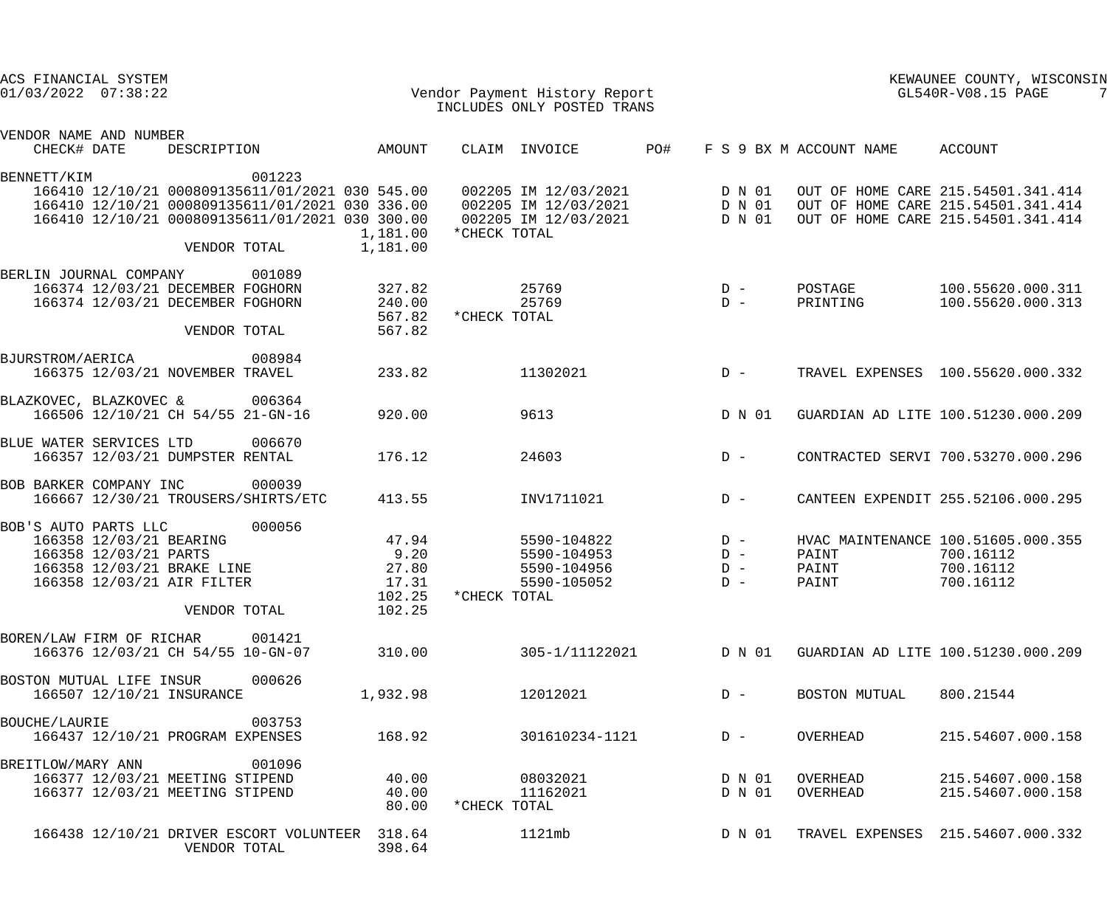| ACS FINANCIAL SYSTEM<br>$01/03/2022$ $07:38:22$ |                                                                                                              |              |                                                                                                                                                                 |                                                     |              | Vendor Payment History Report<br>INCLUDES ONLY POSTED TRANS          |     |                                  |                         | KEWAUNEE COUNTY, WISCONSIN<br>GL540R-V08.15 PAGE                                                               |
|-------------------------------------------------|--------------------------------------------------------------------------------------------------------------|--------------|-----------------------------------------------------------------------------------------------------------------------------------------------------------------|-----------------------------------------------------|--------------|----------------------------------------------------------------------|-----|----------------------------------|-------------------------|----------------------------------------------------------------------------------------------------------------|
| VENDOR NAME AND NUMBER<br>CHECK# DATE           |                                                                                                              | DESCRIPTION  |                                                                                                                                                                 | AMOUNT                                              |              | CLAIM INVOICE                                                        | PO# |                                  | F S 9 BX M ACCOUNT NAME | ACCOUNT                                                                                                        |
| BENNETT/KIM                                     |                                                                                                              | VENDOR TOTAL | 001223<br>166410 12/10/21 000809135611/01/2021 030 545.00<br>166410 12/10/21 000809135611/01/2021 030 336.00<br>166410 12/10/21 000809135611/01/2021 030 300.00 | 1,181.00<br>1,181.00                                | *CHECK TOTAL | 002205 IM 12/03/2021<br>002205 IM 12/03/2021<br>002205 IM 12/03/2021 |     | D N 01<br>D N 01<br>D N 01       |                         | OUT OF HOME CARE 215.54501.341.414<br>OUT OF HOME CARE 215.54501.341.414<br>OUT OF HOME CARE 215.54501.341.414 |
| BERLIN JOURNAL COMPANY                          | 166374 12/03/21 DECEMBER FOGHORN<br>166374 12/03/21 DECEMBER FOGHORN                                         | VENDOR TOTAL | 001089                                                                                                                                                          | 327.82<br>240.00<br>567.82<br>567.82                | *CHECK TOTAL | 25769<br>25769                                                       |     | $D -$<br>$D -$                   | POSTAGE<br>PRINTING     | 100.55620.000.311<br>100.55620.000.313                                                                         |
| BJURSTROM/AERICA                                | 166375 12/03/21 NOVEMBER TRAVEL                                                                              |              | 008984                                                                                                                                                          | 233.82                                              |              | 11302021                                                             |     | $D -$                            |                         | TRAVEL EXPENSES 100.55620.000.332                                                                              |
| BLAZKOVEC, BLAZKOVEC &                          | 166506 12/10/21 CH 54/55 21-GN-16                                                                            |              | 006364                                                                                                                                                          | 920.00                                              |              | 9613                                                                 |     | D N 01                           |                         | GUARDIAN AD LITE 100.51230.000.209                                                                             |
| BLUE WATER SERVICES LTD                         | 166357 12/03/21 DUMPSTER RENTAL                                                                              |              | 006670                                                                                                                                                          | 176.12                                              |              | 24603                                                                |     | $D -$                            |                         | CONTRACTED SERVI 700.53270.000.296                                                                             |
| BOB BARKER COMPANY INC                          |                                                                                                              |              | 000039<br>166667 12/30/21 TROUSERS/SHIRTS/ETC                                                                                                                   | 413.55                                              |              | INV1711021                                                           |     | $D -$                            |                         | CANTEEN EXPENDIT 255.52106.000.295                                                                             |
| BOB'S AUTO PARTS LLC                            | 166358 12/03/21 BEARING<br>166358 12/03/21 PARTS<br>166358 12/03/21 BRAKE LINE<br>166358 12/03/21 AIR FILTER | VENDOR TOTAL | 000056                                                                                                                                                          | 47.94<br>9.20<br>27.80<br>17.31<br>102.25<br>102.25 | *CHECK TOTAL | 5590-104822<br>5590-104953<br>5590-104956<br>5590-105052             |     | $D -$<br>$D -$<br>$D -$<br>$D -$ | PAINT<br>PAINT<br>PAINT | HVAC MAINTENANCE 100.51605.000.355<br>700.16112<br>700.16112<br>700.16112                                      |
| BOREN/LAW FIRM OF RICHAR                        | 166376 12/03/21 CH 54/55 10-GN-07                                                                            |              | 001421                                                                                                                                                          | 310.00                                              |              | 305-1/11122021                                                       |     | D N 01                           |                         | GUARDIAN AD LITE 100.51230.000.209                                                                             |
| BOSTON MUTUAL LIFE INSUR                        | 166507 12/10/21 INSURANCE                                                                                    |              | 000626                                                                                                                                                          | 1,932.98                                            |              | 12012021                                                             |     | $D -$                            | BOSTON MUTUAL           | 800.21544                                                                                                      |
| <b>BOUCHE/LAURIE</b>                            | 166437 12/10/21 PROGRAM EXPENSES                                                                             |              | 003753                                                                                                                                                          | 168.92                                              |              | 301610234-1121                                                       |     | $D -$                            | OVERHEAD                | 215.54607.000.158                                                                                              |
| BREITLOW/MARY ANN                               | 166377 12/03/21 MEETING STIPEND<br>166377 12/03/21 MEETING STIPEND                                           |              | 001096                                                                                                                                                          | 40.00<br>40.00<br>80.00                             | *CHECK TOTAL | 08032021<br>11162021                                                 |     | D N 01<br>D N 01                 | OVERHEAD<br>OVERHEAD    | 215.54607.000.158<br>215.54607.000.158                                                                         |
|                                                 |                                                                                                              | VENDOR TOTAL | 166438 12/10/21 DRIVER ESCORT VOLUNTEER                                                                                                                         | 318.64<br>398.64                                    |              | 1121mb                                                               |     | D N 01                           |                         | TRAVEL EXPENSES 215.54607.000.332                                                                              |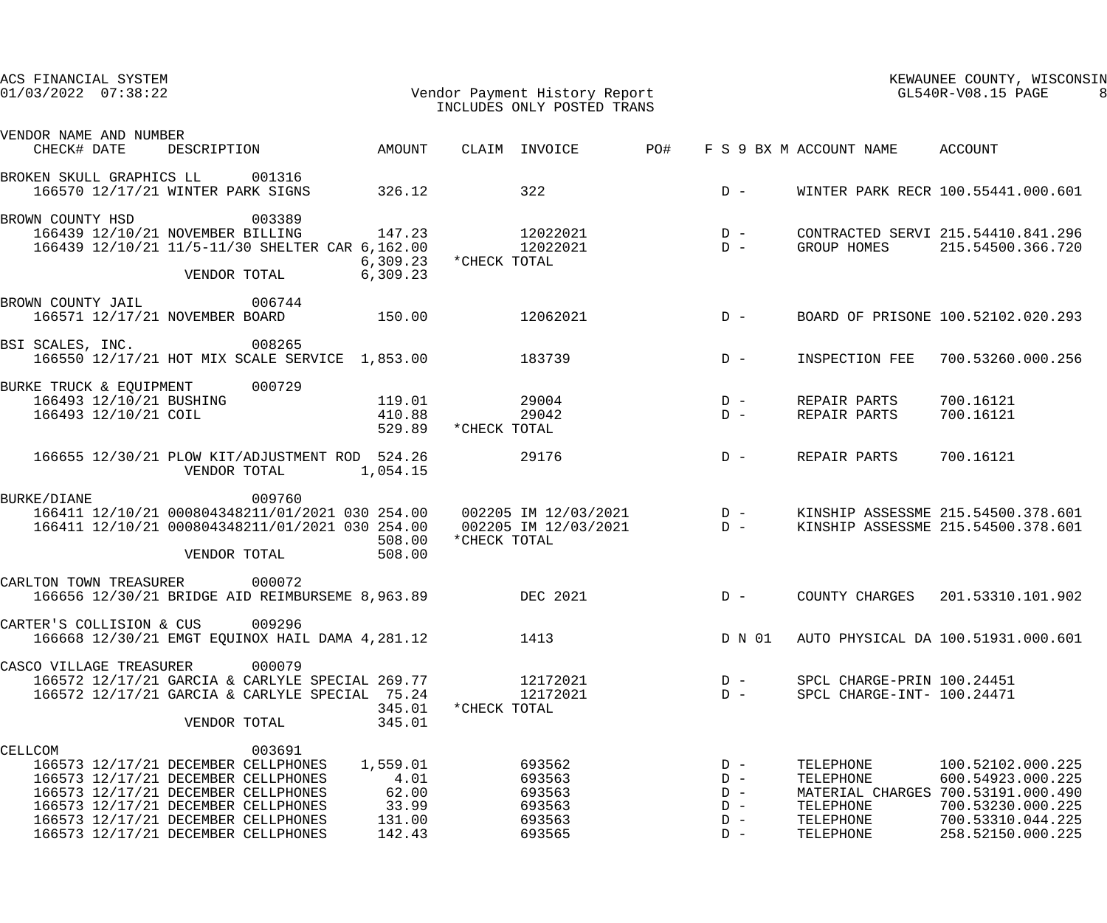| ACS FINANCIAL SYSTEM<br>$01/03/2022$ $07:38:22$                                                                                                                                                                                                                                                                       | Vendor Payment History Report<br>INCLUDES ONLY POSTED TRANS                                                    | KEWAUNEE COUNTY, WISCONSIN<br>GL540R-V08.15 PAGE                                                                                                                                                             |
|-----------------------------------------------------------------------------------------------------------------------------------------------------------------------------------------------------------------------------------------------------------------------------------------------------------------------|----------------------------------------------------------------------------------------------------------------|--------------------------------------------------------------------------------------------------------------------------------------------------------------------------------------------------------------|
| VENDOR NAME AND NUMBER<br>AMOUNT<br>CHECK# DATE<br>DESCRIPTION                                                                                                                                                                                                                                                        | CLAIM INVOICE<br>PO#                                                                                           | F S 9 BX M ACCOUNT NAME<br>ACCOUNT                                                                                                                                                                           |
| BROKEN SKULL GRAPHICS LL<br>001316<br>166570 12/17/21 WINTER PARK SIGNS<br>326.12                                                                                                                                                                                                                                     | 322<br>$D -$                                                                                                   | WINTER PARK RECR 100.55441.000.601                                                                                                                                                                           |
| BROWN COUNTY HSD<br>003389<br>166439 12/10/21 NOVEMBER BILLING<br>147.23<br>166439 12/10/21 11/5-11/30 SHELTER CAR 6,162.00<br>6, 309.23<br>6,309.23<br>VENDOR TOTAL                                                                                                                                                  | 12022021<br>$D -$<br>12022021<br>$D -$<br>*CHECK TOTAL                                                         | CONTRACTED SERVI 215.54410.841.296<br>GROUP HOMES<br>215.54500.366.720                                                                                                                                       |
| 006744<br>BROWN COUNTY JAIL<br>166571 12/17/21 NOVEMBER BOARD<br>150.00                                                                                                                                                                                                                                               | 12062021<br>$D -$                                                                                              | BOARD OF PRISONE 100.52102.020.293                                                                                                                                                                           |
| 008265<br>BSI SCALES, INC.<br>166550 12/17/21 HOT MIX SCALE SERVICE 1,853.00                                                                                                                                                                                                                                          | 183739<br>$D -$                                                                                                | INSPECTION FEE<br>700.53260.000.256                                                                                                                                                                          |
| 000729<br>BURKE TRUCK & EQUIPMENT<br>166493 12/10/21 BUSHING<br>119.01<br>166493 12/10/21 COIL<br>410.88<br>529.89                                                                                                                                                                                                    | 29004<br>$D -$<br>29042<br>$D -$<br>*CHECK TOTAL                                                               | 700.16121<br>REPAIR PARTS<br>REPAIR PARTS<br>700.16121                                                                                                                                                       |
| 166655 12/30/21 PLOW KIT/ADJUSTMENT ROD 524.26<br>VENDOR TOTAL<br>1,054.15                                                                                                                                                                                                                                            | 29176<br>$D -$                                                                                                 | REPAIR PARTS<br>700.16121                                                                                                                                                                                    |
| 009760<br><b>BURKE/DIANE</b><br>166411 12/10/21 000804348211/01/2021 030 254.00  002205 IM 12/03/2021  D -<br>166411 12/10/21 000804348211/01/2021 030 254.00<br>508.00<br>508.00<br>VENDOR TOTAL                                                                                                                     | $D -$<br>002205 IM 12/03/2021<br>*CHECK TOTAL                                                                  | KINSHIP ASSESSME 215.54500.378.601<br>KINSHIP ASSESSME 215.54500.378.601                                                                                                                                     |
| CARLTON TOWN TREASURER<br>000072<br>166656 12/30/21 BRIDGE AID REIMBURSEME 8,963.89                                                                                                                                                                                                                                   | DEC 2021<br>$D -$                                                                                              | COUNTY CHARGES<br>201.53310.101.902                                                                                                                                                                          |
| CARTER'S COLLISION & CUS 009296<br>166668 12/30/21 EMGT EQUINOX HAIL DAMA 4,281.12                                                                                                                                                                                                                                    | 1413<br>D N 01                                                                                                 | AUTO PHYSICAL DA 100.51931.000.601                                                                                                                                                                           |
| 000079<br>CASCO VILLAGE TREASURER<br>166572 12/17/21 GARCIA & CARLYLE SPECIAL 269.77 12172021<br>166572 12/17/21 GARCIA & CARLYLE SPECIAL 75.24<br>345.01<br>345.01<br>VENDOR TOTAL                                                                                                                                   | $D -$<br>12172021<br>$D -$<br>*CHECK TOTAL                                                                     | SPCL CHARGE-PRIN 100.24451<br>SPCL CHARGE-INT- 100.24471                                                                                                                                                     |
| 003691<br>CELLCOM<br>166573 12/17/21 DECEMBER CELLPHONES<br>1,559.01<br>4.01<br>166573 12/17/21 DECEMBER CELLPHONES<br>166573 12/17/21 DECEMBER CELLPHONES<br>62.00<br>166573 12/17/21 DECEMBER CELLPHONES<br>33.99<br>131.00<br>166573 12/17/21 DECEMBER CELLPHONES<br>166573 12/17/21 DECEMBER CELLPHONES<br>142.43 | 693562<br>$D -$<br>693563<br>$D -$<br>693563<br>$D -$<br>693563<br>$D -$<br>693563<br>$D -$<br>693565<br>$D -$ | 100.52102.000.225<br>TELEPHONE<br>600.54923.000.225<br>TELEPHONE<br>MATERIAL CHARGES 700.53191.000.490<br>TELEPHONE<br>700.53230.000.225<br>TELEPHONE<br>700.53310.044.225<br>258.52150.000.225<br>TELEPHONE |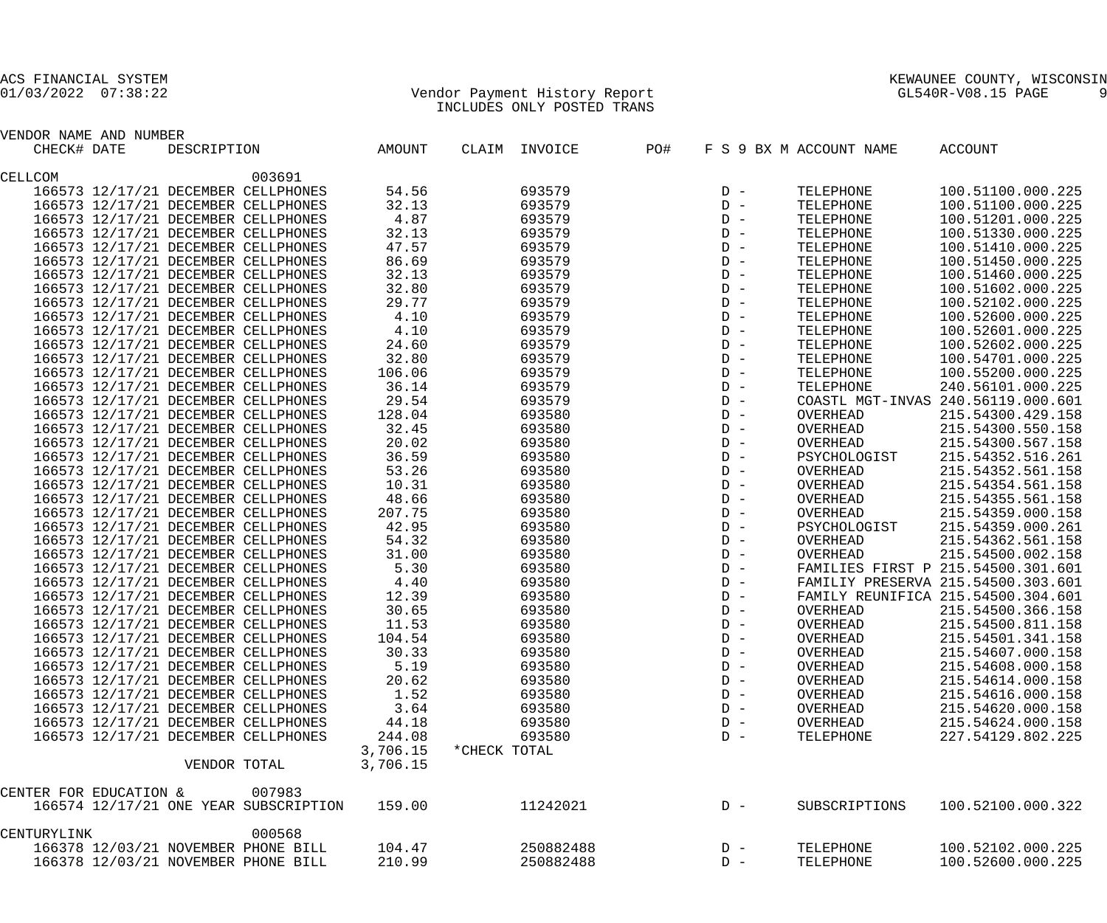## 01/03/2022 07:38:22 Vendor Payment History Report GL540R-V08.15 PAGE 9 INCLUDES ONLY POSTED TRANS

| VENDOR NAME AND NUMBER |              |                                       |          |              |               |     |       |                         |                                    |
|------------------------|--------------|---------------------------------------|----------|--------------|---------------|-----|-------|-------------------------|------------------------------------|
| CHECK# DATE            | DESCRIPTION  |                                       | AMOUNT   |              | CLAIM INVOICE | PO# |       | F S 9 BX M ACCOUNT NAME | <b>ACCOUNT</b>                     |
| CELLCOM                |              | 003691                                |          |              |               |     |       |                         |                                    |
|                        |              | 166573 12/17/21 DECEMBER CELLPHONES   | 54.56    |              | 693579        |     | $D -$ | TELEPHONE               | 100.51100.000.225                  |
|                        |              | 166573 12/17/21 DECEMBER CELLPHONES   | 32.13    |              | 693579        |     | $D -$ | TELEPHONE               | 100.51100.000.225                  |
|                        |              | 166573 12/17/21 DECEMBER CELLPHONES   | 4.87     |              | 693579        |     | $D -$ | TELEPHONE               | 100.51201.000.225                  |
|                        |              | 166573 12/17/21 DECEMBER CELLPHONES   | 32.13    |              | 693579        |     | $D -$ | TELEPHONE               | 100.51330.000.225                  |
|                        |              | 166573 12/17/21 DECEMBER CELLPHONES   | 47.57    |              | 693579        |     | $D -$ | TELEPHONE               | 100.51410.000.225                  |
|                        |              | 166573 12/17/21 DECEMBER CELLPHONES   | 86.69    |              | 693579        |     | $D -$ | TELEPHONE               | 100.51450.000.225                  |
|                        |              | 166573 12/17/21 DECEMBER CELLPHONES   | 32.13    |              | 693579        |     | $D -$ | TELEPHONE               | 100.51460.000.225                  |
|                        |              | 166573 12/17/21 DECEMBER CELLPHONES   | 32.80    |              | 693579        |     | $D -$ | TELEPHONE               | 100.51602.000.225                  |
|                        |              | 166573 12/17/21 DECEMBER CELLPHONES   | 29.77    |              | 693579        |     | $D -$ | TELEPHONE               | 100.52102.000.225                  |
|                        |              | 166573 12/17/21 DECEMBER CELLPHONES   | 4.10     |              | 693579        |     | $D -$ | TELEPHONE               | 100.52600.000.225                  |
|                        |              | 166573 12/17/21 DECEMBER CELLPHONES   | 4.10     |              | 693579        |     | $D -$ | TELEPHONE               | 100.52601.000.225                  |
|                        |              | 166573 12/17/21 DECEMBER CELLPHONES   | 24.60    |              | 693579        |     | $D -$ | TELEPHONE               | 100.52602.000.225                  |
|                        |              | 166573 12/17/21 DECEMBER CELLPHONES   | 32.80    |              | 693579        |     | $D -$ | TELEPHONE               | 100.54701.000.225                  |
|                        |              | 166573 12/17/21 DECEMBER CELLPHONES   | 106.06   |              | 693579        |     | $D -$ | TELEPHONE               | 100.55200.000.225                  |
|                        |              | 166573 12/17/21 DECEMBER CELLPHONES   | 36.14    |              | 693579        |     | $D -$ | TELEPHONE               | 240.56101.000.225                  |
|                        |              | 166573 12/17/21 DECEMBER CELLPHONES   | 29.54    |              | 693579        |     | $D -$ |                         | COASTL MGT-INVAS 240.56119.000.601 |
|                        |              | 166573 12/17/21 DECEMBER CELLPHONES   | 128.04   |              | 693580        |     | $D -$ | OVERHEAD                | 215.54300.429.158                  |
|                        |              | 166573 12/17/21 DECEMBER CELLPHONES   | 32.45    |              | 693580        |     | $D -$ | OVERHEAD                | 215.54300.550.158                  |
|                        |              | 166573 12/17/21 DECEMBER CELLPHONES   | 20.02    |              | 693580        |     | $D -$ | OVERHEAD                | 215.54300.567.158                  |
|                        |              | 166573 12/17/21 DECEMBER CELLPHONES   | 36.59    |              | 693580        |     | $D -$ | PSYCHOLOGIST            | 215.54352.516.261                  |
|                        |              | 166573 12/17/21 DECEMBER CELLPHONES   | 53.26    |              | 693580        |     | $D -$ | OVERHEAD                | 215.54352.561.158                  |
|                        |              | 166573 12/17/21 DECEMBER CELLPHONES   | 10.31    |              | 693580        |     | $D -$ | OVERHEAD                | 215.54354.561.158                  |
|                        |              | 166573 12/17/21 DECEMBER CELLPHONES   | 48.66    |              | 693580        |     | $D -$ | OVERHEAD                | 215.54355.561.158                  |
|                        |              | 166573 12/17/21 DECEMBER CELLPHONES   | 207.75   |              | 693580        |     | $D -$ | OVERHEAD                | 215.54359.000.158                  |
|                        |              | 166573 12/17/21 DECEMBER CELLPHONES   | 42.95    |              | 693580        |     | $D -$ | PSYCHOLOGIST            | 215.54359.000.261                  |
|                        |              | 166573 12/17/21 DECEMBER CELLPHONES   | 54.32    |              | 693580        |     | $D -$ | OVERHEAD                | 215.54362.561.158                  |
|                        |              | 166573 12/17/21 DECEMBER CELLPHONES   | 31.00    |              | 693580        |     | $D -$ | OVERHEAD                | 215.54500.002.158                  |
|                        |              | 166573 12/17/21 DECEMBER CELLPHONES   | 5.30     |              | 693580        |     | $D -$ |                         | FAMILIES FIRST P 215.54500.301.601 |
|                        |              | 166573 12/17/21 DECEMBER CELLPHONES   | 4.40     |              | 693580        |     | $D -$ |                         | FAMILIY PRESERVA 215.54500.303.601 |
|                        |              | 166573 12/17/21 DECEMBER CELLPHONES   | 12.39    |              | 693580        |     | $D -$ |                         | FAMILY REUNIFICA 215.54500.304.601 |
|                        |              | 166573 12/17/21 DECEMBER CELLPHONES   | 30.65    |              | 693580        |     | $D -$ | OVERHEAD                | 215.54500.366.158                  |
|                        |              | 166573 12/17/21 DECEMBER CELLPHONES   | 11.53    |              | 693580        |     | $D -$ | OVERHEAD                | 215.54500.811.158                  |
|                        |              | 166573 12/17/21 DECEMBER CELLPHONES   | 104.54   |              | 693580        |     | $D -$ | OVERHEAD                | 215.54501.341.158                  |
|                        |              | 166573 12/17/21 DECEMBER CELLPHONES   | 30.33    |              | 693580        |     | $D -$ | OVERHEAD                | 215.54607.000.158                  |
|                        |              | 166573 12/17/21 DECEMBER CELLPHONES   | 5.19     |              | 693580        |     | $D -$ | OVERHEAD                | 215.54608.000.158                  |
|                        |              | 166573 12/17/21 DECEMBER CELLPHONES   | 20.62    |              | 693580        |     | $D -$ | OVERHEAD                | 215.54614.000.158                  |
|                        |              | 166573 12/17/21 DECEMBER CELLPHONES   | 1.52     |              | 693580        |     | $D -$ | OVERHEAD                | 215.54616.000.158                  |
|                        |              | 166573 12/17/21 DECEMBER CELLPHONES   | 3.64     |              | 693580        |     | $D -$ | OVERHEAD                | 215.54620.000.158                  |
|                        |              | 166573 12/17/21 DECEMBER CELLPHONES   | 44.18    |              | 693580        |     | $D -$ | OVERHEAD                | 215.54624.000.158                  |
|                        |              | 166573 12/17/21 DECEMBER CELLPHONES   | 244.08   |              | 693580        |     | $D -$ | TELEPHONE               | 227.54129.802.225                  |
|                        |              |                                       | 3,706.15 | *CHECK TOTAL |               |     |       |                         |                                    |
|                        | VENDOR TOTAL |                                       | 3,706.15 |              |               |     |       |                         |                                    |
| CENTER FOR EDUCATION & |              | 007983                                |          |              |               |     |       |                         |                                    |
|                        |              | 166574 12/17/21 ONE YEAR SUBSCRIPTION | 159.00   |              | 11242021      |     | $D -$ | SUBSCRIPTIONS           | 100.52100.000.322                  |
|                        |              |                                       |          |              |               |     |       |                         |                                    |
| CENTURYLINK            |              | 000568                                |          |              |               |     |       |                         |                                    |
|                        |              | 166378 12/03/21 NOVEMBER PHONE BILL   | 104.47   |              | 250882488     |     | $D -$ | TELEPHONE               | 100.52102.000.225                  |
|                        |              | 166378 12/03/21 NOVEMBER PHONE BILL   | 210.99   |              | 250882488     |     | $D -$ | TELEPHONE               | 100.52600.000.225                  |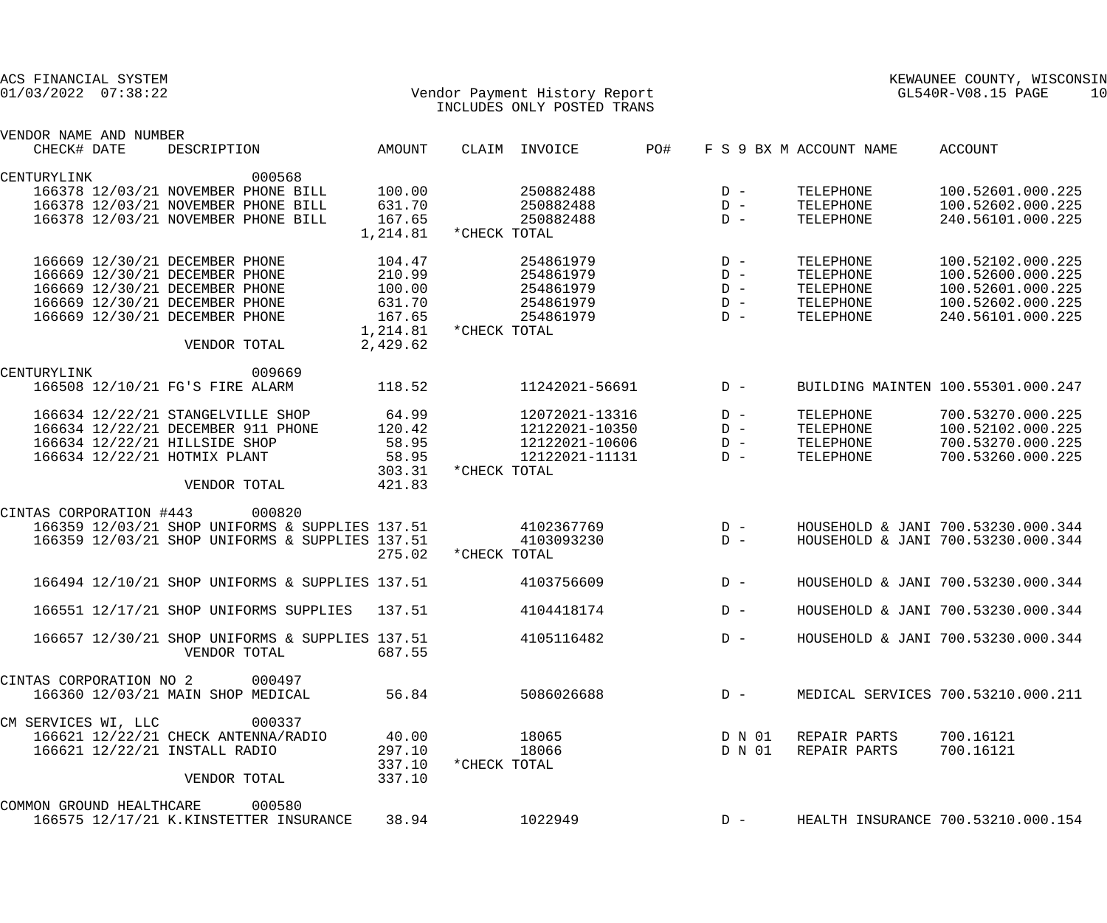| ACS FINANCIAL SYSTEM<br>$01/03/2022$ $07:38:22$      |          | Vendor Payment History Report<br>INCLUDES ONLY POSTED TRANS |     |        |                         | KEWAUNEE COUNTY, WISCONSIN<br>GL540R-V08.15 PAGE | 10 |
|------------------------------------------------------|----------|-------------------------------------------------------------|-----|--------|-------------------------|--------------------------------------------------|----|
|                                                      |          |                                                             |     |        |                         |                                                  |    |
| VENDOR NAME AND NUMBER<br>CHECK# DATE<br>DESCRIPTION | AMOUNT   | CLAIM INVOICE                                               | PO# |        | F S 9 BX M ACCOUNT NAME | ACCOUNT                                          |    |
|                                                      |          |                                                             |     |        |                         |                                                  |    |
| CENTURYLINK<br>000568                                |          |                                                             |     |        |                         |                                                  |    |
| 166378 12/03/21 NOVEMBER PHONE BILL                  | 100.00   | 250882488                                                   |     | $D -$  | TELEPHONE               | 100.52601.000.225                                |    |
| 166378 12/03/21 NOVEMBER PHONE BILL                  | 631.70   | 250882488                                                   |     | $D -$  | TELEPHONE               | 100.52602.000.225                                |    |
| 166378 12/03/21 NOVEMBER PHONE BILL                  | 167.65   | 250882488                                                   |     | $D -$  | TELEPHONE               | 240.56101.000.225                                |    |
|                                                      | 1,214.81 | *CHECK TOTAL                                                |     |        |                         |                                                  |    |
| 166669 12/30/21 DECEMBER PHONE                       | 104.47   | 254861979                                                   |     | $D -$  | TELEPHONE               | 100.52102.000.225                                |    |
| 166669 12/30/21 DECEMBER PHONE                       | 210.99   | 254861979                                                   |     | $D -$  | TELEPHONE               | 100.52600.000.225                                |    |
| 166669 12/30/21 DECEMBER PHONE                       | 100.00   | 254861979                                                   |     | $D -$  | TELEPHONE               | 100.52601.000.225                                |    |
| 166669 12/30/21 DECEMBER PHONE                       | 631.70   | 254861979                                                   |     | $D -$  | TELEPHONE               | 100.52602.000.225                                |    |
| 166669 12/30/21 DECEMBER PHONE                       | 167.65   | 254861979                                                   |     | $D -$  | TELEPHONE               | 240.56101.000.225                                |    |
|                                                      | 1,214.81 | *CHECK TOTAL                                                |     |        |                         |                                                  |    |
| VENDOR TOTAL                                         | 2,429.62 |                                                             |     |        |                         |                                                  |    |
|                                                      |          |                                                             |     |        |                         |                                                  |    |
| 009669<br>CENTURYLINK                                |          |                                                             |     |        |                         |                                                  |    |
| 166508 12/10/21 FG'S FIRE ALARM                      | 118.52   | 11242021-56691                                              |     | $D -$  |                         | BUILDING MAINTEN 100.55301.000.247               |    |
| 166634 12/22/21 STANGELVILLE SHOP                    | 64.99    | 12072021-13316                                              |     | $D -$  | TELEPHONE               | 700.53270.000.225                                |    |
| 166634 12/22/21 DECEMBER 911 PHONE                   | 120.42   | 12122021-10350                                              |     | $D -$  | TELEPHONE               | 100.52102.000.225                                |    |
| 166634 12/22/21 HILLSIDE SHOP                        | 58.95    | 12122021-10606                                              |     | $D -$  | TELEPHONE               | 700.53270.000.225                                |    |
| 166634 12/22/21 HOTMIX PLANT                         | 58.95    | 12122021-11131                                              |     | $D -$  | TELEPHONE               | 700.53260.000.225                                |    |
|                                                      | 303.31   | *CHECK TOTAL                                                |     |        |                         |                                                  |    |
| VENDOR TOTAL                                         | 421.83   |                                                             |     |        |                         |                                                  |    |
|                                                      |          |                                                             |     |        |                         |                                                  |    |
| CINTAS CORPORATION #443<br>000820                    |          |                                                             |     |        |                         |                                                  |    |
| 166359 12/03/21 SHOP UNIFORMS & SUPPLIES 137.51      |          | 4102367769                                                  |     | $D -$  |                         | HOUSEHOLD & JANI 700.53230.000.344               |    |
| 166359 12/03/21 SHOP UNIFORMS & SUPPLIES 137.51      |          | 4103093230                                                  |     | $D -$  |                         | HOUSEHOLD & JANI 700.53230.000.344               |    |
|                                                      | 275.02   | *CHECK TOTAL                                                |     |        |                         |                                                  |    |
| 166494 12/10/21 SHOP UNIFORMS & SUPPLIES 137.51      |          | 4103756609                                                  |     | $D -$  |                         | HOUSEHOLD & JANI 700.53230.000.344               |    |
|                                                      |          |                                                             |     |        |                         |                                                  |    |
| 166551 12/17/21 SHOP UNIFORMS SUPPLIES 137.51        |          | 4104418174                                                  |     | $D -$  |                         | HOUSEHOLD & JANI 700.53230.000.344               |    |
| 166657 12/30/21 SHOP UNIFORMS & SUPPLIES 137.51      |          | 4105116482                                                  |     | $D -$  |                         | HOUSEHOLD & JANI 700.53230.000.344               |    |
| VENDOR TOTAL                                         | 687.55   |                                                             |     |        |                         |                                                  |    |
|                                                      |          |                                                             |     |        |                         |                                                  |    |
| CINTAS CORPORATION NO 2<br>000497                    |          |                                                             |     |        |                         |                                                  |    |
| 166360 12/03/21 MAIN SHOP MEDICAL                    | 56.84    | 5086026688                                                  |     | $D -$  |                         | MEDICAL SERVICES 700.53210.000.211               |    |
| 000337                                               |          |                                                             |     |        |                         |                                                  |    |
| CM SERVICES WI, LLC                                  |          |                                                             |     |        |                         |                                                  |    |
| 166621 12/22/21 CHECK ANTENNA/RADIO                  | 40.00    | 18065                                                       |     | D N 01 | REPAIR PARTS            | 700.16121                                        |    |
| 166621 12/22/21 INSTALL RADIO                        | 297.10   | 18066                                                       |     | D N 01 | REPAIR PARTS            | 700.16121                                        |    |
|                                                      | 337.10   | *CHECK TOTAL                                                |     |        |                         |                                                  |    |
| VENDOR TOTAL                                         | 337.10   |                                                             |     |        |                         |                                                  |    |
| COMMON GROUND HEALTHCARE<br>000580                   |          |                                                             |     |        |                         |                                                  |    |
| 166575 12/17/21 K.KINSTETTER INSURANCE               | 38.94    | 1022949                                                     |     | $D -$  |                         | HEALTH INSURANCE 700.53210.000.154               |    |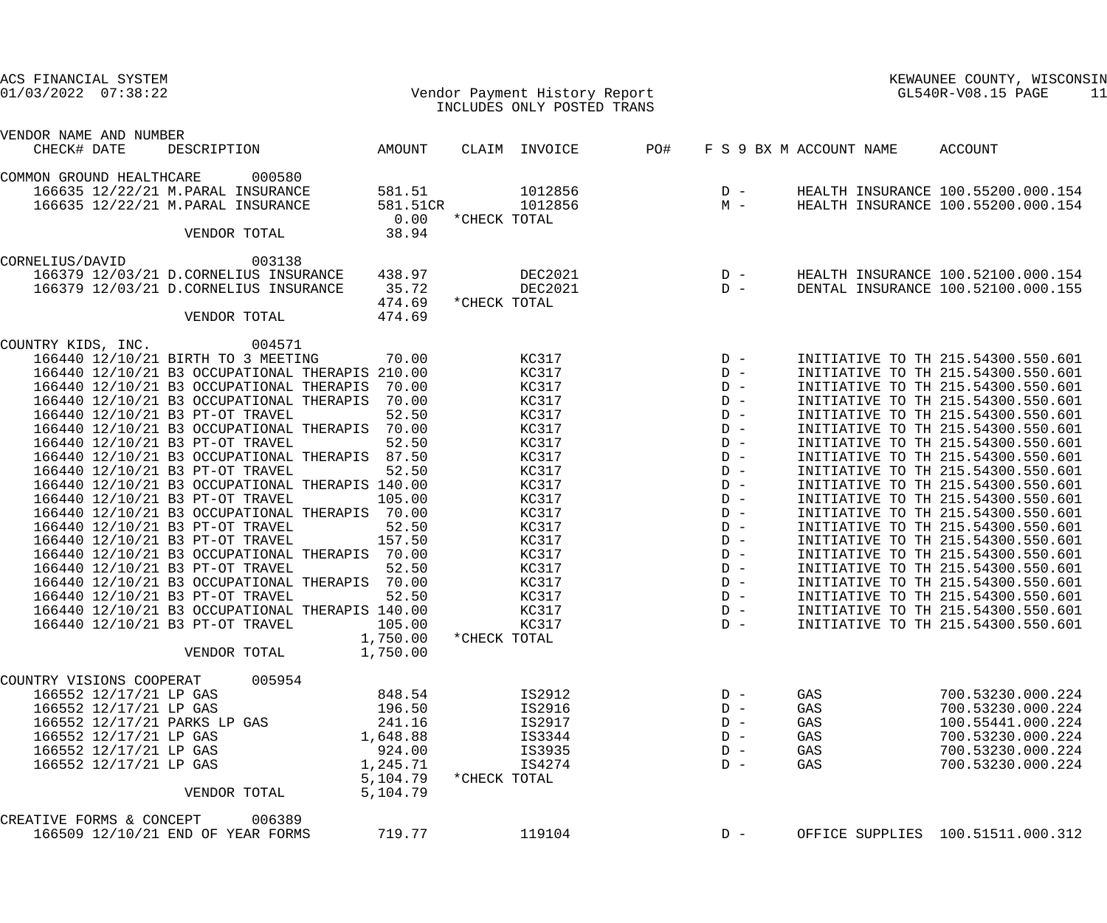| ACS FINANCIAL SYSTEM<br>$01/03/2022$ $07:38:22$                                    |                      | Vendor Payment History Report<br>INCLUDES ONLY POSTED TRANS |       |                |                         | KEWAUNEE COUNTY, WISCONSIN<br>GL540R-V08.15 PAGE<br>11                   |
|------------------------------------------------------------------------------------|----------------------|-------------------------------------------------------------|-------|----------------|-------------------------|--------------------------------------------------------------------------|
| VENDOR NAME AND NUMBER<br>DESCRIPTION AMOUNT<br>CHECK# DATE                        |                      | CLAIM INVOICE                                               | PO#   |                | F S 9 BX M ACCOUNT NAME | ACCOUNT                                                                  |
| 000580<br>COMMON GROUND HEALTHCARE                                                 |                      |                                                             |       |                |                         |                                                                          |
| 166635 12/22/21 M. PARAL INSURANCE<br>166635 12/22/21 M. PARAL INSURANCE           | 581.51<br>581.51CR   | 1012856<br>1012856                                          |       | $D -$<br>$M -$ |                         | HEALTH INSURANCE 100.55200.000.154<br>HEALTH INSURANCE 100.55200.000.154 |
|                                                                                    | 0.00                 | *CHECK TOTAL                                                |       |                |                         |                                                                          |
| VENDOR TOTAL                                                                       | 38.94                |                                                             |       |                |                         |                                                                          |
| CORNELIUS/DAVID<br>003138                                                          |                      |                                                             |       |                |                         |                                                                          |
| 166379 12/03/21 D.CORNELIUS INSURANCE                                              | 438.97               | DEC2021                                                     |       | $D -$          |                         | HEALTH INSURANCE 100.52100.000.154                                       |
| 166379 12/03/21 D.CORNELIUS INSURANCE                                              | 35.72                | DEC2021                                                     | $D -$ |                |                         | DENTAL INSURANCE 100.52100.000.155                                       |
| VENDOR TOTAL                                                                       | 474.69<br>474.69     | *CHECK TOTAL                                                |       |                |                         |                                                                          |
| 004571<br>COUNTRY KIDS, INC.                                                       |                      |                                                             |       |                |                         |                                                                          |
| 166440 12/10/21 BIRTH TO 3 MEETING                                                 | 70.00                | KC317                                                       | $D -$ |                |                         | INITIATIVE TO TH 215.54300.550.601                                       |
| 166440 12/10/21 B3 OCCUPATIONAL THERAPIS 210.00                                    |                      | KC317                                                       |       | $D -$          |                         | INITIATIVE TO TH 215.54300.550.601                                       |
| 166440 12/10/21 B3 OCCUPATIONAL THERAPIS                                           | 70.00                | KC317                                                       |       | $D -$          |                         | INITIATIVE TO TH 215.54300.550.601                                       |
| 166440 12/10/21 B3 OCCUPATIONAL THERAPIS                                           | 70.00                | KC317                                                       |       | $D -$          |                         | INITIATIVE TO TH 215.54300.550.601                                       |
| 166440 12/10/21 B3 PT-OT TRAVEL                                                    | 52.50                | KC317                                                       |       | $D -$          |                         | INITIATIVE TO TH 215.54300.550.601                                       |
| 166440 12/10/21 B3 OCCUPATIONAL THERAPIS                                           | 70.00                | KC317                                                       |       | $D -$          |                         | INITIATIVE TO TH 215.54300.550.601                                       |
| 166440 12/10/21 B3 PT-OT TRAVEL                                                    | 52.50                | KC317                                                       |       | $D -$          |                         | INITIATIVE TO TH 215.54300.550.601                                       |
| 166440 12/10/21 B3 OCCUPATIONAL THERAPIS                                           | 87.50                | KC317                                                       |       | $D -$          |                         | INITIATIVE TO TH 215.54300.550.601                                       |
| 166440 12/10/21 B3 PT-OT TRAVEL<br>166440 12/10/21 B3 OCCUPATIONAL THERAPIS 140.00 | 52.50                | KC317<br>KC317                                              |       | $D -$<br>$D -$ |                         | INITIATIVE TO TH 215.54300.550.601<br>INITIATIVE TO TH 215.54300.550.601 |
| 166440 12/10/21 B3 PT-OT TRAVEL                                                    | 105.00               | KC317                                                       |       | $D -$          |                         | INITIATIVE TO TH 215.54300.550.601                                       |
| 166440 12/10/21 B3 OCCUPATIONAL THERAPIS 70.00                                     |                      | KC317                                                       |       | $D -$          |                         | INITIATIVE TO TH 215.54300.550.601                                       |
| 166440 12/10/21 B3 PT-OT TRAVEL                                                    | 52.50                | KC317                                                       |       | $D -$          |                         | INITIATIVE TO TH 215.54300.550.601                                       |
| 166440 12/10/21 B3 PT-OT TRAVEL                                                    | 157.50               | KC317                                                       |       | $D -$          |                         | INITIATIVE TO TH 215.54300.550.601                                       |
| 166440 12/10/21 B3 OCCUPATIONAL THERAPIS 70.00                                     |                      | KC317                                                       |       | $D -$          |                         | INITIATIVE TO TH 215.54300.550.601                                       |
| 166440 12/10/21 B3 PT-OT TRAVEL                                                    | 52.50                | KC317                                                       |       | $D -$          |                         | INITIATIVE TO TH 215.54300.550.601                                       |
| 166440 12/10/21 B3 OCCUPATIONAL THERAPIS 70.00                                     |                      | KC317                                                       |       | $D -$          |                         | INITIATIVE TO TH 215.54300.550.601                                       |
| 166440 12/10/21 B3 PT-OT TRAVEL                                                    | 52.50                | KC317                                                       |       | $\mathbb{D}$ – |                         | INITIATIVE TO TH 215.54300.550.601                                       |
| 166440 12/10/21 B3 OCCUPATIONAL THERAPIS 140.00                                    |                      | KC317                                                       |       | $D -$          |                         | INITIATIVE TO TH 215.54300.550.601                                       |
| 166440 12/10/21 B3 PT-OT TRAVEL                                                    | 105.00               | KC317                                                       |       | $D -$          |                         | INITIATIVE TO TH 215.54300.550.601                                       |
| VENDOR TOTAL                                                                       | 1,750.00<br>1,750.00 | *CHECK TOTAL                                                |       |                |                         |                                                                          |
| 005954<br>COUNTRY VISIONS COOPERAT                                                 |                      |                                                             |       |                |                         |                                                                          |
| 166552 12/17/21 LP GAS                                                             | 848.54               | IS2912                                                      |       | $D -$          | GAS                     | 700.53230.000.224                                                        |
| 166552 12/17/21 LP GAS                                                             | 196.50               | IS2916                                                      |       | $D -$          | GAS                     | 700.53230.000.224                                                        |
| 166552 12/17/21 PARKS LP GAS                                                       | 241.16               | IS2917                                                      |       | $D -$          | GAS                     | 100.55441.000.224                                                        |
| 166552 12/17/21 LP GAS                                                             | 1,648.88             | IS3344                                                      |       | $D -$          | GAS                     | 700.53230.000.224                                                        |
| 166552 12/17/21 LP GAS                                                             | 924.00               | IS3935                                                      |       | $D -$          | GAS                     | 700.53230.000.224                                                        |
| 166552 12/17/21 LP GAS                                                             | 1,245.71             | IS4274                                                      |       | $D -$          | GAS                     | 700.53230.000.224                                                        |
| VENDOR TOTAL                                                                       | 5,104.79<br>5,104.79 | *CHECK TOTAL                                                |       |                |                         |                                                                          |
| 006389<br>CREATIVE FORMS & CONCEPT                                                 |                      |                                                             |       |                |                         |                                                                          |
| 166509 12/10/21 END OF YEAR FORMS                                                  | 719.77               | 119104                                                      |       | $D -$          |                         | OFFICE SUPPLIES 100.51511.000.312                                        |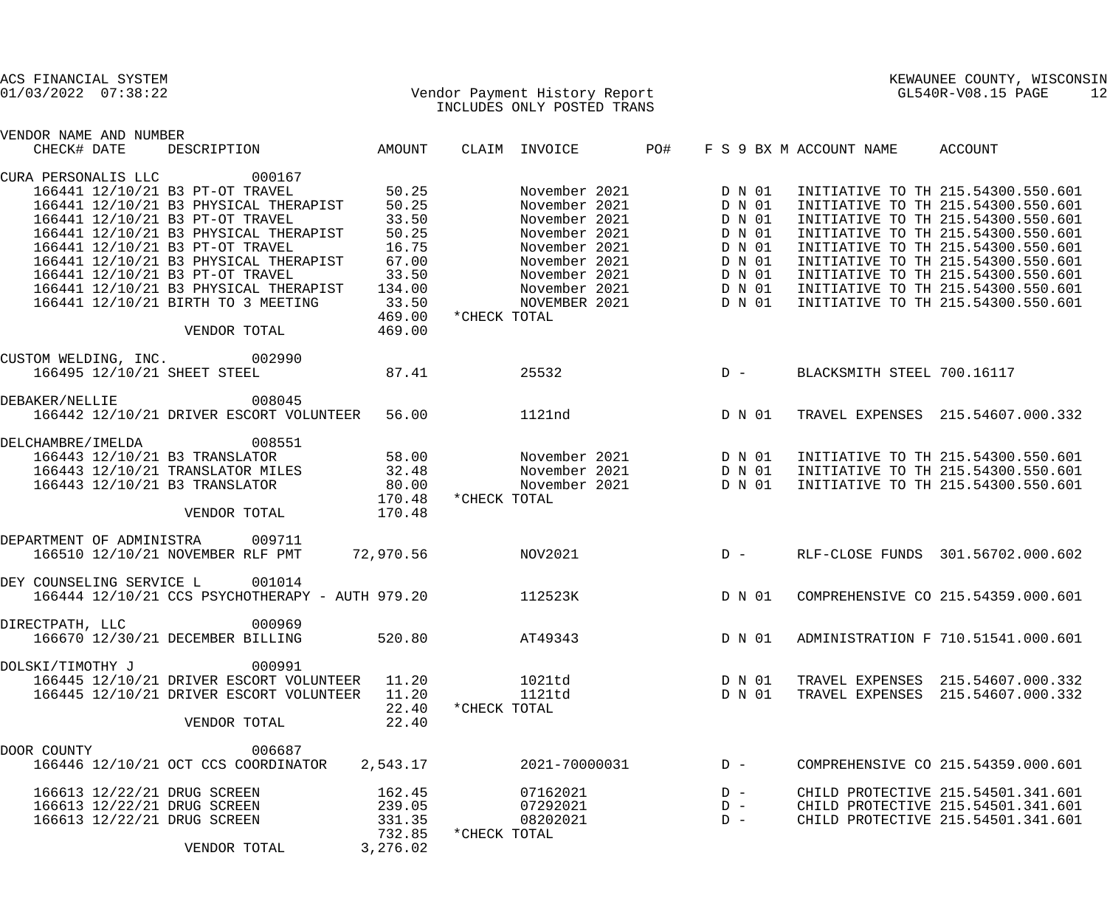| ACS FINANCIAL SYSTEM<br>Vendor Payment History Report<br>$01/03/2022$ $07:38:22$ |           |              |                            |     |        |                         | KEWAUNEE COUNTY, WISCONSIN<br>GL540R-V08.15 PAGE | 12 |
|----------------------------------------------------------------------------------|-----------|--------------|----------------------------|-----|--------|-------------------------|--------------------------------------------------|----|
|                                                                                  |           |              | INCLUDES ONLY POSTED TRANS |     |        |                         |                                                  |    |
| VENDOR NAME AND NUMBER                                                           |           |              |                            |     |        |                         |                                                  |    |
| DESCRIPTION<br>CHECK# DATE                                                       | AMOUNT    |              | CLAIM INVOICE              | PO# |        | F S 9 BX M ACCOUNT NAME | ACCOUNT                                          |    |
| 000167<br>CURA PERSONALIS LLC                                                    |           |              |                            |     |        |                         |                                                  |    |
| 166441 12/10/21 B3 PT-OT TRAVEL                                                  | 50.25     |              | November 2021              |     | D N 01 |                         | INITIATIVE TO TH 215.54300.550.601               |    |
| 166441 12/10/21 B3 PHYSICAL THERAPIST 50.25                                      |           |              | November 2021              |     | D N 01 |                         | INITIATIVE TO TH 215.54300.550.601               |    |
| 166441 12/10/21 B3 PT-OT TRAVEL                                                  | 33.50     |              | November 2021              |     | D N 01 |                         | INITIATIVE TO TH 215.54300.550.601               |    |
| 166441 12/10/21 B3 PHYSICAL THERAPIST                                            | 50.25     |              | November 2021              |     | D N 01 |                         | INITIATIVE TO TH 215.54300.550.601               |    |
| 166441 12/10/21 B3 PT-OT TRAVEL                                                  | 16.75     |              | November 2021              |     | D N 01 |                         | INITIATIVE TO TH 215.54300.550.601               |    |
| 166441 12/10/21 B3 PHYSICAL THERAPIST                                            | 67.00     |              | November 2021              |     | D N 01 |                         | INITIATIVE TO TH 215.54300.550.601               |    |
| 166441 12/10/21 B3 PT-OT TRAVEL                                                  | 33.50     |              | November 2021              |     | D N 01 |                         | INITIATIVE TO TH 215.54300.550.601               |    |
| 166441 12/10/21 B3 PHYSICAL THERAPIST                                            | 134.00    |              | November 2021              |     | D N 01 |                         | INITIATIVE TO TH 215.54300.550.601               |    |
| 166441 12/10/21 BIRTH TO 3 MEETING                                               | 33.50     |              | NOVEMBER 2021              |     | D N 01 |                         | INITIATIVE TO TH 215.54300.550.601               |    |
|                                                                                  | 469.00    | *CHECK TOTAL |                            |     |        |                         |                                                  |    |
| VENDOR TOTAL                                                                     | 469.00    |              |                            |     |        |                         |                                                  |    |
| CUSTOM WELDING, INC. 002990                                                      |           |              |                            |     |        |                         |                                                  |    |
| 166495 12/10/21 SHEET STEEL                                                      | 87.41     |              | 25532                      |     | $D -$  |                         | BLACKSMITH STEEL 700.16117                       |    |
|                                                                                  |           |              |                            |     |        |                         |                                                  |    |
| 008045<br>DEBAKER/NELLIE                                                         |           |              |                            |     |        |                         |                                                  |    |
| 166442 12/10/21 DRIVER ESCORT VOLUNTEER                                          | 56.00     |              | 1121nd                     |     | D N 01 |                         | TRAVEL EXPENSES 215.54607.000.332                |    |
| 008551<br>DELCHAMBRE/IMELDA                                                      |           |              |                            |     |        |                         |                                                  |    |
| 166443 12/10/21 B3 TRANSLATOR                                                    | 58.00     |              | November 2021 D N 01       |     |        |                         | INITIATIVE TO TH 215.54300.550.601               |    |
| 166443 12/10/21 TRANSLATOR MILES 32.48                                           |           |              | November 2021              |     | D N 01 |                         | INITIATIVE TO TH 215.54300.550.601               |    |
| 166443 12/10/21 B3 TRANSLATOR                                                    | 80.00     |              | November 2021              |     | D N 01 |                         | INITIATIVE TO TH 215.54300.550.601               |    |
|                                                                                  | 170.48    | *CHECK TOTAL |                            |     |        |                         |                                                  |    |
| VENDOR TOTAL                                                                     | 170.48    |              |                            |     |        |                         |                                                  |    |
| 009711<br>DEPARTMENT OF ADMINISTRA                                               |           |              |                            |     |        |                         |                                                  |    |
| 166510 12/10/21 NOVEMBER RLF PMT                                                 | 72,970.56 |              | NOV2021                    |     | $D -$  |                         | RLF-CLOSE FUNDS 301.56702.000.602                |    |
|                                                                                  |           |              |                            |     |        |                         |                                                  |    |
| 001014<br>DEY COUNSELING SERVICE L                                               |           |              |                            |     |        |                         |                                                  |    |
| 166444 12/10/21 CCS PSYCHOTHERAPY - AUTH 979.20                                  |           |              | 112523K                    |     |        |                         | D N 01 COMPREHENSIVE CO 215.54359.000.601        |    |
| DIRECTPATH, LLC 000969                                                           |           |              |                            |     |        |                         |                                                  |    |
| 166670 12/30/21 DECEMBER BILLING                                                 |           |              | 520.80 AT49343             |     | D N 01 |                         | ADMINISTRATION F 710.51541.000.601               |    |
| 000991<br>DOLSKI/TIMOTHY J                                                       |           |              |                            |     |        |                         |                                                  |    |
| 166445 12/10/21 DRIVER ESCORT VOLUNTEER 11.20                                    |           |              | 1021td D N 01              |     |        |                         | TRAVEL EXPENSES 215.54607.000.332                |    |
| 166445 12/10/21 DRIVER ESCORT VOLUNTEER                                          | 11.20     |              | 1121td D N 01              |     |        |                         | TRAVEL EXPENSES 215.54607.000.332                |    |
|                                                                                  | 22.40     | *CHECK TOTAL |                            |     |        |                         |                                                  |    |
| VENDOR TOTAL                                                                     | 22.40     |              |                            |     |        |                         |                                                  |    |
|                                                                                  |           |              |                            |     |        |                         |                                                  |    |
| 006687<br>DOOR COUNTY                                                            |           |              |                            |     |        |                         |                                                  |    |
| 166446 12/10/21 OCT CCS COORDINATOR                                              | 2,543.17  |              | 2021-70000031              |     | $D -$  |                         | COMPREHENSIVE CO 215.54359.000.601               |    |
| 166613 12/22/21 DRUG SCREEN                                                      | 162.45    |              | 07162021                   |     | $D -$  |                         | CHILD PROTECTIVE 215.54501.341.601               |    |
| 166613 12/22/21 DRUG SCREEN                                                      | 239.05    |              | 07292021                   |     | $D -$  |                         | CHILD PROTECTIVE 215.54501.341.601               |    |
| 166613 12/22/21 DRUG SCREEN                                                      | 331.35    |              | 08202021                   |     | $D -$  |                         | CHILD PROTECTIVE 215.54501.341.601               |    |
|                                                                                  | 732.85    | *CHECK TOTAL |                            |     |        |                         |                                                  |    |
| VENDOR TOTAL                                                                     | 3,276.02  |              |                            |     |        |                         |                                                  |    |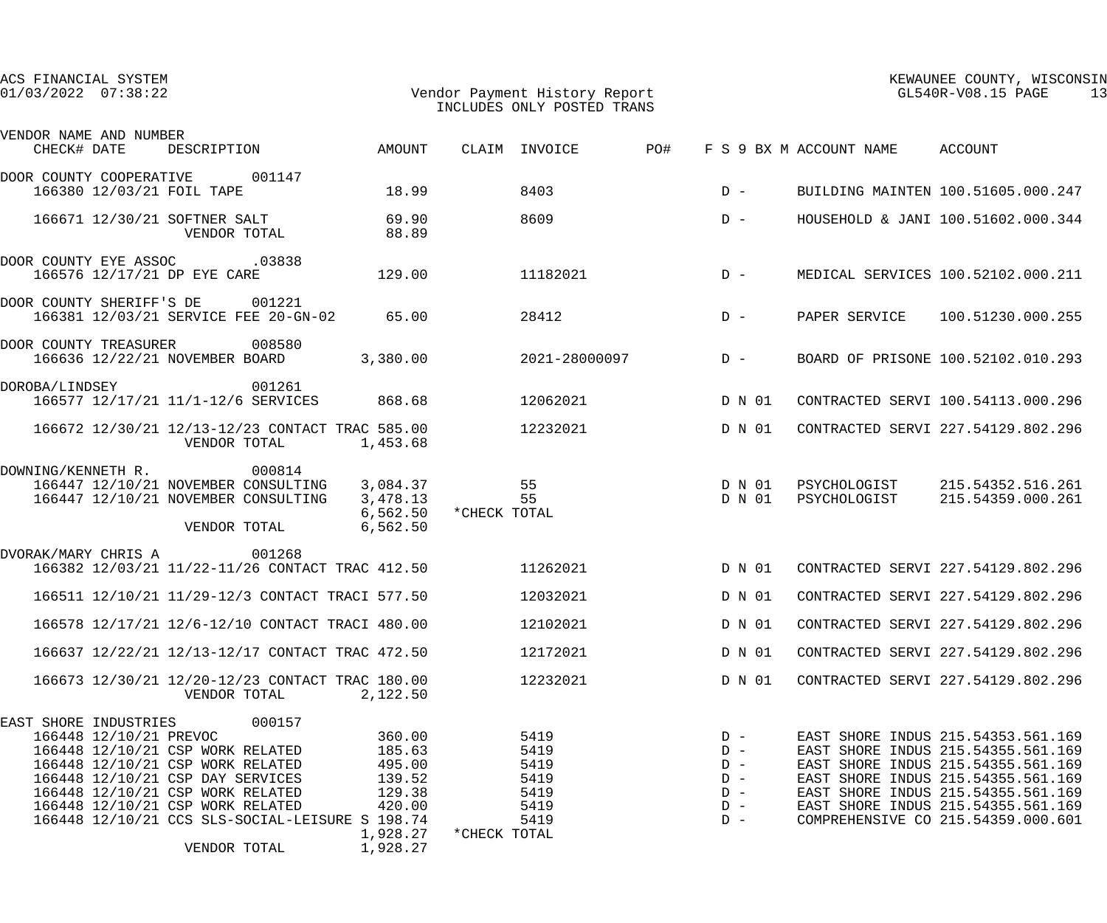|                                       | $01/03/2022$ $07:38:22$<br>Vendor Payment History Report<br>INCLUDES ONLY POSTED TRANS |                                                                                                                                                                                                  |                                                                                      |                                                                                                                                     |              |                                                      |     |                                                             | GL540R-V08.15 PAGE<br>13     |                                                                                                                                                                                                                                                                        |  |
|---------------------------------------|----------------------------------------------------------------------------------------|--------------------------------------------------------------------------------------------------------------------------------------------------------------------------------------------------|--------------------------------------------------------------------------------------|-------------------------------------------------------------------------------------------------------------------------------------|--------------|------------------------------------------------------|-----|-------------------------------------------------------------|------------------------------|------------------------------------------------------------------------------------------------------------------------------------------------------------------------------------------------------------------------------------------------------------------------|--|
| VENDOR NAME AND NUMBER<br>CHECK# DATE |                                                                                        | DESCRIPTION                                                                                                                                                                                      |                                                                                      | AMOUNT                                                                                                                              |              | CLAIM INVOICE                                        | PO# |                                                             | F S 9 BX M ACCOUNT NAME      | ACCOUNT                                                                                                                                                                                                                                                                |  |
|                                       |                                                                                        |                                                                                                                                                                                                  |                                                                                      |                                                                                                                                     |              |                                                      |     |                                                             |                              |                                                                                                                                                                                                                                                                        |  |
| DOOR COUNTY COOPERATIVE               |                                                                                        | 166380 12/03/21 FOIL TAPE                                                                                                                                                                        | 001147                                                                               | 18.99                                                                                                                               |              | 8403                                                 |     | $D -$                                                       |                              | BUILDING MAINTEN 100.51605.000.247                                                                                                                                                                                                                                     |  |
|                                       |                                                                                        | 166671 12/30/21 SOFTNER SALT<br>VENDOR TOTAL                                                                                                                                                     |                                                                                      | 69.90<br>88.89                                                                                                                      |              | 8609                                                 |     | $D -$                                                       |                              | HOUSEHOLD & JANI 100.51602.000.344                                                                                                                                                                                                                                     |  |
| DOOR COUNTY EYE ASSOC .03838          |                                                                                        | 166576 12/17/21 DP EYE CARE                                                                                                                                                                      |                                                                                      | 129.00                                                                                                                              |              | 11182021                                             |     | $D -$                                                       |                              | MEDICAL SERVICES 100.52102.000.211                                                                                                                                                                                                                                     |  |
| DOOR COUNTY SHERIFF'S DE              |                                                                                        |                                                                                                                                                                                                  | 001221<br>166381 12/03/21 SERVICE FEE 20-GN-02                                       | 65.00                                                                                                                               |              | 28412                                                |     | $D -$                                                       | PAPER SERVICE                | 100.51230.000.255                                                                                                                                                                                                                                                      |  |
| DOOR COUNTY TREASURER                 |                                                                                        | 166636 12/22/21 NOVEMBER BOARD                                                                                                                                                                   | 008580                                                                               | 3,380.00                                                                                                                            |              | 2021-28000097                                        |     | $D -$                                                       |                              | BOARD OF PRISONE 100.52102.010.293                                                                                                                                                                                                                                     |  |
| DOROBA/LINDSEY                        |                                                                                        |                                                                                                                                                                                                  | 001261<br>166577 12/17/21 11/1-12/6 SERVICES                                         | 868.68                                                                                                                              |              | 12062021                                             |     | D N 01                                                      |                              | CONTRACTED SERVI 100.54113.000.296                                                                                                                                                                                                                                     |  |
|                                       |                                                                                        | VENDOR TOTAL                                                                                                                                                                                     |                                                                                      | 166672 12/30/21 12/13-12/23 CONTACT TRAC 585.00<br>1,453.68                                                                         |              | 12232021                                             |     | D N 01                                                      |                              | CONTRACTED SERVI 227.54129.802.296                                                                                                                                                                                                                                     |  |
| DOWNING/KENNETH R.                    |                                                                                        | VENDOR TOTAL                                                                                                                                                                                     | 000814<br>166447 12/10/21 NOVEMBER CONSULTING<br>166447 12/10/21 NOVEMBER CONSULTING | 3,084.37<br>3,478.13<br>6,562.50<br>6,562.50                                                                                        | *CHECK TOTAL | 55<br>55                                             |     | D N 01<br>D N 01                                            | PSYCHOLOGIST<br>PSYCHOLOGIST | 215.54352.516.261<br>215.54359.000.261                                                                                                                                                                                                                                 |  |
| DVORAK/MARY CHRIS A                   |                                                                                        |                                                                                                                                                                                                  | 001268                                                                               | 166382 12/03/21 11/22-11/26 CONTACT TRAC 412.50                                                                                     |              | 11262021                                             |     | D N 01                                                      |                              | CONTRACTED SERVI 227.54129.802.296                                                                                                                                                                                                                                     |  |
|                                       |                                                                                        |                                                                                                                                                                                                  |                                                                                      | 166511 12/10/21 11/29-12/3 CONTACT TRACI 577.50                                                                                     |              | 12032021                                             |     | D N 01                                                      |                              | CONTRACTED SERVI 227.54129.802.296                                                                                                                                                                                                                                     |  |
|                                       |                                                                                        |                                                                                                                                                                                                  |                                                                                      | 166578 12/17/21 12/6-12/10 CONTACT TRACI 480.00                                                                                     |              | 12102021                                             |     | D N 01                                                      |                              | CONTRACTED SERVI 227.54129.802.296                                                                                                                                                                                                                                     |  |
|                                       |                                                                                        |                                                                                                                                                                                                  |                                                                                      | 166637 12/22/21 12/13-12/17 CONTACT TRAC 472.50                                                                                     |              | 12172021                                             |     | D N 01                                                      |                              | CONTRACTED SERVI 227.54129.802.296                                                                                                                                                                                                                                     |  |
|                                       |                                                                                        | VENDOR TOTAL                                                                                                                                                                                     |                                                                                      | 166673 12/30/21 12/20-12/23 CONTACT TRAC 180.00<br>2,122.50                                                                         |              | 12232021                                             |     | D N 01                                                      |                              | CONTRACTED SERVI 227.54129.802.296                                                                                                                                                                                                                                     |  |
| EAST SHORE INDUSTRIES                 | 166448 12/10/21 PREVOC                                                                 | 166448 12/10/21 CSP WORK RELATED<br>166448 12/10/21 CSP WORK RELATED<br>166448 12/10/21 CSP DAY SERVICES<br>166448 12/10/21 CSP WORK RELATED<br>166448 12/10/21 CSP WORK RELATED<br>VENDOR TOTAL | 000157                                                                               | 360.00<br>185.63<br>495.00<br>139.52<br>129.38<br>420.00<br>166448 12/10/21 CCS SLS-SOCIAL-LEISURE S 198.74<br>1,928.27<br>1,928.27 | *CHECK TOTAL | 5419<br>5419<br>5419<br>5419<br>5419<br>5419<br>5419 |     | $D -$<br>$D -$<br>$D -$<br>$D -$<br>$D -$<br>$D -$<br>$D -$ |                              | EAST SHORE INDUS 215.54353.561.169<br>EAST SHORE INDUS 215.54355.561.169<br>EAST SHORE INDUS 215.54355.561.169<br>EAST SHORE INDUS 215.54355.561.169<br>EAST SHORE INDUS 215.54355.561.169<br>EAST SHORE INDUS 215.54355.561.169<br>COMPREHENSIVE CO 215.54359.000.601 |  |
|                                       |                                                                                        |                                                                                                                                                                                                  |                                                                                      |                                                                                                                                     |              |                                                      |     |                                                             |                              |                                                                                                                                                                                                                                                                        |  |

ACS FINANCIAL SYSTEM KEWAUNEE COUNTY, WISCONSIN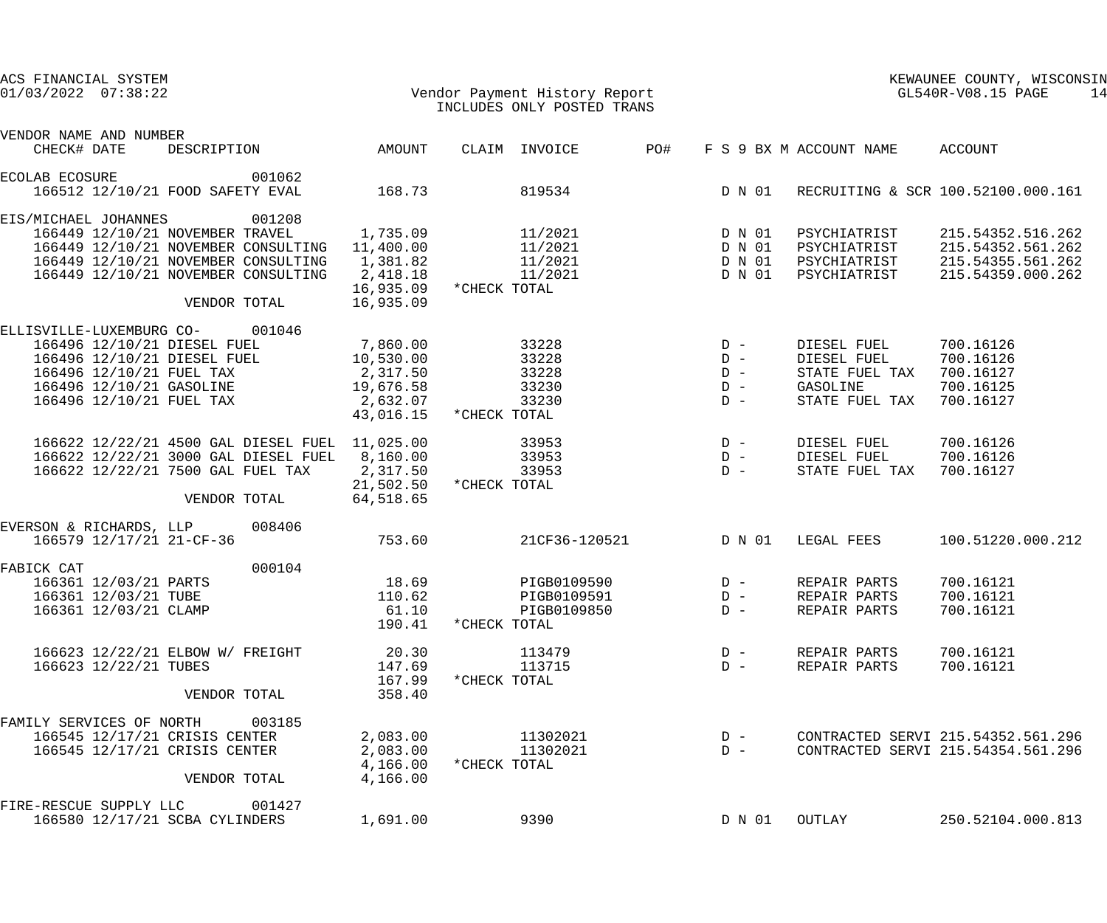| ACS FINANCIAL SYSTEM<br>$01/03/2022$ $07:38:22$                                                                                                                                                                  |                                                                         | Vendor Payment History Report<br>INCLUDES ONLY POSTED TRANS         | KEWAUNEE COUNTY, WISCONSIN<br>GL540R-V08.15 PAGE<br>14 |                                                                            |                                                                                  |
|------------------------------------------------------------------------------------------------------------------------------------------------------------------------------------------------------------------|-------------------------------------------------------------------------|---------------------------------------------------------------------|--------------------------------------------------------|----------------------------------------------------------------------------|----------------------------------------------------------------------------------|
| VENDOR NAME AND NUMBER<br>CHECK# DATE<br>DESCRIPTION                                                                                                                                                             | AMOUNT                                                                  | CLAIM INVOICE                                                       | PO#                                                    | F S 9 BX M ACCOUNT NAME                                                    | ACCOUNT                                                                          |
| 001062<br><b>ECOLAB ECOSURE</b><br>166512 12/10/21 FOOD SAFETY EVAL                                                                                                                                              | 168.73                                                                  | 819534                                                              | D N 01                                                 |                                                                            | RECRUITING & SCR 100.52100.000.161                                               |
| 001208<br>EIS/MICHAEL JOHANNES<br>166449 12/10/21 NOVEMBER TRAVEL<br>166449 12/10/21 NOVEMBER CONSULTING 11,400.00<br>166449 12/10/21 NOVEMBER CONSULTING<br>166449 12/10/21 NOVEMBER CONSULTING<br>VENDOR TOTAL | 1,735.09<br>1,381.82<br>2,418.18<br>16,935.09                           | 11/2021<br>11/2021<br>11/2021<br>11/2021<br>16,935.09 * CHECK TOTAL | D N 01<br>D N 01<br>D N 01<br>D N 01                   | PSYCHIATRIST<br>PSYCHIATRIST<br>PSYCHIATRIST<br>PSYCHIATRIST               | 215.54352.516.262<br>215.54352.561.262<br>215.54355.561.262<br>215.54359.000.262 |
| 001046<br>ELLISVILLE-LUXEMBURG CO-<br>166496 12/10/21 DIESEL FUEL<br>166496 12/10/21 DIESEL FUEL<br>166496 12/10/21 FUEL TAX<br>166496 12/10/21 GASOLINE<br>166496 12/10/21 FUEL TAX                             | 7,860.00<br>10,530.00<br>2,317.50<br>19,676.58<br>2,632.07<br>43,016.15 | 33228<br>33228<br>33228<br>33230<br>33230<br>*CHECK TOTAL           | $D -$<br>$D -$<br>$D -$<br>$D -$<br>$D -$              | DIESEL FUEL<br>DIESEL FUEL<br>STATE FUEL TAX<br>GASOLINE<br>STATE FUEL TAX | 700.16126<br>700.16126<br>700.16127<br>700.16125<br>700.16127                    |
| 166622 12/22/21 4500 GAL DIESEL FUEL 11,025.00<br>166622 12/22/21 3000 GAL DIESEL FUEL<br>166622 12/22/21 7500 GAL FUEL TAX<br>VENDOR TOTAL                                                                      | 8,160.00<br>2,317.50<br>21,502.50<br>64,518.65                          | 33953<br>33953<br>33953<br>*CHECK TOTAL                             | $D -$<br>$D -$<br>$D -$                                | DIESEL FUEL<br>DIESEL FUEL<br>STATE FUEL TAX                               | 700.16126<br>700.16126<br>700.16127                                              |
| EVERSON & RICHARDS, LLP<br>008406<br>166579 12/17/21 21-CF-36                                                                                                                                                    | 753.60                                                                  | 21CF36-120521                                                       | D N 01                                                 | LEGAL FEES                                                                 | 100.51220.000.212                                                                |
| 000104<br>FABICK CAT<br>166361 12/03/21 PARTS<br>166361 12/03/21 TUBE<br>166361 12/03/21 CLAMP                                                                                                                   | 18.69<br>110.62<br>61.10<br>190.41                                      | PIGB0109590<br>PIGB0109591<br>PIGB0109850<br>*CHECK TOTAL           | $D -$<br>$D -$<br>$D -$                                | REPAIR PARTS<br>REPAIR PARTS<br>REPAIR PARTS                               | 700.16121<br>700.16121<br>700.16121                                              |
| 166623 12/22/21 ELBOW W/ FREIGHT<br>166623 12/22/21 TUBES<br>VENDOR TOTAL                                                                                                                                        | 20.30<br>147.69<br>167.99<br>358.40                                     | 113479<br>113715<br>*CHECK TOTAL                                    | $D -$<br>$D -$                                         | REPAIR PARTS<br>REPAIR PARTS                                               | 700.16121<br>700.16121                                                           |
| FAMILY SERVICES OF NORTH<br>003185<br>166545 12/17/21 CRISIS CENTER<br>166545 12/17/21 CRISIS CENTER<br>VENDOR TOTAL                                                                                             | 2,083.00<br>2,083.00<br>4,166.00<br>4,166.00                            | 11302021<br>11302021<br>*CHECK TOTAL                                | $D -$<br>$D -$                                         |                                                                            | CONTRACTED SERVI 215.54352.561.296<br>CONTRACTED SERVI 215.54354.561.296         |
| FIRE-RESCUE SUPPLY LLC<br>001427<br>166580 12/17/21 SCBA CYLINDERS                                                                                                                                               | 1,691.00                                                                | 9390                                                                | D N 01                                                 | OUTLAY                                                                     | 250.52104.000.813                                                                |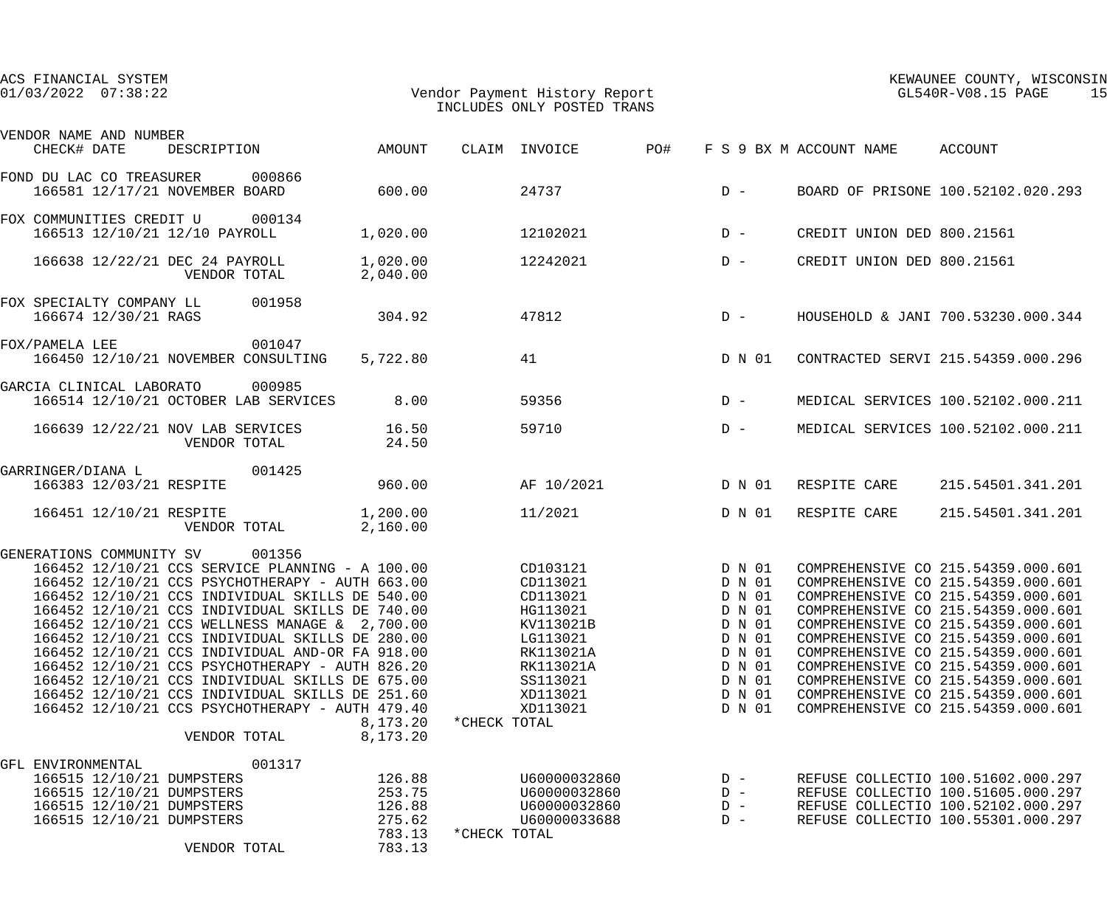| ACS FINANCIAL SYSTEM<br>$01/03/2022$ $07:38:22$                                                                                                                                                                                                                                                                                                                                                                                                                                                                                                                                                                                 |                                                          |              | Vendor Payment History Report<br>INCLUDES ONLY POSTED TRANS                                                                         |     | KEWAUNEE COUNTY, WISCONSIN<br>GL540R-V08.15 PAGE<br>15                                                     |                                 |                                                                                                                                                                                                                                                                                                                                                                                                                                |
|---------------------------------------------------------------------------------------------------------------------------------------------------------------------------------------------------------------------------------------------------------------------------------------------------------------------------------------------------------------------------------------------------------------------------------------------------------------------------------------------------------------------------------------------------------------------------------------------------------------------------------|----------------------------------------------------------|--------------|-------------------------------------------------------------------------------------------------------------------------------------|-----|------------------------------------------------------------------------------------------------------------|---------------------------------|--------------------------------------------------------------------------------------------------------------------------------------------------------------------------------------------------------------------------------------------------------------------------------------------------------------------------------------------------------------------------------------------------------------------------------|
| VENDOR NAME AND NUMBER<br>CHECK# DATE<br>DESCRIPTION                                                                                                                                                                                                                                                                                                                                                                                                                                                                                                                                                                            | AMOUNT                                                   |              | CLAIM INVOICE                                                                                                                       | PO# |                                                                                                            | F S 9 BX M ACCOUNT NAME ACCOUNT |                                                                                                                                                                                                                                                                                                                                                                                                                                |
| FOND DU LAC CO TREASURER 000866<br>166581 12/17/21 NOVEMBER BOARD                                                                                                                                                                                                                                                                                                                                                                                                                                                                                                                                                               | 600.00                                                   |              | 24737                                                                                                                               |     | $D -$                                                                                                      |                                 | BOARD OF PRISONE 100.52102.020.293                                                                                                                                                                                                                                                                                                                                                                                             |
| FOX COMMUNITIES CREDIT U 000134<br>166513 12/10/21 12/10 PAYROLL                                                                                                                                                                                                                                                                                                                                                                                                                                                                                                                                                                | 1,020.00                                                 |              | 12102021                                                                                                                            |     | $D -$                                                                                                      |                                 | CREDIT UNION DED 800.21561                                                                                                                                                                                                                                                                                                                                                                                                     |
| 166638 12/22/21 DEC 24 PAYROLL<br>VENDOR TOTAL                                                                                                                                                                                                                                                                                                                                                                                                                                                                                                                                                                                  | 1,020.00<br>2,040.00                                     |              | 12242021                                                                                                                            |     | $D -$                                                                                                      |                                 | CREDIT UNION DED 800.21561                                                                                                                                                                                                                                                                                                                                                                                                     |
| FOX SPECIALTY COMPANY LL 001958<br>166674 12/30/21 RAGS                                                                                                                                                                                                                                                                                                                                                                                                                                                                                                                                                                         | 304.92                                                   |              | 47812                                                                                                                               |     | $D -$                                                                                                      |                                 | HOUSEHOLD & JANI 700.53230.000.344                                                                                                                                                                                                                                                                                                                                                                                             |
| 001047<br>FOX/PAMELA LEE<br>166450 12/10/21 NOVEMBER CONSULTING                                                                                                                                                                                                                                                                                                                                                                                                                                                                                                                                                                 | 5,722.80                                                 |              | 41                                                                                                                                  |     | D N 01                                                                                                     |                                 | CONTRACTED SERVI 215.54359.000.296                                                                                                                                                                                                                                                                                                                                                                                             |
| 000985<br>GARCIA CLINICAL LABORATO<br>166514 12/10/21 OCTOBER LAB SERVICES                                                                                                                                                                                                                                                                                                                                                                                                                                                                                                                                                      | 8.00                                                     |              | 59356                                                                                                                               |     | $D -$                                                                                                      |                                 | MEDICAL SERVICES 100.52102.000.211                                                                                                                                                                                                                                                                                                                                                                                             |
| 166639 12/22/21 NOV LAB SERVICES<br>VENDOR TOTAL                                                                                                                                                                                                                                                                                                                                                                                                                                                                                                                                                                                | 16.50<br>24.50                                           |              | 59710                                                                                                                               |     | $D -$                                                                                                      |                                 | MEDICAL SERVICES 100.52102.000.211                                                                                                                                                                                                                                                                                                                                                                                             |
| GARRINGER/DIANA L 001425<br>166383 12/03/21 RESPITE                                                                                                                                                                                                                                                                                                                                                                                                                                                                                                                                                                             | 960.00                                                   |              | AF 10/2021                                                                                                                          |     | D N 01                                                                                                     | RESPITE CARE                    | 215.54501.341.201                                                                                                                                                                                                                                                                                                                                                                                                              |
| 166451 12/10/21 RESPITE<br>VENDOR TOTAL                                                                                                                                                                                                                                                                                                                                                                                                                                                                                                                                                                                         | 1,200.00<br>2,160.00                                     |              | 11/2021                                                                                                                             |     | D N 01                                                                                                     | RESPITE CARE                    | 215.54501.341.201                                                                                                                                                                                                                                                                                                                                                                                                              |
| GENERATIONS COMMUNITY SV 001356<br>166452 12/10/21 CCS SERVICE PLANNING - A 100.00<br>166452 12/10/21 CCS PSYCHOTHERAPY - AUTH 663.00<br>166452 12/10/21 CCS INDIVIDUAL SKILLS DE 540.00<br>166452 12/10/21 CCS INDIVIDUAL SKILLS DE 740.00<br>166452 12/10/21 CCS WELLNESS MANAGE & 2,700.00<br>166452 12/10/21 CCS INDIVIDUAL SKILLS DE 280.00<br>166452 12/10/21 CCS INDIVIDUAL AND-OR FA 918.00<br>166452 12/10/21 CCS PSYCHOTHERAPY - AUTH 826.20<br>166452 12/10/21 CCS INDIVIDUAL SKILLS DE 675.00<br>166452 12/10/21 CCS INDIVIDUAL SKILLS DE 251.60<br>166452 12/10/21 CCS PSYCHOTHERAPY - AUTH 479.40<br>VENDOR TOTAL | 8,173.20<br>8,173.20                                     | *CHECK TOTAL | CD103121<br>CD113021<br>CD113021<br>HG113021<br>KV113021B<br>LG113021<br>RK113021A<br>RK113021A<br>SS113021<br>XD113021<br>XD113021 |     | D N 01<br>D N 01<br>D N 01<br>D N 01<br>D N 01<br>D N 01<br>D N 01<br>D N 01<br>D N 01<br>D N 01<br>D N 01 |                                 | COMPREHENSIVE CO 215.54359.000.601<br>COMPREHENSIVE CO 215.54359.000.601<br>COMPREHENSIVE CO 215.54359.000.601<br>COMPREHENSIVE CO 215.54359.000.601<br>COMPREHENSIVE CO 215.54359.000.601<br>COMPREHENSIVE CO 215.54359.000.601<br>COMPREHENSIVE CO 215.54359.000.601<br>COMPREHENSIVE CO 215.54359.000.601<br>COMPREHENSIVE CO 215.54359.000.601<br>COMPREHENSIVE CO 215.54359.000.601<br>COMPREHENSIVE CO 215.54359.000.601 |
| 001317<br>GFL ENVIRONMENTAL<br>166515 12/10/21 DUMPSTERS<br>166515 12/10/21 DUMPSTERS<br>166515 12/10/21 DUMPSTERS<br>166515 12/10/21 DUMPSTERS<br>VENDOR TOTAL                                                                                                                                                                                                                                                                                                                                                                                                                                                                 | 126.88<br>253.75<br>126.88<br>275.62<br>783.13<br>783.13 | *CHECK TOTAL | U60000032860<br>U60000032860<br>U60000032860<br>U60000033688                                                                        |     | $D -$<br>$D -$<br>$D -$<br>$D -$                                                                           |                                 | REFUSE COLLECTIO 100.51602.000.297<br>REFUSE COLLECTIO 100.51605.000.297<br>REFUSE COLLECTIO 100.52102.000.297<br>REFUSE COLLECTIO 100.55301.000.297                                                                                                                                                                                                                                                                           |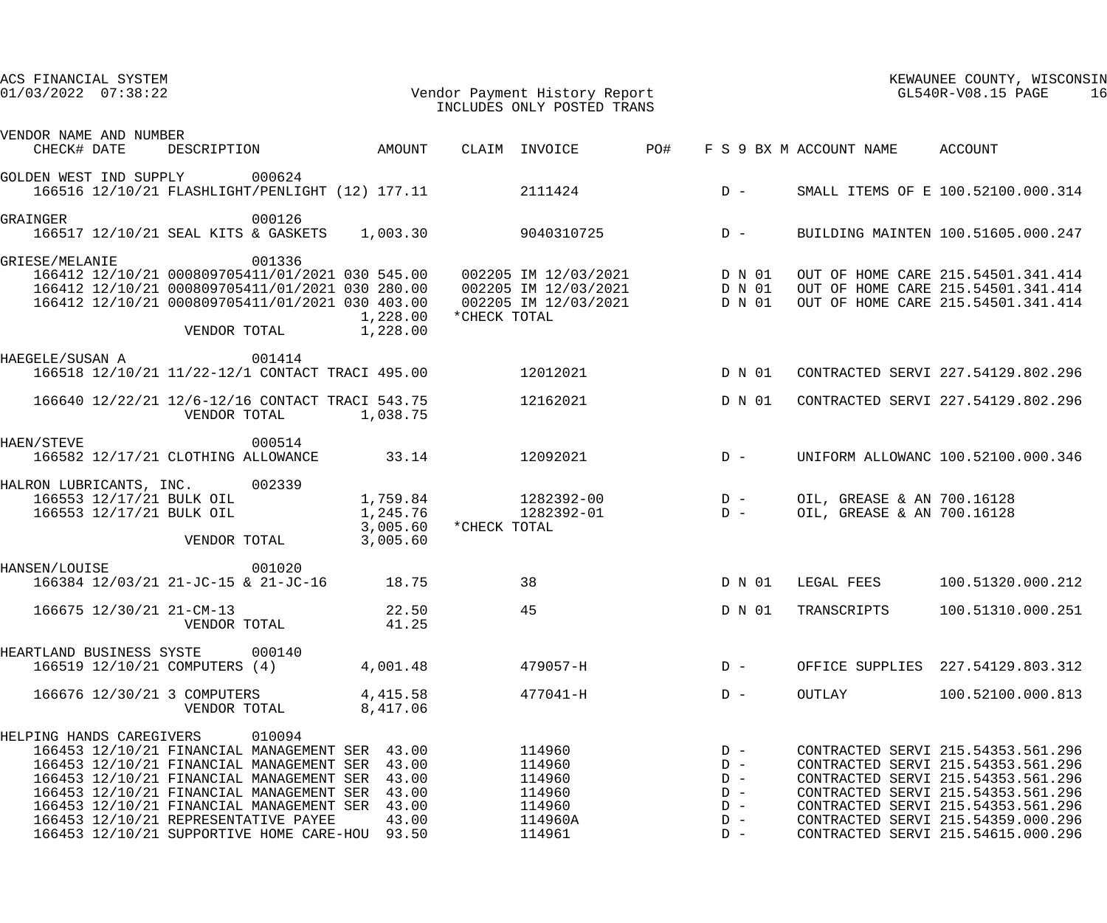| ACS FINANCIAL SYSTEM<br>$01/03/2022$ $07:38:22$ |             |                                                                                                                                                                                                                                                                                                                        |          |                                                             |              | Vendor Payment History Report<br>INCLUDES ONLY POSTED TRANS         |                                                             | KEWAUNEE COUNTY, WISCONSIN<br>GL540R-V08.15 PAGE<br>16   |                                                                                                                                                                                                                                                                        |  |
|-------------------------------------------------|-------------|------------------------------------------------------------------------------------------------------------------------------------------------------------------------------------------------------------------------------------------------------------------------------------------------------------------------|----------|-------------------------------------------------------------|--------------|---------------------------------------------------------------------|-------------------------------------------------------------|----------------------------------------------------------|------------------------------------------------------------------------------------------------------------------------------------------------------------------------------------------------------------------------------------------------------------------------|--|
| VENDOR NAME AND NUMBER                          | CHECK# DATE | DESCRIPTION AMOUNT                                                                                                                                                                                                                                                                                                     |          |                                                             |              |                                                                     |                                                             | CLAIM INVOICE PO# F S 9 BX M ACCOUNT NAME ACCOUNT        |                                                                                                                                                                                                                                                                        |  |
|                                                 |             | GOLDEN WEST IND SUPPLY 000624<br>166516 12/10/21 FLASHLIGHT/PENLIGHT (12) 177.11                                                                                                                                                                                                                                       |          |                                                             |              |                                                                     |                                                             |                                                          | 2111424 D - SMALL ITEMS OF E 100.52100.000.314                                                                                                                                                                                                                         |  |
| GRAINGER                                        |             | 000126<br>166517 12/10/21 SEAL KITS & GASKETS 1,003.30                                                                                                                                                                                                                                                                 |          |                                                             |              | 9040310725                                                          | $D -$                                                       |                                                          | BUILDING MAINTEN 100.51605.000.247                                                                                                                                                                                                                                     |  |
| GRIESE/MELANIE                                  |             | 001336<br>VENDOR TOTAL                                                                                                                                                                                                                                                                                                 |          | 1,228.00<br>1,228.00                                        | *CHECK TOTAL |                                                                     |                                                             |                                                          | 166412 12/10/21 000809705411/01/2021 030 545.00 002205 IM 12/03/2021 D N 01 OUT OF HOME CARE 215.54501.341.414<br>166412 12/10/21 000809705411/01/2021 030 280.00 002205 IM 12/03/2021 D N 01 OUT OF HOME CARE 215.54501.341.414<br>                                   |  |
| HAEGELE/SUSAN A                                 |             | 001414<br>166518 12/10/21 11/22-12/1 CONTACT TRACI 495.00                                                                                                                                                                                                                                                              |          |                                                             |              | 12012021 D N 01                                                     |                                                             |                                                          | CONTRACTED SERVI 227.54129.802.296                                                                                                                                                                                                                                     |  |
|                                                 |             | 166640 12/22/21 12/6-12/16 CONTACT TRACI 543.75<br>VENDOR TOTAL                                                                                                                                                                                                                                                        | 1,038.75 |                                                             |              | 12162021 D N 01                                                     |                                                             |                                                          | CONTRACTED SERVI 227.54129.802.296                                                                                                                                                                                                                                     |  |
| HAEN/STEVE                                      |             | 000514<br>166582 12/17/21 CLOTHING ALLOWANCE                                                                                                                                                                                                                                                                           |          | 33.14                                                       |              | 12092021                                                            | $D -$                                                       |                                                          | UNIFORM ALLOWANC 100.52100.000.346                                                                                                                                                                                                                                     |  |
|                                                 |             | HALRON LUBRICANTS, INC. 002339<br>166553 12/17/21 BULK OIL<br>166553 12/17/21 BULK OIL<br>VENDOR TOTAL                                                                                                                                                                                                                 |          | 3,005.60<br>3,005.60                                        | *CHECK TOTAL |                                                                     |                                                             | OIL, GREASE & AN 700.16128<br>OIL, GREASE & AN 700.16128 |                                                                                                                                                                                                                                                                        |  |
| HANSEN/LOUISE                                   |             | 001020<br>166384 12/03/21 21-JC-15 & 21-JC-16 18.75                                                                                                                                                                                                                                                                    |          |                                                             |              |                                                                     |                                                             |                                                          | 38 D N 01 LEGAL FEES 100.51320.000.212                                                                                                                                                                                                                                 |  |
|                                                 |             | 166675 12/30/21 21-CM-13<br>VENDOR TOTAL                                                                                                                                                                                                                                                                               |          | 22.50<br>41.25                                              |              | 45                                                                  | D N 01                                                      | TRANSCRIPTS                                              | 100.51310.000.251                                                                                                                                                                                                                                                      |  |
| HEARTLAND BUSINESS SYSTE                        |             | 000140<br>166519 12/10/21 COMPUTERS (4)                                                                                                                                                                                                                                                                                |          | 4,001.48                                                    |              | 479057-H                                                            | $D -$                                                       | OFFICE SUPPLIES                                          | 227.54129.803.312                                                                                                                                                                                                                                                      |  |
|                                                 |             | 166676 12/30/21 3 COMPUTERS<br>VENDOR TOTAL                                                                                                                                                                                                                                                                            |          | 4,415.58<br>8,417.06                                        |              | 477041-H                                                            | $D -$                                                       | OUTLAY                                                   | 100.52100.000.813                                                                                                                                                                                                                                                      |  |
| HELPING HANDS CAREGIVERS                        |             | 010094<br>166453 12/10/21 FINANCIAL MANAGEMENT SER<br>166453 12/10/21 FINANCIAL MANAGEMENT SER<br>166453 12/10/21 FINANCIAL MANAGEMENT SER<br>166453 12/10/21 FINANCIAL MANAGEMENT SER<br>166453 12/10/21 FINANCIAL MANAGEMENT SER<br>166453 12/10/21 REPRESENTATIVE PAYEE<br>166453 12/10/21 SUPPORTIVE HOME CARE-HOU |          | 43.00<br>43.00<br>43.00<br>43.00<br>43.00<br>43.00<br>93.50 |              | 114960<br>114960<br>114960<br>114960<br>114960<br>114960A<br>114961 | $D -$<br>$D -$<br>$D -$<br>$D -$<br>$D -$<br>$D -$<br>$D -$ |                                                          | CONTRACTED SERVI 215.54353.561.296<br>CONTRACTED SERVI 215.54353.561.296<br>CONTRACTED SERVI 215.54353.561.296<br>CONTRACTED SERVI 215.54353.561.296<br>CONTRACTED SERVI 215.54353.561.296<br>CONTRACTED SERVI 215.54359.000.296<br>CONTRACTED SERVI 215.54615.000.296 |  |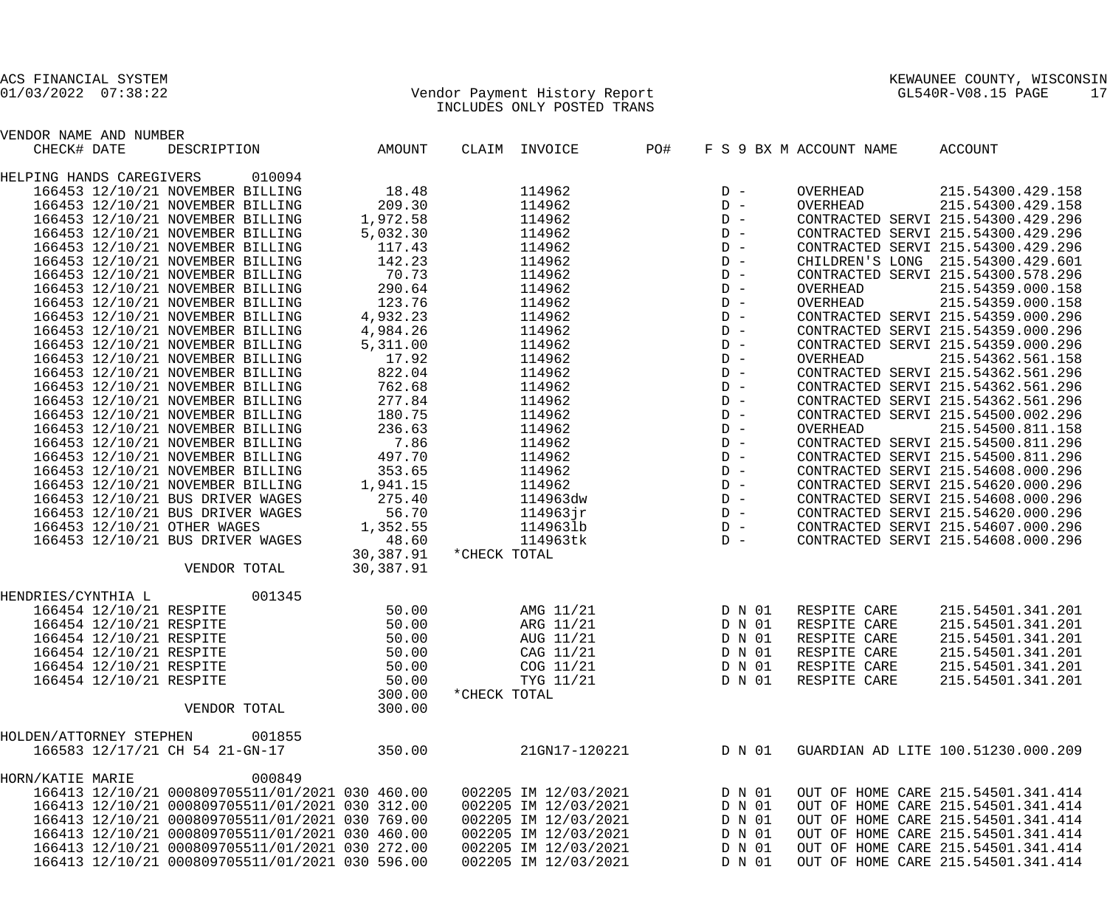VENDOR NAME AND NUMBER

## 01/03/2022 07:38:22 Vendor Payment History Report GL540R-V08.15 PAGE 17 INCLUDES ONLY POSTED TRANS

| CHECK# DATE              |                         | DESCRIPTION                                     | AMOUNT    |              | CLAIM INVOICE        | PO# |       |        | F S 9 BX M ACCOUNT NAME | ACCOUNT                               |
|--------------------------|-------------------------|-------------------------------------------------|-----------|--------------|----------------------|-----|-------|--------|-------------------------|---------------------------------------|
| HELPING HANDS CAREGIVERS |                         | 010094                                          |           |              |                      |     |       |        |                         |                                       |
|                          |                         | 166453 12/10/21 NOVEMBER BILLING                | 18.48     |              | 114962               |     | $D -$ |        | OVERHEAD                | 215.54300.429.158                     |
|                          |                         | 166453 12/10/21 NOVEMBER BILLING                | 209.30    |              | 114962               |     | $D -$ |        | OVERHEAD                | 215.54300.429.158                     |
|                          |                         | 166453 12/10/21 NOVEMBER BILLING                | 1,972.58  |              | 114962               |     | $D -$ |        |                         | CONTRACTED SERVI 215.54300.429.296    |
|                          |                         | 166453 12/10/21 NOVEMBER BILLING                | 5,032.30  |              | 114962               |     | $D -$ |        |                         | CONTRACTED SERVI 215.54300.429.296    |
|                          |                         | 166453 12/10/21 NOVEMBER BILLING                | 117.43    |              | 114962               |     | $D -$ |        |                         | CONTRACTED SERVI 215.54300.429.296    |
|                          |                         | 166453 12/10/21 NOVEMBER BILLING                | 142.23    |              | 114962               |     | $D -$ |        |                         | CHILDREN'S LONG 215.54300.429.601     |
|                          |                         | 166453 12/10/21 NOVEMBER BILLING                | 70.73     |              | 114962               |     | $D -$ |        |                         | CONTRACTED SERVI 215.54300.578.296    |
|                          |                         | 166453 12/10/21 NOVEMBER BILLING                | 290.64    |              | 114962               |     | $D -$ |        | OVERHEAD                | 215.54359.000.158                     |
|                          |                         | 166453 12/10/21 NOVEMBER BILLING                | 123.76    |              | 114962               |     | $D -$ |        | OVERHEAD                | 215.54359.000.158                     |
|                          |                         | 166453 12/10/21 NOVEMBER BILLING                | 4,932.23  |              | 114962               |     | $D -$ |        |                         | CONTRACTED SERVI 215.54359.000.296    |
|                          |                         | 166453 12/10/21 NOVEMBER BILLING                | 4,984.26  |              | 114962               |     | $D -$ |        |                         | CONTRACTED SERVI 215.54359.000.296    |
|                          |                         |                                                 |           |              |                      |     | $D -$ |        |                         |                                       |
|                          |                         | 166453 12/10/21 NOVEMBER BILLING                | 5,311.00  |              | 114962               |     |       |        |                         | CONTRACTED SERVI 215.54359.000.296    |
|                          |                         | 166453 12/10/21 NOVEMBER BILLING                | 17.92     |              | 114962               |     | $D -$ |        | OVERHEAD                | 215.54362.561.158                     |
|                          |                         | 166453 12/10/21 NOVEMBER BILLING                | 822.04    |              | 114962               |     | $D -$ |        |                         | CONTRACTED SERVI 215.54362.561.296    |
|                          |                         | 166453 12/10/21 NOVEMBER BILLING                | 762.68    |              | 114962               |     | $D -$ |        |                         | CONTRACTED SERVI 215.54362.561.296    |
|                          |                         | 166453 12/10/21 NOVEMBER BILLING                | 277.84    |              | 114962               |     | $D -$ |        |                         | CONTRACTED SERVI 215.54362.561.296    |
|                          |                         | 166453 12/10/21 NOVEMBER BILLING                | 180.75    |              | 114962               |     | $D -$ |        |                         | CONTRACTED SERVI 215.54500.002.296    |
|                          |                         | 166453 12/10/21 NOVEMBER BILLING                | 236.63    |              | 114962               |     | $D -$ |        | OVERHEAD                | 215.54500.811.158                     |
|                          |                         | 166453 12/10/21 NOVEMBER BILLING                | 7.86      |              | 114962               |     | $D -$ |        |                         | CONTRACTED SERVI 215.54500.811.296    |
|                          |                         | 166453 12/10/21 NOVEMBER BILLING                | 497.70    |              | 114962               |     | $D -$ |        |                         | CONTRACTED SERVI 215.54500.811.296    |
|                          |                         | 166453 12/10/21 NOVEMBER BILLING                | 353.65    |              | 114962               |     | $D -$ |        |                         | CONTRACTED SERVI 215.54608.000.296    |
|                          |                         | 166453 12/10/21 NOVEMBER BILLING                | 1,941.15  |              | 114962               |     | $D -$ |        |                         | CONTRACTED SERVI 215.54620.000.296    |
|                          |                         | 166453 12/10/21 BUS DRIVER WAGES                | 275.40    |              | 114963dw             |     | $D -$ |        |                         | CONTRACTED SERVI 215.54608.000.296    |
|                          |                         | 166453 12/10/21 BUS DRIVER WAGES                | 56.70     |              | 114963jr             |     | $D -$ |        |                         | CONTRACTED SERVI 215.54620.000.296    |
|                          |                         | 166453 12/10/21 OTHER WAGES                     | 1,352.55  |              | 1149631b             |     | $D -$ |        |                         | CONTRACTED SERVI 215.54607.000.296    |
|                          |                         | 166453 12/10/21 BUS DRIVER WAGES                | 48.60     |              | 114963tk             |     | $D -$ |        |                         | CONTRACTED SERVI 215.54608.000.296    |
|                          |                         |                                                 | 30,387.91 | *CHECK TOTAL |                      |     |       |        |                         |                                       |
|                          |                         | VENDOR TOTAL                                    | 30,387.91 |              |                      |     |       |        |                         |                                       |
| HENDRIES/CYNTHIA L       |                         | 001345                                          |           |              |                      |     |       |        |                         |                                       |
|                          | 166454 12/10/21 RESPITE |                                                 | 50.00     |              | AMG 11/21            |     |       | D N 01 | RESPITE CARE            | 215.54501.341.201                     |
|                          | 166454 12/10/21 RESPITE |                                                 | 50.00     |              | ARG 11/21            |     |       | D N 01 | RESPITE CARE            | 215.54501.341.201                     |
|                          | 166454 12/10/21 RESPITE |                                                 | 50.00     |              | AUG 11/21            |     |       | D N 01 | RESPITE CARE            | 215.54501.341.201                     |
|                          | 166454 12/10/21 RESPITE |                                                 | 50.00     |              | CAG 11/21            |     |       | D N 01 | RESPITE CARE            | 215.54501.341.201                     |
|                          |                         |                                                 |           |              |                      |     |       |        |                         |                                       |
|                          | 166454 12/10/21 RESPITE |                                                 | 50.00     |              | COG 11/21            |     |       |        |                         | D N 01 RESPITE CARE 215.54501.341.201 |
|                          | 166454 12/10/21 RESPITE |                                                 | 50.00     |              | TYG 11/21            |     |       | D N 01 | RESPITE CARE            | 215.54501.341.201                     |
|                          |                         |                                                 | 300.00    | *CHECK TOTAL |                      |     |       |        |                         |                                       |
|                          |                         | VENDOR TOTAL                                    | 300.00    |              |                      |     |       |        |                         |                                       |
| HOLDEN/ATTORNEY STEPHEN  |                         | 001855                                          |           |              |                      |     |       |        |                         |                                       |
|                          |                         | 166583 12/17/21 CH 54 21-GN-17                  | 350.00    |              | 21GN17-120221        |     |       | D N 01 |                         | GUARDIAN AD LITE 100.51230.000.209    |
| HORN/KATIE MARIE         |                         | 000849                                          |           |              |                      |     |       |        |                         |                                       |
|                          |                         | 166413 12/10/21 000809705511/01/2021 030 460.00 |           |              | 002205 IM 12/03/2021 |     |       | D N 01 |                         | OUT OF HOME CARE 215.54501.341.414    |
|                          |                         | 166413 12/10/21 000809705511/01/2021 030 312.00 |           |              | 002205 IM 12/03/2021 |     |       | D N 01 |                         | OUT OF HOME CARE 215.54501.341.414    |
|                          |                         | 166413 12/10/21 000809705511/01/2021 030 769.00 |           |              | 002205 IM 12/03/2021 |     |       | D N 01 |                         | OUT OF HOME CARE 215.54501.341.414    |
|                          |                         | 166413 12/10/21 000809705511/01/2021 030 460.00 |           |              | 002205 IM 12/03/2021 |     |       | D N 01 |                         | OUT OF HOME CARE 215.54501.341.414    |
|                          |                         | 166413 12/10/21 000809705511/01/2021 030 272.00 |           |              | 002205 IM 12/03/2021 |     |       | D N 01 |                         | OUT OF HOME CARE 215.54501.341.414    |
|                          |                         | 166413 12/10/21 000809705511/01/2021 030 596.00 |           |              | 002205 IM 12/03/2021 |     |       | D N 01 |                         | OUT OF HOME CARE 215.54501.341.414    |
|                          |                         |                                                 |           |              |                      |     |       |        |                         |                                       |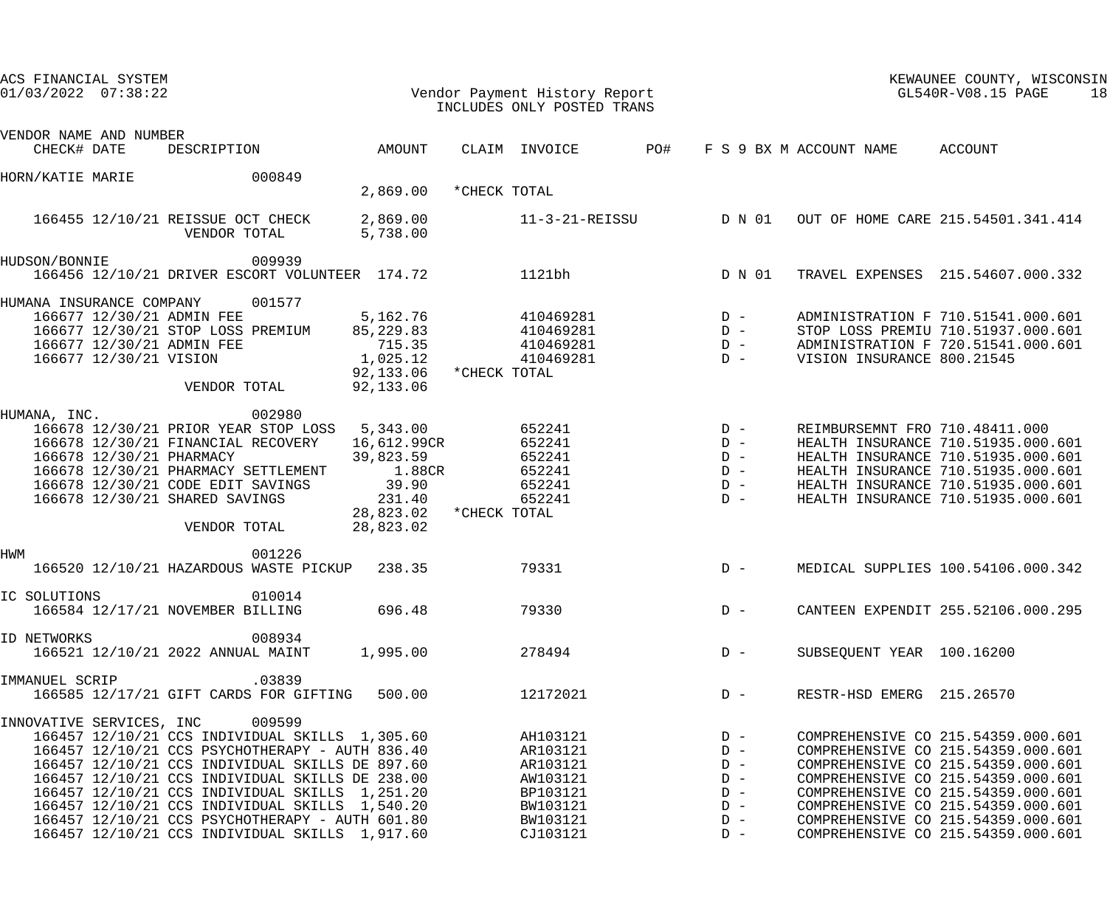| ACS FINANCIAL SYSTEM<br>$01/03/2022$ $07:38:22$ |                        | Vendor Payment History Report                                                                                                                                                                                                                                                                                                                                                                                              |                                                                                               |              | INCLUDES ONLY POSTED TRANS                                                                   | KEWAUNEE COUNTY, WISCONSIN<br>GL540R-V08.15 PAGE<br>18 |                                                                      |                                |                                                                                                                                                                                                                                                                                                              |
|-------------------------------------------------|------------------------|----------------------------------------------------------------------------------------------------------------------------------------------------------------------------------------------------------------------------------------------------------------------------------------------------------------------------------------------------------------------------------------------------------------------------|-----------------------------------------------------------------------------------------------|--------------|----------------------------------------------------------------------------------------------|--------------------------------------------------------|----------------------------------------------------------------------|--------------------------------|--------------------------------------------------------------------------------------------------------------------------------------------------------------------------------------------------------------------------------------------------------------------------------------------------------------|
| VENDOR NAME AND NUMBER<br>CHECK# DATE           |                        | DESCRIPTION                                                                                                                                                                                                                                                                                                                                                                                                                | AMOUNT                                                                                        |              | CLAIM INVOICE                                                                                | PO#                                                    |                                                                      | F S 9 BX M ACCOUNT NAME        | ACCOUNT                                                                                                                                                                                                                                                                                                      |
| HORN/KATIE MARIE                                |                        | 000849                                                                                                                                                                                                                                                                                                                                                                                                                     | 2,869.00                                                                                      | *CHECK TOTAL |                                                                                              |                                                        |                                                                      |                                |                                                                                                                                                                                                                                                                                                              |
|                                                 |                        | 166455 12/10/21 REISSUE OCT CHECK<br>VENDOR TOTAL                                                                                                                                                                                                                                                                                                                                                                          | 2,869.00<br>5,738.00                                                                          |              |                                                                                              |                                                        |                                                                      |                                | 11-3-21-REISSU D N 01 OUT OF HOME CARE 215.54501.341.414                                                                                                                                                                                                                                                     |
| HUDSON/BONNIE                                   |                        | 009939<br>166456 12/10/21 DRIVER ESCORT VOLUNTEER 174.72                                                                                                                                                                                                                                                                                                                                                                   |                                                                                               |              | 1121bh                                                                                       |                                                        | D N 01                                                               |                                | TRAVEL EXPENSES 215.54607.000.332                                                                                                                                                                                                                                                                            |
| HUMANA INSURANCE COMPANY                        | 166677 12/30/21 VISION | 001577<br>166677 12/30/21 ADMIN FEE<br>166677 12/30/21 STOP LOSS PREMIUM<br>166677 12/30/21 ADMIN FEE<br>VENDOR TOTAL                                                                                                                                                                                                                                                                                                      | 5,162.76<br>85,229.83<br>715.35<br>1,025.12<br>92,133.06 * CHECK TOTAL<br>92,133.06           |              | $410469281$ D -<br>$410469281$ D -<br>410469281<br>410469281                                 | $D -$<br>$D -$                                         |                                                                      | VISION INSURANCE 800.21545     | ADMINISTRATION F 710.51541.000.601<br>STOP LOSS PREMIU 710.51937.000.601<br>ADMINISTRATION F 720.51541.000.601                                                                                                                                                                                               |
| HUMANA, INC.                                    |                        | 002980<br>166678 12/30/21 PRIOR YEAR STOP LOSS 5,343.00<br>166678 12/30/21 FINANCIAL RECOVERY<br>166678 12/30/21 PHARMACY<br>166678 12/30/21 PHARMACY SETTLEMENT<br>166678 12/30/21 CODE EDIT SAVINGS<br>166678 12/30/21 SHARED SAVINGS<br>VENDOR TOTAL                                                                                                                                                                    | 16,612.99CR<br>39,823.59<br>1.88CR<br>39.90<br>231.40<br>28,823.02 * CHECK TOTAL<br>28,823.02 |              | 652241<br>652241<br>652241<br>652241<br>652241<br>652241                                     | $D -$                                                  | $D -$<br>$D -$<br>$D -$<br>$D -$<br>$D -$                            | REIMBURSEMNT FRO 710.48411.000 | HEALTH INSURANCE 710.51935.000.601<br>HEALTH INSURANCE 710.51935.000.601<br>HEALTH INSURANCE 710.51935.000.601<br>HEALTH INSURANCE 710.51935.000.601<br>HEALTH INSURANCE 710.51935.000.601                                                                                                                   |
| <b>HWM</b>                                      |                        | 001226<br>166520 12/10/21 HAZARDOUS WASTE PICKUP 238.35                                                                                                                                                                                                                                                                                                                                                                    |                                                                                               |              | 79331                                                                                        | $D -$                                                  |                                                                      |                                | MEDICAL SUPPLIES 100.54106.000.342                                                                                                                                                                                                                                                                           |
| IC SOLUTIONS                                    |                        | 010014<br>166584 12/17/21 NOVEMBER BILLING                                                                                                                                                                                                                                                                                                                                                                                 | 696.48                                                                                        |              | 79330                                                                                        |                                                        | $D -$                                                                |                                | CANTEEN EXPENDIT 255.52106.000.295                                                                                                                                                                                                                                                                           |
| ID NETWORKS                                     |                        | 008934<br>166521 12/10/21 2022 ANNUAL MAINT                                                                                                                                                                                                                                                                                                                                                                                | 1,995.00                                                                                      |              | 278494                                                                                       |                                                        | $D -$                                                                | SUBSEQUENT YEAR 100.16200      |                                                                                                                                                                                                                                                                                                              |
| IMMANUEL SCRIP                                  |                        | .03839<br>166585 12/17/21 GIFT CARDS FOR GIFTING 500.00                                                                                                                                                                                                                                                                                                                                                                    |                                                                                               |              | 12172021                                                                                     |                                                        | $D -$                                                                | RESTR-HSD EMERG 215.26570      |                                                                                                                                                                                                                                                                                                              |
| INNOVATIVE SERVICES, INC                        |                        | 009599<br>166457 12/10/21 CCS INDIVIDUAL SKILLS 1,305.60<br>166457 12/10/21 CCS PSYCHOTHERAPY - AUTH 836.40<br>166457 12/10/21 CCS INDIVIDUAL SKILLS DE 897.60<br>166457 12/10/21 CCS INDIVIDUAL SKILLS DE 238.00<br>166457 12/10/21 CCS INDIVIDUAL SKILLS 1,251.20<br>166457 12/10/21 CCS INDIVIDUAL SKILLS 1,540.20<br>166457 12/10/21 CCS PSYCHOTHERAPY - AUTH 601.80<br>166457 12/10/21 CCS INDIVIDUAL SKILLS 1,917.60 |                                                                                               |              | AH103121<br>AR103121<br>AR103121<br>AW103121<br>BP103121<br>BW103121<br>BW103121<br>CJ103121 |                                                        | $D -$<br>$D -$<br>$D -$<br>$D -$<br>$D -$<br>$D -$<br>$D -$<br>$D -$ |                                | COMPREHENSIVE CO 215.54359.000.601<br>COMPREHENSIVE CO 215.54359.000.601<br>COMPREHENSIVE CO 215.54359.000.601<br>COMPREHENSIVE CO 215.54359.000.601<br>COMPREHENSIVE CO 215.54359.000.601<br>COMPREHENSIVE CO 215.54359.000.601<br>COMPREHENSIVE CO 215.54359.000.601<br>COMPREHENSIVE CO 215.54359.000.601 |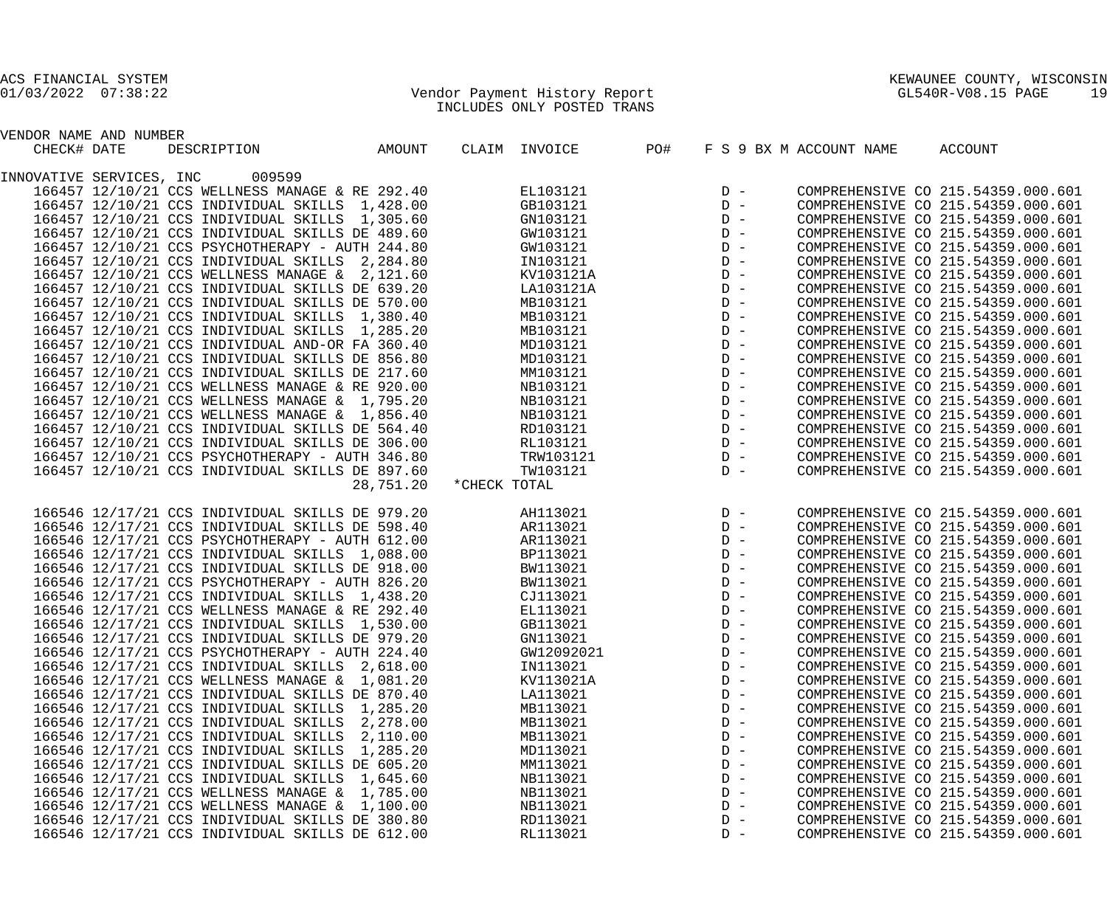ACS FINANCIAL SYSTEM<br>01/03/2022 07:38:22

01/03/2022 07:38:22 Vendor Payment History Report GL540R-V08.15 PAGE 19 INCLUDES ONLY POSTED TRANS

| KEWAUNEE COUNTY,       | WISCONSIN |  |
|------------------------|-----------|--|
| ATFADD, TTOO, TF, DZOD | 1 O       |  |

| VENDOR NAME AND NUMBER   |                                                 |           |              |               |     |       |                         |                                    |
|--------------------------|-------------------------------------------------|-----------|--------------|---------------|-----|-------|-------------------------|------------------------------------|
| CHECK# DATE              | DESCRIPTION                                     | AMOUNT    |              | CLAIM INVOICE | PO# |       | F S 9 BX M ACCOUNT NAME | ACCOUNT                            |
|                          |                                                 |           |              |               |     |       |                         |                                    |
| INNOVATIVE SERVICES, INC | 009599                                          |           |              |               |     |       |                         |                                    |
|                          | 166457 12/10/21 CCS WELLNESS MANAGE & RE 292.40 |           |              | EL103121      |     | $D -$ |                         | COMPREHENSIVE CO 215.54359.000.601 |
|                          | 166457 12/10/21 CCS INDIVIDUAL SKILLS 1,428.00  |           |              | GB103121      |     | $D -$ |                         | COMPREHENSIVE CO 215.54359.000.601 |
|                          | 166457 12/10/21 CCS INDIVIDUAL SKILLS 1,305.60  |           |              | GN103121      |     | $D -$ |                         | COMPREHENSIVE CO 215.54359.000.601 |
|                          | 166457 12/10/21 CCS INDIVIDUAL SKILLS DE 489.60 |           |              | GW103121      |     | $D -$ |                         | COMPREHENSIVE CO 215.54359.000.601 |
|                          | 166457 12/10/21 CCS PSYCHOTHERAPY - AUTH 244.80 |           |              | GW103121      |     | $D -$ |                         | COMPREHENSIVE CO 215.54359.000.601 |
|                          | 166457 12/10/21 CCS INDIVIDUAL SKILLS 2,284.80  |           |              | IN103121      |     | $D -$ |                         | COMPREHENSIVE CO 215.54359.000.601 |
|                          | 166457 12/10/21 CCS WELLNESS MANAGE & 2,121.60  |           |              | KV103121A     |     | $D -$ |                         | COMPREHENSIVE CO 215.54359.000.601 |
|                          | 166457 12/10/21 CCS INDIVIDUAL SKILLS DE 639.20 |           |              | LA103121A     |     | $D -$ |                         | COMPREHENSIVE CO 215.54359.000.601 |
|                          | 166457 12/10/21 CCS INDIVIDUAL SKILLS DE 570.00 |           |              | MB103121      |     | $D -$ |                         | COMPREHENSIVE CO 215.54359.000.601 |
|                          | 166457 12/10/21 CCS INDIVIDUAL SKILLS 1,380.40  |           |              | MB103121      |     | $D -$ |                         | COMPREHENSIVE CO 215.54359.000.601 |
|                          | 166457 12/10/21 CCS INDIVIDUAL SKILLS 1,285.20  |           |              | MB103121      |     | $D -$ |                         | COMPREHENSIVE CO 215.54359.000.601 |
|                          | 166457 12/10/21 CCS INDIVIDUAL AND-OR FA 360.40 |           |              | MD103121      |     | $D -$ |                         | COMPREHENSIVE CO 215.54359.000.601 |
|                          | 166457 12/10/21 CCS INDIVIDUAL SKILLS DE 856.80 |           |              | MD103121      |     | $D -$ |                         | COMPREHENSIVE CO 215.54359.000.601 |
|                          | 166457 12/10/21 CCS INDIVIDUAL SKILLS DE 217.60 |           |              | MM103121      |     | $D -$ |                         | COMPREHENSIVE CO 215.54359.000.601 |
|                          | 166457 12/10/21 CCS WELLNESS MANAGE & RE 920.00 |           |              | NB103121      |     | $D -$ |                         | COMPREHENSIVE CO 215.54359.000.601 |
|                          | 166457 12/10/21 CCS WELLNESS MANAGE & 1,795.20  |           |              | NB103121      |     | $D -$ |                         | COMPREHENSIVE CO 215.54359.000.601 |
|                          | 166457 12/10/21 CCS WELLNESS MANAGE & 1,856.40  |           |              | NB103121      |     | $D -$ |                         | COMPREHENSIVE CO 215.54359.000.601 |
|                          | 166457 12/10/21 CCS INDIVIDUAL SKILLS DE 564.40 |           |              | RD103121      |     | $D -$ |                         | COMPREHENSIVE CO 215.54359.000.601 |
|                          | 166457 12/10/21 CCS INDIVIDUAL SKILLS DE 306.00 |           |              | RL103121      |     | $D -$ |                         | COMPREHENSIVE CO 215.54359.000.601 |
|                          | 166457 12/10/21 CCS PSYCHOTHERAPY - AUTH 346.80 |           |              | TRW103121     |     | $D -$ |                         | COMPREHENSIVE CO 215.54359.000.601 |
|                          | 166457 12/10/21 CCS INDIVIDUAL SKILLS DE 897.60 |           |              | TW103121      |     | $D -$ |                         | COMPREHENSIVE CO 215.54359.000.601 |
|                          |                                                 | 28,751.20 | *CHECK TOTAL |               |     |       |                         |                                    |
|                          | 166546 12/17/21 CCS INDIVIDUAL SKILLS DE 979.20 |           |              | AH113021      |     | $D -$ |                         | COMPREHENSIVE CO 215.54359.000.601 |
|                          | 166546 12/17/21 CCS INDIVIDUAL SKILLS DE 598.40 |           |              | AR113021      |     | $D -$ |                         | COMPREHENSIVE CO 215.54359.000.601 |
|                          | 166546 12/17/21 CCS PSYCHOTHERAPY - AUTH 612.00 |           |              | AR113021      |     | $D -$ |                         | COMPREHENSIVE CO 215.54359.000.601 |
|                          | 166546 12/17/21 CCS INDIVIDUAL SKILLS 1,088.00  |           |              | BP113021      |     | $D -$ |                         | COMPREHENSIVE CO 215.54359.000.601 |
|                          | 166546 12/17/21 CCS INDIVIDUAL SKILLS DE 918.00 |           |              | BW113021      |     | $D -$ |                         | COMPREHENSIVE CO 215.54359.000.601 |
|                          | 166546 12/17/21 CCS PSYCHOTHERAPY - AUTH 826.20 |           |              | BW113021      |     | $D -$ |                         | COMPREHENSIVE CO 215.54359.000.601 |
|                          | 166546 12/17/21 CCS INDIVIDUAL SKILLS 1,438.20  |           |              | CJ113021      |     | $D -$ |                         | COMPREHENSIVE CO 215.54359.000.601 |
|                          | 166546 12/17/21 CCS WELLNESS MANAGE & RE 292.40 |           |              | EL113021      |     | $D -$ |                         | COMPREHENSIVE CO 215.54359.000.601 |
|                          | 166546 12/17/21 CCS INDIVIDUAL SKILLS 1,530.00  |           |              | GB113021      |     | $D -$ |                         | COMPREHENSIVE CO 215.54359.000.601 |
|                          | 166546 12/17/21 CCS INDIVIDUAL SKILLS DE 979.20 |           |              | GN113021      |     | $D -$ |                         | COMPREHENSIVE CO 215.54359.000.601 |
|                          | 166546 12/17/21 CCS PSYCHOTHERAPY - AUTH 224.40 |           |              | GW12092021    |     | $D -$ |                         | COMPREHENSIVE CO 215.54359.000.601 |
|                          | 166546 12/17/21 CCS INDIVIDUAL SKILLS 2,618.00  |           |              | IN113021      |     | $D -$ |                         | COMPREHENSIVE CO 215.54359.000.601 |
|                          | 166546 12/17/21 CCS WELLNESS MANAGE & 1,081.20  |           |              | KV113021A     |     | $D -$ |                         | COMPREHENSIVE CO 215.54359.000.601 |
|                          | 166546 12/17/21 CCS INDIVIDUAL SKILLS DE 870.40 |           |              | LA113021      |     | $D -$ |                         | COMPREHENSIVE CO 215.54359.000.601 |
|                          | 166546 12/17/21 CCS INDIVIDUAL SKILLS 1,285.20  |           |              | MB113021      |     | $D -$ |                         | COMPREHENSIVE CO 215.54359.000.601 |
|                          | 166546 12/17/21 CCS INDIVIDUAL SKILLS 2,278.00  |           |              | MB113021      |     | $D -$ |                         | COMPREHENSIVE CO 215.54359.000.601 |
|                          | 166546 12/17/21 CCS INDIVIDUAL SKILLS 2,110.00  |           |              | MB113021      |     | $D -$ |                         | COMPREHENSIVE CO 215.54359.000.601 |
|                          | 166546 12/17/21 CCS INDIVIDUAL SKILLS 1,285.20  |           |              | MD113021      |     | $D -$ |                         | COMPREHENSIVE CO 215.54359.000.601 |
|                          | 166546 12/17/21 CCS INDIVIDUAL SKILLS DE 605.20 |           |              | MM113021      |     | $D -$ |                         | COMPREHENSIVE CO 215.54359.000.601 |
|                          | 166546 12/17/21 CCS INDIVIDUAL SKILLS 1,645.60  |           |              | NB113021      |     | $D -$ |                         | COMPREHENSIVE CO 215.54359.000.601 |
|                          | 166546 12/17/21 CCS WELLNESS MANAGE & 1,785.00  |           |              | NB113021      |     | $D -$ |                         | COMPREHENSIVE CO 215.54359.000.601 |
|                          | 166546 12/17/21 CCS WELLNESS MANAGE & 1,100.00  |           |              | NB113021      |     | $D -$ |                         | COMPREHENSIVE CO 215.54359.000.601 |
|                          | 166546 12/17/21 CCS INDIVIDUAL SKILLS DE 380.80 |           |              | RD113021      |     | $D -$ |                         | COMPREHENSIVE CO 215.54359.000.601 |
|                          | 166546 12/17/21 CCS INDIVIDUAL SKILLS DE 612.00 |           |              | RL113021      |     | $D -$ |                         | COMPREHENSIVE CO 215.54359.000.601 |
|                          |                                                 |           |              |               |     |       |                         |                                    |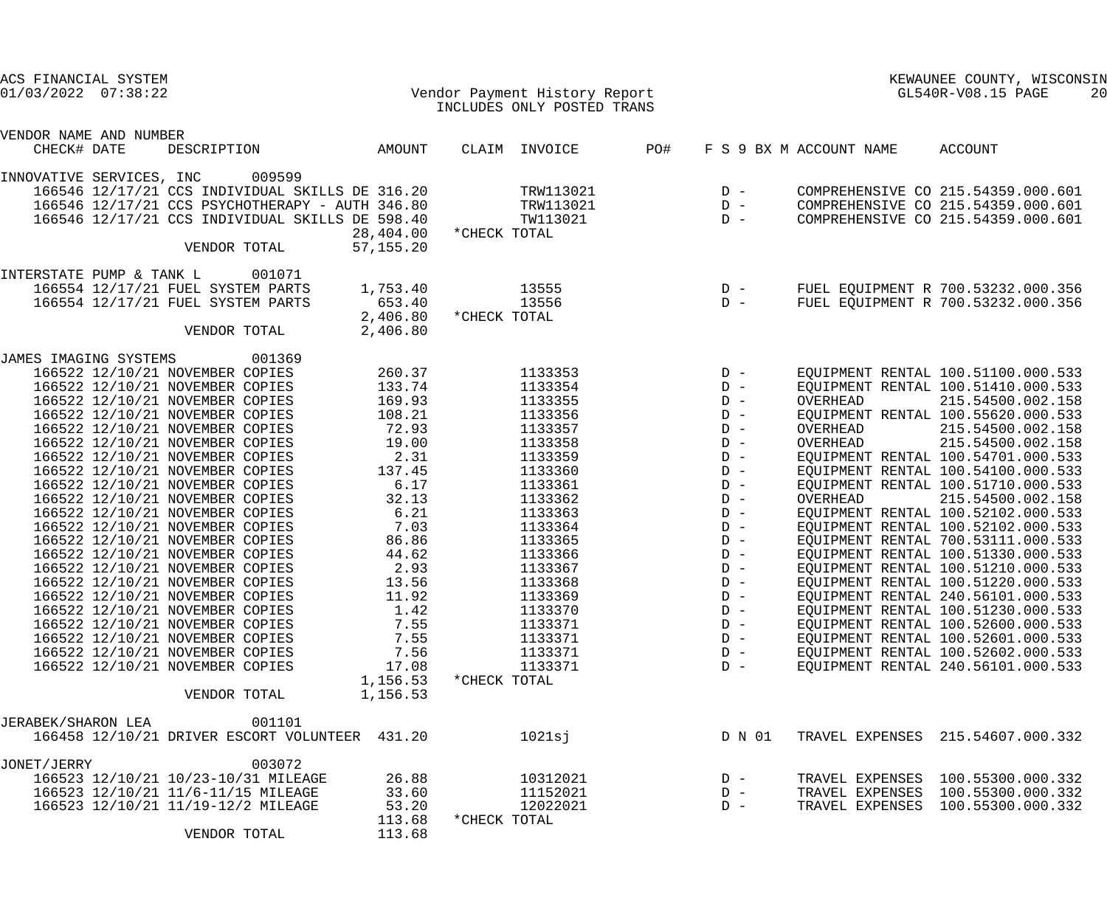| ACS FINANCIAL SYSTEM<br>$01/03/2022$ $07:38:22$ |                                                 |           |              | Vendor Payment History Report |     | KEWAUNEE COUNTY, WISCONSIN<br>GL540R-V08.15 PAGE<br>20 |                         |                                    |  |
|-------------------------------------------------|-------------------------------------------------|-----------|--------------|-------------------------------|-----|--------------------------------------------------------|-------------------------|------------------------------------|--|
|                                                 |                                                 |           |              | INCLUDES ONLY POSTED TRANS    |     |                                                        |                         |                                    |  |
| VENDOR NAME AND NUMBER                          |                                                 |           |              |                               |     |                                                        |                         |                                    |  |
| CHECK# DATE                                     | DESCRIPTION                                     | AMOUNT    |              | CLAIM INVOICE                 | PO# |                                                        | F S 9 BX M ACCOUNT NAME | ACCOUNT                            |  |
| INNOVATIVE SERVICES, INC                        | 009599                                          |           |              |                               |     |                                                        |                         |                                    |  |
|                                                 | 166546 12/17/21 CCS INDIVIDUAL SKILLS DE 316.20 |           |              | TRW113021                     |     | $D -$                                                  |                         | COMPREHENSIVE CO 215.54359.000.601 |  |
|                                                 | 166546 12/17/21 CCS PSYCHOTHERAPY - AUTH 346.80 |           |              | TRW113021                     |     | $D -$                                                  |                         | COMPREHENSIVE CO 215.54359.000.601 |  |
|                                                 | 166546 12/17/21 CCS INDIVIDUAL SKILLS DE 598.40 |           |              | TW113021                      |     | $D -$                                                  |                         | COMPREHENSIVE CO 215.54359.000.601 |  |
|                                                 |                                                 | 28,404.00 | *CHECK TOTAL |                               |     |                                                        |                         |                                    |  |
|                                                 | VENDOR TOTAL                                    | 57,155.20 |              |                               |     |                                                        |                         |                                    |  |
| INTERSTATE PUMP & TANK L                        | 001071                                          |           |              |                               |     |                                                        |                         |                                    |  |
|                                                 | 166554 12/17/21 FUEL SYSTEM PARTS               | 1,753.40  |              | 13555                         |     | $\begin{array}{cc} D & - \\ D & - \end{array}$         |                         | FUEL EQUIPMENT R 700.53232.000.356 |  |
|                                                 | 166554 12/17/21 FUEL SYSTEM PARTS               | 653.40    |              | 13556                         |     |                                                        |                         | FUEL EQUIPMENT R 700.53232.000.356 |  |
|                                                 |                                                 | 2,406.80  | *CHECK TOTAL |                               |     |                                                        |                         |                                    |  |
|                                                 | VENDOR TOTAL                                    | 2,406.80  |              |                               |     |                                                        |                         |                                    |  |
| JAMES IMAGING SYSTEMS                           | 001369                                          |           |              |                               |     |                                                        |                         |                                    |  |
|                                                 | 166522 12/10/21 NOVEMBER COPIES                 | 260.37    |              | 1133353                       |     | $D -$                                                  |                         | EQUIPMENT RENTAL 100.51100.000.533 |  |
|                                                 | 166522 12/10/21 NOVEMBER COPIES                 | 133.74    |              | 1133354                       |     | $D -$                                                  |                         | EQUIPMENT RENTAL 100.51410.000.533 |  |
|                                                 | 166522 12/10/21 NOVEMBER COPIES                 | 169.93    |              | 1133355                       |     | $D -$                                                  | OVERHEAD                | 215.54500.002.158                  |  |
|                                                 | 166522 12/10/21 NOVEMBER COPIES                 | 108.21    |              | 1133356                       |     | $D -$                                                  |                         | EQUIPMENT RENTAL 100.55620.000.533 |  |
|                                                 | 166522 12/10/21 NOVEMBER COPIES                 | 72.93     |              | 1133357                       |     | $D -$                                                  | OVERHEAD                | 215.54500.002.158                  |  |
|                                                 | 166522 12/10/21 NOVEMBER COPIES                 | 19.00     |              | 1133358                       |     | $D -$                                                  | OVERHEAD                | 215.54500.002.158                  |  |
|                                                 | 166522 12/10/21 NOVEMBER COPIES                 | 2.31      |              | 1133359                       |     | $D -$                                                  |                         | EQUIPMENT RENTAL 100.54701.000.533 |  |
|                                                 | 166522 12/10/21 NOVEMBER COPIES                 | 137.45    |              | 1133360                       |     | $D -$                                                  |                         | EQUIPMENT RENTAL 100.54100.000.533 |  |
|                                                 | 166522 12/10/21 NOVEMBER COPIES                 | 6.17      |              | 1133361                       |     | $D -$                                                  |                         | EQUIPMENT RENTAL 100.51710.000.533 |  |
|                                                 | 166522 12/10/21 NOVEMBER COPIES                 | 32.13     |              | 1133362                       |     | $D -$                                                  | OVERHEAD                | 215.54500.002.158                  |  |
|                                                 | 166522 12/10/21 NOVEMBER COPIES                 | 6.21      |              | 1133363                       |     | $D -$                                                  |                         | EQUIPMENT RENTAL 100.52102.000.533 |  |
|                                                 | 166522 12/10/21 NOVEMBER COPIES                 | 7.03      |              | 1133364                       |     | $D -$                                                  |                         | EQUIPMENT RENTAL 100.52102.000.533 |  |
|                                                 | 166522 12/10/21 NOVEMBER COPIES                 | 86.86     |              | 1133365                       |     | $D -$                                                  |                         | EQUIPMENT RENTAL 700.53111.000.533 |  |
|                                                 | 166522 12/10/21 NOVEMBER COPIES                 | 44.62     |              | 1133366                       |     | $D -$                                                  |                         | EQUIPMENT RENTAL 100.51330.000.533 |  |
|                                                 | 166522 12/10/21 NOVEMBER COPIES                 | 2.93      |              | 1133367                       |     | $D -$                                                  |                         | EQUIPMENT RENTAL 100.51210.000.533 |  |
|                                                 | 166522 12/10/21 NOVEMBER COPIES                 | 13.56     |              | 1133368                       |     | $D -$                                                  |                         | EQUIPMENT RENTAL 100.51220.000.533 |  |
|                                                 | 166522 12/10/21 NOVEMBER COPIES                 | 11.92     |              | 1133369                       |     | $D -$                                                  |                         | EQUIPMENT RENTAL 240.56101.000.533 |  |
|                                                 | 166522 12/10/21 NOVEMBER COPIES                 | 1.42      |              | 1133370                       |     | $D -$                                                  |                         | EQUIPMENT RENTAL 100.51230.000.533 |  |
|                                                 | 166522 12/10/21 NOVEMBER COPIES                 | 7.55      |              | 1133371                       |     | $D -$                                                  |                         | EQUIPMENT RENTAL 100.52600.000.533 |  |
|                                                 | 166522 12/10/21 NOVEMBER COPIES                 | 7.55      |              | 1133371                       |     | $D -$                                                  |                         | EQUIPMENT RENTAL 100.52601.000.533 |  |
|                                                 | 166522 12/10/21 NOVEMBER COPIES                 | 7.56      |              | 1133371                       |     | $D -$                                                  |                         | EQUIPMENT RENTAL 100.52602.000.533 |  |
|                                                 | 166522 12/10/21 NOVEMBER COPIES                 | 17.08     |              | 1133371                       |     | $D -$                                                  |                         | EQUIPMENT RENTAL 240.56101.000.533 |  |
|                                                 |                                                 | 1,156.53  | *CHECK TOTAL |                               |     |                                                        |                         |                                    |  |
|                                                 | VENDOR TOTAL                                    | 1,156.53  |              |                               |     |                                                        |                         |                                    |  |
| JERABEK/SHARON LEA                              | 001101                                          |           |              |                               |     |                                                        |                         |                                    |  |
|                                                 | 166458 12/10/21 DRIVER ESCORT VOLUNTEER 431.20  |           |              | 1021sj                        |     | D N 01                                                 |                         | TRAVEL EXPENSES 215.54607.000.332  |  |
| JONET/JERRY                                     | 003072                                          |           |              |                               |     |                                                        |                         |                                    |  |
|                                                 | 166523 12/10/21 10/23-10/31 MILEAGE             | 26.88     |              | 10312021                      |     | $D -$                                                  |                         | TRAVEL EXPENSES 100.55300.000.332  |  |
|                                                 | 166523 12/10/21 11/6-11/15 MILEAGE              | 33.60     |              | 11152021                      |     | $D -$                                                  |                         | TRAVEL EXPENSES 100.55300.000.332  |  |
|                                                 | 166523 12/10/21 11/19-12/2 MILEAGE              | 53.20     |              | 12022021                      |     | $D -$                                                  | TRAVEL EXPENSES         | 100.55300.000.332                  |  |
|                                                 |                                                 | 113.68    | *CHECK TOTAL |                               |     |                                                        |                         |                                    |  |
|                                                 | VENDOR TOTAL                                    | 113.68    |              |                               |     |                                                        |                         |                                    |  |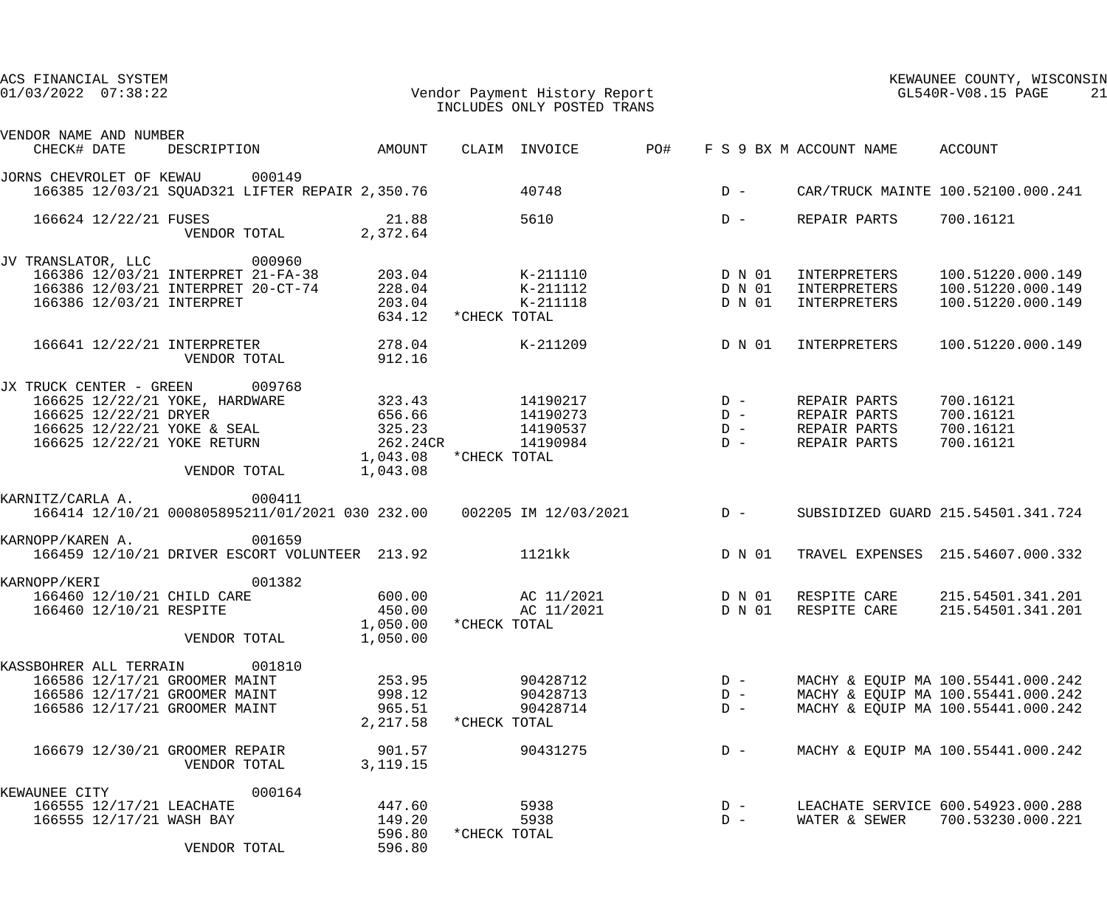| ACS FINANCIAL SYSTEM<br>$01/03/2022$ $07:38:22$                |                                                                                                                                                                                                         |                            | Vendor Payment History Report<br>INCLUDES ONLY POSTED TRANS |                                 |       |                                         |                                 | KEWAUNEE COUNTY, WISCONSIN<br>GL540R-V08.15 PAGE<br>21  |  |  |
|----------------------------------------------------------------|---------------------------------------------------------------------------------------------------------------------------------------------------------------------------------------------------------|----------------------------|-------------------------------------------------------------|---------------------------------|-------|-----------------------------------------|---------------------------------|---------------------------------------------------------|--|--|
| VENDOR NAME AND NUMBER                                         |                                                                                                                                                                                                         |                            |                                                             |                                 |       |                                         |                                 |                                                         |  |  |
| CHECK# DATE                                                    | DESCRIPTION AMOUNT                                                                                                                                                                                      |                            |                                                             | CLAIM INVOICE PO#               |       |                                         | F S 9 BX M ACCOUNT NAME ACCOUNT |                                                         |  |  |
| JORNS CHEVROLET OF KEWAU 000149                                | 166385 12/03/21 SQUAD321 LIFTER REPAIR 2,350.76                                                                                                                                                         |                            |                                                             | 40748                           |       |                                         |                                 | D - CAR/TRUCK MAINTE 100.52100.000.241                  |  |  |
| 166624 12/22/21 FUSES                                          | VENDOR TOTAL 2,372.64                                                                                                                                                                                   | 21.88                      |                                                             | 5610                            | $D -$ |                                         | REPAIR PARTS                    | 700.16121                                               |  |  |
| JV TRANSLATOR, LLC 000960                                      | 166386 12/03/21 INTERPRET 21-FA-38 203.04 K-211110 C D N 01                                                                                                                                             |                            |                                                             |                                 |       |                                         | INTERPRETERS                    | 100.51220.000.149                                       |  |  |
| 166386 12/03/21 INTERPRET                                      | 166386 12/03/21 INTERPRET 20-CT-74                                                                                                                                                                      | 228.04<br>203.04<br>634.12 | *CHECK TOTAL                                                | $K-211112$ D N 01<br>$K-211118$ |       | D N 01                                  | INTERPRETERS<br>INTERPRETERS    | 100.51220.000.149<br>100.51220.000.149                  |  |  |
|                                                                | 166641 12/22/21 INTERPRETER 278.04<br>VENDOR TOTAL                                                                                                                                                      | 912.16                     |                                                             | K-211209                        |       | D N 01                                  | INTERPRETERS                    | 100.51220.000.149                                       |  |  |
| JX TRUCK CENTER - GREEN 009768                                 |                                                                                                                                                                                                         |                            |                                                             |                                 |       |                                         |                                 |                                                         |  |  |
|                                                                |                                                                                                                                                                                                         |                            |                                                             |                                 |       |                                         | REPAIR PARTS                    | 700.16121                                               |  |  |
|                                                                |                                                                                                                                                                                                         |                            |                                                             |                                 |       |                                         | REPAIR PARTS                    | 700.16121                                               |  |  |
|                                                                | 166625 12/22/21 YOKE, HARDWARE 323.43 14190217 D -<br>166625 12/22/21 DRYER 656.66 14190273 D -<br>166625 12/22/21 YOKE & SEAL 325.23 14190537 D -<br>166625 12/22/21 YOKE RETURN 262.24CR 14190984 D - |                            |                                                             |                                 |       | $\begin{array}{c}\nD \\ D\n\end{array}$ | REPAIR PARTS<br>REPAIR PARTS    | 700.16121<br>700.16121                                  |  |  |
|                                                                | VENDOR TOTAL 1,043.08                                                                                                                                                                                   | 1,043.08 *CHECK TOTAL      |                                                             |                                 |       |                                         |                                 |                                                         |  |  |
| KARNITZ/CARLA A.                                               | 000411<br>166414 12/10/21 000805895211/01/2021 030 232.00  002205 IM 12/03/2021  D-                                                                                                                     |                            |                                                             |                                 |       |                                         |                                 | SUBSIDIZED GUARD 215.54501.341.724                      |  |  |
| KARNOPP/KAREN A.                                               | 001659<br>166459 12/10/21 DRIVER ESCORT VOLUNTEER 213.92                                                                                                                                                |                            |                                                             | 1121kk                          |       | D N 01                                  |                                 | TRAVEL EXPENSES 215.54607.000.332                       |  |  |
| KARNOPP/KERI                                                   | 001382                                                                                                                                                                                                  |                            |                                                             |                                 |       |                                         |                                 |                                                         |  |  |
| 166460 12/10/21 CHILD CARE                                     |                                                                                                                                                                                                         | 600.00                     |                                                             | AC 11/2021                      |       |                                         |                                 | D N 01 RESPITE CARE 215.54501.341.201                   |  |  |
| 166460 12/10/21 RESPITE                                        |                                                                                                                                                                                                         | 450.00<br>1,050.00         | *CHECK TOTAL                                                | AC 11/2021                      |       | D N 01                                  | RESPITE CARE                    | 215.54501.341.201                                       |  |  |
|                                                                | VENDOR TOTAL                                                                                                                                                                                            | 1,050.00                   |                                                             |                                 |       |                                         |                                 |                                                         |  |  |
| KASSBOHRER ALL TERRAIN                                         | 001810                                                                                                                                                                                                  |                            |                                                             |                                 |       |                                         |                                 |                                                         |  |  |
| 166586 12/17/21 GROOMER MAINT                                  |                                                                                                                                                                                                         | 253.95                     |                                                             | 90428712                        |       | $D -$                                   |                                 | MACHY & EQUIP MA 100.55441.000.242                      |  |  |
| 166586 12/17/21 GROOMER MAINT<br>166586 12/17/21 GROOMER MAINT |                                                                                                                                                                                                         | 998.12                     |                                                             | 90428713                        |       | $D -$                                   |                                 | MACHY & EQUIP MA 100.55441.000.242                      |  |  |
|                                                                |                                                                                                                                                                                                         | 965.51<br>2,217.58         | *CHECK TOTAL                                                | 90428714                        |       | $D -$                                   |                                 | MACHY & EQUIP MA 100.55441.000.242                      |  |  |
| 166679 12/30/21 GROOMER REPAIR                                 | VENDOR TOTAL                                                                                                                                                                                            | 901.57<br>3, 119. 15       |                                                             | 90431275                        |       | $D -$                                   |                                 | MACHY & EQUIP MA 100.55441.000.242                      |  |  |
| KEWAUNEE CITY                                                  | 000164                                                                                                                                                                                                  |                            |                                                             |                                 |       |                                         |                                 |                                                         |  |  |
| 166555 12/17/21 LEACHATE<br>166555 12/17/21 WASH BAY           |                                                                                                                                                                                                         | 447.60<br>149.20           |                                                             | 5938<br>5938                    |       | $D -$<br>$D -$                          | WATER & SEWER                   | LEACHATE SERVICE 600.54923.000.288<br>700.53230.000.221 |  |  |
|                                                                | VENDOR TOTAL                                                                                                                                                                                            | 596.80<br>596.80           | *CHECK TOTAL                                                |                                 |       |                                         |                                 |                                                         |  |  |
|                                                                |                                                                                                                                                                                                         |                            |                                                             |                                 |       |                                         |                                 |                                                         |  |  |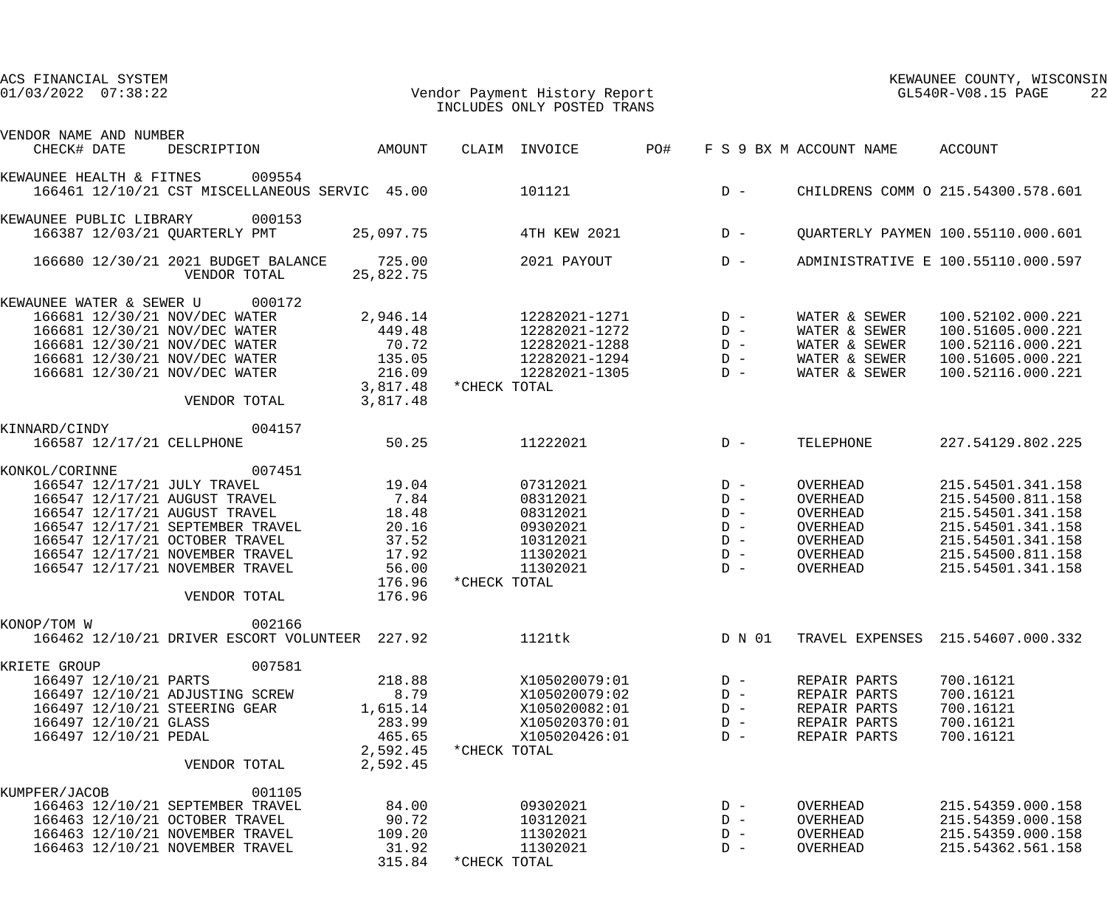| ACS FINANCIAL SYSTEM<br>$01/03/2022$ $07:38:22$ |                                                     |                                |              | Vendor Payment History Report<br>INCLUDES ONLY POSTED TRANS |       | KEWAUNEE COUNTY, WISCONSIN<br>GL540R-V08.15 PAGE<br>22 |                                 |                                           |  |
|-------------------------------------------------|-----------------------------------------------------|--------------------------------|--------------|-------------------------------------------------------------|-------|--------------------------------------------------------|---------------------------------|-------------------------------------------|--|
| VENDOR NAME AND NUMBER                          |                                                     |                                |              |                                                             |       |                                                        |                                 |                                           |  |
| CHECK# DATE                                     | DESCRIPTION AMOUNT                                  |                                |              | CLAIM INVOICE<br>PO#                                        |       |                                                        | F S 9 BX M ACCOUNT NAME ACCOUNT |                                           |  |
| KEWAUNEE HEALTH & FITNES                        | 009554                                              |                                |              |                                                             |       |                                                        |                                 |                                           |  |
|                                                 | 166461 12/10/21 CST MISCELLANEOUS SERVIC 45.00      |                                |              | 101121                                                      |       | $D -$                                                  |                                 | CHILDRENS COMM O 215.54300.578.601        |  |
| KEWAUNEE PUBLIC LIBRARY 000153                  |                                                     |                                |              |                                                             |       |                                                        |                                 |                                           |  |
| 166387 12/03/21 QUARTERLY PMT                   |                                                     | 25,097.75                      |              | 4TH KEW 2021                                                |       | $D -$                                                  |                                 | <b>OUARTERLY PAYMEN 100.55110.000.601</b> |  |
|                                                 | 166680 12/30/21 2021 BUDGET BALANCE<br>VENDOR TOTAL | 725.00<br>25,822.75            |              | 2021 PAYOUT                                                 |       | $D -$                                                  |                                 | ADMINISTRATIVE E 100.55110.000.597        |  |
| KEWAUNEE WATER & SEWER U 000172                 |                                                     |                                |              |                                                             |       |                                                        |                                 |                                           |  |
| 166681 12/30/21 NOV/DEC WATER                   |                                                     | 2,946.14                       |              | 12282021-1271                                               | $D -$ |                                                        | WATER & SEWER                   | 100.52102.000.221                         |  |
|                                                 | 166681 12/30/21 NOV/DEC WATER                       | 449.48                         |              | 12282021-1272                                               |       | $D -$                                                  | WATER & SEWER                   | 100.51605.000.221                         |  |
|                                                 | 166681 12/30/21 NOV/DEC WATER                       | 70.72                          |              | 12282021-1288                                               |       | $D -$                                                  | WATER & SEWER                   | 100.52116.000.221                         |  |
| 166681 12/30/21 NOV/DEC WATER                   |                                                     | 135.05                         |              | 12282021-1294                                               |       | $D -$                                                  | WATER & SEWER                   | 100.51605.000.221                         |  |
| 166681 12/30/21 NOV/DEC WATER                   | VENDOR TOTAL                                        | 216.09<br>3,817.48<br>3,817.48 | *CHECK TOTAL | 12282021-1305                                               |       | $D -$                                                  | WATER & SEWER                   | 100.52116.000.221                         |  |
| KINNARD/CINDY                                   | 004157                                              |                                |              |                                                             |       |                                                        |                                 |                                           |  |
| 166587 12/17/21 CELLPHONE                       |                                                     | 50.25                          |              | 11222021                                                    |       | $D -$                                                  | TELEPHONE                       | 227.54129.802.225                         |  |
| KONKOL/CORINNE                                  | 007451                                              |                                |              |                                                             |       |                                                        |                                 |                                           |  |
| 166547 12/17/21 JULY TRAVEL                     |                                                     | 19.04                          |              | 07312021                                                    |       | $D -$                                                  | OVERHEAD                        | 215.54501.341.158                         |  |
|                                                 | 166547 12/17/21 AUGUST TRAVEL                       | 7.84                           |              | 08312021                                                    |       | $D -$                                                  | OVERHEAD                        | 215.54500.811.158                         |  |
| 166547 12/17/21 AUGUST TRAVEL                   |                                                     | 18.48                          |              | 08312021                                                    |       | $D -$                                                  | OVERHEAD                        | 215.54501.341.158                         |  |
|                                                 | 166547 12/17/21 SEPTEMBER TRAVEL                    | 20.16                          |              | 09302021                                                    |       | $D -$                                                  | OVERHEAD                        | 215.54501.341.158                         |  |
| 166547 12/17/21 OCTOBER TRAVEL                  |                                                     | 37.52                          |              | 10312021                                                    |       | $D -$                                                  | OVERHEAD                        | 215.54501.341.158                         |  |
| 166547 12/17/21 NOVEMBER TRAVEL                 |                                                     | 17.92                          |              | 11302021                                                    |       | $D -$                                                  | OVERHEAD                        | 215.54500.811.158                         |  |
|                                                 |                                                     |                                |              | 11302021                                                    |       |                                                        |                                 |                                           |  |
| 166547 12/17/21 NOVEMBER TRAVEL                 |                                                     | 56.00                          |              |                                                             |       | $D -$                                                  | OVERHEAD                        | 215.54501.341.158                         |  |
|                                                 | VENDOR TOTAL                                        | 176.96<br>176.96               | *CHECK TOTAL |                                                             |       |                                                        |                                 |                                           |  |
|                                                 |                                                     |                                |              |                                                             |       |                                                        |                                 |                                           |  |
| KONOP/TOM W                                     | 002166                                              |                                |              |                                                             |       |                                                        |                                 |                                           |  |
|                                                 | 166462 12/10/21 DRIVER ESCORT VOLUNTEER 227.92      |                                |              | 1121tk                                                      |       | D N 01                                                 |                                 | TRAVEL EXPENSES 215.54607.000.332         |  |
| KRIETE GROUP                                    | 007581                                              |                                |              |                                                             |       |                                                        |                                 |                                           |  |
| 166497 12/10/21 PARTS                           |                                                     | 218.88                         |              | X105020079:01                                               |       | $D -$                                                  | REPAIR PARTS                    | 700.16121                                 |  |
| 166497 12/10/21 ADJUSTING SCREW                 |                                                     | 8.79                           |              | X105020079:02                                               |       | $D -$                                                  | REPAIR PARTS                    | 700.16121                                 |  |
| 166497 12/10/21 STEERING GEAR                   |                                                     | 1,615.14                       |              | X105020082:01                                               |       | $D -$                                                  | REPAIR PARTS                    | 700.16121                                 |  |
| 166497 12/10/21 GLASS                           |                                                     | 283.99                         |              | X105020370:01                                               |       | $D -$                                                  | REPAIR PARTS                    | 700.16121                                 |  |
| 166497 12/10/21 PEDAL                           |                                                     | 465.65                         |              | X105020426:01                                               |       | $D -$                                                  | REPAIR PARTS                    | 700.16121                                 |  |
|                                                 | VENDOR TOTAL                                        | 2,592.45<br>2,592.45           | *CHECK TOTAL |                                                             |       |                                                        |                                 |                                           |  |
| KUMPFER/JACOB                                   | 001105                                              |                                |              |                                                             |       |                                                        |                                 |                                           |  |
|                                                 | 166463 12/10/21 SEPTEMBER TRAVEL                    | 84.00                          |              | 09302021                                                    |       | $D -$                                                  | OVERHEAD                        | 215.54359.000.158                         |  |
| 166463 12/10/21 OCTOBER TRAVEL                  |                                                     | 90.72                          |              | 10312021                                                    |       | $D -$                                                  | OVERHEAD                        | 215.54359.000.158                         |  |
| 166463 12/10/21 NOVEMBER TRAVEL                 |                                                     | 109.20                         |              | 11302021                                                    |       | $D -$                                                  | OVERHEAD                        | 215.54359.000.158                         |  |
| 166463 12/10/21 NOVEMBER TRAVEL                 |                                                     | 31.92                          |              | 11302021                                                    |       | $D -$                                                  | OVERHEAD                        | 215.54362.561.158                         |  |
|                                                 |                                                     | 315.84                         | *CHECK TOTAL |                                                             |       |                                                        |                                 |                                           |  |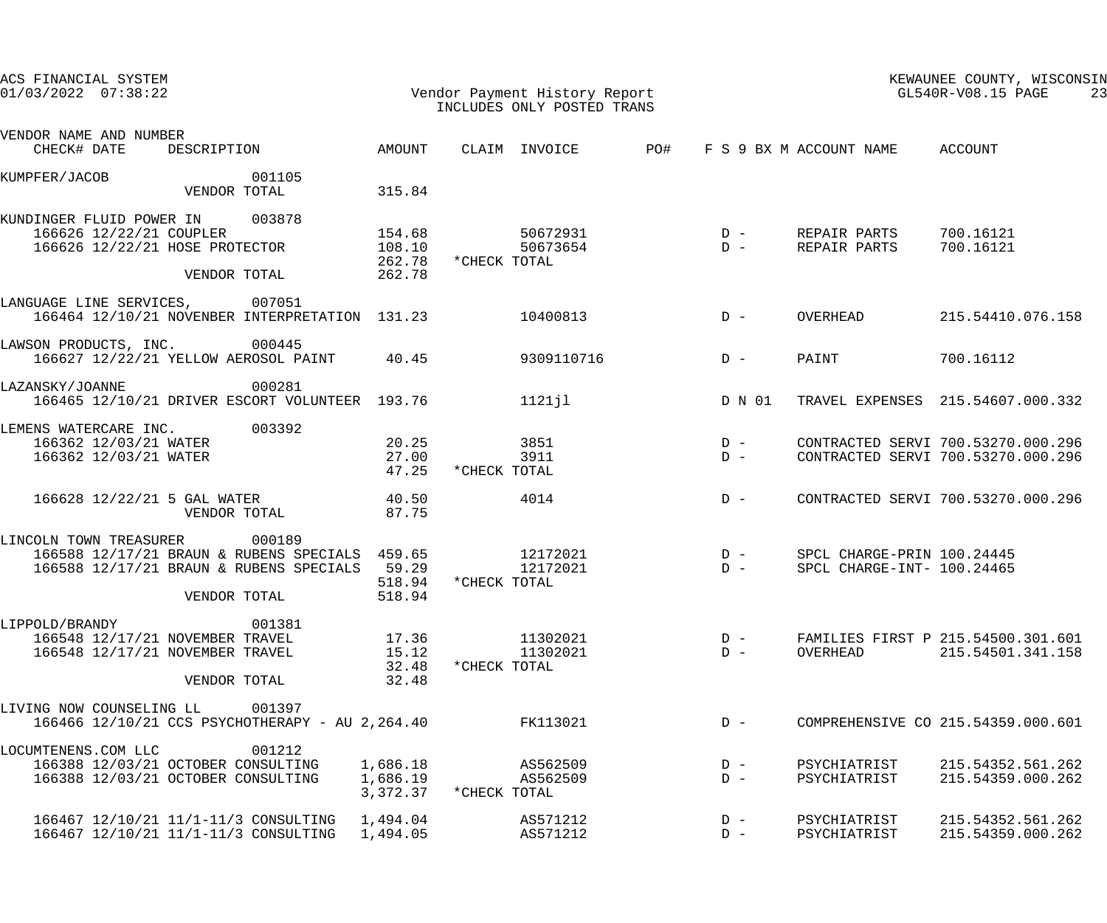| ACS FINANCIAL SYSTEM<br>$01/03/2022$ $07:38:22$                                                                                               |                                  | Vendor Payment History Report<br>INCLUDES ONLY POSTED TRANS |                                         |                                                          | KEWAUNEE COUNTY, WISCONSIN<br>GL540R-V08.15 PAGE<br>23                   |
|-----------------------------------------------------------------------------------------------------------------------------------------------|----------------------------------|-------------------------------------------------------------|-----------------------------------------|----------------------------------------------------------|--------------------------------------------------------------------------|
| VENDOR NAME AND NUMBER<br>DESCRIPTION AMOUNT<br>CHECK# DATE                                                                                   |                                  | CLAIM INVOICE                                               | PO# F S 9 BX M ACCOUNT NAME ACCOUNT     |                                                          |                                                                          |
| 001105<br>KUMPFER/JACOB<br>VENDOR TOTAL                                                                                                       | 315.84                           |                                                             |                                         |                                                          |                                                                          |
| 003878<br>KUNDINGER FLUID POWER IN<br>166626 12/22/21 COUPLER<br>166626 12/22/21 HOSE PROTECTOR<br>VENDOR TOTAL<br>262.78                     | 154.68<br>108.10<br>262.78       | $50672931$ D –<br>50673654<br>*CHECK TOTAL                  | $D -$                                   | REPAIR PARTS<br>REPAIR PARTS                             | 700.16121<br>700.16121                                                   |
| LANGUAGE LINE SERVICES, 007051<br>166464 12/10/21 NOVENBER INTERPRETATION 131.23                                                              |                                  | 10400813                                                    | $D -$                                   | OVERHEAD                                                 | 215.54410.076.158                                                        |
| LAWSON PRODUCTS, INC. 000445<br>166627 12/22/21 YELLOW AEROSOL PAINT                                                                          | 40.45                            | 9309110716                                                  | $D -$                                   | PAINT                                                    | 700.16112                                                                |
| 000281<br>LAZANSKY/JOANNE<br>166465 12/10/21 DRIVER ESCORT VOLUNTEER 193.76                                                                   |                                  | 1121j1                                                      | D N 01                                  |                                                          | TRAVEL EXPENSES 215.54607.000.332                                        |
| 003392<br>LEMENS WATERCARE INC.<br>166362 12/03/21 WATER<br>166362 12/03/21 WATER                                                             | 20.25<br>27.00<br>47.25          | *CHECK TOTAL                                                | $3851$ D – $D -$<br>3911 D –            |                                                          | CONTRACTED SERVI 700.53270.000.296<br>CONTRACTED SERVI 700.53270.000.296 |
| 166628 12/22/21 5 GAL WATER 40.50<br>VENDOR TOTAL                                                                                             | 87.75                            | 4014                                                        | $D -$                                   |                                                          | CONTRACTED SERVI 700.53270.000.296                                       |
| 000189<br>LINCOLN TOWN TREASURER<br>166588 12/17/21 BRAUN & RUBENS SPECIALS 459.65<br>166588 12/17/21 BRAUN & RUBENS SPECIALS<br>VENDOR TOTAL | 59.29<br>518.94<br>518.94        | 12172021<br>12172021<br>*CHECK TOTAL                        | $\begin{array}{c}\nD \\ D\n\end{array}$ | SPCL CHARGE-PRIN 100.24445<br>SPCL CHARGE-INT- 100.24465 |                                                                          |
| 001381<br>LIPPOLD/BRANDY<br>166548 12/17/21 NOVEMBER TRAVEL<br>166548 12/17/21 NOVEMBER TRAVEL<br>VENDOR TOTAL                                | 17.36<br>15.12<br>32.48<br>32.48 | 11302021<br>11302021<br>*CHECK TOTAL                        | $D -$<br>$D -$                          | OVERHEAD                                                 | FAMILIES FIRST P 215.54500.301.601<br>215.54501.341.158                  |
| 001397<br>LIVING NOW COUNSELING LL<br>166466 12/10/21 CCS PSYCHOTHERAPY - AU 2,264.40                                                         |                                  | FK113021                                                    | $D -$                                   |                                                          | COMPREHENSIVE CO 215.54359.000.601                                       |
| 001212<br>LOCUMTENENS.COM LLC<br>166388 12/03/21 OCTOBER CONSULTING<br>166388 12/03/21 OCTOBER CONSULTING                                     | 1,686.18<br>1,686.19<br>3,372.37 | AS562509<br>AS562509<br>*CHECK TOTAL                        | $D -$<br>$D -$                          | PSYCHIATRIST<br>PSYCHIATRIST                             | 215.54352.561.262<br>215.54359.000.262                                   |
| 166467 12/10/21 11/1-11/3 CONSULTING<br>166467 12/10/21 11/1-11/3 CONSULTING                                                                  | 1,494.04<br>1,494.05             | AS571212<br>AS571212                                        | $D -$<br>$D -$                          | PSYCHIATRIST<br>PSYCHIATRIST                             | 215.54352.561.262<br>215.54359.000.262                                   |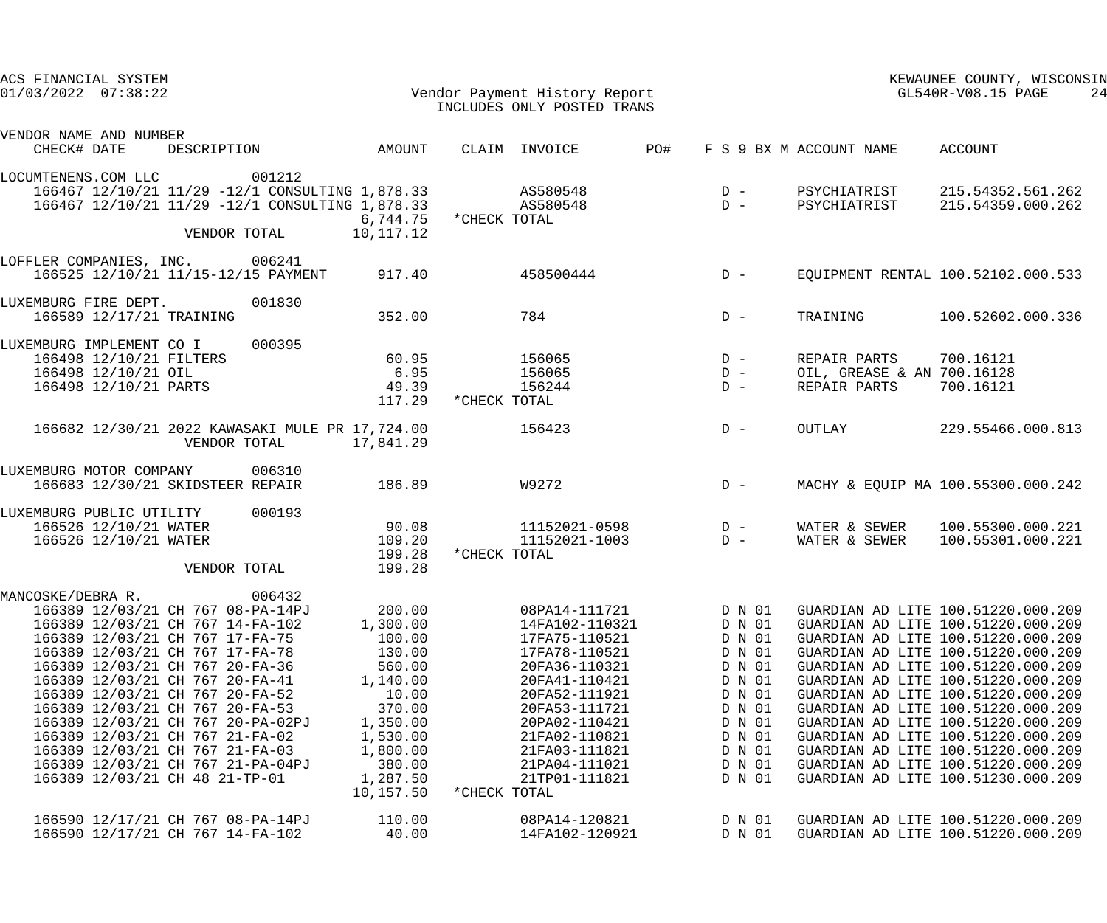| ACS FINANCIAL SYSTEM<br>Vendor Payment History Report<br>$01/03/2022$ $07:38:22$                                                                                                                                                                                                                                                                                                                                                                                                                                      |                                                                                                                                           | INCLUDES ONLY POSTED TRANS                                                                                                                                                                                                                 |                                                                                                                                |                                                            | KEWAUNEE COUNTY, WISCONSIN<br>GL540R-V08.15 PAGE<br>24                                                                                                                                                                                                                                                                                                                                                                                                                                                     |
|-----------------------------------------------------------------------------------------------------------------------------------------------------------------------------------------------------------------------------------------------------------------------------------------------------------------------------------------------------------------------------------------------------------------------------------------------------------------------------------------------------------------------|-------------------------------------------------------------------------------------------------------------------------------------------|--------------------------------------------------------------------------------------------------------------------------------------------------------------------------------------------------------------------------------------------|--------------------------------------------------------------------------------------------------------------------------------|------------------------------------------------------------|------------------------------------------------------------------------------------------------------------------------------------------------------------------------------------------------------------------------------------------------------------------------------------------------------------------------------------------------------------------------------------------------------------------------------------------------------------------------------------------------------------|
| VENDOR NAME AND NUMBER<br>DESCRIPTION AMOUNT<br>CHECK# DATE                                                                                                                                                                                                                                                                                                                                                                                                                                                           |                                                                                                                                           | CLAIM INVOICE PO#                                                                                                                                                                                                                          |                                                                                                                                | F S 9 BX M ACCOUNT NAME ACCOUNT                            |                                                                                                                                                                                                                                                                                                                                                                                                                                                                                                            |
| 001212<br>LOCUMTENENS.COM LLC<br>166467 12/10/21 11/29 -12/1 CONSULTING 1,878.33 AS580548<br>166467 12/10/21 11/29 -12/1 CONSULTING 1,878.33 AS580548<br>VENDOR TOTAL                                                                                                                                                                                                                                                                                                                                                 | 6,744.75 *CHECK TOTAL<br>10,117.12                                                                                                        |                                                                                                                                                                                                                                            | $D -$<br>$D -$                                                                                                                 | PSYCHIATRIST                                               | PSYCHIATRIST 215.54352.561.262<br>215.54359.000.262                                                                                                                                                                                                                                                                                                                                                                                                                                                        |
| LOFFLER COMPANIES, INC. 006241<br>166525 12/10/21 11/15-12/15 PAYMENT 917.40                                                                                                                                                                                                                                                                                                                                                                                                                                          |                                                                                                                                           | 458500444                                                                                                                                                                                                                                  | $D -$                                                                                                                          |                                                            | EQUIPMENT RENTAL 100.52102.000.533                                                                                                                                                                                                                                                                                                                                                                                                                                                                         |
| 001830<br>LUXEMBURG FIRE DEPT.<br>166589 12/17/21 TRAINING                                                                                                                                                                                                                                                                                                                                                                                                                                                            | 352.00                                                                                                                                    | 784                                                                                                                                                                                                                                        | $D -$                                                                                                                          | TRAINING                                                   | 100.52602.000.336                                                                                                                                                                                                                                                                                                                                                                                                                                                                                          |
| 000395<br>LUXEMBURG IMPLEMENT CO I<br>166498 12/10/21 FILTERS<br>166498 12/10/21 OIL<br>166498 12/10/21 PARTS<br>49.39                                                                                                                                                                                                                                                                                                                                                                                                | 60.95<br>6.95<br>117.29 *CHECK TOTAL                                                                                                      | 156065<br>156065<br>156244                                                                                                                                                                                                                 | $D -$<br>$D -$<br>$D -$                                                                                                        | REPAIR PARTS<br>OIL, GREASE & AN 700.16128<br>REPAIR PARTS | 700.16121<br>700.16121                                                                                                                                                                                                                                                                                                                                                                                                                                                                                     |
| 166682 12/30/21 2022 KAWASAKI MULE PR 17,724.00<br>VENDOR TOTAL<br>17,841.29                                                                                                                                                                                                                                                                                                                                                                                                                                          |                                                                                                                                           | 156423                                                                                                                                                                                                                                     | $D -$                                                                                                                          | OUTLAY                                                     | 229.55466.000.813                                                                                                                                                                                                                                                                                                                                                                                                                                                                                          |
| LUXEMBURG MOTOR COMPANY<br>006310<br>186.89<br>166683 12/30/21 SKIDSTEER REPAIR                                                                                                                                                                                                                                                                                                                                                                                                                                       |                                                                                                                                           | W9272                                                                                                                                                                                                                                      | $D -$                                                                                                                          |                                                            | MACHY & EQUIP MA 100.55300.000.242                                                                                                                                                                                                                                                                                                                                                                                                                                                                         |
| LUXEMBURG PUBLIC UTILITY 000193<br>166526 12/10/21 WATER<br>109.20<br>166526 12/10/21 WATER<br>VENDOR TOTAL                                                                                                                                                                                                                                                                                                                                                                                                           | 90.08<br>199.28<br>199.28                                                                                                                 | $11152021 - 0598$ D -<br>11152021-1003<br>*CHECK TOTAL                                                                                                                                                                                     | $D -$                                                                                                                          | WATER & SEWER                                              | WATER & SEWER 100.55300.000.221<br>100.55301.000.221                                                                                                                                                                                                                                                                                                                                                                                                                                                       |
| MANCOSKE/DEBRA R.<br>006432<br>166389 12/03/21 CH 767 08-PA-14PJ<br>166389 12/03/21 CH 767 14-FA-102<br>166389 12/03/21 CH 767 17-FA-75<br>166389 12/03/21 CH 767 17-FA-78<br>166389 12/03/21 CH 767 20-FA-36<br>166389 12/03/21 CH 767 20-FA-41<br>166389 12/03/21 CH 767 20-FA-52<br>166389 12/03/21 CH 767 20-FA-53<br>166389 12/03/21 CH 767 20-PA-02PJ<br>166389 12/03/21 CH 767 21-FA-02<br>166389 12/03/21 CH 767 21-FA-03<br>166389 12/03/21 CH 767 21-PA-04PJ<br>166389 12/03/21 CH 48 21-TP-01<br>10,157.50 | 200.00<br>1,300.00<br>100.00<br>130.00<br>560.00<br>1,140.00<br>10.00<br>370.00<br>1,350.00<br>1,530.00<br>1,800.00<br>380.00<br>1,287.50 | 08PA14-111721<br>14FA102-110321<br>17FA75-110521<br>17FA78-110521<br>20FA36-110321<br>20FA41-110421<br>20FA52-111921<br>20FA53-111721<br>20PA02-110421<br>21FA02-110821<br>21FA03-111821<br>21PA04-111021<br>21TP01-111821<br>*CHECK TOTAL | D N 01<br>D N 01<br>D N 01<br>D N 01<br>D N 01<br>D N 01<br>D N 01<br>D N 01<br>D N 01<br>D N 01<br>D N 01<br>D N 01<br>D N 01 |                                                            | GUARDIAN AD LITE 100.51220.000.209<br>GUARDIAN AD LITE 100.51220.000.209<br>GUARDIAN AD LITE 100.51220.000.209<br>GUARDIAN AD LITE 100.51220.000.209<br>GUARDIAN AD LITE 100.51220.000.209<br>GUARDIAN AD LITE 100.51220.000.209<br>GUARDIAN AD LITE 100.51220.000.209<br>GUARDIAN AD LITE 100.51220.000.209<br>GUARDIAN AD LITE 100.51220.000.209<br>GUARDIAN AD LITE 100.51220.000.209<br>GUARDIAN AD LITE 100.51220.000.209<br>GUARDIAN AD LITE 100.51220.000.209<br>GUARDIAN AD LITE 100.51230.000.209 |
| 166590 12/17/21 CH 767 08-PA-14PJ<br>166590 12/17/21 CH 767 14-FA-102                                                                                                                                                                                                                                                                                                                                                                                                                                                 | 110.00<br>40.00                                                                                                                           | 08PA14-120821<br>14FA102-120921                                                                                                                                                                                                            | D N 01<br>D N 01                                                                                                               |                                                            | GUARDIAN AD LITE 100.51220.000.209<br>GUARDIAN AD LITE 100.51220.000.209                                                                                                                                                                                                                                                                                                                                                                                                                                   |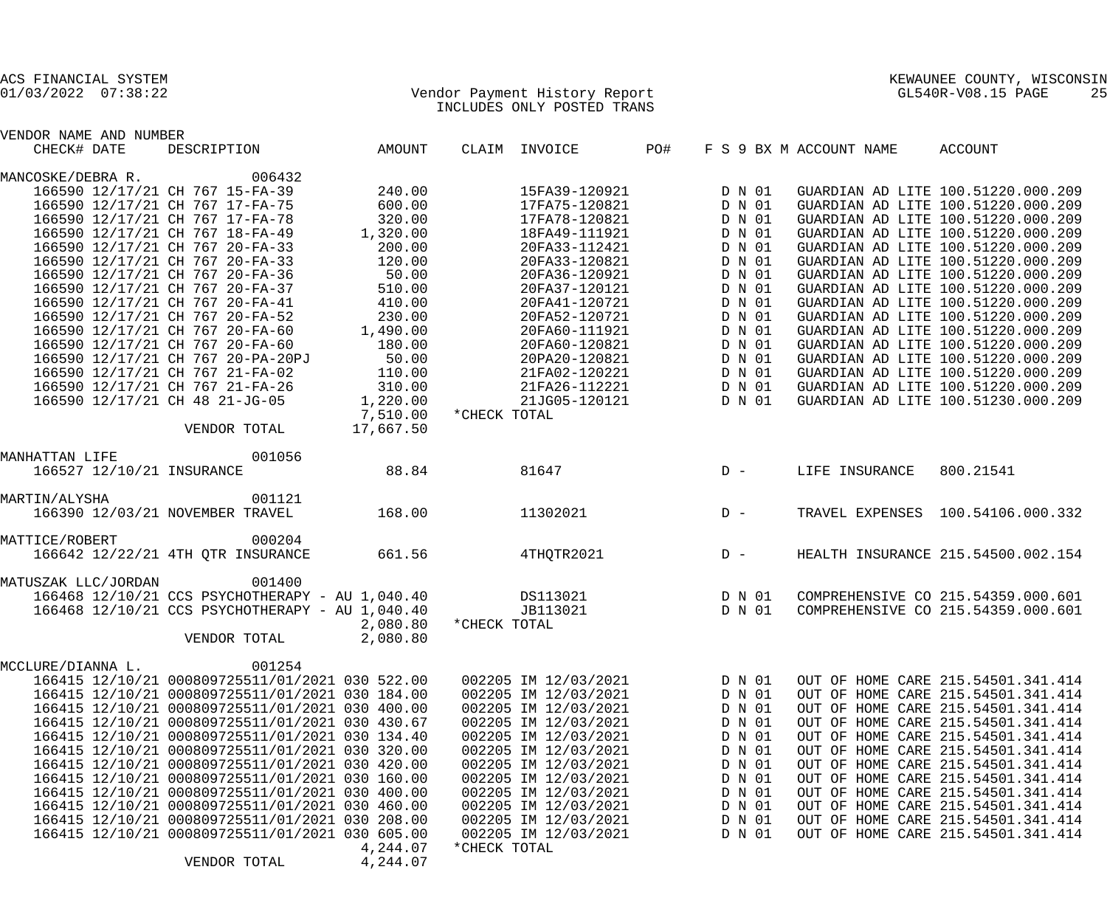| VENDOR NAME AND NUMBER         |                                                 |           |              |                                        |            |        |                                 |                                        |
|--------------------------------|-------------------------------------------------|-----------|--------------|----------------------------------------|------------|--------|---------------------------------|----------------------------------------|
| CHECK# DATE                    | DESCRIPTION AMOUNT                              |           |              | CLAIM INVOICE PO#                      |            |        | F S 9 BX M ACCOUNT NAME ACCOUNT |                                        |
| MANCOSKE/DEBRA R. 006432       |                                                 |           |              |                                        |            |        |                                 |                                        |
|                                | 166590 12/17/21 CH 767 15-FA-39                 | 240.00    |              | 15FA39-120921                          |            | D N 01 |                                 | GUARDIAN AD LITE 100.51220.000.209     |
|                                | 166590 12/17/21 CH 767 17-FA-75                 | 600.00    |              | 17FA75-120821                          |            | D N 01 |                                 | GUARDIAN AD LITE 100.51220.000.209     |
|                                | 166590 12/17/21 CH 767 17-FA-78                 | 320.00    |              | 17FA78-120821                          |            | D N 01 |                                 | GUARDIAN AD LITE 100.51220.000.209     |
|                                | 166590 12/17/21 CH 767 18-FA-49                 | 1,320.00  |              | 18FA49-111921                          |            | D N 01 |                                 | GUARDIAN AD LITE 100.51220.000.209     |
|                                | 166590 12/17/21 CH 767 20-FA-33                 | 200.00    |              | 20FA33-112421                          |            | D N 01 |                                 | GUARDIAN AD LITE 100.51220.000.209     |
|                                |                                                 |           |              |                                        |            |        |                                 |                                        |
|                                | 166590 12/17/21 CH 767 20-FA-33                 | 120.00    |              | 20FA33-120821                          |            | D N 01 |                                 | GUARDIAN AD LITE 100.51220.000.209     |
|                                | 166590 12/17/21 CH 767 20-FA-36                 | 50.00     |              | 20FA36-120921                          |            | D N 01 |                                 | GUARDIAN AD LITE 100.51220.000.209     |
|                                | 166590 12/17/21 CH 767 20-FA-37                 | 510.00    |              | 20FA37-120121                          |            | D N 01 |                                 | GUARDIAN AD LITE 100.51220.000.209     |
|                                | 166590 12/17/21 CH 767 20-FA-41                 | 410.00    |              | 20FA41-120721                          |            | D N 01 |                                 | GUARDIAN AD LITE 100.51220.000.209     |
|                                | 166590 12/17/21 CH 767 20-FA-52                 | 230.00    |              | 20FA52-120721                          |            | D N 01 |                                 | GUARDIAN AD LITE 100.51220.000.209     |
|                                | 166590 12/17/21 CH 767 20-FA-60                 | 1,490.00  |              | 20FA60-111921                          |            | D N 01 |                                 | GUARDIAN AD LITE 100.51220.000.209     |
|                                | 166590 12/17/21 CH 767 20-FA-60                 | 180.00    |              | 20FA60-120821                          |            | D N 01 |                                 | GUARDIAN AD LITE 100.51220.000.209     |
|                                | 166590 12/17/21 CH 767 20-PA-20PJ               | 50.00     |              | 20PA20-120821                          |            | D N 01 |                                 | GUARDIAN AD LITE 100.51220.000.209     |
|                                | 166590 12/17/21 CH 767 21-FA-02                 | 110.00    |              | 21FA02-120221                          |            | D N 01 |                                 | GUARDIAN AD LITE 100.51220.000.209     |
|                                | 166590 12/17/21 CH 767 21-FA-26                 | 310.00    |              | 21FA26-112221                          |            | D N 01 |                                 | GUARDIAN AD LITE 100.51220.000.209     |
| 166590 12/17/21 CH 48 21-JG-05 |                                                 | 1,220.00  |              | $217420$ $112221$<br>$217605 - 120121$ |            | D N 01 |                                 | GUARDIAN AD LITE 100.51230.000.209     |
|                                |                                                 | 7,510.00  | *CHECK TOTAL |                                        |            |        |                                 |                                        |
|                                | VENDOR TOTAL                                    | 17,667.50 |              |                                        |            |        |                                 |                                        |
|                                |                                                 |           |              |                                        |            |        |                                 |                                        |
| MANHATTAN LIFE                 | 001056                                          |           |              |                                        |            |        |                                 |                                        |
|                                | 166527 12/10/21 INSURANCE                       | 88.84     |              | 81647                                  | $D -$      |        | LIFE INSURANCE 800.21541        |                                        |
|                                |                                                 |           |              |                                        |            |        |                                 |                                        |
| MARTIN/ALYSHA                  | 001121                                          |           |              |                                        |            |        |                                 |                                        |
|                                | 166390 12/03/21 NOVEMBER TRAVEL                 | 168.00    |              | 11302021                               | $D -$      |        |                                 | TRAVEL EXPENSES 100.54106.000.332      |
|                                |                                                 |           |              |                                        |            |        |                                 |                                        |
| MATTICE/ROBERT                 | 000204                                          | 661.56    |              |                                        |            |        |                                 | D - HEALTH INSURANCE 215.54500.002.154 |
|                                | 166642 12/22/21 4TH QTR INSURANCE               |           |              | 4THOTR2021                             |            |        |                                 |                                        |
| MATUSZAK LLC/JORDAN            | 001400                                          |           |              |                                        |            |        |                                 |                                        |
|                                | 166468 12/10/21 CCS PSYCHOTHERAPY - AU 1,040.40 |           |              | DS113021 2001                          |            | D N 01 |                                 | COMPREHENSIVE CO 215.54359.000.601     |
|                                | 166468 12/10/21 CCS PSYCHOTHERAPY - AU 1,040.40 |           |              | JB113021                               | $D \tN$ 01 |        |                                 | COMPREHENSIVE CO 215.54359.000.601     |
|                                |                                                 | 2,080.80  | *CHECK TOTAL |                                        |            |        |                                 |                                        |
|                                |                                                 |           |              |                                        |            |        |                                 |                                        |
|                                | VENDOR TOTAL                                    | 2,080.80  |              |                                        |            |        |                                 |                                        |
| MCCLURE/DIANNA L.              | 001254                                          |           |              |                                        |            |        |                                 |                                        |
|                                | 166415 12/10/21 000809725511/01/2021 030 522.00 |           |              | 002205 IM 12/03/2021                   |            | D N 01 |                                 | OUT OF HOME CARE 215.54501.341.414     |
|                                | 166415 12/10/21 000809725511/01/2021 030 184.00 |           |              | 002205 IM 12/03/2021                   |            | D N 01 |                                 | OUT OF HOME CARE 215.54501.341.414     |
|                                | 166415 12/10/21 000809725511/01/2021 030 400.00 |           |              | 002205 IM 12/03/2021                   |            | D N 01 |                                 | OUT OF HOME CARE 215.54501.341.414     |
|                                | 166415 12/10/21 000809725511/01/2021 030 430.67 |           |              | 002205 IM 12/03/2021                   |            | D N 01 |                                 | OUT OF HOME CARE 215.54501.341.414     |
|                                | 166415 12/10/21 000809725511/01/2021 030 134.40 |           |              | 002205 IM 12/03/2021                   |            | D N 01 |                                 | OUT OF HOME CARE 215.54501.341.414     |
|                                |                                                 |           |              |                                        |            |        |                                 |                                        |
|                                | 166415 12/10/21 000809725511/01/2021 030 320.00 |           |              | 002205 IM 12/03/2021                   |            | D N 01 |                                 | OUT OF HOME CARE 215.54501.341.414     |
|                                | 166415 12/10/21 000809725511/01/2021 030 420.00 |           |              | 002205 IM 12/03/2021                   |            | D N 01 |                                 | OUT OF HOME CARE 215.54501.341.414     |
|                                | 166415 12/10/21 000809725511/01/2021 030 160.00 |           |              | 002205 IM 12/03/2021                   |            | D N 01 |                                 | OUT OF HOME CARE 215.54501.341.414     |
|                                | 166415 12/10/21 000809725511/01/2021 030 400.00 |           |              | 002205 IM 12/03/2021                   |            | D N 01 |                                 | OUT OF HOME CARE 215.54501.341.414     |
|                                | 166415 12/10/21 000809725511/01/2021 030 460.00 |           |              | 002205 IM 12/03/2021                   |            | D N 01 |                                 | OUT OF HOME CARE 215.54501.341.414     |
|                                | 166415 12/10/21 000809725511/01/2021 030 208.00 |           |              | 002205 IM 12/03/2021                   |            | D N 01 |                                 | OUT OF HOME CARE 215.54501.341.414     |
|                                | 166415 12/10/21 000809725511/01/2021 030 605.00 |           |              | 002205 IM 12/03/2021                   |            | D N 01 |                                 | OUT OF HOME CARE 215.54501.341.414     |
|                                |                                                 | 4,244.07  | *CHECK TOTAL |                                        |            |        |                                 |                                        |
|                                |                                                 |           |              |                                        |            |        |                                 |                                        |

VENDOR TOTAL 4,244.07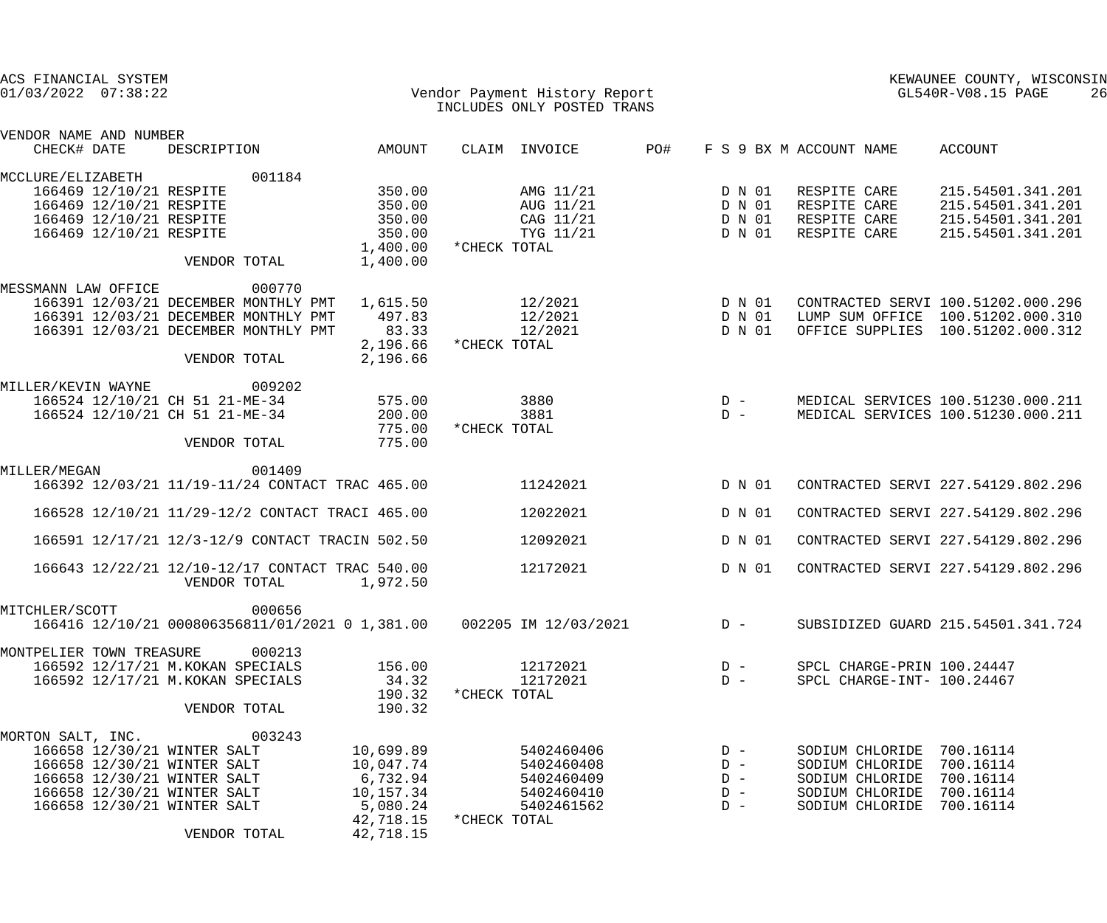| ACS FINANCIAL SYSTEM<br>$01/03/2022$ $07:38:22$                                                                                                                                     |                                                                                 |                                                                           | Vendor Payment History Report<br>INCLUDES ONLY POSTED TRANS                        |                                           |                                                                                                                                               | KEWAUNEE COUNTY, WISCONSIN<br>GL540R-V08.15 PAGE<br>26                                                       |
|-------------------------------------------------------------------------------------------------------------------------------------------------------------------------------------|---------------------------------------------------------------------------------|---------------------------------------------------------------------------|------------------------------------------------------------------------------------|-------------------------------------------|-----------------------------------------------------------------------------------------------------------------------------------------------|--------------------------------------------------------------------------------------------------------------|
| VENDOR NAME AND NUMBER<br>CHECK# DATE                                                                                                                                               | DESCRIPTION                                                                     | AMOUNT                                                                    | CLAIM INVOICE                                                                      | PO#                                       | F S 9 BX M ACCOUNT NAME                                                                                                                       | ACCOUNT                                                                                                      |
| MCCLURE/ELIZABETH<br>166469 12/10/21 RESPITE<br>166469 12/10/21 RESPITE<br>166469 12/10/21 RESPITE<br>166469 12/10/21 RESPITE                                                       | 001184<br>VENDOR TOTAL                                                          | 350.00<br>350.00<br>350.00<br>350.00<br>1,400.00<br>1,400.00              | AMG 11/21<br>AUG 11/21<br>CAG 11/21<br>TYG 11/21<br>*CHECK TOTAL                   | D N 01<br>D N 01<br>D N 01<br>D N 01      | RESPITE CARE<br>RESPITE CARE<br>RESPITE CARE<br>RESPITE CARE                                                                                  | 215.54501.341.201<br>215.54501.341.201<br>215.54501.341.201<br>215.54501.341.201                             |
| MESSMANN LAW OFFICE<br>166391 12/03/21 DECEMBER MONTHLY PMT<br>166391 12/03/21 DECEMBER MONTHLY PMT<br>166391 12/03/21 DECEMBER MONTHLY PMT                                         | 000770<br>VENDOR TOTAL                                                          | 1,615.50<br>497.83<br>83.33<br>2,196.66<br>2,196.66                       | 12/2021<br>12/2021<br>12/2021<br>*CHECK TOTAL                                      | D N 01<br>D N 01<br>D N 01                |                                                                                                                                               | CONTRACTED SERVI 100.51202.000.296<br>LUMP SUM OFFICE 100.51202.000.310<br>OFFICE SUPPLIES 100.51202.000.312 |
| MILLER/KEVIN WAYNE<br>166524 12/10/21 CH 51 21-ME-34<br>166524 12/10/21 CH 51 21-ME-34                                                                                              | 009202<br>VENDOR TOTAL                                                          | 575.00<br>200.00<br>775.00<br>775.00                                      | 3880<br>3881<br>*CHECK TOTAL                                                       | $D -$<br>$D -$                            |                                                                                                                                               | MEDICAL SERVICES 100.51230.000.211<br>MEDICAL SERVICES 100.51230.000.211                                     |
| MILLER/MEGAN                                                                                                                                                                        | 001409<br>166392 12/03/21 11/19-11/24 CONTACT TRAC 465.00                       |                                                                           | 11242021                                                                           | D N 01                                    |                                                                                                                                               | CONTRACTED SERVI 227.54129.802.296                                                                           |
|                                                                                                                                                                                     | 166528 12/10/21 11/29-12/2 CONTACT TRACI 465.00                                 |                                                                           | 12022021                                                                           | D N 01                                    |                                                                                                                                               | CONTRACTED SERVI 227.54129.802.296                                                                           |
|                                                                                                                                                                                     | 166591 12/17/21 12/3-12/9 CONTACT TRACIN 502.50                                 |                                                                           | 12092021                                                                           | D N 01                                    |                                                                                                                                               | CONTRACTED SERVI 227.54129.802.296                                                                           |
|                                                                                                                                                                                     | 166643 12/22/21 12/10-12/17 CONTACT TRAC 540.00<br>VENDOR TOTAL                 | 1,972.50                                                                  | 12172021                                                                           | D N 01                                    |                                                                                                                                               | CONTRACTED SERVI 227.54129.802.296                                                                           |
| MITCHLER/SCOTT                                                                                                                                                                      | 000656<br>166416 12/10/21 000806356811/01/2021 0 1,381.00  002205 IM 12/03/2021 |                                                                           |                                                                                    | $D -$                                     |                                                                                                                                               | SUBSIDIZED GUARD 215.54501.341.724                                                                           |
| MONTPELIER TOWN TREASURE<br>166592 12/17/21 M. KOKAN SPECIALS<br>166592 12/17/21 M. KOKAN SPECIALS                                                                                  | 000213<br>VENDOR TOTAL                                                          | 156.00<br>34.32<br>190.32<br>190.32                                       | 12172021<br>12172021<br>*CHECK TOTAL                                               | $D -$<br>$D -$                            | SPCL CHARGE-INT- 100.24467                                                                                                                    | SPCL CHARGE-PRIN 100.24447                                                                                   |
| MORTON SALT, INC. 003243<br>166658 12/30/21 WINTER SALT<br>166658 12/30/21 WINTER SALT<br>166658 12/30/21 WINTER SALT<br>166658 12/30/21 WINTER SALT<br>166658 12/30/21 WINTER SALT | 6,732.94<br>VENDOR TOTAL                                                        | 10,699.89<br>10,047.74<br>10,157.34<br>5,080.24<br>42,718.15<br>42,718.15 | 5402460406<br>5402460408<br>5402460409<br>5402460410<br>5402461562<br>*CHECK TOTAL | $D -$<br>$D -$<br>$D -$<br>$D -$<br>$D -$ | SODIUM CHLORIDE 700.16114<br>SODIUM CHLORIDE 700.16114<br>SODIUM CHLORIDE 700.16114<br>SODIUM CHLORIDE 700.16114<br>SODIUM CHLORIDE 700.16114 |                                                                                                              |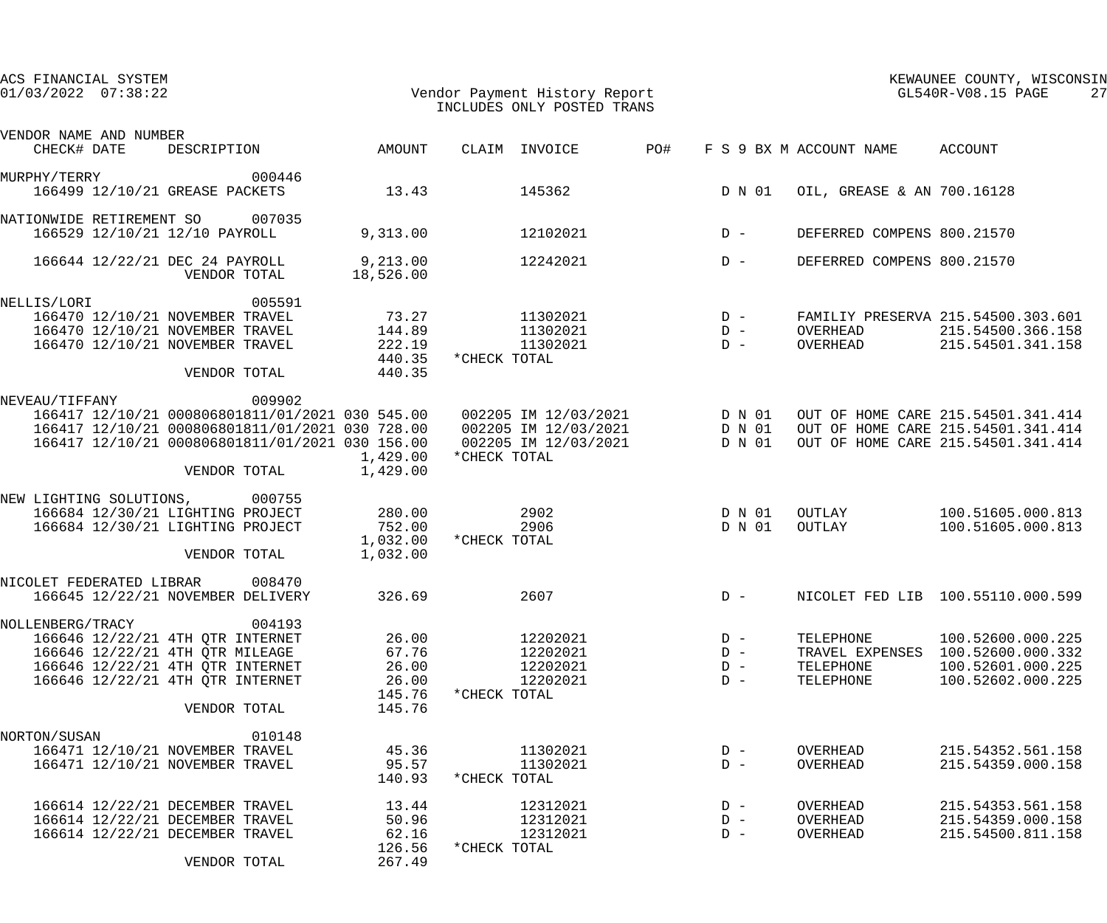| ACS FINANCIAL SYSTEM<br>$01/03/2022$ $07:38:22$                                                                                                                                                                                                               |                                                      | Vendor Payment History Report<br>INCLUDES ONLY POSTED TRANS  |                                  |                                     | KEWAUNEE COUNTY, WISCONSIN<br>GL540R-V08.15 PAGE<br>27                                                         |
|---------------------------------------------------------------------------------------------------------------------------------------------------------------------------------------------------------------------------------------------------------------|------------------------------------------------------|--------------------------------------------------------------|----------------------------------|-------------------------------------|----------------------------------------------------------------------------------------------------------------|
| VENDOR NAME AND NUMBER                                                                                                                                                                                                                                        |                                                      |                                                              |                                  |                                     |                                                                                                                |
| CHECK# DATE<br>DESCRIPTION                                                                                                                                                                                                                                    | AMOUNT                                               | CLAIM INVOICE<br>PO#                                         |                                  | F S 9 BX M ACCOUNT NAME             | ACCOUNT                                                                                                        |
| 000446<br>MURPHY/TERRY<br>166499 12/10/21 GREASE PACKETS                                                                                                                                                                                                      | 13.43                                                | 145362                                                       |                                  | D N 01                              | OIL, GREASE & AN 700.16128                                                                                     |
| NATIONWIDE RETIREMENT SO 007035<br>166529 12/10/21 12/10 PAYROLL                                                                                                                                                                                              | 9,313.00                                             | 12102021                                                     | $D -$                            |                                     | DEFERRED COMPENS 800.21570                                                                                     |
| 166644 12/22/21 DEC 24 PAYROLL<br>VENDOR TOTAL                                                                                                                                                                                                                | 9,213.00<br>18,526.00                                | 12242021                                                     | $D -$                            |                                     | DEFERRED COMPENS 800.21570                                                                                     |
| NELLIS/LORI<br>005591<br>166470 12/10/21 NOVEMBER TRAVEL<br>166470 12/10/21 NOVEMBER TRAVEL<br>166470 12/10/21 NOVEMBER TRAVEL<br>VENDOR TOTAL                                                                                                                | 73.27<br>144.89<br>222.19<br>440.35<br>440.35        | 11302021<br>11302021<br>11302021<br>*CHECK TOTAL             | $D -$<br>$D -$<br>$D -$          | OVERHEAD<br>OVERHEAD                | FAMILIY PRESERVA 215.54500.303.601<br>215.54500.366.158<br>215.54501.341.158                                   |
| NEVEAU/TIFFANY<br>009902<br>166417 12/10/21 000806801811/01/2021 030 545.00  002205 IM 12/03/2021  D N 01<br>166417 12/10/21 000806801811/01/2021 030 728.00  002205 IM 12/03/2021  D N 01<br>166417 12/10/21 000806801811/01/2021 030 156.00<br>VENDOR TOTAL | 1,429.00<br>1,429.00                                 | 002205 IM 12/03/2021 D N 01<br>*CHECK TOTAL                  |                                  |                                     | OUT OF HOME CARE 215.54501.341.414<br>OUT OF HOME CARE 215.54501.341.414<br>OUT OF HOME CARE 215.54501.341.414 |
| 000755<br>NEW LIGHTING SOLUTIONS,<br>166684 12/30/21 LIGHTING PROJECT<br>166684 12/30/21 LIGHTING PROJECT<br>VENDOR TOTAL                                                                                                                                     | 280.00<br>752.00<br>1,032.00<br>1,032.00             | 2902<br>2906<br>*CHECK TOTAL                                 | D N 01                           | OUTLAY<br>OUTLAY<br>D N 01          | 100.51605.000.813<br>100.51605.000.813                                                                         |
| NICOLET FEDERATED LIBRAR<br>008470<br>166645 12/22/21 NOVEMBER DELIVERY                                                                                                                                                                                       | 326.69                                               | 2607                                                         | $D -$                            |                                     | NICOLET FED LIB 100.55110.000.599                                                                              |
| NOLLENBERG/TRACY 004193<br>166646 12/22/21 4TH QTR INTERNET<br>166646 12/22/21 4TH QTR MILEAGE<br>166646 12/22/21 4TH QTR INTERNET<br>166646 12/22/21 4TH QTR INTERNET<br>VENDOR TOTAL                                                                        | 26.00<br>67.76<br>26.00<br>26.00<br>145.76<br>145.76 | 12202021<br>12202021<br>12202021<br>12202021<br>*CHECK TOTAL | $D -$<br>$D -$<br>$D -$<br>$D -$ | TELEPHONE<br>TELEPHONE<br>TELEPHONE | 100.52600.000.225<br>TRAVEL EXPENSES 100.52600.000.332<br>100.52601.000.225<br>100.52602.000.225               |
| 010148<br>NORTON/SUSAN<br>166471 12/10/21 NOVEMBER TRAVEL<br>166471 12/10/21 NOVEMBER TRAVEL                                                                                                                                                                  | 45.36<br>95.57<br>140.93                             | 11302021<br>11302021<br>*CHECK TOTAL                         | $D -$<br>$D -$                   | OVERHEAD<br>OVERHEAD                | 215.54352.561.158<br>215.54359.000.158                                                                         |
| 166614 12/22/21 DECEMBER TRAVEL<br>166614 12/22/21 DECEMBER TRAVEL<br>166614 12/22/21 DECEMBER TRAVEL<br>VENDOR TOTAL                                                                                                                                         | 13.44<br>50.96<br>62.16<br>126.56<br>267.49          | 12312021<br>12312021<br>12312021<br>*CHECK TOTAL             | $D -$<br>$D -$<br>$D -$          | OVERHEAD<br>OVERHEAD<br>OVERHEAD    | 215.54353.561.158<br>215.54359.000.158<br>215.54500.811.158                                                    |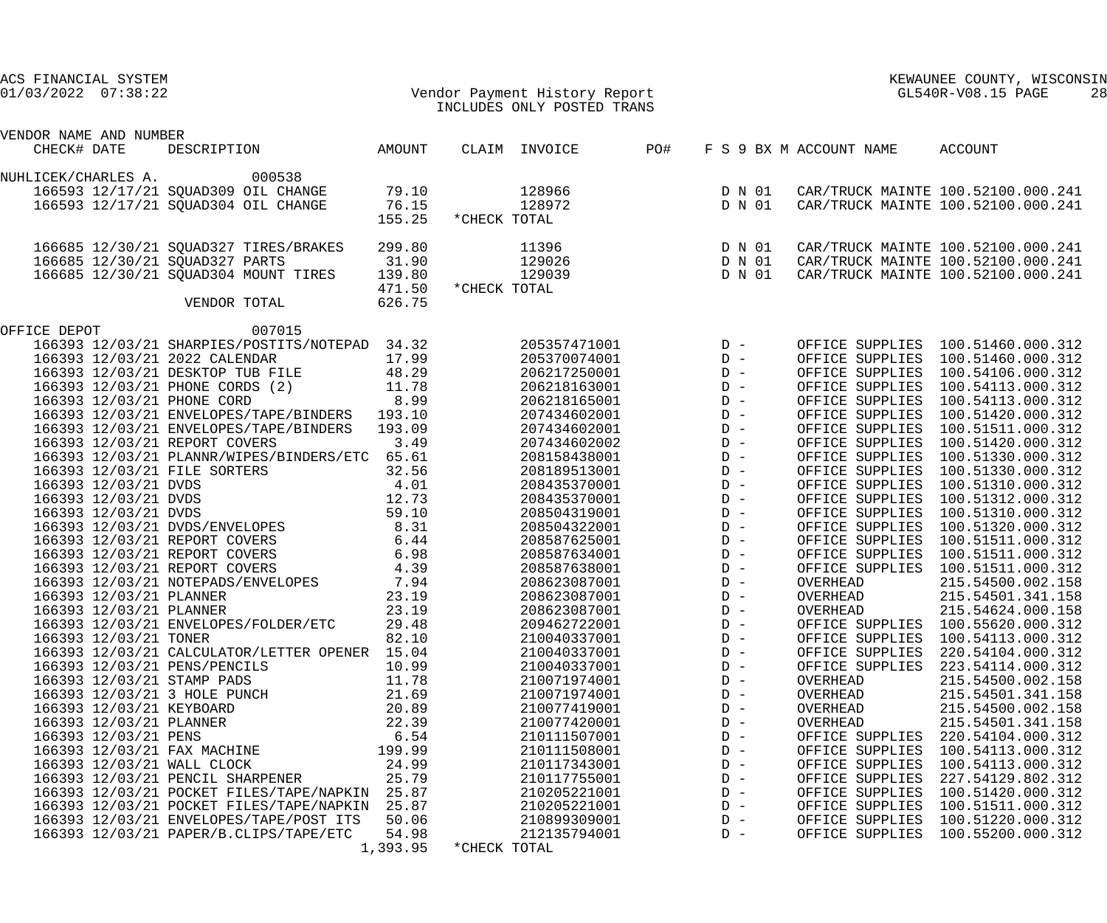| Vendor Payment History Report<br>TNGLLURE ONLY POSTED TRANS<br>ACS FINANCIAL SYSTEM<br>$01/03/2022$ $07:38:22$ |                | INCLUDES ONLY POSTED TRANS   |                                                 | KEWAUNEE COUNTY, WIS<br>GL540R-V08.15 PAGE | KEWAUNEE COUNTY, WISCONSIN<br>28                                       |
|----------------------------------------------------------------------------------------------------------------|----------------|------------------------------|-------------------------------------------------|--------------------------------------------|------------------------------------------------------------------------|
| VENDOR NAME AND NUMBER                                                                                         |                |                              |                                                 |                                            |                                                                        |
| AMOUNT<br>CHECK# DATE<br>DESCRIPTION                                                                           |                | PO#<br>CLAIM INVOICE         |                                                 | F S 9 BX M ACCOUNT NAME                    | ACCOUNT                                                                |
| 000538<br>NUHLICEK/CHARLES A.                                                                                  |                |                              |                                                 |                                            |                                                                        |
| 166593 12/17/21 SQUAD309 OIL CHANGE                                                                            | 79.10          | 128966                       |                                                 |                                            | CAR/TRUCK MAINTE 100.52100.000.241                                     |
| 166593 12/17/21 SQUAD304 OIL CHANGE                                                                            | 76.15          | 128972                       | D N 01<br>D N 01                                |                                            | CAR/TRUCK MAINTE 100.52100.000.241                                     |
|                                                                                                                | 155.25         | *CHECK TOTAL                 |                                                 |                                            |                                                                        |
| 166685 12/30/21 SQUAD327 TIRES/BRAKES                                                                          | 299.80         | 11396                        | D N 01                                          |                                            | CAR/TRUCK MAINTE 100.52100.000.241                                     |
| 166685 12/30/21 SQUAD327 PARTS<br>31.90                                                                        |                | 129026                       | D N 01                                          |                                            | CAR/TRUCK MAINTE 100.52100.000.241                                     |
| 166685 12/30/21 SQUAD304 MOUNT TIRES                                                                           | 139.80         | 129039                       | D N 01                                          |                                            | CAR/TRUCK MAINTE 100.52100.000.241                                     |
|                                                                                                                | 471.50         | *CHECK TOTAL                 |                                                 |                                            |                                                                        |
| VENDOR TOTAL                                                                                                   | 626.75         |                              |                                                 |                                            |                                                                        |
| 007015<br>OFFICE DEPOT                                                                                         |                |                              |                                                 |                                            |                                                                        |
| 166393 12/03/21 SHARPIES/POSTITS/NOTEPAD 34.32                                                                 |                | 205357471001                 | $\begin{array}{c}\nD & - \\ D & -\n\end{array}$ |                                            | OFFICE SUPPLIES 100.51460.000.312                                      |
| 166393 12/03/21 2022 CALENDAR                                                                                  | 17.99          | 205370074001                 |                                                 |                                            | OFFICE SUPPLIES 100.51460.000.312                                      |
| 48.29<br>166393 12/03/21 DESKTOP TUB FILE                                                                      |                | 206217250001                 |                                                 |                                            | OFFICE SUPPLIES 100.54106.000.312                                      |
| 166393 12/03/21 PHONE CORDS (2)<br>11.78                                                                       |                | 206218163001                 |                                                 |                                            | OFFICE SUPPLIES 100.54113.000.312                                      |
| 8.99<br>166393 12/03/21 PHONE CORD                                                                             |                | 206218165001                 |                                                 |                                            | OFFICE SUPPLIES 100.54113.000.312                                      |
| 166393 12/03/21 ENVELOPES/TAPE/BINDERS 193.10<br>166393 12/03/21 ENVELOPES/TAPE/BINDERS 193.09                 |                | 207434602001<br>207434602001 |                                                 |                                            | OFFICE SUPPLIES 100.51420.000.312<br>OFFICE SUPPLIES 100.51511.000.312 |
| 166393 12/03/21 REPORT COVERS                                                                                  | 3.49           | 207434602002                 |                                                 |                                            | OFFICE SUPPLIES 100.51420.000.312                                      |
| 166393 12/03/21 PLANNR/WIPES/BINDERS/ETC 65.61                                                                 |                | 208158438001                 |                                                 |                                            | OFFICE SUPPLIES 100.51330.000.312                                      |
| 166393 12/03/21 FILE SORTERS<br>32.56                                                                          |                | 208189513001                 |                                                 |                                            | OFFICE SUPPLIES 100.51330.000.312                                      |
| 4.01<br>166393 12/03/21 DVDS                                                                                   |                | 208435370001                 |                                                 |                                            | OFFICE SUPPLIES 100.51310.000.312                                      |
| 166393 12/03/21 DVDS<br>12.73                                                                                  |                | 208435370001                 |                                                 |                                            | OFFICE SUPPLIES 100.51312.000.312                                      |
| 166393 12/03/21 DVDS                                                                                           | 59.10          | 208504319001                 |                                                 |                                            | OFFICE SUPPLIES 100.51310.000.312                                      |
| 166393 12/03/21 DVDS/ENVELOPES 8.31                                                                            |                | 208504322001                 |                                                 |                                            | OFFICE SUPPLIES 100.51320.000.312                                      |
| 6.44<br>166393 12/03/21 REPORT COVERS                                                                          |                | 208587625001                 |                                                 |                                            | OFFICE SUPPLIES 100.51511.000.312                                      |
| 6.98<br>166393 12/03/21 REPORT COVERS                                                                          |                | 208587634001                 |                                                 | OFFICE SUPPLIES                            | 100.51511.000.312                                                      |
| 166393 12/03/21 REPORT COVERS<br>4.39                                                                          |                | 208587638001                 |                                                 |                                            | OFFICE SUPPLIES 100.51511.000.312                                      |
| 166393 12/03/21 NOTEPADS/ENVELOPES                                                                             | 7.94           | 208623087001                 |                                                 | OVERHEAD                                   | 215.54500.002.158                                                      |
| 166393 12/03/21 PLANNER                                                                                        | 23.19          | 208623087001                 | $D -$                                           | OVERHEAD                                   | 215.54501.341.158                                                      |
| 166393 12/03/21 PLANNER                                                                                        | 23.19          | 208623087001                 | $D -$                                           | OVERHEAD                                   | 215.54624.000.158                                                      |
| 166393 12/03/21 ENVELOPES/FOLDER/ETC                                                                           | 29.48          | 209462722001                 | $D -$                                           | OFFICE SUPPLIES                            | 100.55620.000.312                                                      |
| 166393 12/03/21 TONER                                                                                          | 82.10          | 210040337001                 | $D -$                                           | OFFICE SUPPLIES                            | 100.54113.000.312                                                      |
| 166393 12/03/21 CALCULATOR/LETTER OPENER                                                                       | 15.04          | 210040337001                 | $D -$                                           | OFFICE SUPPLIES                            | 220.54104.000.312                                                      |
| 166393 12/03/21 PENS/PENCILS                                                                                   | 10.99<br>11.78 | 210040337001<br>210071974001 | $D -$<br>$D -$                                  | OFFICE SUPPLIES<br>OVERHEAD                | 223.54114.000.312<br>215.54500.002.158                                 |
| 166393 12/03/21 STAMP PADS<br>166393 12/03/21 3 HOLE PUNCH                                                     | 21.69          | 210071974001                 | $D -$                                           | OVERHEAD                                   | 215.54501.341.158                                                      |
| 166393 12/03/21 KEYBOARD                                                                                       | 20.89          | 210077419001                 | $D -$                                           | OVERHEAD                                   | 215.54500.002.158                                                      |
| 166393 12/03/21 PLANNER                                                                                        | 22.39          | 210077420001                 | $D -$                                           | OVERHEAD                                   | 215.54501.341.158                                                      |
| 166393 12/03/21 PENS                                                                                           | 6.54           | 210111507001                 | $D -$                                           | OFFICE SUPPLIES                            | 220.54104.000.312                                                      |
| 166393 12/03/21 FAX MACHINE                                                                                    | 199.99         | 210111508001                 | $D -$                                           | OFFICE SUPPLIES                            | 100.54113.000.312                                                      |
| 166393 12/03/21 WALL CLOCK                                                                                     | 24.99          | 210117343001                 | $D -$                                           | OFFICE SUPPLIES                            | 100.54113.000.312                                                      |
| 166393 12/03/21 PENCIL SHARPENER                                                                               | 25.79          | 210117755001                 | $D -$                                           | OFFICE SUPPLIES                            | 227.54129.802.312                                                      |
| 166393 12/03/21 POCKET FILES/TAPE/NAPKIN                                                                       | 25.87          | 210205221001                 | $D -$                                           | OFFICE SUPPLIES                            | 100.51420.000.312                                                      |
| 166393 12/03/21 POCKET FILES/TAPE/NAPKIN                                                                       | 25.87          | 210205221001                 | $D -$                                           | OFFICE SUPPLIES                            | 100.51511.000.312                                                      |
| 166393 12/03/21 ENVELOPES/TAPE/POST ITS                                                                        | 50.06          | 210899309001                 | $D -$                                           | OFFICE SUPPLIES                            | 100.51220.000.312                                                      |
| 166393 12/03/21 PAPER/B.CLIPS/TAPE/ETC                                                                         | 54.98          | 212135794001                 | $D -$                                           | OFFICE SUPPLIES                            | 100.55200.000.312                                                      |
|                                                                                                                | 1,393.95       | *CHECK TOTAL                 |                                                 |                                            |                                                                        |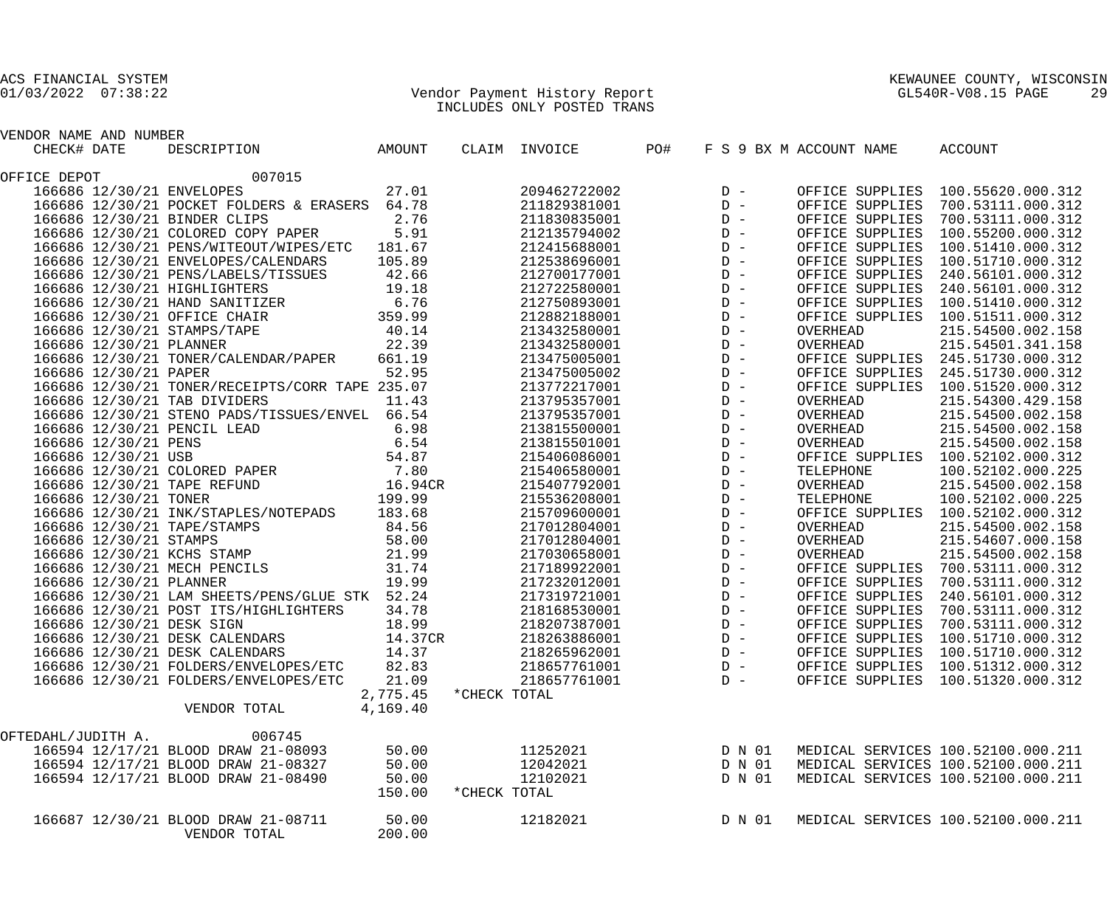## 01/03/2022 07:38:22 Vendor Payment History Report GL540R-V08.15 PAGE 29 INCLUDES ONLY POSTED TRANS

| VENDOR NAME AND NUMBER  |                                                                                                                                  |          |              |               |     |       |        |                         |                                                   |
|-------------------------|----------------------------------------------------------------------------------------------------------------------------------|----------|--------------|---------------|-----|-------|--------|-------------------------|---------------------------------------------------|
| CHECK# DATE             | DESCRIPTION<br>DESCRIPTION AMOUNT                                                                                                |          |              | CLAIM INVOICE | PO# |       |        | F S 9 BX M ACCOUNT NAME | ACCOUNT                                           |
| OFFICE DEPOT            | 007015                                                                                                                           |          |              |               |     |       |        |                         |                                                   |
|                         | 166686 12/30/21 ENVELOPES                                                                                                        | 27.01    |              | 209462722002  |     |       |        |                         | OFFICE SUPPLIES 100.55620.000.312                 |
|                         | 166686 12/30/21 POCKET FOLDERS & ERASERS 64.78                                                                                   |          |              | 211829381001  |     |       |        |                         | OFFICE SUPPLIES 700.53111.000.312                 |
|                         | 2.76<br>166686 12/30/21 BINDER CLIPS                                                                                             |          |              | 211830835001  |     |       |        |                         | OFFICE SUPPLIES 700.53111.000.312                 |
|                         | 166686 12/30/21 COLORED COPY PAPER 5.91                                                                                          |          |              | 212135794002  |     |       |        | OFFICE SUPPLIES         | 100.55200.000.312                                 |
|                         | 166686 12/30/21 PENS/WITEOUT/WIPES/ETC 181.67                                                                                    |          |              | 212415688001  |     |       |        |                         | OFFICE SUPPLIES 100.51410.000.312                 |
|                         | 166686 12/30/21 ENVELOPES/CALENDARS                                                                                              | 105.89   |              | 212538696001  |     |       |        |                         | OFFICE SUPPLIES 100.51710.000.312                 |
|                         | 166686 12/30/21 PENS/LABELS/TISSUES 42.66                                                                                        |          |              | 212700177001  |     |       |        | OFFICE SUPPLIES         | 240.56101.000.312                                 |
|                         | 166686 12/30/21 HIGHLIGHTERS<br>19.18                                                                                            |          |              | 212722580001  |     |       |        |                         | OFFICE SUPPLIES 240.56101.000.312                 |
|                         |                                                                                                                                  |          |              | 212750893001  |     |       |        |                         | OFFICE SUPPLIES 100.51410.000.312                 |
|                         | 166686 12/30/21 HAND SANITIZER 6.76<br>166686 12/30/21 OFFICE CHAIR 359.99                                                       |          |              | 212882188001  |     |       |        |                         | OFFICE SUPPLIES 100.51511.000.312                 |
|                         | 166686 12/30/21 STAMPS/TAPE 40.14                                                                                                |          |              | 213432580001  |     |       |        | OVERHEAD                | 215.54500.002.158                                 |
| 166686 12/30/21 PLANNER |                                                                                                                                  | 22.39    |              | 213432580001  |     |       |        | OVERHEAD                | 215.54501.341.158                                 |
|                         | 166686 12/30/21 TONER/CALENDAR/PAPER                                                                                             | 661.19   |              | 213475005001  |     |       |        |                         | OFFICE SUPPLIES 245.51730.000.312                 |
| 166686 12/30/21 PAPER   | 52.95                                                                                                                            |          |              | 213475005002  |     |       |        |                         | OFFICE SUPPLIES 245.51730.000.312                 |
|                         | 166686 12/30/21 TONER/RECEIPTS/CORR TAPE 235.07                                                                                  |          |              | 213772217001  |     |       |        |                         | OFFICE SUPPLIES 100.51520.000.312                 |
|                         | 166686 12/30/21 TAB DIVIDERS                                                                                                     | 11.43    |              | 213795357001  |     |       |        | OVERHEAD                | 215.54300.429.158                                 |
|                         | 166686 12/30/21 STENO PADS/TISSUES/ENVEL 66.54                                                                                   |          |              | 213795357001  |     |       |        | OVERHEAD                | 215.54500.002.158                                 |
|                         |                                                                                                                                  |          |              | 213815500001  |     |       |        |                         |                                                   |
|                         | 166686 12/30/21 PENCIL LEAD 6.98<br>166686 12/30/21 PENS 6.54<br>166686 12/30/21 USB 54.87<br>166686 12/30/21 COLORED PAPER 7.80 |          |              |               |     |       |        | OVERHEAD                | 215.54500.002.158                                 |
|                         |                                                                                                                                  |          |              | 213815501001  |     |       |        | OVERHEAD                | 215.54500.002.158                                 |
|                         |                                                                                                                                  |          |              | 215406086001  |     |       |        |                         | OFFICE SUPPLIES 100.52102.000.312                 |
|                         |                                                                                                                                  |          |              | 215406580001  |     |       |        | TELEPHONE               | 100.52102.000.225                                 |
|                         | 166686 12/30/21 TAPE REFUND 16.94CR                                                                                              |          |              | 215407792001  |     |       |        | OVERHEAD                | 215.54500.002.158                                 |
| 166686 12/30/21 TONER   |                                                                                                                                  | 199.99   |              | 215536208001  |     |       |        | TELEPHONE               | 100.52102.000.225                                 |
|                         | 166686 12/30/21 INK/STAPLES/NOTEPADS 183.68                                                                                      |          |              | 215709600001  |     |       |        |                         | OFFICE SUPPLIES 100.52102.000.312                 |
|                         |                                                                                                                                  |          |              | 217012804001  |     |       |        | OVERHEAD                | 215.54500.002.158                                 |
|                         | 166686 12/30/21 TAPE/STAMPS 84.56<br>166686 12/30/21 STAMPS 58.00<br>166686 12/30/21 KCHS STAMP 21.99                            |          |              | 217012804001  |     |       |        | OVERHEAD                | 215.54607.000.158                                 |
|                         |                                                                                                                                  |          |              | 217030658001  |     |       |        | OVERHEAD                | 215.54500.002.158                                 |
|                         | 166686 12/30/21 MECH PENCILS 31.74                                                                                               |          |              | 217189922001  |     |       |        |                         | OFFICE SUPPLIES 700.53111.000.312                 |
| 166686 12/30/21 PLANNER |                                                                                                                                  | 19.99    |              | 217232012001  |     |       |        | OFFICE SUPPLIES         | 700.53111.000.312                                 |
|                         | 166686 12/30/21 LAM SHEETS/PENS/GLUE STK 52.24                                                                                   |          |              | 217319721001  |     |       |        | OFFICE SUPPLIES         | 240.56101.000.312                                 |
|                         | 166686 12/30/21 POST ITS/HIGHLIGHTERS 34.78                                                                                      |          |              | 218168530001  |     |       |        | OFFICE SUPPLIES         | 700.53111.000.312                                 |
|                         | 166686 12/30/21 DESK SIGN                                                                                                        | 18.99    |              | 218207387001  |     |       |        | OFFICE SUPPLIES         | 700.53111.000.312                                 |
|                         | 166686 12/30/21 DESK CALENDARS 14.37CR                                                                                           |          |              | 218263886001  |     |       | $D -$  | OFFICE SUPPLIES         | 100.51710.000.312                                 |
|                         | 166686 12/30/21 DESK CALENDARS                                                                                                   | 14.37    |              |               |     |       |        |                         | 218265962001 D- OFFICE SUPPLIES 100.51710.000.312 |
|                         | 166686 12/30/21 FOLDERS/ENVELOPES/ETC                                                                                            | 82.83    |              | 218657761001  |     | $D -$ |        |                         | OFFICE SUPPLIES 100.51312.000.312                 |
|                         | 166686 12/30/21 FOLDERS/ENVELOPES/ETC                                                                                            | 21.09    |              | 218657761001  |     | $D -$ |        |                         | OFFICE SUPPLIES 100.51320.000.312                 |
|                         |                                                                                                                                  | 2,775.45 | *CHECK TOTAL |               |     |       |        |                         |                                                   |
|                         | VENDOR TOTAL                                                                                                                     | 4,169.40 |              |               |     |       |        |                         |                                                   |
| OFTEDAHL/JUDITH A.      | 006745                                                                                                                           |          |              |               |     |       |        |                         |                                                   |
|                         | 166594 12/17/21 BLOOD DRAW 21-08093                                                                                              | 50.00    |              | 11252021      |     |       | D N 01 |                         | MEDICAL SERVICES 100.52100.000.211                |
|                         | 166594 12/17/21 BLOOD DRAW 21-08327                                                                                              | 50.00    |              | 12042021      |     |       | D N 01 |                         | MEDICAL SERVICES 100.52100.000.211                |
|                         | 166594 12/17/21 BLOOD DRAW 21-08490                                                                                              | 50.00    |              | 12102021      |     |       | D N 01 |                         | MEDICAL SERVICES 100.52100.000.211                |
|                         |                                                                                                                                  | 150.00   | *CHECK TOTAL |               |     |       |        |                         |                                                   |
|                         | 166687 12/30/21 BLOOD DRAW 21-08711                                                                                              | 50.00    |              | 12182021      |     |       | D N 01 |                         | MEDICAL SERVICES 100.52100.000.211                |
|                         | VENDOR TOTAL                                                                                                                     | 200.00   |              |               |     |       |        |                         |                                                   |
|                         |                                                                                                                                  |          |              |               |     |       |        |                         |                                                   |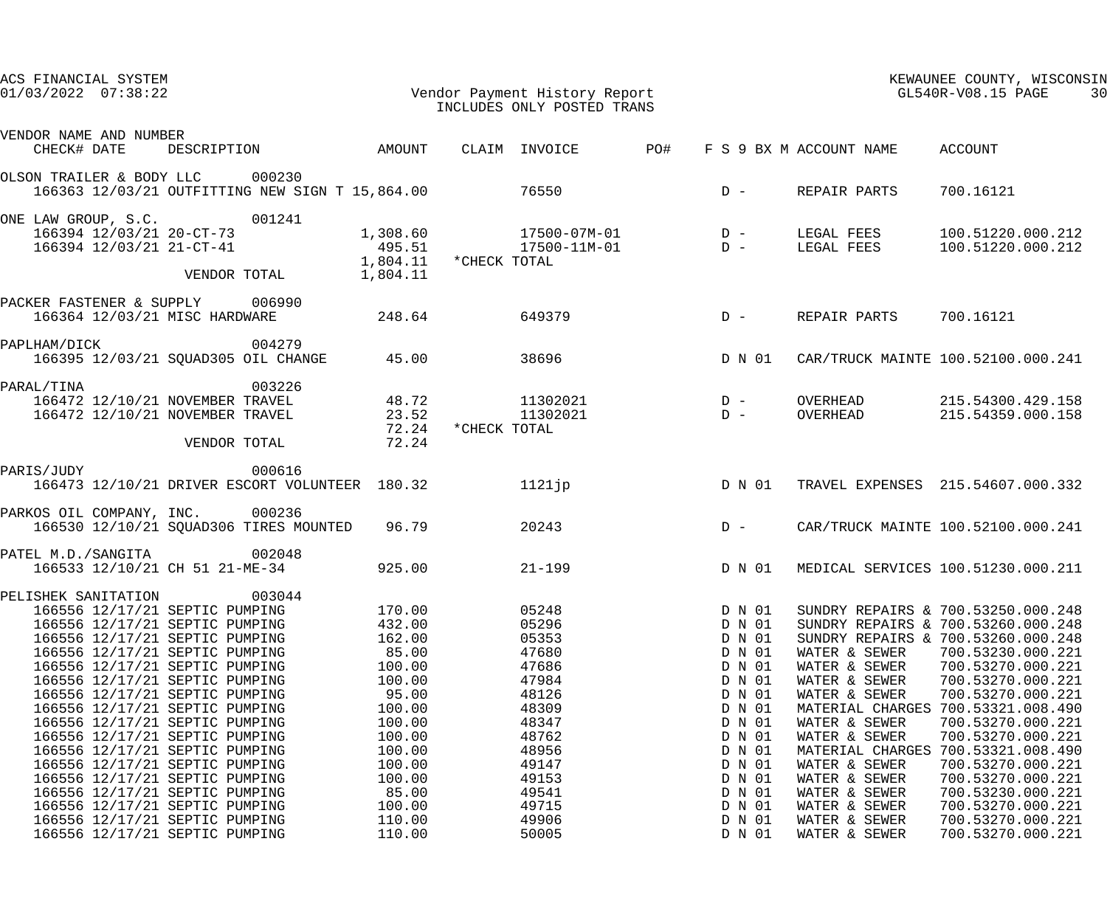| ACS FINANCIAL SYSTEM<br>$01/03/2022$ $07:38:22$ |                                                                  |                                                 |                         |              | Vendor Payment History Report<br>INCLUDES ONLY POSTED TRANS |     |                  |                                | KEWAUNEE COUNTY, WISCONSIN<br>GL540R-V08.15 PAGE | 30 |
|-------------------------------------------------|------------------------------------------------------------------|-------------------------------------------------|-------------------------|--------------|-------------------------------------------------------------|-----|------------------|--------------------------------|--------------------------------------------------|----|
|                                                 |                                                                  |                                                 |                         |              |                                                             |     |                  |                                |                                                  |    |
| VENDOR NAME AND NUMBER                          |                                                                  |                                                 |                         |              |                                                             |     |                  |                                |                                                  |    |
|                                                 |                                                                  | CHECK# DATE DESCRIPTION AMOUNT                  |                         |              | CLAIM INVOICE                                               | PO# |                  | F S 9 BX M ACCOUNT NAME        | ACCOUNT                                          |    |
| OLSON TRAILER & BODY LLC 000230                 |                                                                  | 166363 12/03/21 OUTFITTING NEW SIGN T 15,864.00 |                         |              | 76550                                                       |     | $D -$            | REPAIR PARTS                   | 700.16121                                        |    |
| ONE LAW GROUP, S.C. 001241                      |                                                                  |                                                 |                         |              |                                                             |     |                  |                                |                                                  |    |
|                                                 | 166394 12/03/21 20-CT-73                                         |                                                 |                         |              | $1,308.60$ $17500-07M-01$ D -                               |     |                  | LEGAL FEES                     | 100.51220.000.212                                |    |
|                                                 | 166394 12/03/21 21-CT-41                                         |                                                 |                         |              | 495.51 17500-11M-01                                         |     | $\overline{D}$ – |                                | LEGAL FEES 100.51220.000.212                     |    |
|                                                 |                                                                  |                                                 | $1,804.11$ *CHECK TOTAL |              |                                                             |     |                  |                                |                                                  |    |
|                                                 |                                                                  | VENDOR TOTAL                                    | 1,804.11                |              |                                                             |     |                  |                                |                                                  |    |
| PACKER FASTENER & SUPPLY 006990                 |                                                                  |                                                 |                         |              |                                                             |     |                  |                                |                                                  |    |
|                                                 | 166364 12/03/21 MISC HARDWARE                                    |                                                 | 248.64                  |              | 649379                                                      |     | $D -$            | REPAIR PARTS                   | 700.16121                                        |    |
| PAPLHAM/DICK                                    |                                                                  | 004279                                          |                         |              |                                                             |     |                  |                                |                                                  |    |
|                                                 |                                                                  | 166395 12/03/21 SQUAD305 OIL CHANGE             | 45.00                   |              | 38696                                                       |     | D N 01           |                                | CAR/TRUCK MAINTE 100.52100.000.241               |    |
| PARAL/TINA                                      |                                                                  | 003226                                          |                         |              |                                                             |     |                  |                                |                                                  |    |
|                                                 |                                                                  | 166472 12/10/21 NOVEMBER TRAVEL                 | 48.72                   |              | 11302021                                                    |     | $D -$            |                                | OVERHEAD 215.54300.429.158                       |    |
|                                                 | 166472 12/10/21 NOVEMBER TRAVEL                                  |                                                 | 23.52                   |              | 11302021                                                    |     | $D -$            | OVERHEAD                       | 215.54359.000.158                                |    |
|                                                 |                                                                  |                                                 | 72.24                   | *CHECK TOTAL |                                                             |     |                  |                                |                                                  |    |
|                                                 | VENDOR TOTAL                                                     |                                                 | 72.24                   |              |                                                             |     |                  |                                |                                                  |    |
| PARIS/JUDY                                      | 000616                                                           |                                                 |                         |              |                                                             |     |                  |                                |                                                  |    |
|                                                 |                                                                  | 166473 12/10/21 DRIVER ESCORT VOLUNTEER 180.32  |                         |              | $1121$ jp                                                   |     | D N 01           |                                | TRAVEL EXPENSES 215.54607.000.332                |    |
| PARKOS OIL COMPANY, INC. 000236                 |                                                                  |                                                 |                         |              |                                                             |     |                  |                                |                                                  |    |
|                                                 |                                                                  | 166530 12/10/21 SQUAD306 TIRES MOUNTED 96.79    |                         |              | 20243                                                       |     | $D -$            |                                | CAR/TRUCK MAINTE 100.52100.000.241               |    |
| PATEL M.D./SANGITA 002048                       |                                                                  |                                                 |                         |              |                                                             |     |                  |                                |                                                  |    |
|                                                 |                                                                  | 166533 12/10/21 CH 51 21-ME-34                  | 925.00                  |              | $21 - 199$                                                  |     | D N 01           |                                | MEDICAL SERVICES 100.51230.000.211               |    |
| PELISHEK SANITATION 003044                      |                                                                  |                                                 |                         |              |                                                             |     |                  |                                |                                                  |    |
|                                                 | 166556 12/17/21 SEPTIC PUMPING                                   |                                                 | 170.00                  |              | 05248                                                       |     | D N 01           |                                | SUNDRY REPAIRS & 700.53250.000.248               |    |
|                                                 | 166556 12/17/21 SEPTIC PUMPING                                   |                                                 | 432.00                  |              | 05296                                                       |     | D N 01           |                                | SUNDRY REPAIRS & 700.53260.000.248               |    |
|                                                 | 166556 12/17/21 SEPTIC PUMPING                                   |                                                 | 162.00                  |              | 05353                                                       |     | D N 01           |                                | SUNDRY REPAIRS & 700.53260.000.248               |    |
|                                                 | 166556 12/17/21 SEPTIC PUMPING                                   |                                                 | 85.00                   |              | 47680                                                       |     | D N 01           | WATER & SEWER                  | 700.53230.000.221                                |    |
|                                                 | 166556 12/17/21 SEPTIC PUMPING                                   |                                                 | 100.00                  |              | 47686                                                       |     | D N 01           | WATER & SEWER                  | 700.53270.000.221                                |    |
|                                                 | 166556 12/17/21 SEPTIC PUMPING                                   |                                                 | 100.00                  |              | 47984                                                       |     | D N 01           | WATER & SEWER                  | 700.53270.000.221                                |    |
|                                                 | 166556 12/17/21 SEPTIC PUMPING                                   |                                                 | 95.00                   |              | 48126                                                       |     | D N 01           | WATER & SEWER                  | 700.53270.000.221                                |    |
|                                                 | 166556 12/17/21 SEPTIC PUMPING                                   |                                                 | 100.00                  |              | 48309                                                       |     | D N 01           | MATERIAL CHARGES               | 700.53321.008.490                                |    |
|                                                 | 166556 12/17/21 SEPTIC PUMPING                                   |                                                 | 100.00                  |              | 48347                                                       |     | D N 01           | WATER & SEWER                  | 700.53270.000.221                                |    |
|                                                 | 166556 12/17/21 SEPTIC PUMPING                                   |                                                 | 100.00                  |              | 48762                                                       |     | D N 01           | WATER & SEWER                  | 700.53270.000.221                                |    |
|                                                 | 166556 12/17/21 SEPTIC PUMPING                                   |                                                 | 100.00                  |              | 48956                                                       |     | D N 01           | MATERIAL CHARGES               | 700.53321.008.490                                |    |
|                                                 | 166556 12/17/21 SEPTIC PUMPING                                   |                                                 | 100.00                  |              | 49147                                                       |     | D N 01           | WATER & SEWER                  | 700.53270.000.221                                |    |
|                                                 | 166556 12/17/21 SEPTIC PUMPING                                   |                                                 | 100.00                  |              | 49153                                                       |     | D N 01           | WATER & SEWER                  | 700.53270.000.221                                |    |
|                                                 | 166556 12/17/21 SEPTIC PUMPING                                   |                                                 | 85.00                   |              | 49541                                                       |     | D N 01           | WATER & SEWER                  | 700.53230.000.221                                |    |
|                                                 | 166556 12/17/21 SEPTIC PUMPING                                   |                                                 | 100.00                  |              | 49715                                                       |     | D N 01           | WATER & SEWER                  | 700.53270.000.221                                |    |
|                                                 | 166556 12/17/21 SEPTIC PUMPING<br>166556 12/17/21 SEPTIC PUMPING |                                                 | 110.00<br>110.00        |              | 49906<br>50005                                              |     | D N 01<br>D N 01 | WATER & SEWER<br>WATER & SEWER | 700.53270.000.221<br>700.53270.000.221           |    |
|                                                 |                                                                  |                                                 |                         |              |                                                             |     |                  |                                |                                                  |    |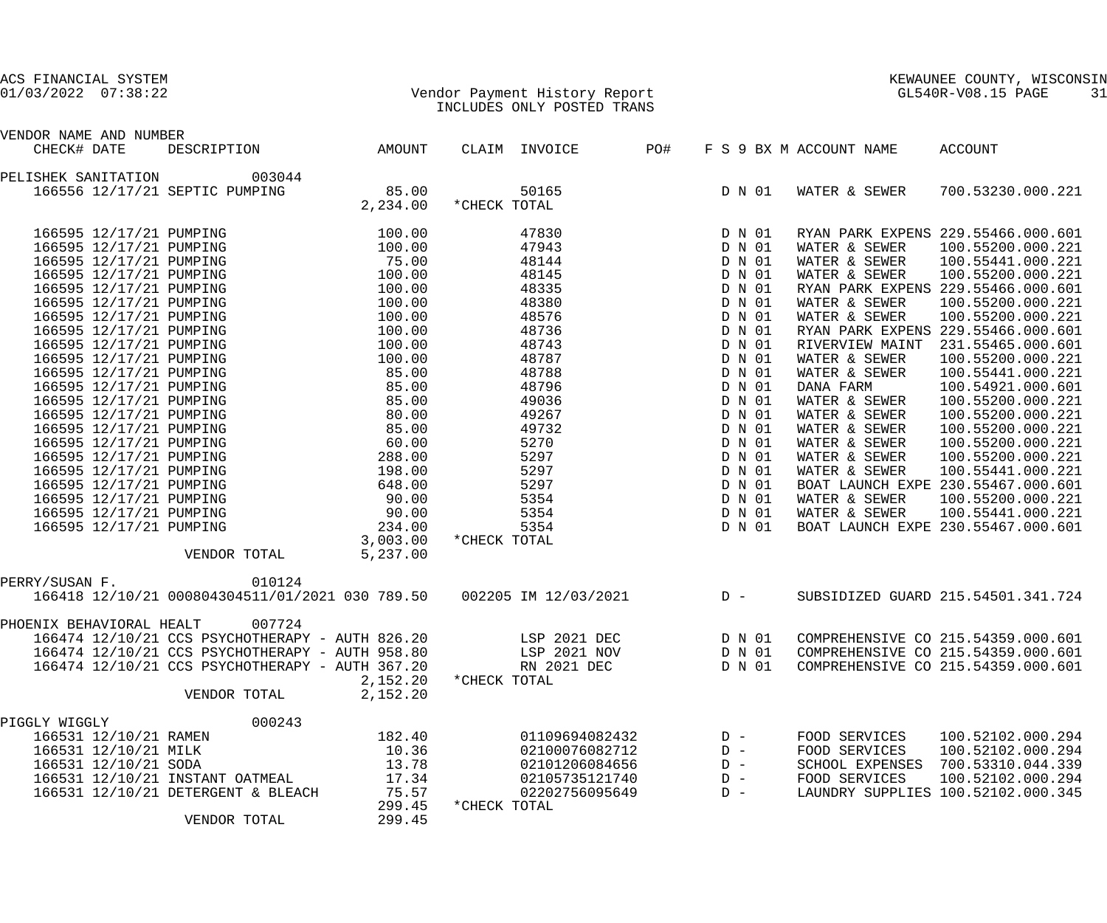| GL540R-V08.15 PAGE<br>$1/03/2022$ 07:38:22<br>Vendor Payment History Report | ACS FINANCIAL SYSTEM |                            | KEWAUNEE COUNTY, WISCONSIN |    |
|-----------------------------------------------------------------------------|----------------------|----------------------------|----------------------------|----|
|                                                                             |                      | INCLUDES ONLY POSTED TRANS |                            | 31 |

VENDOR NAME AND NUMBER

| CHECK# DATE              |                         | DESCRIPTION                                     | AMOUNT   |              | CLAIM INVOICE        | PO#   |       |        | F S 9 BX M ACCOUNT NAME | ACCOUNT                            |
|--------------------------|-------------------------|-------------------------------------------------|----------|--------------|----------------------|-------|-------|--------|-------------------------|------------------------------------|
| PELISHEK SANITATION      |                         | 003044                                          |          |              |                      |       |       |        |                         |                                    |
|                          |                         | 166556 12/17/21 SEPTIC PUMPING                  | 85.00    |              | 50165                |       |       | D N 01 | WATER & SEWER           | 700.53230.000.221                  |
|                          |                         |                                                 | 2,234.00 | *CHECK TOTAL |                      |       |       |        |                         |                                    |
|                          | 166595 12/17/21 PUMPING |                                                 | 100.00   |              | 47830                |       |       | D N 01 |                         | RYAN PARK EXPENS 229.55466.000.601 |
|                          | 166595 12/17/21 PUMPING |                                                 | 100.00   |              | 47943                |       |       | D N 01 | WATER & SEWER           | 100.55200.000.221                  |
|                          | 166595 12/17/21 PUMPING |                                                 | 75.00    |              | 48144                |       |       | D N 01 | WATER & SEWER           | 100.55441.000.221                  |
|                          | 166595 12/17/21 PUMPING |                                                 | 100.00   |              | 48145                |       |       | D N 01 | WATER & SEWER           | 100.55200.000.221                  |
|                          | 166595 12/17/21 PUMPING |                                                 | 100.00   |              | 48335                |       |       | D N 01 |                         | RYAN PARK EXPENS 229.55466.000.601 |
|                          | 166595 12/17/21 PUMPING |                                                 | 100.00   |              | 48380                |       |       | D N 01 | WATER & SEWER           | 100.55200.000.221                  |
|                          | 166595 12/17/21 PUMPING |                                                 | 100.00   |              | 48576                |       |       | D N 01 | WATER & SEWER           | 100.55200.000.221                  |
|                          | 166595 12/17/21 PUMPING |                                                 | 100.00   |              | 48736                |       |       | D N 01 |                         | RYAN PARK EXPENS 229.55466.000.601 |
|                          | 166595 12/17/21 PUMPING |                                                 | 100.00   |              | 48743                |       |       | D N 01 |                         | RIVERVIEW MAINT 231.55465.000.601  |
|                          | 166595 12/17/21 PUMPING |                                                 | 100.00   |              | 48787                |       |       | D N 01 | WATER & SEWER           | 100.55200.000.221                  |
|                          | 166595 12/17/21 PUMPING |                                                 | 85.00    |              | 48788                |       |       | D N 01 | WATER & SEWER           | 100.55441.000.221                  |
|                          | 166595 12/17/21 PUMPING |                                                 | 85.00    |              | 48796                |       |       | D N 01 | DANA FARM               | 100.54921.000.601                  |
|                          | 166595 12/17/21 PUMPING |                                                 | 85.00    |              | 49036                |       |       | D N 01 | WATER & SEWER           | 100.55200.000.221                  |
|                          | 166595 12/17/21 PUMPING |                                                 | 80.00    |              | 49267                |       |       | D N 01 | WATER & SEWER           | 100.55200.000.221                  |
|                          | 166595 12/17/21 PUMPING |                                                 | 85.00    |              | 49732                |       |       | D N 01 | WATER & SEWER           | 100.55200.000.221                  |
|                          | 166595 12/17/21 PUMPING |                                                 | 60.00    |              | 5270                 |       |       | D N 01 | WATER & SEWER           | 100.55200.000.221                  |
|                          | 166595 12/17/21 PUMPING |                                                 | 288.00   |              | 5297                 |       |       | D N 01 | WATER & SEWER           | 100.55200.000.221                  |
|                          | 166595 12/17/21 PUMPING |                                                 | 198.00   |              | 5297                 |       |       | D N 01 | WATER & SEWER           | 100.55441.000.221                  |
|                          | 166595 12/17/21 PUMPING |                                                 | 648.00   |              | 5297                 |       |       | D N 01 |                         | BOAT LAUNCH EXPE 230.55467.000.601 |
|                          | 166595 12/17/21 PUMPING |                                                 | 90.00    |              | 5354                 |       |       | D N 01 | WATER & SEWER           | 100.55200.000.221                  |
|                          | 166595 12/17/21 PUMPING |                                                 | 90.00    |              | 5354                 |       |       | D N 01 | WATER & SEWER           | 100.55441.000.221                  |
|                          | 166595 12/17/21 PUMPING |                                                 | 234.00   |              | 5354                 |       |       | D N 01 |                         | BOAT LAUNCH EXPE 230.55467.000.601 |
|                          |                         |                                                 | 3,003.00 | *CHECK TOTAL |                      |       |       |        |                         |                                    |
|                          |                         | VENDOR TOTAL                                    | 5,237.00 |              |                      |       |       |        |                         |                                    |
| PERRY/SUSAN F.           |                         | 010124                                          |          |              |                      |       |       |        |                         |                                    |
|                          |                         | 166418 12/10/21 000804304511/01/2021 030 789.50 |          |              | 002205 IM 12/03/2021 | $D -$ |       |        |                         | SUBSIDIZED GUARD 215.54501.341.724 |
| PHOENIX BEHAVIORAL HEALT |                         | 007724                                          |          |              |                      |       |       |        |                         |                                    |
|                          |                         | 166474 12/10/21 CCS PSYCHOTHERAPY - AUTH 826.20 |          |              | LSP 2021 DEC         |       |       | D N 01 |                         | COMPREHENSIVE CO 215.54359.000.601 |
|                          |                         | 166474 12/10/21 CCS PSYCHOTHERAPY - AUTH 958.80 |          |              | LSP 2021 NOV         |       |       | D N 01 |                         | COMPREHENSIVE CO 215.54359.000.601 |
|                          |                         | 166474 12/10/21 CCS PSYCHOTHERAPY - AUTH 367.20 |          |              | RN 2021 DEC          |       |       | D N 01 |                         | COMPREHENSIVE CO 215.54359.000.601 |
|                          |                         |                                                 | 2,152.20 | *CHECK TOTAL |                      |       |       |        |                         |                                    |
|                          |                         | VENDOR TOTAL                                    | 2,152.20 |              |                      |       |       |        |                         |                                    |
| PIGGLY WIGGLY            |                         | 000243                                          |          |              |                      |       |       |        |                         |                                    |
|                          | 166531 12/10/21 RAMEN   |                                                 | 182.40   |              | 01109694082432       |       | $D -$ |        | FOOD SERVICES           | 100.52102.000.294                  |
|                          | 166531 12/10/21 MILK    |                                                 | 10.36    |              | 02100076082712       |       | $D -$ |        | FOOD SERVICES           | 100.52102.000.294                  |
|                          | 166531 12/10/21 SODA    |                                                 | 13.78    |              | 02101206084656       |       | $D -$ |        |                         | SCHOOL EXPENSES 700.53310.044.339  |
|                          |                         | 166531 12/10/21 INSTANT OATMEAL                 | 17.34    |              | 02105735121740       |       | $D -$ |        | FOOD SERVICES           | 100.52102.000.294                  |
|                          |                         | 166531 12/10/21 DETERGENT & BLEACH              | 75.57    |              | 02202756095649       |       | $D -$ |        |                         | LAUNDRY SUPPLIES 100.52102.000.345 |
|                          |                         |                                                 | 299.45   | *CHECK TOTAL |                      |       |       |        |                         |                                    |
|                          |                         | VENDOR TOTAL                                    | 299.45   |              |                      |       |       |        |                         |                                    |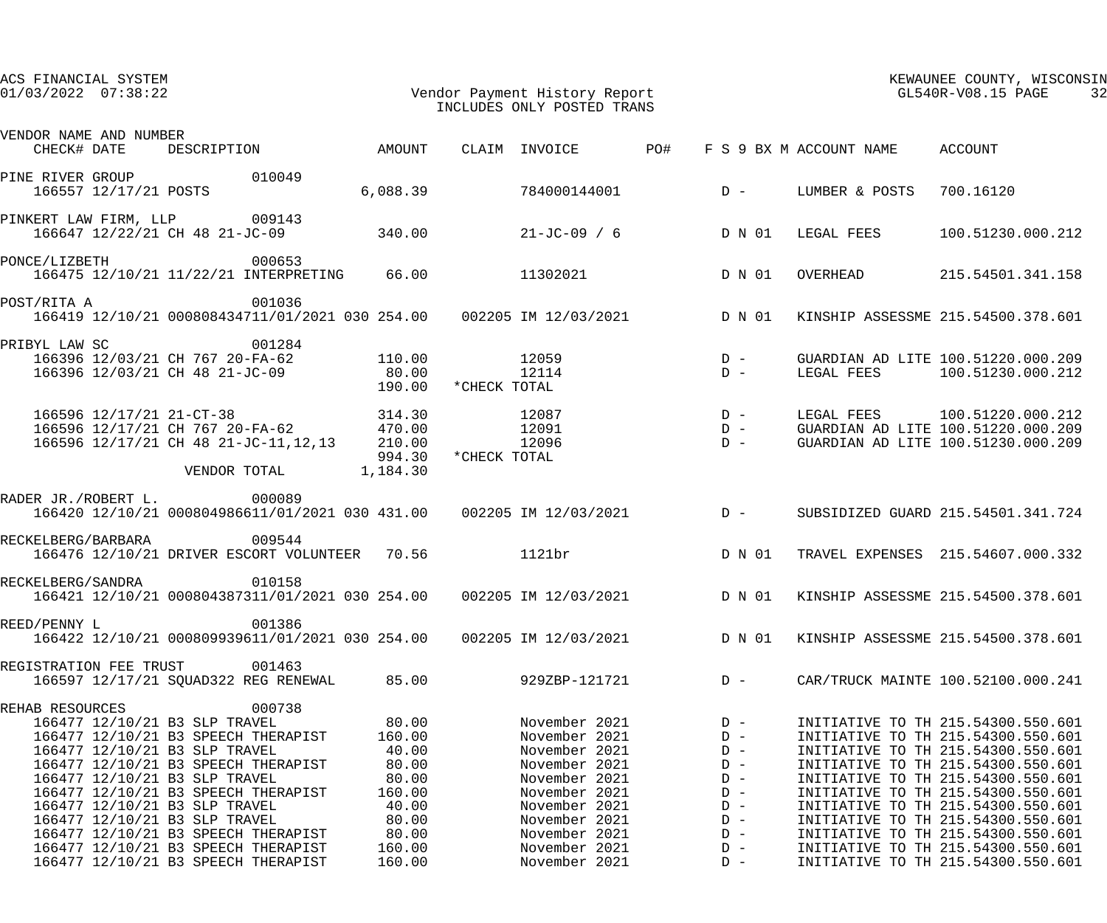| ACS FINANCIAL SYSTEM<br>$01/03/2022$ $07:38:22$ |                                                                                                                                  |                                                                                                                                                               |                                                               |              | Vendor Payment History Report<br>INCLUDES ONLY POSTED TRANS                                                         |                                                                 |                                                                                        |                                            | KEWAUNEE COUNTY, WISCONSIN<br>GL540R-V08.15 PAGE<br>32                                                                                                                                                                                                                 |
|-------------------------------------------------|----------------------------------------------------------------------------------------------------------------------------------|---------------------------------------------------------------------------------------------------------------------------------------------------------------|---------------------------------------------------------------|--------------|---------------------------------------------------------------------------------------------------------------------|-----------------------------------------------------------------|----------------------------------------------------------------------------------------|--------------------------------------------|------------------------------------------------------------------------------------------------------------------------------------------------------------------------------------------------------------------------------------------------------------------------|
| VENDOR NAME AND NUMBER<br>CHECK# DATE           |                                                                                                                                  | DESCRIPTION AMOUNT                                                                                                                                            |                                                               |              | CLAIM INVOICE                                                                                                       | PO#                                                             |                                                                                        | F S 9 BX M ACCOUNT NAME                    | ACCOUNT                                                                                                                                                                                                                                                                |
| PINE RIVER GROUP THE REAL PROPERTY              | 166557 12/17/21 POSTS                                                                                                            | 010049                                                                                                                                                        | 6,088.39                                                      |              | 784000144001                                                                                                        |                                                                 | $D -$                                                                                  | LUMBER & POSTS                             | 700.16120                                                                                                                                                                                                                                                              |
| PINKERT LAW FIRM, LLP 009143                    |                                                                                                                                  | 166647 12/22/21 CH 48 21-JC-09                                                                                                                                | 340.00                                                        |              |                                                                                                                     |                                                                 |                                                                                        | $21 - JC - 09$ / 6 $D \ N \ 01$ LEGAL FEES | 100.51230.000.212                                                                                                                                                                                                                                                      |
| PONCE/LIZBETH                                   | 000653                                                                                                                           | 166475 12/10/21 11/22/21 INTERPRETING 66.00                                                                                                                   |                                                               |              | 11302021                                                                                                            |                                                                 | D N 01                                                                                 | OVERHEAD                                   | 215.54501.341.158                                                                                                                                                                                                                                                      |
| POST/RITA A                                     |                                                                                                                                  | 001036                                                                                                                                                        |                                                               |              |                                                                                                                     |                                                                 |                                                                                        |                                            | 166419 12/10/21 000808434711/01/2021 030 254.00 002205 IM 12/03/2021 D N 01 KINSHIP ASSESSME 215.54500.378.601                                                                                                                                                         |
| PRIBYL LAW SC                                   | 001284<br>166396 12/03/21 CH 48 21-JC-09                                                                                         | 166396 12/03/21 CH 767 20-FA-62                                                                                                                               | 110.00<br>80.00<br>190.00                                     | *CHECK TOTAL | 12059<br>12114                                                                                                      | $\begin{array}{c} \mathbf{D} & - \\ \mathbf{D} & - \end{array}$ |                                                                                        |                                            | GUARDIAN AD LITE 100.51220.000.209<br>LEGAL FEES 100.51230.000.212                                                                                                                                                                                                     |
|                                                 |                                                                                                                                  | 166596 12/17/21 21-CT-38<br>166596 12/17/21 21-C1-36<br>166596 12/17/21 CH 767 20-FA-62 470.00<br>166596 12/17/21 CH 48 21-JC-11,12,13 210.00<br>VENDOR TOTAL | 314.30<br>994.30<br>1,184.30                                  | *CHECK TOTAL | 12087<br>12091<br>12096                                                                                             |                                                                 | $\begin{array}{ccc} & \text{D} & - \\ & \text{D} & - \\ & \text{D} & - \\ \end{array}$ |                                            | LEGAL FEES 100.51220.000.212<br>GUARDIAN AD LITE 100.51220.000.209<br>GUARDIAN AD LITE 100.51230.000.209                                                                                                                                                               |
| RADER JR./ROBERT L.                             | 000089                                                                                                                           |                                                                                                                                                               |                                                               |              | 166420 12/10/21 000804986611/01/2021 030 431.00 002205 IM 12/03/2021 D -                                            |                                                                 |                                                                                        |                                            | SUBSIDIZED GUARD 215.54501.341.724                                                                                                                                                                                                                                     |
| RECKELBERG/BARBARA 009544                       |                                                                                                                                  | 166476 12/10/21 DRIVER ESCORT VOLUNTEER 70.56                                                                                                                 |                                                               |              | 1121br                                                                                                              |                                                                 | D N 01                                                                                 |                                            | TRAVEL EXPENSES 215.54607.000.332                                                                                                                                                                                                                                      |
| RECKELBERG/SANDRA                               |                                                                                                                                  | 010158<br>166421 12/10/21 000804387311/01/2021 030 254.00                                                                                                     |                                                               |              | 002205 IM 12/03/2021                                                                                                |                                                                 | D N 01                                                                                 |                                            | KINSHIP ASSESSME 215.54500.378.601                                                                                                                                                                                                                                     |
| REED/PENNY L                                    |                                                                                                                                  | 001386                                                                                                                                                        |                                                               |              | 166422 12/10/21 000809939611/01/2021 030 254.00  002205 IM 12/03/2021  D N 01                                       |                                                                 |                                                                                        |                                            | KINSHIP ASSESSME 215.54500.378.601                                                                                                                                                                                                                                     |
| REGISTRATION FEE TRUST                          |                                                                                                                                  | 001463<br>166597 12/17/21 SOUAD322 REG RENEWAL                                                                                                                | 85.00                                                         |              | 929ZBP-121721                                                                                                       | $D -$                                                           |                                                                                        |                                            | CAR/TRUCK MAINTE 100.52100.000.241                                                                                                                                                                                                                                     |
| REHAB RESOURCES                                 | 166477 12/10/21 B3 SLP TRAVEL<br>166477 12/10/21 B3 SLP TRAVEL<br>166477 12/10/21 B3 SLP TRAVEL<br>166477 12/10/21 B3 SLP TRAVEL | 000738<br>166477 12/10/21 B3 SPEECH THERAPIST<br>166477 12/10/21 B3 SPEECH THERAPIST<br>166477 12/10/21 B3 SPEECH THERAPIST                                   | 80.00<br>160.00<br>40.00<br>80.00<br>80.00<br>160.00<br>40.00 |              | November 2021<br>November 2021<br>November 2021<br>November 2021<br>November 2021<br>November 2021<br>November 2021 |                                                                 | $D -$<br>$D -$<br>$D -$<br>$D -$<br>$D -$<br>$D -$<br>$D -$                            |                                            | INITIATIVE TO TH 215.54300.550.601<br>INITIATIVE TO TH 215.54300.550.601<br>INITIATIVE TO TH 215.54300.550.601<br>INITIATIVE TO TH 215.54300.550.601<br>INITIATIVE TO TH 215.54300.550.601<br>INITIATIVE TO TH 215.54300.550.601<br>INITIATIVE TO TH 215.54300.550.601 |
|                                                 | 166477 12/10/21 B3 SLP TRAVEL                                                                                                    | 166477 12/10/21 B3 SPEECH THERAPIST<br>166477 12/10/21 B3 SPEECH THERAPIST<br>166477 12/10/21 B3 SPEECH THERAPIST                                             | 80.00<br>80.00<br>160.00<br>160.00                            |              | November 2021<br>November 2021<br>November 2021<br>November 2021                                                    |                                                                 | $D -$<br>$D -$<br>$D -$<br>$D -$                                                       |                                            | INITIATIVE TO TH 215.54300.550.601<br>INITIATIVE TO TH 215.54300.550.601<br>INITIATIVE TO TH 215.54300.550.601<br>INITIATIVE TO TH 215.54300.550.601                                                                                                                   |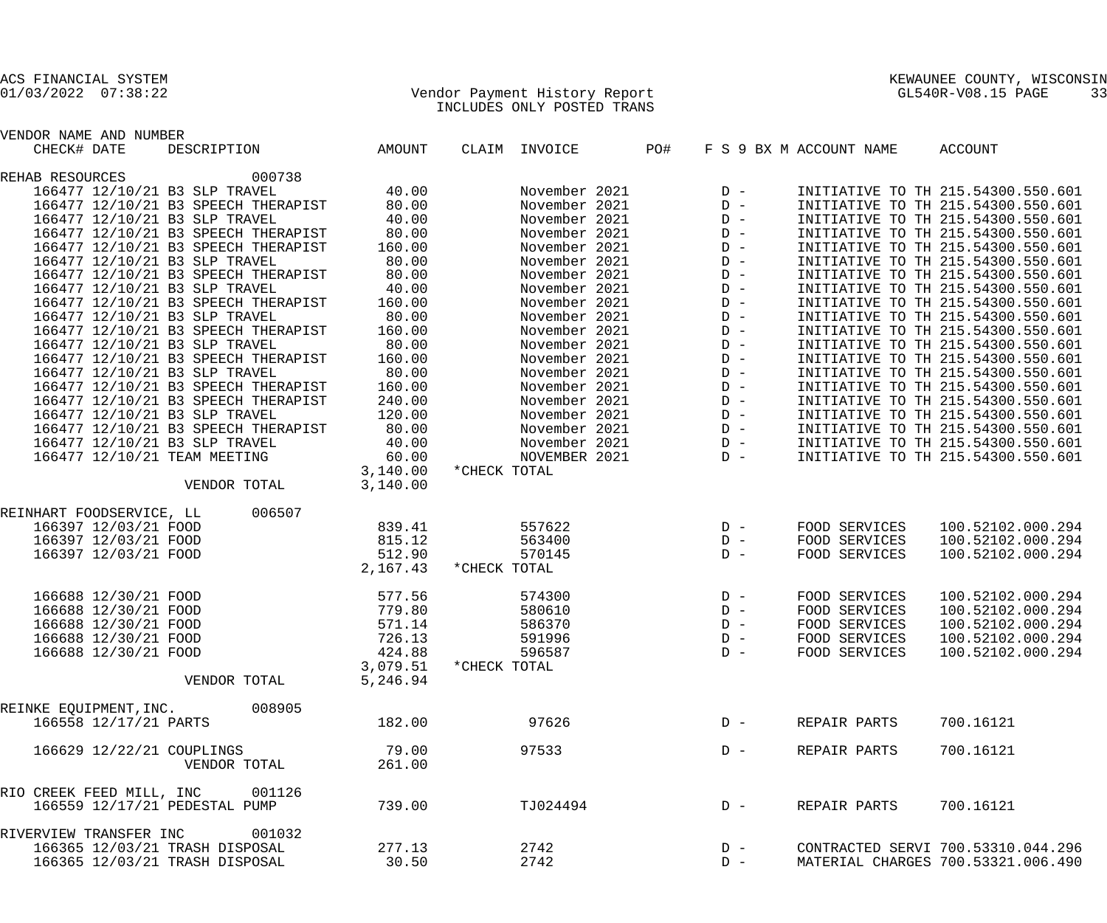## 01/03/2022 07:38:22 Vendor Payment History Report GL540R-V08.15 PAGE 33 INCLUDES ONLY POSTED TRANS

| VENDOR NAME AND NUMBER                    |          |               |       |                         |                                    |
|-------------------------------------------|----------|---------------|-------|-------------------------|------------------------------------|
| CHECK# DATE<br>DESCRIPTION                | AMOUNT   | CLAIM INVOICE | PO#   | F S 9 BX M ACCOUNT NAME | ACCOUNT                            |
| 000738<br>REHAB RESOURCES                 |          |               |       |                         |                                    |
| 166477 12/10/21 B3 SLP TRAVEL             | 40.00    | November 2021 | $D -$ |                         | INITIATIVE TO TH 215.54300.550.601 |
| 166477 12/10/21 B3 SPEECH THERAPIST       | 80.00    | November 2021 | $D -$ |                         | INITIATIVE TO TH 215.54300.550.601 |
| 166477 12/10/21 B3 SLP TRAVEL             | 40.00    | November 2021 | $D -$ |                         | INITIATIVE TO TH 215.54300.550.601 |
| 166477 12/10/21 B3 SPEECH THERAPIST       | 80.00    | November 2021 | $D -$ |                         | INITIATIVE TO TH 215.54300.550.601 |
| 166477 12/10/21 B3 SPEECH THERAPIST       | 160.00   | November 2021 | $D -$ |                         | INITIATIVE TO TH 215.54300.550.601 |
| 166477 12/10/21 B3 SLP TRAVEL             | 80.00    | November 2021 | $D -$ |                         | INITIATIVE TO TH 215.54300.550.601 |
| 166477 12/10/21 B3 SPEECH THERAPIST       | 80.00    | November 2021 | $D -$ |                         | INITIATIVE TO TH 215.54300.550.601 |
| 166477 12/10/21 B3 SLP TRAVEL             | 40.00    | November 2021 | $D -$ |                         | INITIATIVE TO TH 215.54300.550.601 |
| 166477 12/10/21 B3 SPEECH THERAPIST       | 160.00   | November 2021 | $D -$ |                         | INITIATIVE TO TH 215.54300.550.601 |
| 166477 12/10/21 B3 SLP TRAVEL             | 80.00    | November 2021 | $D -$ |                         | INITIATIVE TO TH 215.54300.550.601 |
| 166477 12/10/21 B3 SPEECH THERAPIST       | 160.00   | November 2021 | $D -$ |                         | INITIATIVE TO TH 215.54300.550.601 |
| 166477 12/10/21 B3 SLP TRAVEL             | 80.00    | November 2021 | $D -$ |                         | INITIATIVE TO TH 215.54300.550.601 |
| 166477 12/10/21 B3 SPEECH THERAPIST       | 160.00   | November 2021 | $D -$ |                         | INITIATIVE TO TH 215.54300.550.601 |
| 166477 12/10/21 B3 SLP TRAVEL             | 80.00    | November 2021 | $D -$ |                         | INITIATIVE TO TH 215.54300.550.601 |
| 166477 12/10/21 B3 SPEECH THERAPIST       | 160.00   | November 2021 | $D -$ |                         | INITIATIVE TO TH 215.54300.550.601 |
| 166477 12/10/21 B3 SPEECH THERAPIST       | 240.00   | November 2021 | $D -$ |                         | INITIATIVE TO TH 215.54300.550.601 |
| 166477 12/10/21 B3 SLP TRAVEL             | 120.00   | November 2021 | $D -$ |                         | INITIATIVE TO TH 215.54300.550.601 |
| 166477 12/10/21 B3 SPEECH THERAPIST       | 80.00    | November 2021 | $D -$ |                         | INITIATIVE TO TH 215.54300.550.601 |
| 166477 12/10/21 B3 SLP TRAVEL             | 40.00    | November 2021 | $D -$ |                         | INITIATIVE TO TH 215.54300.550.601 |
| 166477 12/10/21 TEAM MEETING              | 60.00    | NOVEMBER 2021 | $D -$ |                         | INITIATIVE TO TH 215.54300.550.601 |
|                                           | 3,140.00 | *CHECK TOTAL  |       |                         |                                    |
| VENDOR TOTAL                              | 3,140.00 |               |       |                         |                                    |
| REINHART FOODSERVICE, LL<br>006507        |          |               |       |                         |                                    |
| 166397 12/03/21 FOOD                      | 839.41   | 557622        | $D -$ | FOOD SERVICES           | 100.52102.000.294                  |
| 166397 12/03/21 FOOD                      | 815.12   | 563400        | $D -$ | FOOD SERVICES           | 100.52102.000.294                  |
| 166397 12/03/21 FOOD                      | 512.90   | 570145        | $D -$ | FOOD SERVICES           | 100.52102.000.294                  |
|                                           | 2,167.43 | *CHECK TOTAL  |       |                         |                                    |
| 166688 12/30/21 FOOD                      | 577.56   | 574300        | $D -$ | FOOD SERVICES           | 100.52102.000.294                  |
| 166688 12/30/21 FOOD                      | 779.80   | 580610        | $D -$ | FOOD SERVICES           | 100.52102.000.294                  |
| 166688 12/30/21 FOOD                      | 571.14   | 586370        | $D -$ | FOOD SERVICES           | 100.52102.000.294                  |
| 166688 12/30/21 FOOD                      | 726.13   | 591996        | $D -$ | FOOD SERVICES           | 100.52102.000.294                  |
| 166688 12/30/21 FOOD                      | 424.88   | 596587        | $D -$ | FOOD SERVICES           | 100.52102.000.294                  |
|                                           | 3,079.51 | *CHECK TOTAL  |       |                         |                                    |
| VENDOR TOTAL                              | 5,246.94 |               |       |                         |                                    |
| 008905<br>REINKE EQUIPMENT, INC.          |          |               |       |                         |                                    |
| 166558 12/17/21 PARTS                     | 182.00   | 97626         | $D -$ | REPAIR PARTS            | 700.16121                          |
|                                           | 79.00    | 97533         | $D -$ | REPAIR PARTS            | 700.16121                          |
| 166629 12/22/21 COUPLINGS<br>VENDOR TOTAL | 261.00   |               |       |                         |                                    |
|                                           |          |               |       |                         |                                    |
| RIO CREEK FEED MILL, INC<br>001126        |          |               |       |                         |                                    |
| 166559 12/17/21 PEDESTAL PUMP             | 739.00   | TJ024494      | $D -$ | REPAIR PARTS            | 700.16121                          |
| RIVERVIEW TRANSFER INC<br>001032          |          |               |       |                         |                                    |
| 166365 12/03/21 TRASH DISPOSAL            | 277.13   | 2742          | $D -$ |                         | CONTRACTED SERVI 700.53310.044.296 |
| 166365 12/03/21 TRASH DISPOSAL            | 30.50    | 2742          | $D -$ |                         | MATERIAL CHARGES 700.53321.006.490 |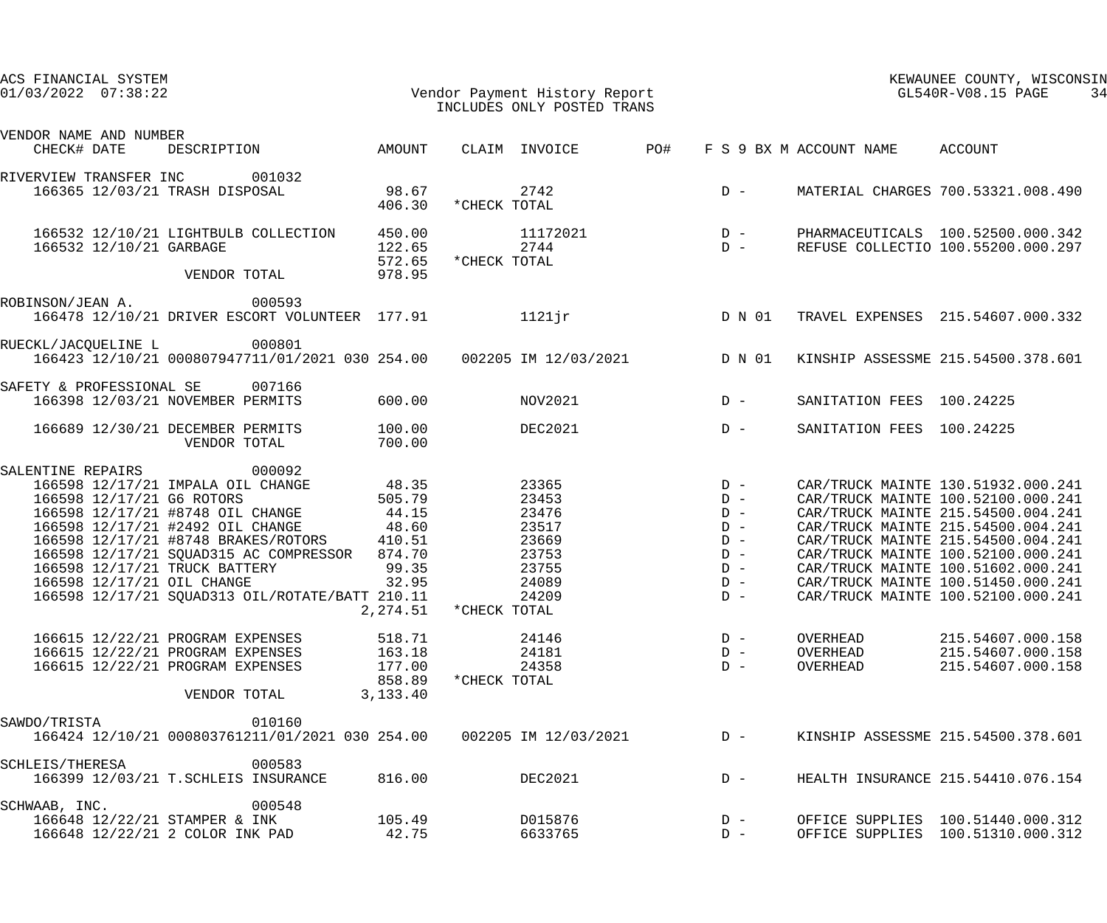| ACS FINANCIAL SYSTEM<br>$01/03/2022$ $07:38:22$                 |                                                                                                          |                                                                 | Vendor Payment History Report<br>INCLUDES ONLY DOSTED TRANS<br>INCLUDES ONLY POSTED TRANS |     |                                                                   |                                  | KEWAUNEE COUNTY, WISCONSIN<br>GL540R-V08.15 PAGE<br>34                                                         |
|-----------------------------------------------------------------|----------------------------------------------------------------------------------------------------------|-----------------------------------------------------------------|-------------------------------------------------------------------------------------------|-----|-------------------------------------------------------------------|----------------------------------|----------------------------------------------------------------------------------------------------------------|
| VENDOR NAME AND NUMBER<br>CHECK# DATE                           | DESCRIPTION AMOUNT                                                                                       |                                                                 | CLAIM INVOICE                                                                             | PO# |                                                                   | F S 9 BX M ACCOUNT NAME ACCOUNT  |                                                                                                                |
| RIVERVIEW TRANSFER INC 001032<br>166365 12/03/21 TRASH DISPOSAL |                                                                                                          | 98.67<br>406.30                                                 | 2742<br>*CHECK TOTAL                                                                      |     | $D -$                                                             |                                  | MATERIAL CHARGES 700.53321.008.490                                                                             |
| 166532 12/10/21 GARBAGE                                         | 166532 12/10/21 LIGHTBULB COLLECTION                                                                     | 450.00<br>122.65<br>572.65                                      | 11172021<br>2744<br>*CHECK TOTAL                                                          |     | $\begin{array}{c}\nD & - \\ D & -\n\end{array}$                   |                                  | PHARMACEUTICALS 100.52500.000.342<br>REFUSE COLLECTIO 100.55200.000.297                                        |
|                                                                 | VENDOR TOTAL                                                                                             | 978.95                                                          |                                                                                           |     |                                                                   |                                  |                                                                                                                |
| ROBINSON/JEAN A.                                                | 000593<br>166478 12/10/21 DRIVER ESCORT VOLUNTEER 177.91 1121jr                                          |                                                                 |                                                                                           |     | D N 01                                                            |                                  | TRAVEL EXPENSES 215.54607.000.332                                                                              |
| RUECKL/JACQUELINE L                                             | 000801<br>166423 12/10/21 000807947711/01/2021 030 254.00 002205 IM 12/03/2021 D N 01                    |                                                                 |                                                                                           |     |                                                                   |                                  | KINSHIP ASSESSME 215.54500.378.601                                                                             |
| SAFETY & PROFESSIONAL SE                                        | 007166<br>166398 12/03/21 NOVEMBER PERMITS                                                               | 600.00                                                          | NOV2021                                                                                   |     | $D -$                                                             | SANITATION FEES 100.24225        |                                                                                                                |
|                                                                 | 166689 12/30/21 DECEMBER PERMITS<br>VENDOR TOTAL                                                         | 100.00<br>700.00                                                | <b>DEC2021</b>                                                                            |     | $D -$                                                             | SANITATION FEES 100.24225        |                                                                                                                |
| SALENTINE REPAIRS                                               | 000092<br>166598 12/17/21 IMPALA OIL CHANGE                                                              | 48.35                                                           | 23365                                                                                     |     |                                                                   |                                  | CAR/TRUCK MAINTE 130.51932.000.241                                                                             |
| 166598 12/17/21 G6 ROTORS                                       | 166598 12/17/21 #8748 OIL CHANGE<br>166598 12/17/21 #2492 OIL CHANGE                                     | 505.79<br>44.15                                                 | 23453<br>23476<br>23517                                                                   |     | $\begin{array}{ccc} D & - \\ D & - \\ D & - \\ D & - \end{array}$ |                                  | CAR/TRUCK MAINTE 100.52100.000.241<br>CAR/TRUCK MAINTE 215.54500.004.241<br>CAR/TRUCK MAINTE 215.54500.004.241 |
|                                                                 | 166598 12/17/21 #8748 BRAKES/ROTORS<br>166598 12/17/21 SQUAD315 AC COMPRESSOR 874.70                     | $\begin{array}{cc} & 48.60 \\ 5 & 410.51 \end{array}$<br>410.51 | 23669<br>23753                                                                            |     | $D -$<br>$D -$                                                    |                                  | CAR/TRUCK MAINTE 215.54500.004.241<br>CAR/TRUCK MAINTE 100.52100.000.241                                       |
| 166598 12/17/21 TRUCK BATTERY<br>166598 12/17/21 OIL CHANGE     | 166598 12/17/21 SQUAD313 OIL/ROTATE/BATT 210.11                                                          | 99.35<br>32.95                                                  | 23755<br>24089<br>24209                                                                   |     | $D -$<br>$D -$<br>$D -$                                           |                                  | CAR/TRUCK MAINTE 100.51602.000.241<br>CAR/TRUCK MAINTE 100.51450.000.241<br>CAR/TRUCK MAINTE 100.52100.000.241 |
|                                                                 |                                                                                                          | 2,274.51                                                        | *CHECK TOTAL                                                                              |     |                                                                   |                                  |                                                                                                                |
|                                                                 | 166615 12/22/21 PROGRAM EXPENSES<br>166615 12/22/21 PROGRAM EXPENSES<br>166615 12/22/21 PROGRAM EXPENSES | 518.71<br>163.18<br>177.00                                      | 24146<br>24181<br>24358                                                                   |     | $D -$<br>$D -$<br>$D -$                                           | OVERHEAD<br>OVERHEAD<br>OVERHEAD | 215.54607.000.158<br>215.54607.000.158<br>215.54607.000.158                                                    |
|                                                                 | VENDOR TOTAL                                                                                             | 858.89<br>3,133.40                                              | *CHECK TOTAL                                                                              |     |                                                                   |                                  |                                                                                                                |
| SAWDO/TRISTA                                                    | 010160<br>166424 12/10/21 000803761211/01/2021 030 254.00                                                |                                                                 | 002205 IM 12/03/2021                                                                      |     | $D -$                                                             |                                  | KINSHIP ASSESSME 215.54500.378.601                                                                             |
| SCHLEIS/THERESA                                                 | 000583                                                                                                   |                                                                 |                                                                                           |     |                                                                   |                                  |                                                                                                                |
|                                                                 | 166399 12/03/21 T.SCHLEIS INSURANCE                                                                      | 816.00                                                          | <b>DEC2021</b>                                                                            |     | $D -$                                                             |                                  | HEALTH INSURANCE 215.54410.076.154                                                                             |
| SCHWAAB, INC.<br>166648 12/22/21 STAMPER & INK                  | 000548<br>166648 12/22/21 2 COLOR INK PAD                                                                | 105.49<br>42.75                                                 | D015876<br>6633765                                                                        |     | $D -$<br>$D -$                                                    |                                  | OFFICE SUPPLIES 100.51440.000.312<br>OFFICE SUPPLIES 100.51310.000.312                                         |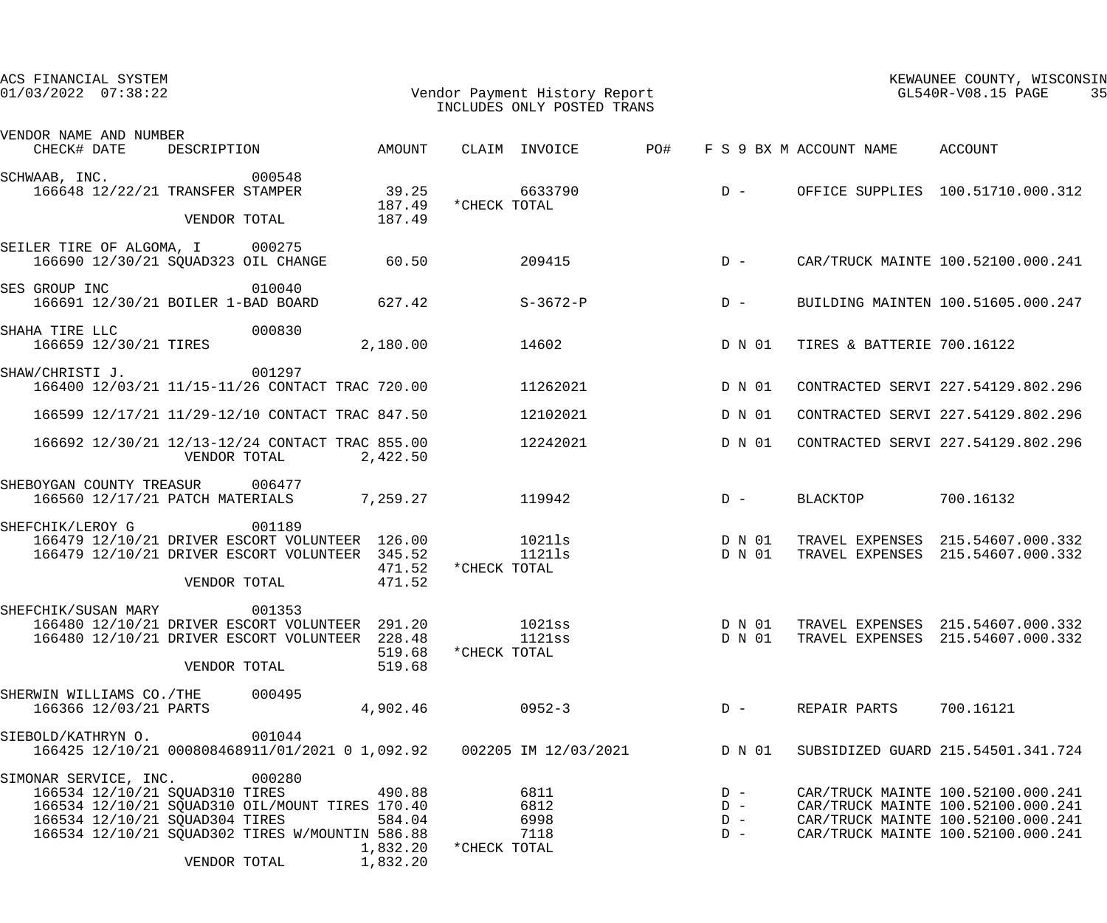| ACS FINANCIAL SYSTEM<br>$01/03/2022$ $07:38:22$                                                                                                                                                                                                                       | Vendor Payment History Report<br>INCLUDES ONLY POSTED TRANS                      | KEWAUNEE COUNTY, WISCONSIN<br>GL540R-V08.15 PAGE<br>35                                                                                               |
|-----------------------------------------------------------------------------------------------------------------------------------------------------------------------------------------------------------------------------------------------------------------------|----------------------------------------------------------------------------------|------------------------------------------------------------------------------------------------------------------------------------------------------|
| VENDOR NAME AND NUMBER<br>DESCRIPTION AMOUNT<br>CHECK# DATE                                                                                                                                                                                                           | CLAIM INVOICE<br><b>PO#</b>                                                      | F S 9 BX M ACCOUNT NAME ACCOUNT                                                                                                                      |
| 000548<br>SCHWAAB, INC.<br>166648 12/22/21 TRANSFER STAMPER<br>39.25<br>187.49<br>VENDOR TOTAL<br>187.49                                                                                                                                                              | 6633790<br>$D -$<br>*CHECK TOTAL                                                 | OFFICE SUPPLIES 100.51710.000.312                                                                                                                    |
| SEILER TIRE OF ALGOMA, I 000275<br>166690 12/30/21 SQUAD323 OIL CHANGE<br>60.50                                                                                                                                                                                       | 209415<br>$D -$                                                                  | CAR/TRUCK MAINTE 100.52100.000.241                                                                                                                   |
| SES GROUP INC<br>010040<br>166691 12/30/21 BOILER 1-BAD BOARD<br>627.42                                                                                                                                                                                               | S-3672-P<br>$D -$                                                                | BUILDING MAINTEN 100.51605.000.247                                                                                                                   |
| SHAHA TIRE LLC<br>000830<br>166659 12/30/21 TIRES<br>2,180.00                                                                                                                                                                                                         | 14602<br>D N 01                                                                  | TIRES & BATTERIE 700.16122                                                                                                                           |
| 001297<br>SHAW/CHRISTI J.<br>166400 12/03/21 11/15-11/26 CONTACT TRAC 720.00                                                                                                                                                                                          | 11262021<br>D N 01                                                               | CONTRACTED SERVI 227.54129.802.296                                                                                                                   |
| 166599 12/17/21 11/29-12/10 CONTACT TRAC 847.50                                                                                                                                                                                                                       | 12102021<br>D N 01                                                               | CONTRACTED SERVI 227.54129.802.296                                                                                                                   |
| 166692 12/30/21 12/13-12/24 CONTACT TRAC 855.00<br>VENDOR TOTAL<br>2,422.50                                                                                                                                                                                           | 12242021<br>D N 01                                                               | CONTRACTED SERVI 227.54129.802.296                                                                                                                   |
| SHEBOYGAN COUNTY TREASUR 006477<br>166560 12/17/21 PATCH MATERIALS 7,259.27                                                                                                                                                                                           | 119942<br>$D -$                                                                  | 700.16132<br>BLACKTOP                                                                                                                                |
| SHEFCHIK/LEROY G<br>001189<br>166479 12/10/21 DRIVER ESCORT VOLUNTEER 126.00<br>166479 12/10/21 DRIVER ESCORT VOLUNTEER 345.52<br>471.52<br>VENDOR TOTAL<br>471.52                                                                                                    | 10211s<br>D N 01<br>11211s<br>D N 01<br>*CHECK TOTAL                             | TRAVEL EXPENSES 215.54607.000.332<br>TRAVEL EXPENSES 215.54607.000.332                                                                               |
| 001353<br>SHEFCHIK/SUSAN MARY<br>166480 12/10/21 DRIVER ESCORT VOLUNTEER 291.20<br>166480 12/10/21 DRIVER ESCORT VOLUNTEER 228.48<br>519.68<br>VENDOR TOTAL<br>519.68                                                                                                 | $1021\mathrm{ss}$<br>D N 01<br>1121ss<br>D N 01<br>*CHECK TOTAL                  | TRAVEL EXPENSES 215.54607.000.332<br>TRAVEL EXPENSES 215.54607.000.332                                                                               |
| SHERWIN WILLIAMS CO./THE 000495<br>166366 12/03/21 PARTS<br>4,902.46                                                                                                                                                                                                  | $0952 - 3$<br>$D -$                                                              | 700.16121<br>REPAIR PARTS                                                                                                                            |
| 001044<br>SIEBOLD/KATHRYN O.<br>166425 12/10/21 000808468911/01/2021 0 1,092.92 002205 IM 12/03/2021 D N 01                                                                                                                                                           |                                                                                  | SUBSIDIZED GUARD 215.54501.341.724                                                                                                                   |
| 000280<br>SIMONAR SERVICE, INC.<br>166534 12/10/21 SQUAD310 TIRES<br>490.88<br>166534 12/10/21 SQUAD310 OIL/MOUNT TIRES 170.40<br>166534 12/10/21 SQUAD304 TIRES<br>584.04<br>166534 12/10/21 SQUAD302 TIRES W/MOUNTIN 586.88<br>1,832.20<br>1,832.20<br>VENDOR TOTAL | 6811<br>$D -$<br>6812<br>$D -$<br>6998<br>$D -$<br>7118<br>$D -$<br>*CHECK TOTAL | CAR/TRUCK MAINTE 100.52100.000.241<br>CAR/TRUCK MAINTE 100.52100.000.241<br>CAR/TRUCK MAINTE 100.52100.000.241<br>CAR/TRUCK MAINTE 100.52100.000.241 |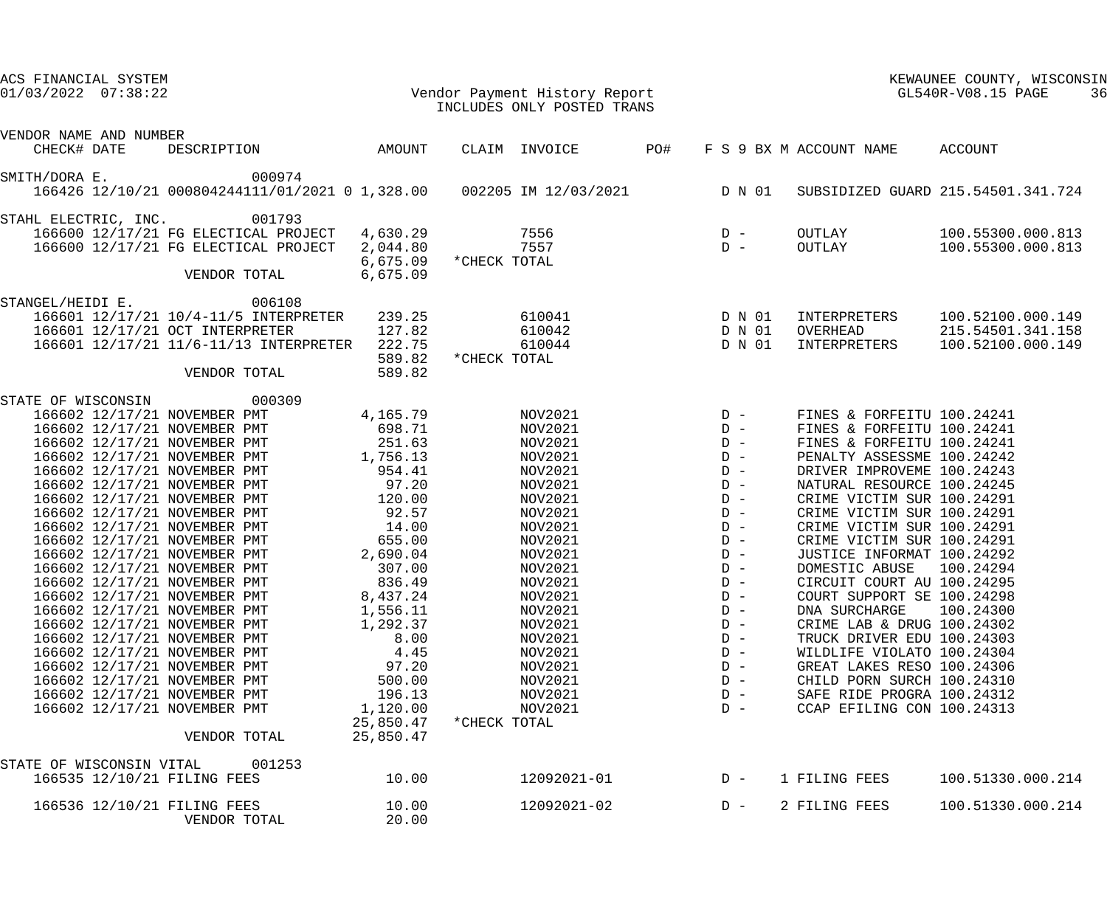| ACS FINANCIAL SYSTEM<br>$01/03/2022$ $07:38:22$                                                                                                                                                                                                                                                                                                                                                                                                                                                                                                                                                                                                                                                                                                                           |                                                                                                                                                                                                                                                          | Vendor Payment History Report<br>INCLUDES ONLY POSTED TRANS                                                                                                                                                                                                    |                                                                                                                                                                                                    |                                                                                                                                                                                                                                                                                                                                                                                                                                                                                                                                                                                                                                                                   | KEWAUNEE COUNTY, WISCONSIN<br>GL540R-V08.15 PAGE<br>36      |
|---------------------------------------------------------------------------------------------------------------------------------------------------------------------------------------------------------------------------------------------------------------------------------------------------------------------------------------------------------------------------------------------------------------------------------------------------------------------------------------------------------------------------------------------------------------------------------------------------------------------------------------------------------------------------------------------------------------------------------------------------------------------------|----------------------------------------------------------------------------------------------------------------------------------------------------------------------------------------------------------------------------------------------------------|----------------------------------------------------------------------------------------------------------------------------------------------------------------------------------------------------------------------------------------------------------------|----------------------------------------------------------------------------------------------------------------------------------------------------------------------------------------------------|-------------------------------------------------------------------------------------------------------------------------------------------------------------------------------------------------------------------------------------------------------------------------------------------------------------------------------------------------------------------------------------------------------------------------------------------------------------------------------------------------------------------------------------------------------------------------------------------------------------------------------------------------------------------|-------------------------------------------------------------|
| VENDOR NAME AND NUMBER                                                                                                                                                                                                                                                                                                                                                                                                                                                                                                                                                                                                                                                                                                                                                    |                                                                                                                                                                                                                                                          |                                                                                                                                                                                                                                                                |                                                                                                                                                                                                    |                                                                                                                                                                                                                                                                                                                                                                                                                                                                                                                                                                                                                                                                   |                                                             |
| CHECK# DATE                                                                                                                                                                                                                                                                                                                                                                                                                                                                                                                                                                                                                                                                                                                                                               | DESCRIPTION AMOUNT                                                                                                                                                                                                                                       | CLAIM INVOICE PO#                                                                                                                                                                                                                                              |                                                                                                                                                                                                    | F S 9 BX M ACCOUNT NAME                                                                                                                                                                                                                                                                                                                                                                                                                                                                                                                                                                                                                                           | ACCOUNT                                                     |
| 000974<br>SMITH/DORA E.<br>166426 12/10/21 000804244111/01/2021 0 1,328.00  002205 IM 12/03/2021  D N 01                                                                                                                                                                                                                                                                                                                                                                                                                                                                                                                                                                                                                                                                  |                                                                                                                                                                                                                                                          |                                                                                                                                                                                                                                                                |                                                                                                                                                                                                    |                                                                                                                                                                                                                                                                                                                                                                                                                                                                                                                                                                                                                                                                   | SUBSIDIZED GUARD 215.54501.341.724                          |
| STAHL ELECTRIC, INC. 001793<br>166600 12/17/21 FG ELECTICAL PROJECT 4,630.29<br>166600 12/17/21 FG ELECTICAL PROJECT<br>VENDOR TOTAL                                                                                                                                                                                                                                                                                                                                                                                                                                                                                                                                                                                                                                      | 2,044.80<br>6,675.09<br>6,675.09                                                                                                                                                                                                                         | 7556<br>7557<br>*CHECK TOTAL                                                                                                                                                                                                                                   | $\begin{array}{cc} \mathbf{D} & - \\ \mathbf{D} & - \end{array}$                                                                                                                                   | OUTLAY<br>OUTLAY                                                                                                                                                                                                                                                                                                                                                                                                                                                                                                                                                                                                                                                  | 100.55300.000.813<br>100.55300.000.813                      |
| 006108<br>STANGEL/HEIDI E.<br>166601 12/17/21 10/4-11/5 INTERPRETER<br>166601 12/17/21 OCT INTERPRETER<br>166601 12/17/21 11/6-11/13 INTERPRETER 222.75<br>VENDOR TOTAL                                                                                                                                                                                                                                                                                                                                                                                                                                                                                                                                                                                                   | 239.25<br>127.82<br>589.82<br>589.82                                                                                                                                                                                                                     | 610041<br>610042<br>610044<br>*CHECK TOTAL                                                                                                                                                                                                                     | D N 01<br>D N 01<br>D N 01                                                                                                                                                                         | INTERPRETERS<br>OVERHEAD<br>INTERPRETERS                                                                                                                                                                                                                                                                                                                                                                                                                                                                                                                                                                                                                          | 100.52100.000.149<br>215.54501.341.158<br>100.52100.000.149 |
| STATE OF WISCONSIN 000309<br>166602 12/17/21 NOVEMBER PMT<br>166602 12/17/21 NOVEMBER PMT<br>166602 12/17/21 NOVEMBER PMT<br>166602 12/17/21 NOVEMBER PMT<br>166602 12/17/21 NOVEMBER PMT<br>166602 12/17/21 NOVEMBER PMT<br>166602 12/17/21 NOVEMBER PMT<br>166602 12/17/21 NOVEMBER PMT<br>166602 12/17/21 NOVEMBER PMT<br>166602 12/17/21 NOVEMBER PMT<br>166602 12/17/21 NOVEMBER PMT<br>166602 12/17/21 NOVEMBER PMT<br>166602 12/17/21 NOVEMBER PMT<br>166602 12/17/21 NOVEMBER PMT<br>166602 12/17/21 NOVEMBER PMT<br>166602 12/17/21 NOVEMBER PMT<br>166602 12/17/21 NOVEMBER PMT<br>166602 12/17/21 NOVEMBER PMT<br>166602 12/17/21 NOVEMBER PMT<br>166602 12/17/21 NOVEMBER PMT<br>166602 12/17/21 NOVEMBER PMT<br>166602 12/17/21 NOVEMBER PMT<br>VENDOR TOTAL | 4,165.79<br>698.71<br>251.63<br>1,756.13<br>954.41<br>97.20<br>120.00<br>92.57<br>14.00<br>655.00<br>2,690.04<br>307.00<br>836.49<br>8,437.24<br>1,556.11<br>1,292.37<br>8.00<br>4.45<br>97.20<br>500.00<br>196.13<br>1,120.00<br>25,850.47<br>25,850.47 | NOV2021<br>NOV2021<br>NOV2021<br>NOV2021<br>NOV2021<br>NOV2021<br>NOV2021<br>NOV2021<br>NOV2021<br>NOV2021<br>NOV2021<br>NOV2021<br>NOV2021<br>NOV2021<br>NOV2021<br>NOV2021<br>NOV2021<br>NOV2021<br>NOV2021<br>NOV2021<br>NOV2021<br>NOV2021<br>*CHECK TOTAL | $D -$<br>$D -$<br>$D -$<br>$D -$<br>$D -$<br>$D -$<br>$D -$<br>$D -$<br>$D -$<br>$D -$<br>$D -$<br>$D -$<br>$D -$<br>$D -$<br>$D -$<br>$D -$<br>$D -$<br>$D -$<br>$D -$<br>$D -$<br>$D -$<br>$D -$ | FINES & FORFEITU 100.24241<br>FINES & FORFEITU 100.24241<br>FINES & FORFEITU 100.24241<br>PENALTY ASSESSME 100.24242<br>DRIVER IMPROVEME 100.24243<br>NATURAL RESOURCE 100.24245<br>CRIME VICTIM SUR 100.24291<br>CRIME VICTIM SUR 100.24291<br>CRIME VICTIM SUR 100.24291<br>CRIME VICTIM SUR 100.24291<br>JUSTICE INFORMAT 100.24292<br>DOMESTIC ABUSE 100.24294<br>CIRCUIT COURT AU 100.24295<br>COURT SUPPORT SE 100.24298<br>DNA SURCHARGE<br>CRIME LAB & DRUG 100.24302<br>TRUCK DRIVER EDU 100.24303<br>WILDLIFE VIOLATO 100.24304<br>GREAT LAKES RESO 100.24306<br>CHILD PORN SURCH 100.24310<br>SAFE RIDE PROGRA 100.24312<br>CCAP EFILING CON 100.24313 | 100.24300                                                   |
| STATE OF WISCONSIN VITAL<br>166535 12/10/21 FILING FEES                                                                                                                                                                                                                                                                                                                                                                                                                                                                                                                                                                                                                                                                                                                   | 001253<br>10.00                                                                                                                                                                                                                                          | 12092021-01                                                                                                                                                                                                                                                    | $D -$                                                                                                                                                                                              | 1 FILING FEES                                                                                                                                                                                                                                                                                                                                                                                                                                                                                                                                                                                                                                                     | 100.51330.000.214                                           |
| 166536 12/10/21 FILING FEES<br>VENDOR TOTAL                                                                                                                                                                                                                                                                                                                                                                                                                                                                                                                                                                                                                                                                                                                               | 10.00<br>20.00                                                                                                                                                                                                                                           | 12092021-02                                                                                                                                                                                                                                                    | $D -$                                                                                                                                                                                              | 2 FILING FEES                                                                                                                                                                                                                                                                                                                                                                                                                                                                                                                                                                                                                                                     | 100.51330.000.214                                           |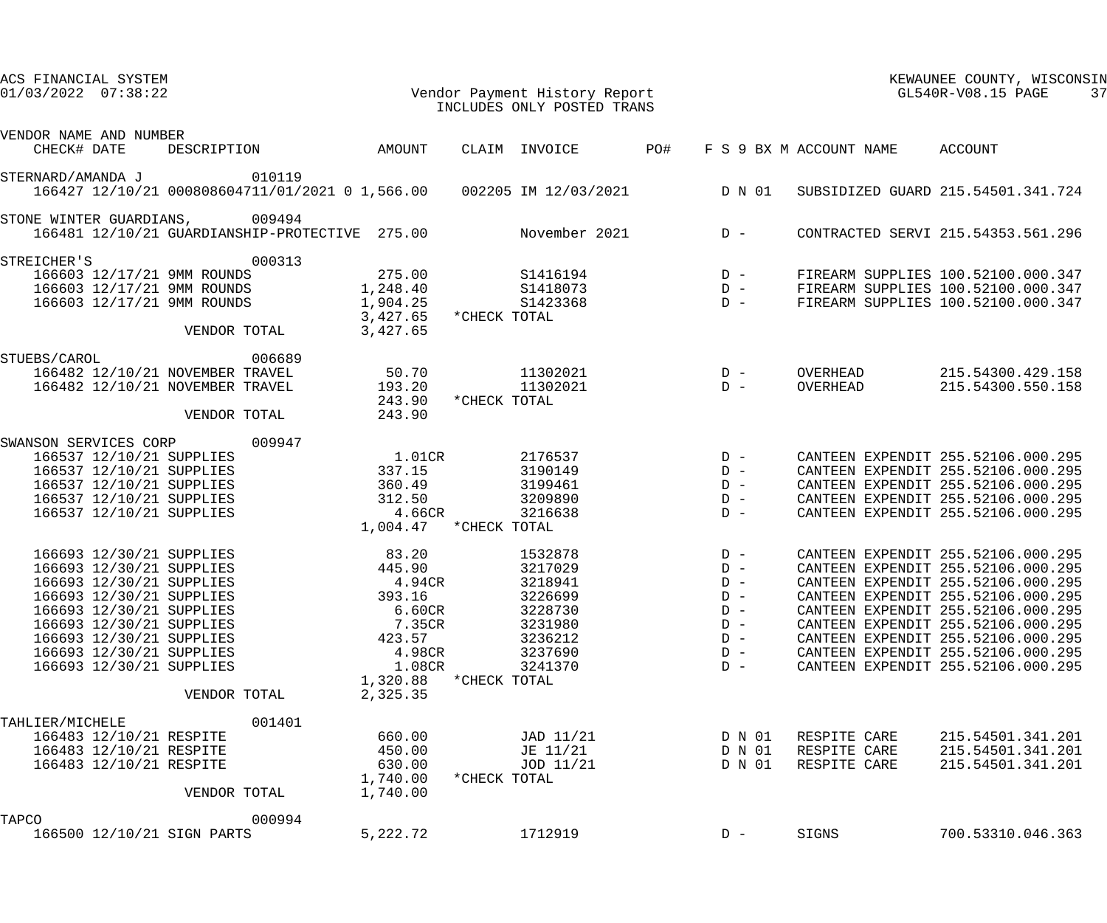| ACS FINANCIAL SYSTEM<br>$01/03/2022$ $07:38:22$                                                                                                                                                                                                          |                                                                                                      | Vendor Payment History Report<br>INCLUDES ONLY POSTED TRANS                                                     |                                                                               |                                              | KEWAUNEE COUNTY, WISCONSIN<br>GL540R-V08.15 PAGE<br>37                                                                                                                                                                                                                                                                                             |
|----------------------------------------------------------------------------------------------------------------------------------------------------------------------------------------------------------------------------------------------------------|------------------------------------------------------------------------------------------------------|-----------------------------------------------------------------------------------------------------------------|-------------------------------------------------------------------------------|----------------------------------------------|----------------------------------------------------------------------------------------------------------------------------------------------------------------------------------------------------------------------------------------------------------------------------------------------------------------------------------------------------|
| VENDOR NAME AND NUMBER                                                                                                                                                                                                                                   |                                                                                                      |                                                                                                                 |                                                                               |                                              |                                                                                                                                                                                                                                                                                                                                                    |
| CHECK# DATE<br>DESCRIPTION                                                                                                                                                                                                                               | AMOUNT                                                                                               | CLAIM INVOICE                                                                                                   | PO#                                                                           | F S 9 BX M ACCOUNT NAME                      | ACCOUNT                                                                                                                                                                                                                                                                                                                                            |
| 010119<br>STERNARD/AMANDA J<br>166427 12/10/21 000808604711/01/2021 0 1,566.00 002205 IM 12/03/2021                                                                                                                                                      |                                                                                                      |                                                                                                                 | D N 01                                                                        |                                              | SUBSIDIZED GUARD 215.54501.341.724                                                                                                                                                                                                                                                                                                                 |
| STONE WINTER GUARDIANS, 009494<br>166481 12/10/21 GUARDIANSHIP-PROTECTIVE 275.00                                                                                                                                                                         |                                                                                                      | November 2021                                                                                                   | $D -$                                                                         |                                              | CONTRACTED SERVI 215.54353.561.296                                                                                                                                                                                                                                                                                                                 |
| 000313<br>STREICHER'S<br>166603 12/17/21 9MM ROUNDS<br>166603 12/17/21 9MM ROUNDS<br>166603 12/17/21 9MM ROUNDS                                                                                                                                          | 275.00<br>1,248.40<br>1,904.25<br>3,427.65                                                           | S1416194<br>S1418073<br>S1423368<br>*CHECK TOTAL                                                                | $\begin{array}{cc} D & - \\ D & - \end{array}$<br>$D -$                       |                                              | FIREARM SUPPLIES 100.52100.000.347<br>FIREARM SUPPLIES 100.52100.000.347<br>FIREARM SUPPLIES 100.52100.000.347                                                                                                                                                                                                                                     |
| VENDOR TOTAL<br>006689<br>STUEBS/CAROL<br>166482 12/10/21 NOVEMBER TRAVEL<br>166482 12/10/21 NOVEMBER TRAVEL<br>VENDOR TOTAL                                                                                                                             | 3,427.65<br>50.70<br>193.20<br>243.90<br>243.90                                                      | 11302021<br>11302021<br>*CHECK TOTAL                                                                            | $D -$<br>$D -$                                                                | OVERHEAD<br>OVERHEAD                         | 215.54300.429.158<br>215.54300.550.158                                                                                                                                                                                                                                                                                                             |
| SWANSON SERVICES CORP<br>009947<br>166537 12/10/21 SUPPLIES<br>166537 12/10/21 SUPPLIES<br>166537 12/10/21 SUPPLIES<br>166537 12/10/21 SUPPLIES<br>166537 12/10/21 SUPPLIES                                                                              | 1.01CR<br>337.15<br>360.49<br>312.50<br>$4.66$ CR                                                    | 2176537<br>3190149<br>3199461<br>3209890<br>3216638<br>1,004.47 * CHECK TOTAL                                   | $D -$<br>$D -$<br>$D -$<br>$D -$<br>$D -$                                     |                                              | CANTEEN EXPENDIT 255.52106.000.295<br>CANTEEN EXPENDIT 255.52106.000.295<br>CANTEEN EXPENDIT 255.52106.000.295<br>CANTEEN EXPENDIT 255.52106.000.295<br>CANTEEN EXPENDIT 255.52106.000.295                                                                                                                                                         |
| 166693 12/30/21 SUPPLIES<br>166693 12/30/21 SUPPLIES<br>166693 12/30/21 SUPPLIES<br>166693 12/30/21 SUPPLIES<br>166693 12/30/21 SUPPLIES<br>166693 12/30/21 SUPPLIES<br>166693 12/30/21 SUPPLIES<br>166693 12/30/21 SUPPLIES<br>166693 12/30/21 SUPPLIES | 83.20<br>445.90<br>$4.94$ CR<br>393.16<br>6.60CR<br>7.35CR<br>423.57<br>4.98CR<br>1.08CR<br>1,320.88 | 1532878<br>3217029<br>3218941<br>3226699<br>3228730<br>3231980<br>3236212<br>3237690<br>3241370<br>*CHECK TOTAL | $D -$<br>$D -$<br>$D -$<br>$D -$<br>$D -$<br>$D -$<br>$D -$<br>$D -$<br>$D -$ |                                              | CANTEEN EXPENDIT 255.52106.000.295<br>CANTEEN EXPENDIT 255.52106.000.295<br>CANTEEN EXPENDIT 255.52106.000.295<br>CANTEEN EXPENDIT 255.52106.000.295<br>CANTEEN EXPENDIT 255.52106.000.295<br>CANTEEN EXPENDIT 255.52106.000.295<br>CANTEEN EXPENDIT 255.52106.000.295<br>CANTEEN EXPENDIT 255.52106.000.295<br>CANTEEN EXPENDIT 255.52106.000.295 |
| VENDOR TOTAL<br>001401<br>TAHLIER/MICHELE<br>166483 12/10/21 RESPITE<br>166483 12/10/21 RESPITE<br>166483 12/10/21 RESPITE<br>VENDOR TOTAL                                                                                                               | 2,325.35<br>660.00<br>450.00<br>630.00<br>1,740.00<br>1,740.00                                       | JAD 11/21<br>JE 11/21<br>JOD 11/21<br>*CHECK TOTAL                                                              | D N 01<br>D N 01<br>D N 01                                                    | RESPITE CARE<br>RESPITE CARE<br>RESPITE CARE | 215.54501.341.201<br>215.54501.341.201<br>215.54501.341.201                                                                                                                                                                                                                                                                                        |
| TAPCO<br>000994<br>166500 12/10/21 SIGN PARTS                                                                                                                                                                                                            | 5,222.72                                                                                             | 1712919                                                                                                         | $D -$                                                                         | SIGNS                                        | 700.53310.046.363                                                                                                                                                                                                                                                                                                                                  |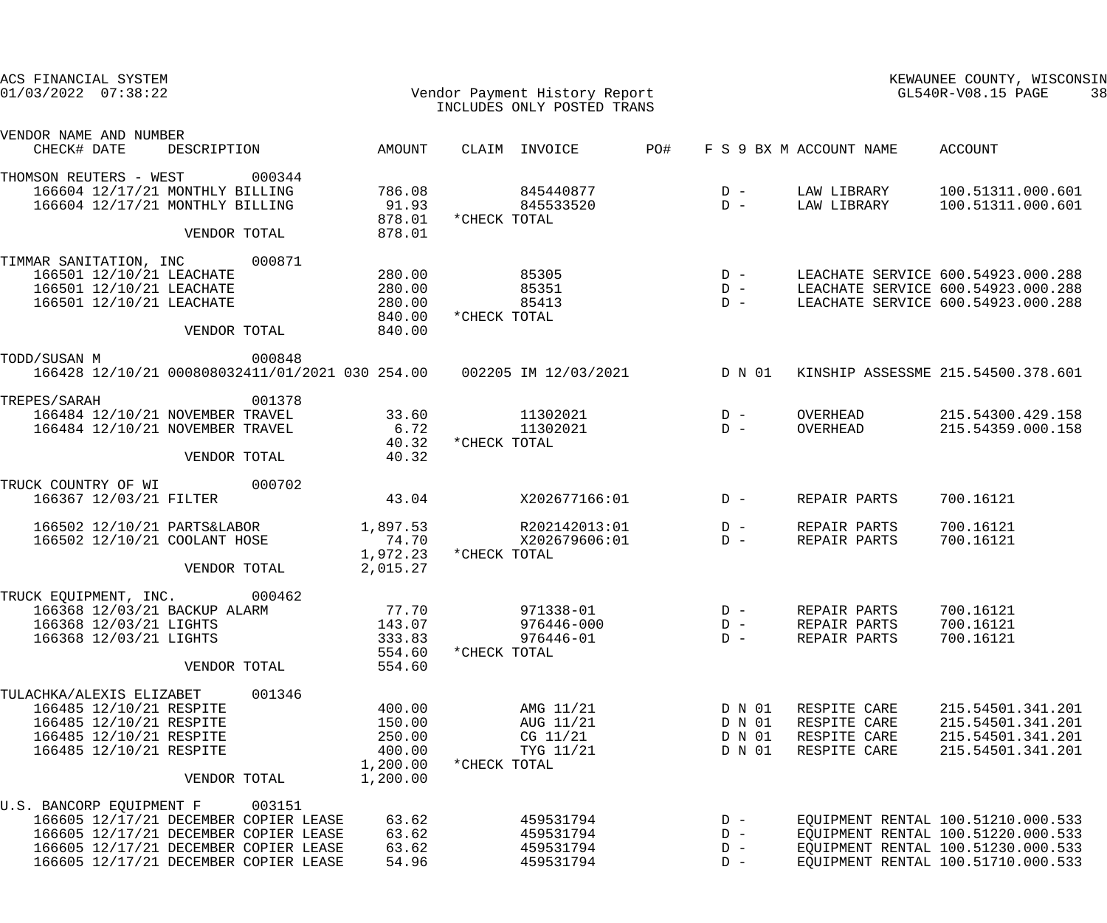| ACS FINANCIAL SYSTEM<br>$01/03/2022$ $07:38:22$                                                                                                                                                        |                                                              | Vendor Payment History Report<br>INCLUDES ONLY POSTED TRANS     |                                                                                       |                                                              | KEWAUNEE COUNTY, WISCONSIN<br>GL540R-V08.15 PAGE<br>38                                                                                               |
|--------------------------------------------------------------------------------------------------------------------------------------------------------------------------------------------------------|--------------------------------------------------------------|-----------------------------------------------------------------|---------------------------------------------------------------------------------------|--------------------------------------------------------------|------------------------------------------------------------------------------------------------------------------------------------------------------|
| VENDOR NAME AND NUMBER<br>CHECK# DATE<br>DESCRIPTION                                                                                                                                                   | AMOUNT                                                       | CLAIM INVOICE                                                   | PO#                                                                                   | F S 9 BX M ACCOUNT NAME ACCOUNT                              |                                                                                                                                                      |
| THOMSON REUTERS - WEST<br>000344<br>166604 12/17/21 MONTHLY BILLING<br>166604 12/17/21 MONTHLY BILLING<br>VENDOR TOTAL                                                                                 | 786.08<br>91.93<br>878.01<br>878.01                          | 845440877<br>845533520<br>*CHECK TOTAL                          | $D -$<br>$\overline{D}$ –                                                             | LAW LIBRARY<br>LAW LIBRARY                                   | 100.51311.000.601<br>100.51311.000.601                                                                                                               |
| 000871<br>TIMMAR SANITATION, INC<br>166501 12/10/21 LEACHATE<br>166501 12/10/21 LEACHATE<br>166501 12/10/21 LEACHATE<br>VENDOR TOTAL                                                                   | 280.00<br>280.00<br>280.00<br>840.00<br>840.00               | 85305<br>85351<br>85413<br>*CHECK TOTAL                         | $\begin{array}{ccc} &\text{D} & - \\ & \text{D} & - \\ & \text{D} & - \\ \end{array}$ |                                                              | LEACHATE SERVICE 600.54923.000.288<br>LEACHATE SERVICE 600.54923.000.288<br>LEACHATE SERVICE 600.54923.000.288                                       |
| TODD/SUSAN M<br>000848<br>166428 12/10/21 000808032411/01/2021 030 254.00 002205 IM 12/03/2021 D N 01                                                                                                  |                                                              |                                                                 |                                                                                       |                                                              | KINSHIP ASSESSME 215.54500.378.601                                                                                                                   |
| 001378<br>TREPES/SARAH<br>166484 12/10/21 NOVEMBER TRAVEL<br>166484 12/10/21 NOVEMBER TRAVEL<br>VENDOR TOTAL                                                                                           | 33.60<br>6.72<br>40.32<br>40.32                              | 11302021<br>11302021<br>*CHECK TOTAL                            | $D -$<br>$D -$                                                                        | OVERHEAD<br>OVERHEAD                                         | 215.54300.429.158<br>215.54359.000.158                                                                                                               |
| TRUCK COUNTRY OF WI<br>000702<br>166367 12/03/21 FILTER                                                                                                                                                | 43.04                                                        | X202677166:01                                                   | $D -$                                                                                 | REPAIR PARTS                                                 | 700.16121                                                                                                                                            |
| 166502 12/10/21 PARTS&LABOR<br>166502 12/10/21 COOLANT HOSE<br>VENDOR TOTAL                                                                                                                            | 1,897.53<br>74.70<br>1,972.23<br>2,015.27                    | X202679606:01<br>*CHECK TOTAL                                   |                                                                                       | REPAIR PARTS<br>REPAIR PARTS                                 | 700.16121<br>700.16121                                                                                                                               |
| 000462<br>TRUCK EQUIPMENT, INC.<br>166368 12/03/21 BACKUP ALARM<br>166368 12/03/21 LIGHTS<br>166368 12/03/21 LIGHTS<br>VENDOR TOTAL                                                                    | 77.70<br>143.07<br>333.83<br>554.60<br>554.60                | 971338-01<br>976446-000<br>976446-01<br>*CHECK TOTAL            | $D -$<br>$D -$<br>$D -$                                                               | REPAIR PARTS<br>REPAIR PARTS<br>REPAIR PARTS                 | 700.16121<br>700.16121<br>700.16121                                                                                                                  |
| 001346<br>TULACHKA/ALEXIS ELIZABET<br>166485 12/10/21 RESPITE<br>166485 12/10/21 RESPITE<br>166485 12/10/21 RESPITE<br>166485 12/10/21 RESPITE<br>VENDOR TOTAL                                         | 400.00<br>150.00<br>250.00<br>400.00<br>1,200.00<br>1,200.00 | AMG 11/21<br>AUG 11/21<br>CG 11/21<br>TYG 11/21<br>*CHECK TOTAL | D N 01<br>D N 01<br>D N 01<br>D N 01                                                  | RESPITE CARE<br>RESPITE CARE<br>RESPITE CARE<br>RESPITE CARE | 215.54501.341.201<br>215.54501.341.201<br>215.54501.341.201<br>215.54501.341.201                                                                     |
| U.S. BANCORP EQUIPMENT F<br>003151<br>166605 12/17/21 DECEMBER COPIER LEASE<br>166605 12/17/21 DECEMBER COPIER LEASE<br>166605 12/17/21 DECEMBER COPIER LEASE<br>166605 12/17/21 DECEMBER COPIER LEASE | 63.62<br>63.62<br>63.62<br>54.96                             | 459531794<br>459531794<br>459531794<br>459531794                | $D -$<br>$D -$<br>$D -$<br>$D -$                                                      |                                                              | EQUIPMENT RENTAL 100.51210.000.533<br>EQUIPMENT RENTAL 100.51220.000.533<br>EQUIPMENT RENTAL 100.51230.000.533<br>EQUIPMENT RENTAL 100.51710.000.533 |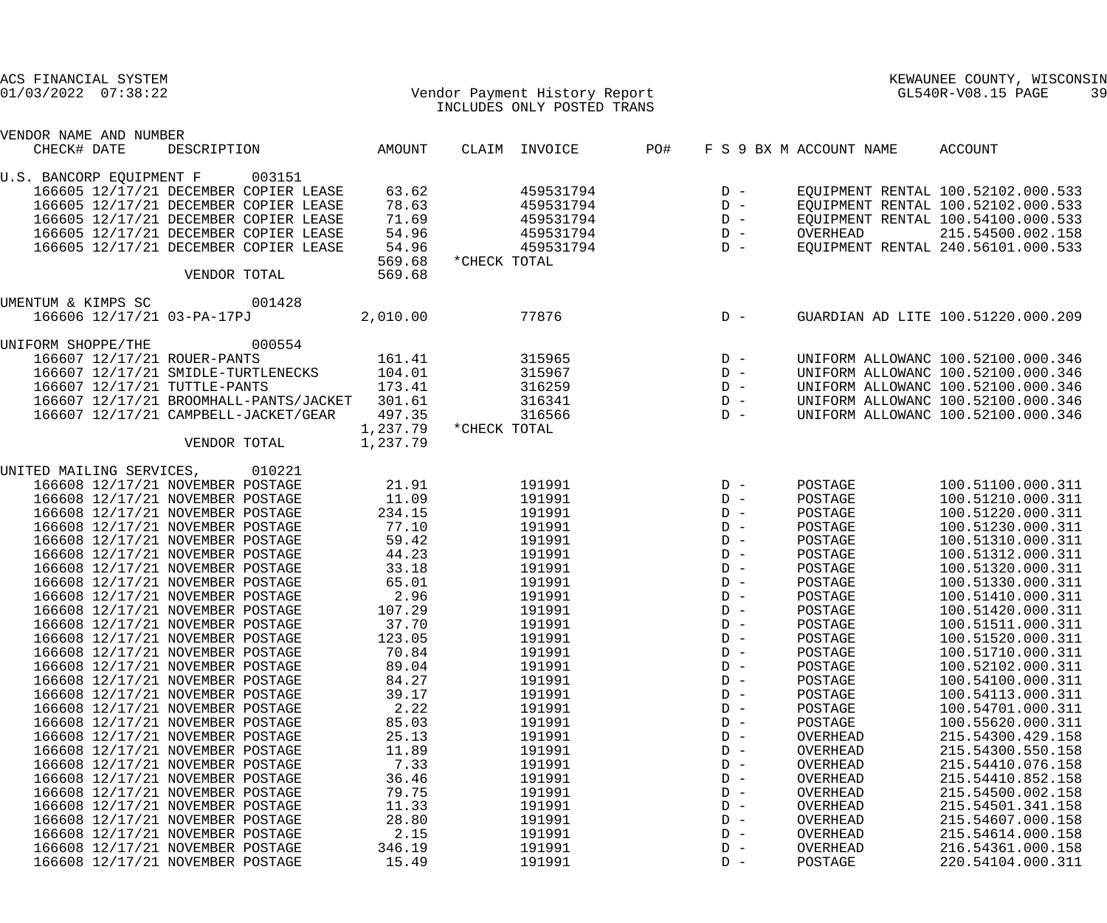| ACS FINANCIAL SYSTEM<br>$01/03/2022$ $07:38:22$ |                      | Vendor Payment History Report<br>INCLUDES ONLY POSTED TRANS |                                                          | KEWAUNEE COUNTY, WISCONSIN<br>GL540R-V08.15 PAGE<br>39 |                                    |
|-------------------------------------------------|----------------------|-------------------------------------------------------------|----------------------------------------------------------|--------------------------------------------------------|------------------------------------|
| VENDOR NAME AND NUMBER                          |                      |                                                             |                                                          |                                                        |                                    |
| DESCRIPTION AMOUNT<br>CHECK# DATE               |                      | CLAIM INVOICE                                               | PO#                                                      | F S 9 BX M ACCOUNT NAME                                | ACCOUNT                            |
| U.S. BANCORP EQUIPMENT F 003151                 |                      |                                                             |                                                          |                                                        |                                    |
| 166605 12/17/21 DECEMBER COPIER LEASE           | 63.62                | 459531794                                                   |                                                          |                                                        | EQUIPMENT RENTAL 100.52102.000.533 |
| 166605 12/17/21 DECEMBER COPIER LEASE           | 78.63                | 459531794                                                   | $\begin{array}{ccc} D & - \\ D & - \\ D & - \end{array}$ |                                                        | EQUIPMENT RENTAL 100.52102.000.533 |
| 166605 12/17/21 DECEMBER COPIER LEASE           | 71.69                | 459531794                                                   |                                                          |                                                        | EQUIPMENT RENTAL 100.54100.000.533 |
| 166605 12/17/21 DECEMBER COPIER LEASE           | 54.96                | 459531794                                                   | $D -$                                                    | OVERHEAD                                               | 215.54500.002.158                  |
| 166605 12/17/21 DECEMBER COPIER LEASE           | 54.96                | 459531794                                                   | $D -$                                                    |                                                        | EQUIPMENT RENTAL 240.56101.000.533 |
|                                                 | 569.68               | *CHECK TOTAL                                                |                                                          |                                                        |                                    |
| VENDOR TOTAL                                    | 569.68               |                                                             |                                                          |                                                        |                                    |
| UMENTUM & KIMPS SC 001428                       |                      |                                                             |                                                          |                                                        |                                    |
| 166606 12/17/21 03-PA-17PJ                      | 2,010.00             | 77876                                                       | $D -$                                                    |                                                        | GUARDIAN AD LITE 100.51220.000.209 |
|                                                 |                      |                                                             |                                                          |                                                        |                                    |
| 000554<br>UNIFORM SHOPPE/THE                    |                      |                                                             |                                                          |                                                        |                                    |
| 166607 12/17/21 ROUER-PANTS                     | 161.41               | 315965                                                      | $\begin{array}{c}\nD & - \\ D & -\n\end{array}$          |                                                        | UNIFORM ALLOWANC 100.52100.000.346 |
| 166607 12/17/21 SMIDLE-TURTLENECKS              | 104.01               | 315967                                                      |                                                          |                                                        | UNIFORM ALLOWANC 100.52100.000.346 |
| 166607 12/17/21 TUTTLE-PANTS                    | 173.41               | 316259                                                      | $\begin{array}{ccc} D & - \\ D & - \\ D & - \end{array}$ |                                                        | UNIFORM ALLOWANC 100.52100.000.346 |
| 166607 12/17/21 BROOMHALL-PANTS/JACKET 301.61   |                      | 316341                                                      |                                                          |                                                        | UNIFORM ALLOWANC 100.52100.000.346 |
| 166607 12/17/21 CAMPBELL-JACKET/GEAR            | 497.35               | 316566                                                      |                                                          |                                                        | UNIFORM ALLOWANC 100.52100.000.346 |
| VENDOR TOTAL                                    | 1,237.79<br>1,237.79 | *CHECK TOTAL                                                |                                                          |                                                        |                                    |
|                                                 |                      |                                                             |                                                          |                                                        |                                    |
| UNITED MAILING SERVICES, 010221                 |                      |                                                             |                                                          |                                                        |                                    |
| 166608 12/17/21 NOVEMBER POSTAGE                | 21.91                | 191991                                                      | $D -$                                                    | POSTAGE                                                | 100.51100.000.311                  |
| 166608 12/17/21 NOVEMBER POSTAGE                | 11.09                | 191991                                                      | $D -$                                                    | POSTAGE                                                | 100.51210.000.311                  |
| 166608 12/17/21 NOVEMBER POSTAGE                | 234.15               | 191991                                                      | $D -$                                                    | POSTAGE                                                | 100.51220.000.311                  |
| 166608 12/17/21 NOVEMBER POSTAGE                | 77.10                | 191991                                                      | $D -$                                                    | POSTAGE                                                | 100.51230.000.311                  |
| 166608 12/17/21 NOVEMBER POSTAGE                | 59.42                | 191991                                                      | $D -$                                                    | POSTAGE                                                | 100.51310.000.311                  |
| 166608 12/17/21 NOVEMBER POSTAGE                | 44.23                | 191991                                                      | $D -$                                                    | POSTAGE                                                | 100.51312.000.311                  |
| 166608 12/17/21 NOVEMBER POSTAGE                | 33.18                | 191991                                                      | $D -$                                                    | POSTAGE                                                | 100.51320.000.311                  |
| 166608 12/17/21 NOVEMBER POSTAGE                | 65.01                | 191991                                                      | $D -$                                                    | POSTAGE                                                | 100.51330.000.311                  |
| 166608 12/17/21 NOVEMBER POSTAGE                | 2.96                 | 191991                                                      | $D -$                                                    | POSTAGE                                                | 100.51410.000.311                  |
| 166608 12/17/21 NOVEMBER POSTAGE                | 107.29               | 191991                                                      | $D -$                                                    | POSTAGE                                                | 100.51420.000.311                  |
| 166608 12/17/21 NOVEMBER POSTAGE                | 37.70                | 191991                                                      | $D -$                                                    | POSTAGE                                                | 100.51511.000.311                  |
| 166608 12/17/21 NOVEMBER POSTAGE                | 123.05               | 191991                                                      | $D -$                                                    | POSTAGE                                                | 100.51520.000.311                  |
| 166608 12/17/21 NOVEMBER POSTAGE                | 70.84                | 191991                                                      | $D -$                                                    | POSTAGE                                                | 100.51710.000.311                  |
| 166608 12/17/21 NOVEMBER POSTAGE                | 89.04                | 191991                                                      | $D -$                                                    | POSTAGE                                                | 100.52102.000.311                  |
| 166608 12/17/21 NOVEMBER POSTAGE                | 84.27                | 191991                                                      | $D -$                                                    | POSTAGE                                                | 100.54100.000.311                  |
| 166608 12/17/21 NOVEMBER POSTAGE                | 39.17                | 191991                                                      | $D -$                                                    | POSTAGE                                                | 100.54113.000.311                  |
| 166608 12/17/21 NOVEMBER POSTAGE                | 2.22                 | 191991                                                      | $D -$                                                    | POSTAGE                                                | 100.54701.000.311                  |
| 166608 12/17/21 NOVEMBER POSTAGE                | 85.03                | 191991                                                      | $D -$                                                    | POSTAGE                                                | 100.55620.000.311                  |
| 166608 12/17/21 NOVEMBER POSTAGE                | 25.13                | 191991                                                      | $D -$                                                    | OVERHEAD                                               | 215.54300.429.158                  |
| 166608 12/17/21 NOVEMBER POSTAGE                | 11.89                | 191991                                                      | $D -$                                                    | OVERHEAD                                               | 215.54300.550.158                  |
| 166608 12/17/21 NOVEMBER POSTAGE                | 7.33                 | 191991                                                      | $D -$                                                    | OVERHEAD                                               | 215.54410.076.158                  |
| 166608 12/17/21 NOVEMBER POSTAGE                | 36.46                | 191991                                                      | $D -$                                                    | OVERHEAD                                               | 215.54410.852.158                  |
| 166608 12/17/21 NOVEMBER POSTAGE                | 79.75                | 191991                                                      | $D -$                                                    | OVERHEAD                                               | 215.54500.002.158                  |
| 166608 12/17/21 NOVEMBER POSTAGE                | 11.33                | 191991                                                      | $D -$                                                    | OVERHEAD                                               | 215.54501.341.158                  |
| 166608 12/17/21 NOVEMBER POSTAGE                | 28.80                | 191991                                                      | $D -$                                                    | OVERHEAD                                               | 215.54607.000.158                  |
| 166608 12/17/21 NOVEMBER POSTAGE                | 2.15                 | 191991                                                      | $D -$                                                    | OVERHEAD                                               | 215.54614.000.158                  |
| 166608 12/17/21 NOVEMBER POSTAGE                | 346.19               | 191991                                                      | $D -$                                                    | OVERHEAD                                               | 216.54361.000.158                  |
| 166608 12/17/21 NOVEMBER POSTAGE                | 15.49                | 191991                                                      | $D -$                                                    | POSTAGE                                                | 220.54104.000.311                  |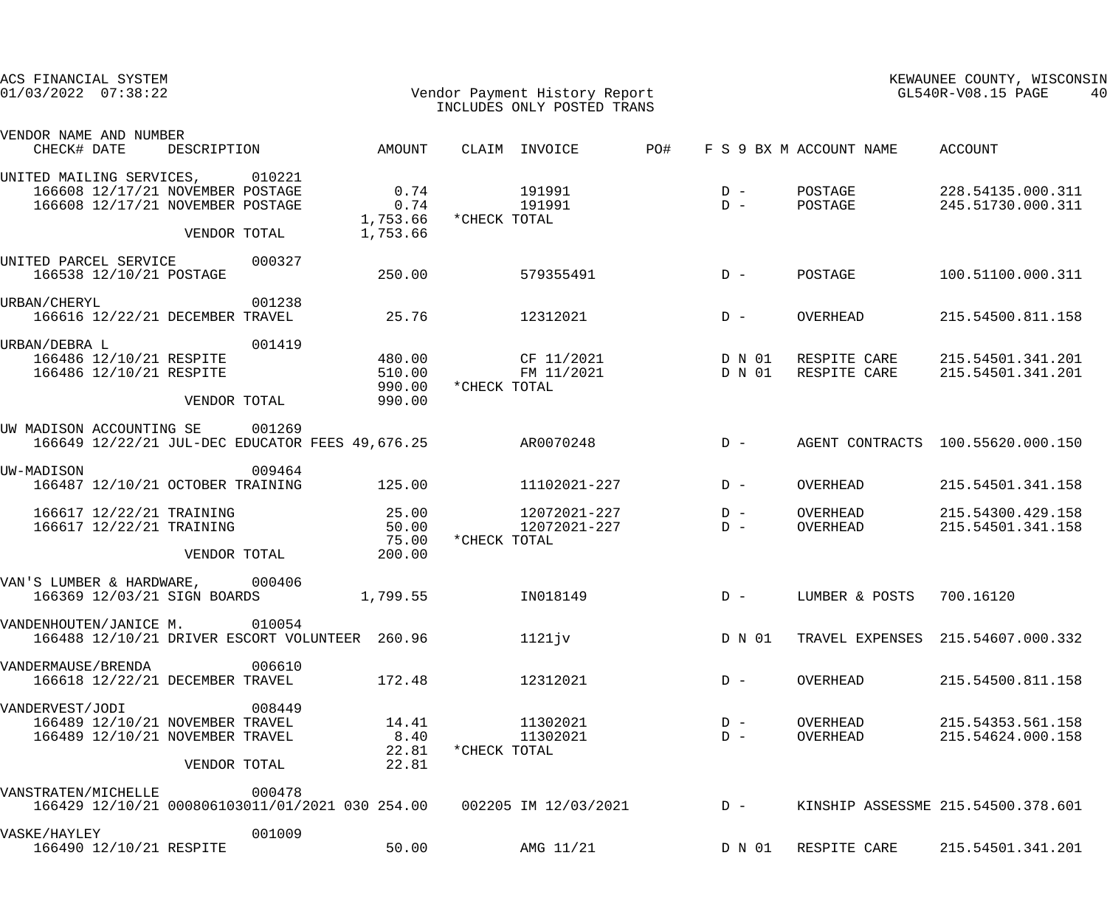| ACS FINANCIAL SYSTEM<br>$01/03/2022$ $07:38:22$                                                                         |                                      | Vendor Payment History Report<br>INCLUDES ONLY POSTED TRANS |                |                                     | KEWAUNEE COUNTY, WISCONSIN<br>GL540R-V08.15 PAGE<br>40 |
|-------------------------------------------------------------------------------------------------------------------------|--------------------------------------|-------------------------------------------------------------|----------------|-------------------------------------|--------------------------------------------------------|
| VENDOR NAME AND NUMBER<br>CHECK# DATE<br>DESCRIPTION                                                                    | AMOUNT                               | CLAIM INVOICE                                               | PO#            | F S 9 BX M ACCOUNT NAME ACCOUNT     |                                                        |
| UNITED MAILING SERVICES, 010221<br>166608 12/17/21 NOVEMBER POSTAGE<br>166608 12/17/21 NOVEMBER POSTAGE<br>VENDOR TOTAL | 0.74<br>0.74<br>1,753.66             | 191991<br>191991<br>1,753.66 *CHECK TOTAL                   | $D -$<br>$D -$ | POSTAGE<br>POSTAGE                  | 228.54135.000.311<br>245.51730.000.311                 |
| 000327<br>UNITED PARCEL SERVICE<br>166538 12/10/21 POSTAGE                                                              | 250.00                               | 579355491                                                   | $D -$          | POSTAGE                             | 100.51100.000.311                                      |
| 001238<br>URBAN/CHERYL<br>166616 12/22/21 DECEMBER TRAVEL                                                               | 25.76                                | 12312021                                                    | $D -$          | OVERHEAD                            | 215.54500.811.158                                      |
| 001419<br>URBAN/DEBRA L<br>166486 12/10/21 RESPITE<br>166486 12/10/21 RESPITE<br>VENDOR TOTAL                           | 480.00<br>510.00<br>990.00<br>990.00 | CF 11/2021<br>FM 11/2021<br>*CHECK TOTAL                    | D N 01         | D N 01 RESPITE CARE<br>RESPITE CARE | 215.54501.341.201<br>215.54501.341.201                 |
| UW MADISON ACCOUNTING SE<br>001269<br>166649 12/22/21 JUL-DEC EDUCATOR FEES 49,676.25                                   |                                      | AR0070248                                                   | $D -$          |                                     | AGENT CONTRACTS 100.55620.000.150                      |
| 009464<br>UW-MADISON<br>166487 12/10/21 OCTOBER TRAINING                                                                | 125.00                               | 11102021-227                                                | $D -$          | OVERHEAD                            | 215.54501.341.158                                      |
| 166617 12/22/21 TRAINING<br>166617 12/22/21 TRAINING<br>VENDOR TOTAL                                                    | 25.00<br>50.00<br>75.00<br>200.00    | 12072021-227<br>12072021-227<br>*CHECK TOTAL                | $D -$<br>$D -$ | OVERHEAD<br>OVERHEAD                | 215.54300.429.158<br>215.54501.341.158                 |
| VAN'S LUMBER & HARDWARE,<br>000406<br>166369 12/03/21 SIGN BOARDS                                                       | 1,799.55                             | IN018149                                                    | $D -$          | LUMBER & POSTS 700.16120            |                                                        |
| VANDENHOUTEN/JANICE M. 010054<br>166488 12/10/21 DRIVER ESCORT VOLUNTEER 260.96                                         |                                      | 1121jv                                                      | D N 01         |                                     | TRAVEL EXPENSES 215.54607.000.332                      |
| 006610<br>VANDERMAUSE/BRENDA<br>166618 12/22/21 DECEMBER TRAVEL                                                         | 172.48                               | 12312021                                                    | $D -$          | OVERHEAD                            | 215.54500.811.158                                      |
| 008449<br>VANDERVEST/JODI<br>166489 12/10/21 NOVEMBER TRAVEL<br>166489 12/10/21 NOVEMBER TRAVEL<br>VENDOR TOTAL         | 14.41<br>8.40<br>22.81<br>22.81      | 11302021<br>11302021<br>*CHECK TOTAL                        | $D -$<br>$D -$ | OVERHEAD<br>OVERHEAD                | 215.54353.561.158<br>215.54624.000.158                 |
| 000478<br>VANSTRATEN/MICHELLE<br>166429 12/10/21 000806103011/01/2021 030 254.00 002205 IM 12/03/2021                   |                                      |                                                             | $D -$          |                                     | KINSHIP ASSESSME 215.54500.378.601                     |
| 001009<br>VASKE/HAYLEY<br>166490 12/10/21 RESPITE                                                                       | 50.00                                | AMG 11/21                                                   | D N 01         | RESPITE CARE                        | 215.54501.341.201                                      |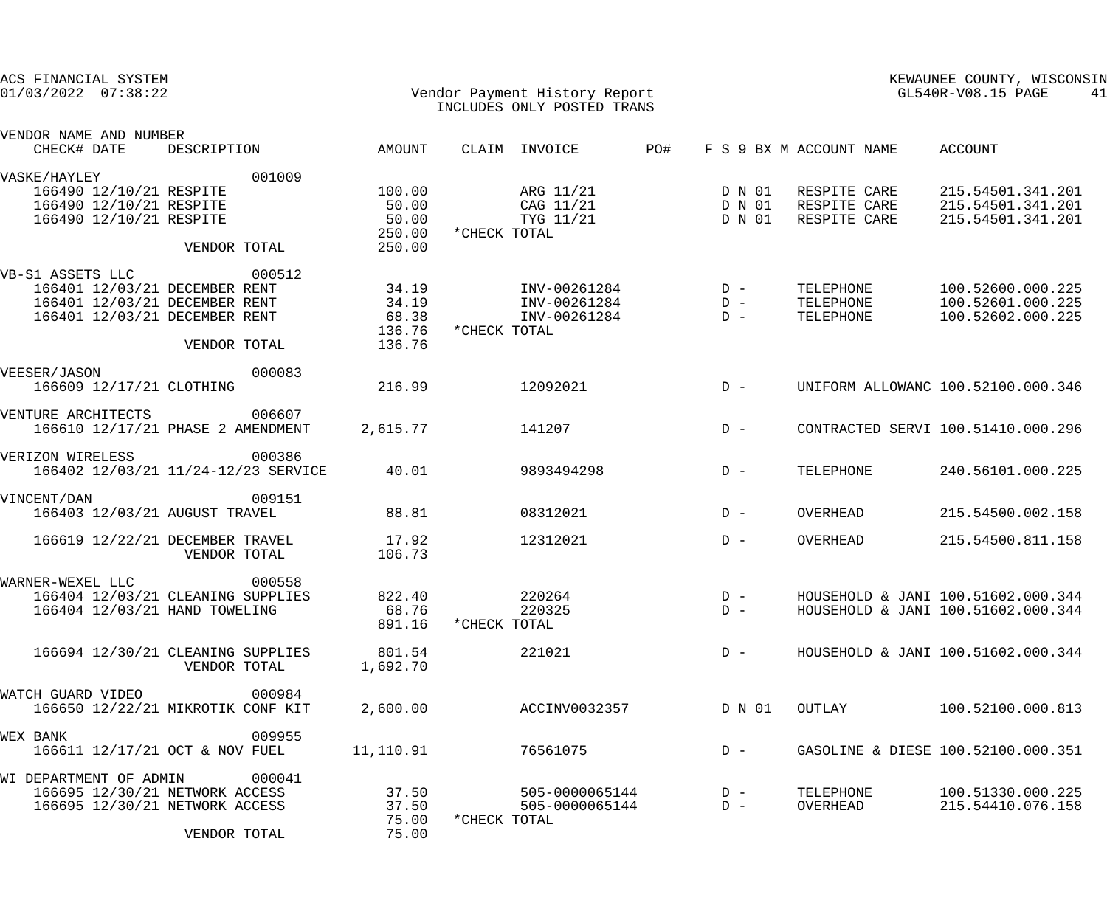| ACS FINANCIAL SYSTEM<br>$01/03/2022$ $07:38:22$                                                                     |                                               | Vendor Payment History Report<br>INCLUDES ONLY POSTED TRANS |              |                                              |     |                            | KEWAUNEE COUNTY, WISCONSIN<br>GL540R-V08.15 PAGE<br>41 |                                              |                                                                          |
|---------------------------------------------------------------------------------------------------------------------|-----------------------------------------------|-------------------------------------------------------------|--------------|----------------------------------------------|-----|----------------------------|--------------------------------------------------------|----------------------------------------------|--------------------------------------------------------------------------|
| VENDOR NAME AND NUMBER<br>CHECK# DATE                                                                               | DESCRIPTION                                   | AMOUNT                                                      |              | CLAIM INVOICE                                | PO# |                            |                                                        | F S 9 BX M ACCOUNT NAME                      | ACCOUNT                                                                  |
| VASKE/HAYLEY<br>166490 12/10/21 RESPITE<br>166490 12/10/21 RESPITE<br>166490 12/10/21 RESPITE                       | 001009<br>VENDOR TOTAL                        | 100.00<br>50.00<br>50.00<br>250.00<br>250.00                | *CHECK TOTAL | ARG 11/21<br>CAG 11/21<br>TYG 11/21          |     | D N 01<br>D N 01<br>D N 01 |                                                        | RESPITE CARE<br>RESPITE CARE<br>RESPITE CARE | 215.54501.341.201<br>215.54501.341.201<br>215.54501.341.201              |
| VB-S1 ASSETS LLC<br>166401 12/03/21 DECEMBER RENT<br>166401 12/03/21 DECEMBER RENT<br>166401 12/03/21 DECEMBER RENT | 000512<br>VENDOR TOTAL                        | 34.19<br>34.19<br>68.38<br>136.76<br>136.76                 | *CHECK TOTAL | INV-00261284<br>INV-00261284<br>INV-00261284 |     | $D -$<br>$D -$<br>$D -$    |                                                        | TELEPHONE<br>TELEPHONE<br>TELEPHONE          | 100.52600.000.225<br>100.52601.000.225<br>100.52602.000.225              |
| VEESER/JASON<br>166609 12/17/21 CLOTHING                                                                            | 000083                                        | 216.99                                                      |              | 12092021                                     |     | $D -$                      |                                                        |                                              | UNIFORM ALLOWANC 100.52100.000.346                                       |
| VENTURE ARCHITECTS<br>166610 12/17/21 PHASE 2 AMENDMENT                                                             | 006607                                        | 2,615.77                                                    |              | 141207                                       |     | $D -$                      |                                                        |                                              | CONTRACTED SERVI 100.51410.000.296                                       |
| VERIZON WIRELESS                                                                                                    | 000386<br>166402 12/03/21 11/24-12/23 SERVICE | 40.01                                                       |              | 9893494298                                   |     | $D -$                      |                                                        | TELEPHONE                                    | 240.56101.000.225                                                        |
| VINCENT/DAN<br>166403 12/03/21 AUGUST TRAVEL                                                                        | 009151                                        | 88.81                                                       |              | 08312021                                     |     | $D -$                      |                                                        | OVERHEAD                                     | 215.54500.002.158                                                        |
| 166619 12/22/21 DECEMBER TRAVEL                                                                                     | VENDOR TOTAL                                  | 17.92<br>106.73                                             |              | 12312021                                     |     | $D -$                      |                                                        | OVERHEAD                                     | 215.54500.811.158                                                        |
| WARNER-WEXEL LLC<br>166404 12/03/21 CLEANING SUPPLIES<br>166404 12/03/21 HAND TOWELING                              | 000558                                        | 822.40<br>68.76<br>891.16                                   | *CHECK TOTAL | 220264<br>220325                             |     | $D -$<br>$D -$             |                                                        |                                              | HOUSEHOLD & JANI 100.51602.000.344<br>HOUSEHOLD & JANI 100.51602.000.344 |
| 166694 12/30/21 CLEANING SUPPLIES                                                                                   | VENDOR TOTAL                                  | 801.54<br>1,692.70                                          |              | 221021                                       |     | $D -$                      |                                                        |                                              | HOUSEHOLD & JANI 100.51602.000.344                                       |
| WATCH GUARD VIDEO<br>166650 12/22/21 MIKROTIK CONF KIT                                                              | 000984                                        | 2,600.00                                                    |              | ACCINV0032357                                |     | D N 01                     |                                                        | OUTLAY                                       | 100.52100.000.813                                                        |
| <b>WEX BANK</b><br>166611 12/17/21 OCT & NOV FUEL                                                                   | 009955                                        | 11,110.91                                                   |              | 76561075                                     |     | $D -$                      |                                                        |                                              | GASOLINE & DIESE 100.52100.000.351                                       |
| WI DEPARTMENT OF ADMIN<br>166695 12/30/21 NETWORK ACCESS<br>166695 12/30/21 NETWORK ACCESS                          | 000041<br>VENDOR TOTAL                        | 37.50<br>37.50<br>75.00<br>75.00                            | *CHECK TOTAL | 505-0000065144<br>505-0000065144             |     | $D -$<br>$D -$             |                                                        | TELEPHONE<br>OVERHEAD                        | 100.51330.000.225<br>215.54410.076.158                                   |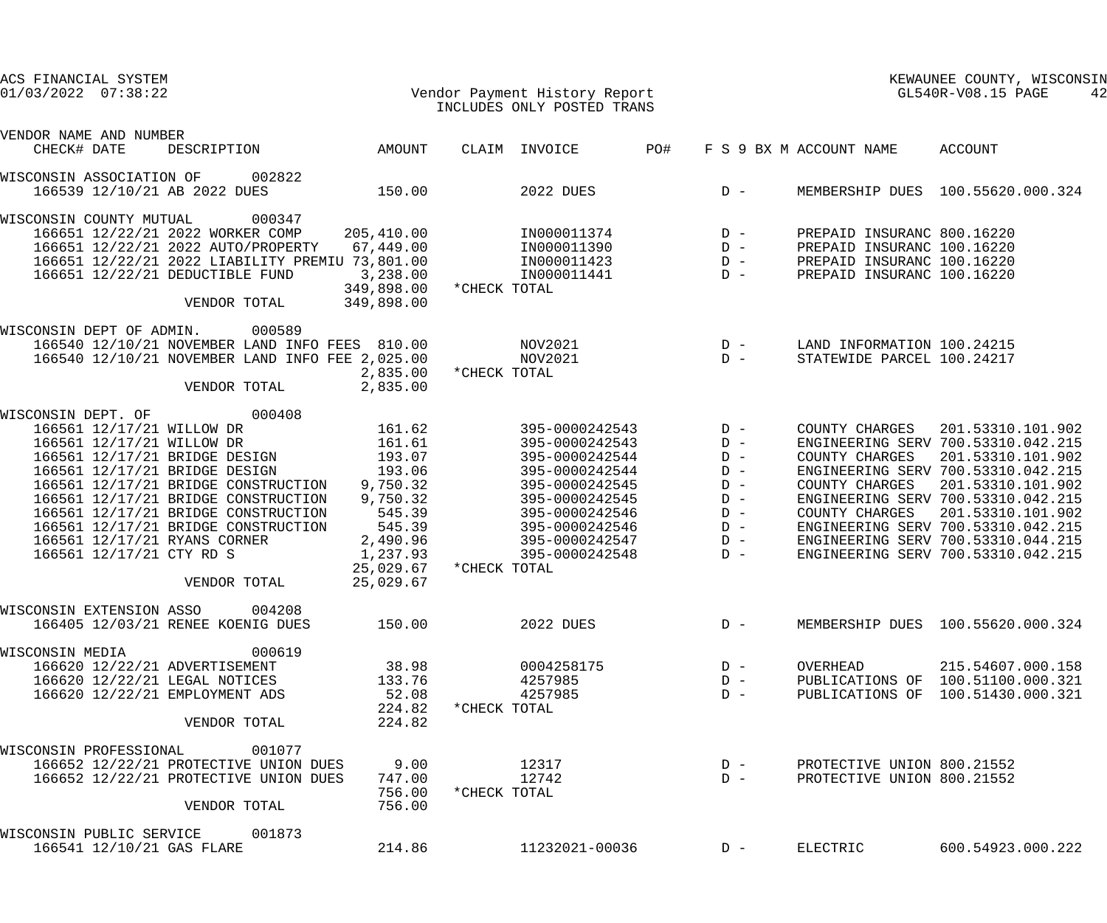| ACS FINANCIAL SYSTEM                                     |  |                                                 |                  |              |                            |     |       |                         | KEWAUNEE COUNTY, WISCONSIN         |  |
|----------------------------------------------------------|--|-------------------------------------------------|------------------|--------------|----------------------------|-----|-------|-------------------------|------------------------------------|--|
| $01/03/2022$ $07:38:22$<br>Vendor Payment History Report |  |                                                 |                  |              |                            |     |       | GL540R-V08.15 PAGE      | 42                                 |  |
|                                                          |  |                                                 |                  |              | INCLUDES ONLY POSTED TRANS |     |       |                         |                                    |  |
| VENDOR NAME AND NUMBER                                   |  |                                                 |                  |              |                            |     |       |                         |                                    |  |
| CHECK# DATE                                              |  | DESCRIPTION                                     | AMOUNT           |              | CLAIM INVOICE              | PO# |       | F S 9 BX M ACCOUNT NAME | ACCOUNT                            |  |
| WISCONSIN ASSOCIATION OF                                 |  | 002822                                          |                  |              |                            |     |       |                         |                                    |  |
|                                                          |  | 166539 12/10/21 AB 2022 DUES                    | 150.00           |              | 2022 DUES                  |     | $D -$ |                         | MEMBERSHIP DUES 100.55620.000.324  |  |
| WISCONSIN COUNTY MUTUAL                                  |  | 000347                                          |                  |              |                            |     |       |                         |                                    |  |
|                                                          |  | 166651 12/22/21 2022 WORKER COMP                | 205,410.00       |              | IN000011374                |     | $D -$ |                         | PREPAID INSURANC 800.16220         |  |
|                                                          |  | 166651 12/22/21 2022 AUTO/PROPERTY              | 67,449.00        |              | IN000011390                |     | $D -$ |                         | PREPAID INSURANC 100.16220         |  |
|                                                          |  | 166651 12/22/21 2022 LIABILITY PREMIU 73,801.00 |                  |              | IN000011423                |     | $D -$ |                         | PREPAID INSURANC 100.16220         |  |
|                                                          |  | 166651 12/22/21 DEDUCTIBLE FUND                 | 3,238.00         |              | IN000011441                |     | $D -$ |                         | PREPAID INSURANC 100.16220         |  |
|                                                          |  |                                                 | 349,898.00       | *CHECK TOTAL |                            |     |       |                         |                                    |  |
|                                                          |  | VENDOR TOTAL                                    | 349,898.00       |              |                            |     |       |                         |                                    |  |
| WISCONSIN DEPT OF ADMIN.                                 |  | 000589                                          |                  |              |                            |     |       |                         |                                    |  |
|                                                          |  | 166540 12/10/21 NOVEMBER LAND INFO FEES 810.00  |                  |              | NOV2021                    |     | $D -$ |                         | LAND INFORMATION 100.24215         |  |
|                                                          |  | 166540 12/10/21 NOVEMBER LAND INFO FEE 2,025.00 |                  |              | NOV2021                    |     | $D -$ |                         | STATEWIDE PARCEL 100.24217         |  |
|                                                          |  |                                                 | 2,835.00         | *CHECK TOTAL |                            |     |       |                         |                                    |  |
|                                                          |  | VENDOR TOTAL                                    | 2,835.00         |              |                            |     |       |                         |                                    |  |
| WISCONSIN DEPT. OF                                       |  | 000408                                          |                  |              |                            |     |       |                         |                                    |  |
|                                                          |  | 166561 12/17/21 WILLOW DR                       | 161.62           |              | 395-0000242543             |     | $D -$ | COUNTY CHARGES          | 201.53310.101.902                  |  |
|                                                          |  | 166561 12/17/21 WILLOW DR                       | 161.61           |              | 395-0000242543             |     | $D -$ |                         | ENGINEERING SERV 700.53310.042.215 |  |
|                                                          |  | 166561 12/17/21 BRIDGE DESIGN                   | 193.07           |              | 395-0000242544             |     | $D -$ | COUNTY CHARGES          | 201.53310.101.902                  |  |
|                                                          |  | 166561 12/17/21 BRIDGE DESIGN                   | 193.06           |              | 395-0000242544             |     | $D -$ |                         | ENGINEERING SERV 700.53310.042.215 |  |
|                                                          |  | 166561 12/17/21 BRIDGE CONSTRUCTION             | 9,750.32         |              | 395-0000242545             |     | $D -$ | COUNTY CHARGES          | 201.53310.101.902                  |  |
|                                                          |  | 166561 12/17/21 BRIDGE CONSTRUCTION             | 9,750.32         |              | 395-0000242545             |     | $D -$ |                         | ENGINEERING SERV 700.53310.042.215 |  |
|                                                          |  | 166561 12/17/21 BRIDGE CONSTRUCTION             | 545.39           |              | 395-0000242546             |     | $D -$ | COUNTY CHARGES          | 201.53310.101.902                  |  |
|                                                          |  | 166561 12/17/21 BRIDGE CONSTRUCTION             | 545.39           |              | 395-0000242546             |     | $D -$ |                         | ENGINEERING SERV 700.53310.042.215 |  |
|                                                          |  | 166561 12/17/21 RYANS CORNER                    | 2,490.96         |              | 395-0000242547             |     | $D -$ |                         | ENGINEERING SERV 700.53310.044.215 |  |
|                                                          |  | 166561 12/17/21 CTY RD S                        | 1,237.93         |              | 395-0000242548             |     | $D -$ |                         | ENGINEERING SERV 700.53310.042.215 |  |
|                                                          |  |                                                 | 25,029.67        | *CHECK TOTAL |                            |     |       |                         |                                    |  |
|                                                          |  | VENDOR TOTAL                                    | 25,029.67        |              |                            |     |       |                         |                                    |  |
| WISCONSIN EXTENSION ASSO                                 |  | 004208                                          |                  |              |                            |     |       |                         |                                    |  |
|                                                          |  | 166405 12/03/21 RENEE KOENIG DUES               | 150.00           |              | 2022 DUES                  |     | $D -$ |                         | MEMBERSHIP DUES 100.55620.000.324  |  |
| WISCONSIN MEDIA                                          |  | 000619                                          |                  |              |                            |     |       |                         |                                    |  |
|                                                          |  | 166620 12/22/21 ADVERTISEMENT                   | 38.98            |              | 0004258175                 |     | $D -$ | OVERHEAD                | 215.54607.000.158                  |  |
|                                                          |  | 166620 12/22/21 LEGAL NOTICES                   | 133.76           |              | 4257985                    |     | $D -$ |                         | PUBLICATIONS OF 100.51100.000.321  |  |
|                                                          |  | 166620 12/22/21 EMPLOYMENT ADS                  | 52.08            |              | 4257985                    |     | $D -$ |                         | PUBLICATIONS OF 100.51430.000.321  |  |
|                                                          |  |                                                 | 224.82           | *CHECK TOTAL |                            |     |       |                         |                                    |  |
|                                                          |  | VENDOR TOTAL                                    | 224.82           |              |                            |     |       |                         |                                    |  |
| WISCONSIN PROFESSIONAL                                   |  | 001077                                          |                  |              |                            |     |       |                         |                                    |  |
|                                                          |  | 166652 12/22/21 PROTECTIVE UNION DUES           | 9.00             |              | 12317                      |     | $D -$ |                         | PROTECTIVE UNION 800.21552         |  |
|                                                          |  | 166652 12/22/21 PROTECTIVE UNION DUES           | 747.00           |              | 12742                      |     | $D -$ |                         | PROTECTIVE UNION 800.21552         |  |
|                                                          |  | VENDOR TOTAL                                    | 756.00<br>756.00 | *CHECK TOTAL |                            |     |       |                         |                                    |  |
|                                                          |  |                                                 |                  |              |                            |     |       |                         |                                    |  |
| WISCONSIN PUBLIC SERVICE                                 |  | 001873                                          |                  |              |                            |     |       |                         |                                    |  |
|                                                          |  | 166541 12/10/21 GAS FLARE                       | 214.86           |              | 11232021-00036             |     | $D -$ | ELECTRIC                | 600.54923.000.222                  |  |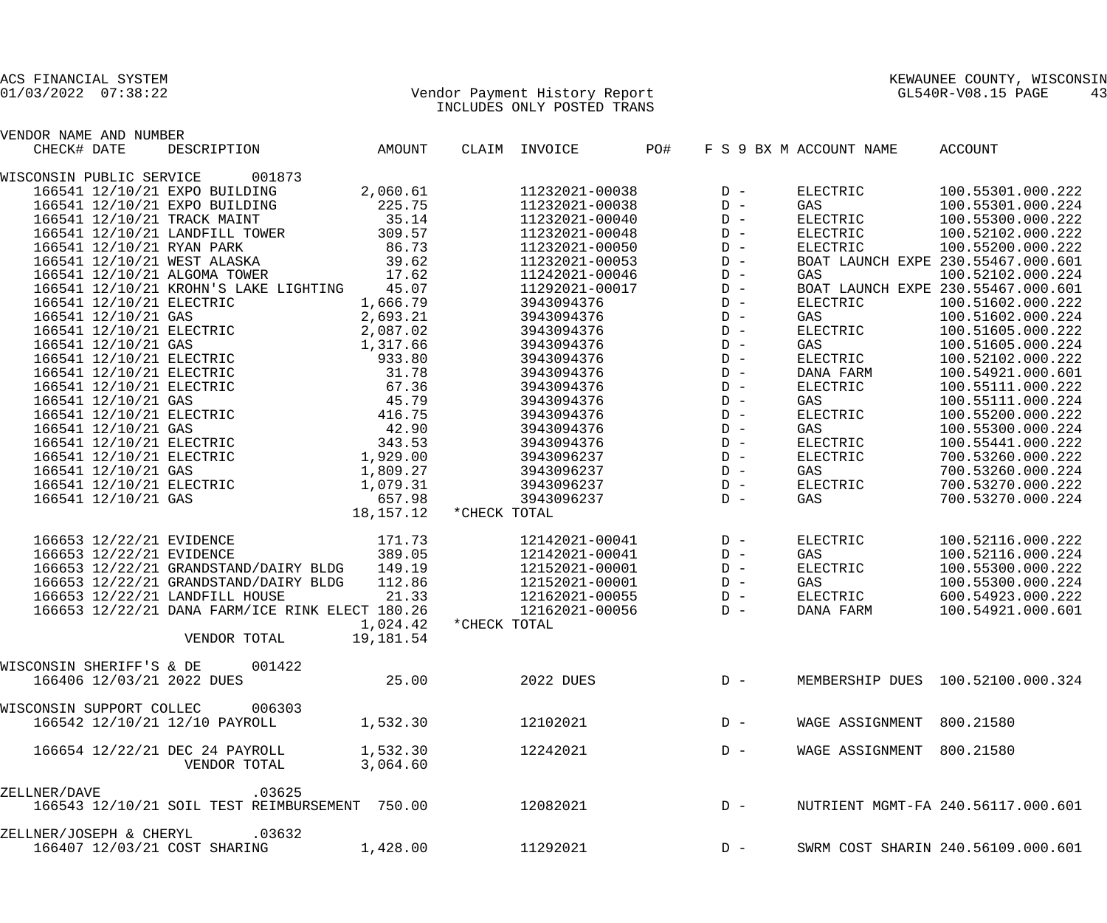|              | VENDOR NAME AND NUMBER   |                                       |                                                                                                                                                                                                                                                  |           |              |                                                                                  |       |                                    |                   |  |
|--------------|--------------------------|---------------------------------------|--------------------------------------------------------------------------------------------------------------------------------------------------------------------------------------------------------------------------------------------------|-----------|--------------|----------------------------------------------------------------------------------|-------|------------------------------------|-------------------|--|
|              | CHECK# DATE              |                                       | DESCRIPTION AMOUNT                                                                                                                                                                                                                               |           |              | CLAIM INVOICE PO#                                                                |       | F S 9 BX M ACCOUNT NAME            | ACCOUNT           |  |
|              |                          | WISCONSIN PUBLIC SERVICE 001873       |                                                                                                                                                                                                                                                  |           |              |                                                                                  |       |                                    |                   |  |
|              |                          | 166541 12/10/21 EXPO BUILDING         |                                                                                                                                                                                                                                                  | 2,060.61  |              | $11232021 - 00038$ D -                                                           |       | ELECTRIC                           | 100.55301.000.222 |  |
|              |                          | 166541 12/10/21 EXPO BUILDING         |                                                                                                                                                                                                                                                  | 225.75    |              | 11232021-00038                                                                   | $D -$ | GAS                                | 100.55301.000.224 |  |
|              |                          | 166541 12/10/21 TRACK MAINT           | 35.14                                                                                                                                                                                                                                            |           |              | 11232021-00040                                                                   | $D -$ | ELECTRIC                           | 100.55300.000.222 |  |
|              |                          |                                       | 166541 12/10/21 LANDFILL TOWER 309.57                                                                                                                                                                                                            |           |              | 11232021-00048                                                                   | $D -$ | ELECTRIC                           | 100.52102.000.222 |  |
|              |                          | 166541 12/10/21 RYAN PARK             | 86.73                                                                                                                                                                                                                                            |           |              | 11232021-00050                                                                   | $D -$ | ELECTRIC                           | 100.55200.000.222 |  |
|              |                          |                                       | 166541 12/10/21 WEST ALASKA 39.62                                                                                                                                                                                                                |           |              | 11232021-00053                                                                   | $D -$ | BOAT LAUNCH EXPE 230.55467.000.601 |                   |  |
|              |                          | 166541 12/10/21 ALGOMA TOWER          | 17.62                                                                                                                                                                                                                                            |           |              | 11242021-00046                                                                   | $D -$ | GAS                                | 100.52102.000.224 |  |
|              |                          | 166541 12/10/21 KROHN'S LAKE LIGHTING |                                                                                                                                                                                                                                                  | 45.07     |              | 11292021-00017                                                                   | $D -$ | BOAT LAUNCH EXPE 230.55467.000.601 |                   |  |
|              | 166541 12/10/21 ELECTRIC |                                       | 1,666.79                                                                                                                                                                                                                                         |           |              | 1123094376<br>3943094376<br>3943094376<br>3943094376<br>3943094376<br>3943094376 | $D -$ | ELECTRIC                           | 100.51602.000.222 |  |
|              |                          |                                       |                                                                                                                                                                                                                                                  |           |              |                                                                                  | $D -$ | GAS                                | 100.51602.000.224 |  |
|              |                          |                                       | 166541 12/10/21 GAS 2,693.21<br>166541 12/10/21 ELECTRIC 2,087.02                                                                                                                                                                                |           |              |                                                                                  | $D -$ | ELECTRIC                           | 100.51605.000.222 |  |
|              |                          |                                       |                                                                                                                                                                                                                                                  |           |              |                                                                                  | $D -$ | GAS                                | 100.51605.000.224 |  |
|              |                          |                                       |                                                                                                                                                                                                                                                  |           |              |                                                                                  | $D -$ | ELECTRIC                           | 100.52102.000.222 |  |
|              |                          |                                       |                                                                                                                                                                                                                                                  |           |              | 3943094376                                                                       | $D -$ | DANA FARM                          | 100.54921.000.601 |  |
|              |                          |                                       | 166541 12/10/21 ELECTRIC<br>166541 12/10/21 ELECTRIC<br>166541 12/10/21 ELECTRIC<br>166541 12/10/21 ELECTRIC<br>166541 12/10/21 ELECTRIC<br>166541 12/10/21 GAS<br>166541 12/10/21 GAS<br>166541 12/10/21 GAS<br>166541 12/10/21 GAS<br>166541 1 |           |              | 3943094376                                                                       | $D -$ | ELECTRIC                           | 100.55111.000.222 |  |
|              |                          |                                       |                                                                                                                                                                                                                                                  |           |              | 3943094376                                                                       | $D -$ | GAS                                | 100.55111.000.224 |  |
|              |                          |                                       |                                                                                                                                                                                                                                                  |           |              | 3943094376                                                                       | $D -$ | ELECTRIC                           | 100.55200.000.222 |  |
|              |                          |                                       |                                                                                                                                                                                                                                                  |           |              | 3943094376                                                                       | $D -$ | GAS                                | 100.55300.000.224 |  |
|              |                          |                                       |                                                                                                                                                                                                                                                  |           |              | 3943094376                                                                       | $D -$ | ELECTRIC                           | 100.55441.000.222 |  |
|              |                          |                                       | 166541 12/10/21 BLECTRIC 343.53<br>166541 12/10/21 ELECTRIC 343.53<br>166541 12/10/21 ELECTRIC 1,929.00                                                                                                                                          |           |              | 3943096237                                                                       | $D -$ | ELECTRIC                           | 700.53260.000.222 |  |
|              | 166541 12/10/21 GAS      |                                       |                                                                                                                                                                                                                                                  |           |              | 3943096237                                                                       | $D -$ | GAS                                | 700.53260.000.224 |  |
|              |                          |                                       | 1,809.27                                                                                                                                                                                                                                         |           |              | 3943096237                                                                       | $D -$ | ELECTRIC                           | 700.53270.000.222 |  |
|              |                          |                                       |                                                                                                                                                                                                                                                  |           |              | 3943096237                                                                       | $D -$ | GAS                                | 700.53270.000.224 |  |
|              |                          |                                       | 166541 12/10/21 66541<br>166541 12/10/21 ELECTRIC 1,079.31<br>166541 12/10/21 GAS 657.98                                                                                                                                                         | 18,157.12 | *CHECK TOTAL |                                                                                  |       |                                    |                   |  |
|              |                          |                                       |                                                                                                                                                                                                                                                  |           |              |                                                                                  |       |                                    |                   |  |
|              | 166653 12/22/21 EVIDENCE |                                       | 171.73                                                                                                                                                                                                                                           |           |              | 12142021-00041                                                                   | $D -$ | ELECTRIC                           | 100.52116.000.222 |  |
|              | 166653 12/22/21 EVIDENCE |                                       | 389.05                                                                                                                                                                                                                                           |           |              | 12142021-00041                                                                   | $D -$ | GAS                                | 100.52116.000.224 |  |
|              |                          |                                       | 166653 12/22/21 GRANDSTAND/DAIRY BLDG 149.19                                                                                                                                                                                                     |           |              | 12152021-00001                                                                   | $D -$ | ELECTRIC                           | 100.55300.000.222 |  |
|              |                          | 166653 12/22/21 GRANDSTAND/DAIRY BLDG |                                                                                                                                                                                                                                                  | 112.86    |              | 12152021-00001                                                                   | $D -$ | GAS                                | 100.55300.000.224 |  |
|              |                          | 166653 12/22/21 LANDFILL HOUSE        |                                                                                                                                                                                                                                                  | 21.33     |              | 12162021-00055                                                                   | $D -$ | ELECTRIC                           | 600.54923.000.222 |  |
|              |                          |                                       | 166653 12/22/21 DANA FARM/ICE RINK ELECT 180.26                                                                                                                                                                                                  |           |              | 12162021-00056                                                                   | $D -$ | DANA FARM                          | 100.54921.000.601 |  |
|              |                          |                                       |                                                                                                                                                                                                                                                  | 1,024.42  | *CHECK TOTAL |                                                                                  |       |                                    |                   |  |
|              |                          | VENDOR TOTAL                          |                                                                                                                                                                                                                                                  | 19,181.54 |              |                                                                                  |       |                                    |                   |  |
|              | WISCONSIN SHERIFF'S & DE |                                       | 001422                                                                                                                                                                                                                                           |           |              |                                                                                  |       |                                    |                   |  |
|              |                          | 166406 12/03/21 2022 DUES             |                                                                                                                                                                                                                                                  | 25.00     |              | 2022 DUES                                                                        | $D -$ | MEMBERSHIP DUES 100.52100.000.324  |                   |  |
|              |                          |                                       |                                                                                                                                                                                                                                                  |           |              |                                                                                  |       |                                    |                   |  |
|              | WISCONSIN SUPPORT COLLEC |                                       | 006303                                                                                                                                                                                                                                           |           |              |                                                                                  |       |                                    |                   |  |
|              |                          | 166542 12/10/21 12/10 PAYROLL         |                                                                                                                                                                                                                                                  | 1,532.30  |              | 12102021                                                                         | $D -$ | WAGE ASSIGNMENT 800.21580          |                   |  |
|              |                          | 166654 12/22/21 DEC 24 PAYROLL        |                                                                                                                                                                                                                                                  | 1,532.30  |              | 12242021                                                                         | $D -$ | WAGE ASSIGNMENT 800.21580          |                   |  |
|              |                          | VENDOR TOTAL                          |                                                                                                                                                                                                                                                  | 3,064.60  |              |                                                                                  |       |                                    |                   |  |
|              |                          |                                       |                                                                                                                                                                                                                                                  |           |              |                                                                                  |       |                                    |                   |  |
| ZELLNER/DAVE |                          |                                       | .03625                                                                                                                                                                                                                                           |           |              |                                                                                  |       |                                    |                   |  |
|              |                          |                                       | 166543 12/10/21 SOIL TEST REIMBURSEMENT 750.00                                                                                                                                                                                                   |           |              | 12082021                                                                         | $D -$ | NUTRIENT MGMT-FA 240.56117.000.601 |                   |  |
|              | ZELLNER/JOSEPH & CHERYL  |                                       | .03632                                                                                                                                                                                                                                           |           |              |                                                                                  |       |                                    |                   |  |
|              |                          | 166407 12/03/21 COST SHARING          |                                                                                                                                                                                                                                                  | 1,428.00  |              | 11292021                                                                         | $D -$ | SWRM COST SHARIN 240.56109.000.601 |                   |  |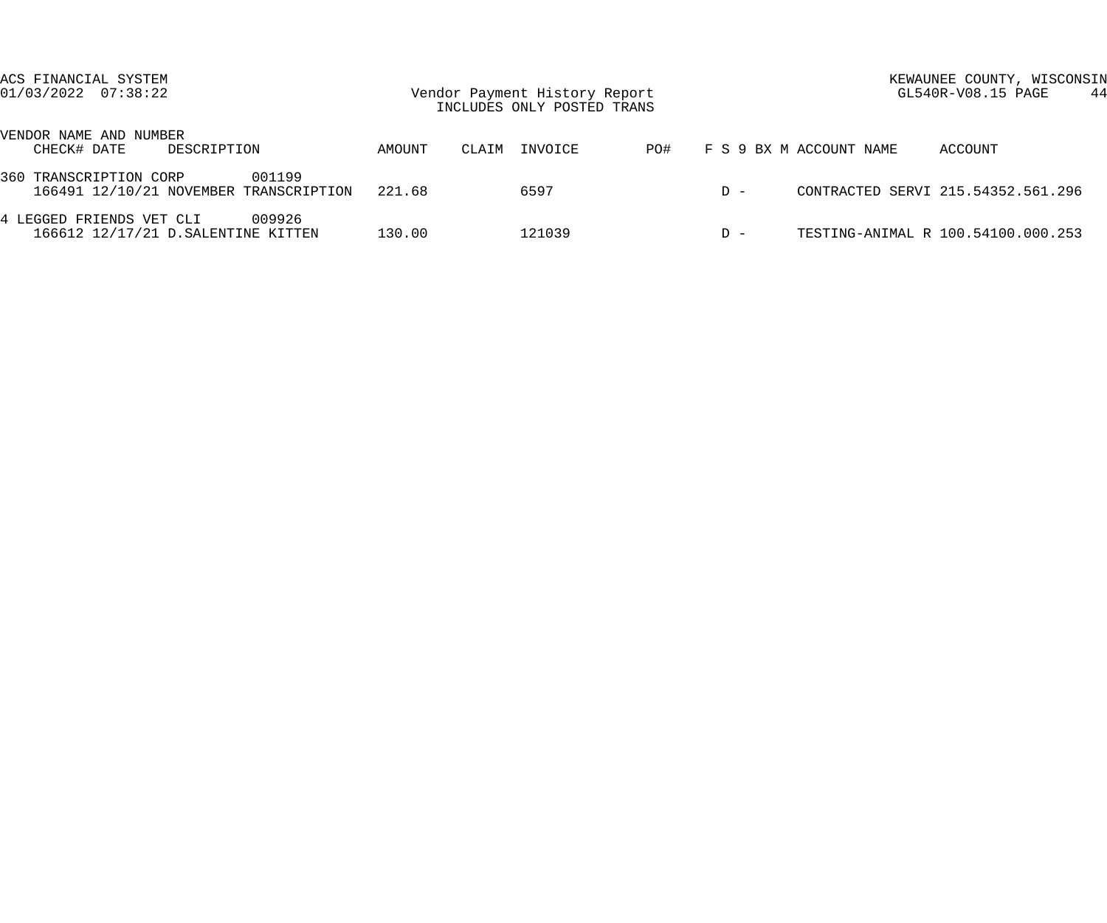| ACS FINANCIAL SYSTEM<br>$01/03/2022$ $07:38:22$                            | Vendor Payment History Report<br>INCLUDES ONLY POSTED TRANS |                  |     |       | KEWAUNEE COUNTY, WISCONSIN<br>GL540R-V08.15 PAGE<br>-44 |  |  |
|----------------------------------------------------------------------------|-------------------------------------------------------------|------------------|-----|-------|---------------------------------------------------------|--|--|
| VENDOR NAME AND NUMBER<br>CHECK# DATE<br>DESCRIPTION                       | AMOUNT                                                      | INVOICE<br>CLAIM | PO# |       | F S 9 BX M ACCOUNT NAME<br>ACCOUNT                      |  |  |
| 360 TRANSCRIPTION CORP<br>001199<br>166491 12/10/21 NOVEMBER TRANSCRIPTION | 221.68                                                      | 6597             |     | $D -$ | CONTRACTED SERVI 215.54352.561.296                      |  |  |
| 009926<br>4 LEGGED FRIENDS VET CLI<br>166612 12/17/21 D. SALENTINE KITTEN  | 130.00                                                      | 121039           |     | $D -$ | TESTING-ANIMAL R 100.54100.000.253                      |  |  |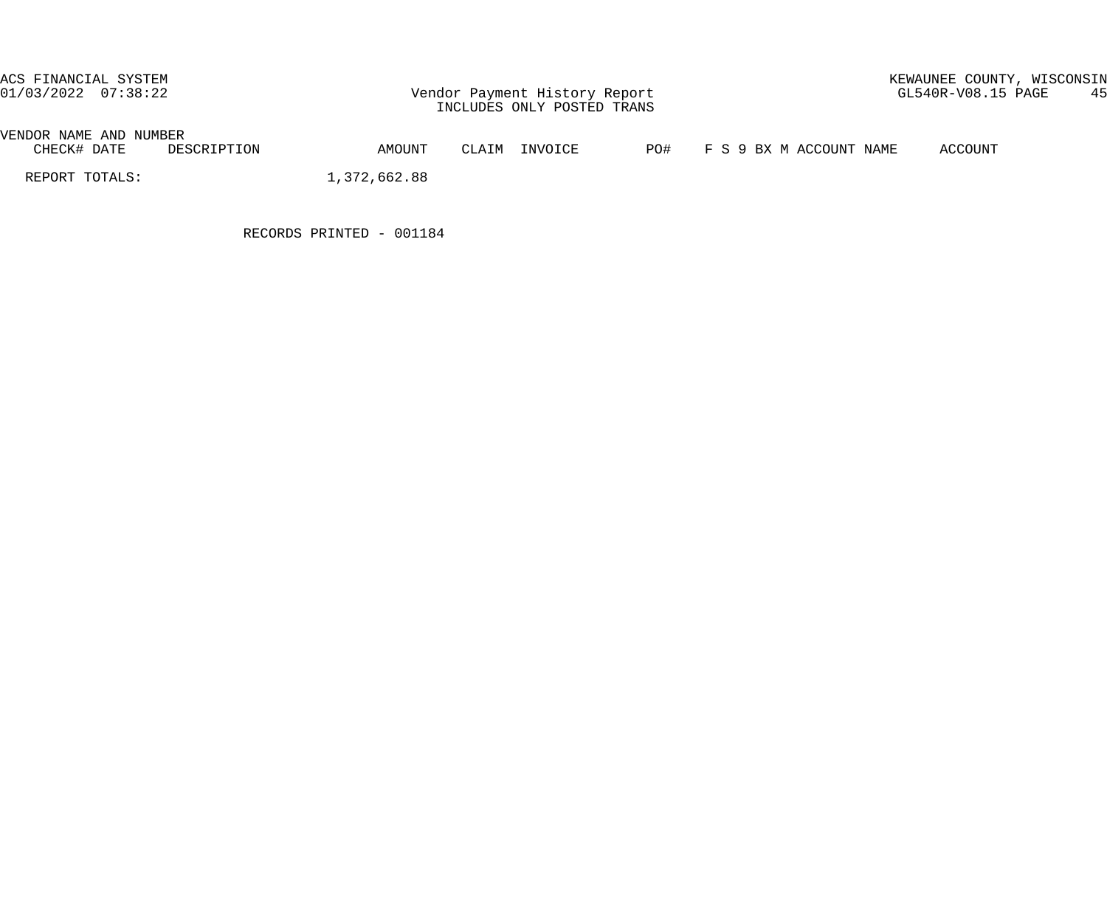# VENDOR NAME AND NUMBER<br>CHECK# DATE DES DESCRIPTION AMOUNT CLAIM INVOICE PO# F S 9 BX M ACCOUNT NAME ACCOUNT

REPORT TOTALS: 1,372,662.88

RECORDS PRINTED - 001184